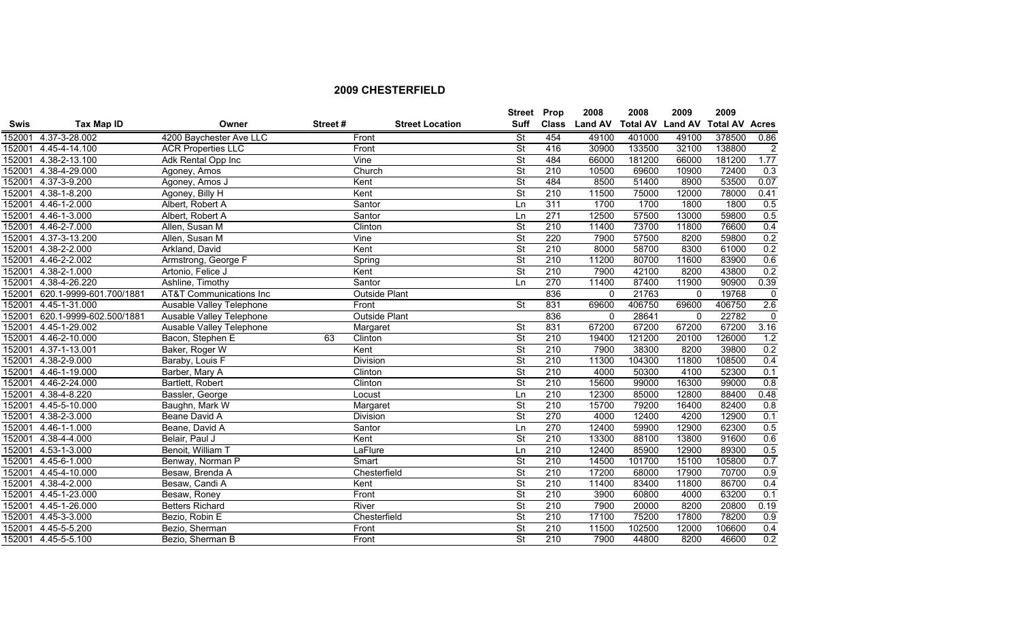|             |                         |                                    |         |                        | <b>Street</b>            | Prop             | 2008          | 2008            | 2009           | 2009                  |             |
|-------------|-------------------------|------------------------------------|---------|------------------------|--------------------------|------------------|---------------|-----------------|----------------|-----------------------|-------------|
| <b>Swis</b> | <b>Tax Map ID</b>       | Owner                              | Street# | <b>Street Location</b> | <b>Suff</b>              |                  | Class Land AV | <b>Total AV</b> | <b>Land AV</b> | <b>Total AV Acres</b> |             |
| 152001      | 4.37-3-28.002           | 4200 Baychester Ave LLC            |         | Front                  | <b>St</b>                | 454              | 49100         | 401000          | 49100          | 378500                | 0.86        |
| 152001      | 4.45-4-14.100           | <b>ACR Properties LLC</b>          |         | Front                  | <b>St</b>                | 416              | 30900         | 133500          | 32100          | 138800                | 2           |
| 152001      | 4.38-2-13.100           | Adk Rental Opp Inc                 |         | Vine                   | <b>St</b>                | 484              | 66000         | 181200          | 66000          | 181200                | 1.77        |
|             | 152001 4.38-4-29.000    | Agoney, Amos                       |         | Church                 | $\overline{\mathsf{St}}$ | $\overline{210}$ | 10500         | 69600           | 10900          | 72400                 | 0.3         |
| 152001      | 4.37-3-9.200            | Agoney, Amos J                     |         | Kent                   | $\overline{\mathsf{St}}$ | 484              | 8500          | 51400           | 8900           | 53500                 | 0.07        |
| 152001      | 4.38-1-8.200            | Agoney, Billy H                    |         | Kent                   | <b>St</b>                | 210              | 11500         | 75000           | 12000          | 78000                 | 0.41        |
| 152001      | 4.46-1-2.000            | Albert, Robert A                   |         | Santor                 | Ln                       | 311              | 1700          | 1700            | 1800           | 1800                  | 0.5         |
| 152001      | 4.46-1-3.000            | Albert, Robert A                   |         | Santor                 | Ln                       | 271              | 12500         | 57500           | 13000          | 59800                 | 0.5         |
| 152001      | 4.46-2-7.000            | Allen, Susan M                     |         | Clinton                | $\overline{\mathsf{St}}$ | 210              | 11400         | 73700           | 11800          | 76600                 | 0.4         |
| 152001      | 4.37-3-13.200           | Allen, Susan M                     |         | Vine                   | <b>St</b>                | 220              | 7900          | 57500           | 8200           | 59800                 | 0.2         |
| 152001      | $4.38 - 2 - 2.000$      | Arkland, David                     |         | Kent                   | <b>St</b>                | 210              | 8000          | 58700           | 8300           | 61000                 | 0.2         |
| 152001      | 4.46-2-2.002            | Armstrong, George F                |         | Spring                 | <b>St</b>                | 210              | 11200         | 80700           | 11600          | 83900                 | 0.6         |
| 152001      | 4.38-2-1.000            | Artonio, Felice J                  |         | Kent                   | <b>St</b>                | 210              | 7900          | 42100           | 8200           | 43800                 | 0.2         |
| 152001      | 4.38-4-26.220           | Ashline, Timothy                   |         | Santor                 | Ln                       | 270              | 11400         | 87400           | 11900          | 90900                 | 0.39        |
| 152001      | 620.1-9999-601.700/1881 | <b>AT&amp;T Communications Inc</b> |         | <b>Outside Plant</b>   |                          | 836              | $\Omega$      | 21763           | $\mathbf{0}$   | 19768                 | $\mathbf 0$ |
| 152001      | 4.45-1-31.000           | Ausable Valley Telephone           |         | Front                  | $\overline{\mathsf{St}}$ | 831              | 69600         | 406750          | 69600          | 406750                | 2.6         |
| 152001      | 620.1-9999-602.500/1881 | Ausable Valley Telephone           |         | <b>Outside Plant</b>   |                          | 836              | $\Omega$      | 28641           | 0              | 22782                 | $\mathbf 0$ |
| 152001      | 4.45-1-29.002           | <b>Ausable Valley Telephone</b>    |         | Margaret               | <b>St</b>                | 831              | 67200         | 67200           | 67200          | 67200                 | 3.16        |
| 152001      | 4.46-2-10.000           | Bacon, Stephen E                   | 63      | Clinton                | <b>St</b>                | 210              | 19400         | 121200          | 20100          | 126000                | 1.2         |
| 152001      | 4.37-1-13.001           | Baker, Roger W                     |         | Kent                   | $\overline{\mathsf{St}}$ | $\overline{210}$ | 7900          | 38300           | 8200           | 39800                 | 0.2         |
| 152001      | 4.38-2-9.000            | Baraby, Louis F                    |         | Division               | $\overline{\mathsf{St}}$ | 210              | 11300         | 104300          | 11800          | 108500                | 0.4         |
| 152001      | 4.46-1-19.000           | Barber, Mary A                     |         | Clinton                | $\overline{\mathsf{St}}$ | 210              | 4000          | 50300           | 4100           | 52300                 | 0.1         |
| 152001      | 4.46-2-24.000           | Bartlett, Robert                   |         | Clinton                | <b>St</b>                | 210              | 15600         | 99000           | 16300          | 99000                 | 0.8         |
|             | 152001 4.38-4-8.220     | Bassler, George                    |         | Locust                 | Ln                       | 210              | 12300         | 85000           | 12800          | 88400                 | 0.48        |
| 152001      | 4.45-5-10.000           | Baughn, Mark W                     |         | Margaret               | <b>St</b>                | 210              | 15700         | 79200           | 16400          | 82400                 | 0.8         |
| 152001      | 4.38-2-3.000            | Beane David A                      |         | <b>Division</b>        | <b>St</b>                | 270              | 4000          | 12400           | 4200           | 12900                 | 0.1         |
|             | 152001 4.46-1-1.000     | Beane, David A                     |         | Santor                 | Ln                       | 270              | 12400         | 59900           | 12900          | 62300                 | 0.5         |
| 152001      | 4.38-4-4.000            | Belair, Paul J                     |         | Kent                   | <b>St</b>                | 210              | 13300         | 88100           | 13800          | 91600                 | 0.6         |
| 152001      | 4.53-1-3.000            | Benoit, William T                  |         | LaFlure                | Ln                       | $\overline{210}$ | 12400         | 85900           | 12900          | 89300                 | 0.5         |
| 152001      | 4.45-6-1.000            | Benway, Norman P                   |         | Smart                  | <b>St</b>                | 210              | 14500         | 101700          | 15100          | 105800                | 0.7         |
| 152001      | 4.45-4-10.000           | Besaw, Brenda A                    |         | Chesterfield           | <b>St</b>                | 210              | 17200         | 68000           | 17900          | 70700                 | 0.9         |
| 152001      | 4.38-4-2.000            | Besaw, Candi A                     |         | Kent                   | <b>St</b>                | 210              | 11400         | 83400           | 11800          | 86700                 | 0.4         |
| 152001      | 4.45-1-23.000           | Besaw, Roney                       |         | Front                  | <b>St</b>                | 210              | 3900          | 60800           | 4000           | 63200                 | 0.1         |
| 152001      | 4.45-1-26.000           | <b>Betters Richard</b>             |         | River                  | <b>St</b>                | 210              | 7900          | 20000           | 8200           | 20800                 | 0.19        |
| 152001      | 4.45-3-3.000            | Bezio, Robin E                     |         | Chesterfield           | <b>St</b>                | $\overline{210}$ | 17100         | 75200           | 17800          | 78200                 | 0.9         |
| 152001      | 4.45-5-5.200            | Bezio, Sherman                     |         | Front                  | <b>St</b>                | 210              | 11500         | 102500          | 12000          | 106600                | 0.4         |
|             | 152001 4.45-5-5.100     | Bezio, Sherman B                   |         | Front                  | $\overline{\mathsf{St}}$ | 210              | 7900          | 44800           | 8200           | 46600                 | 0.2         |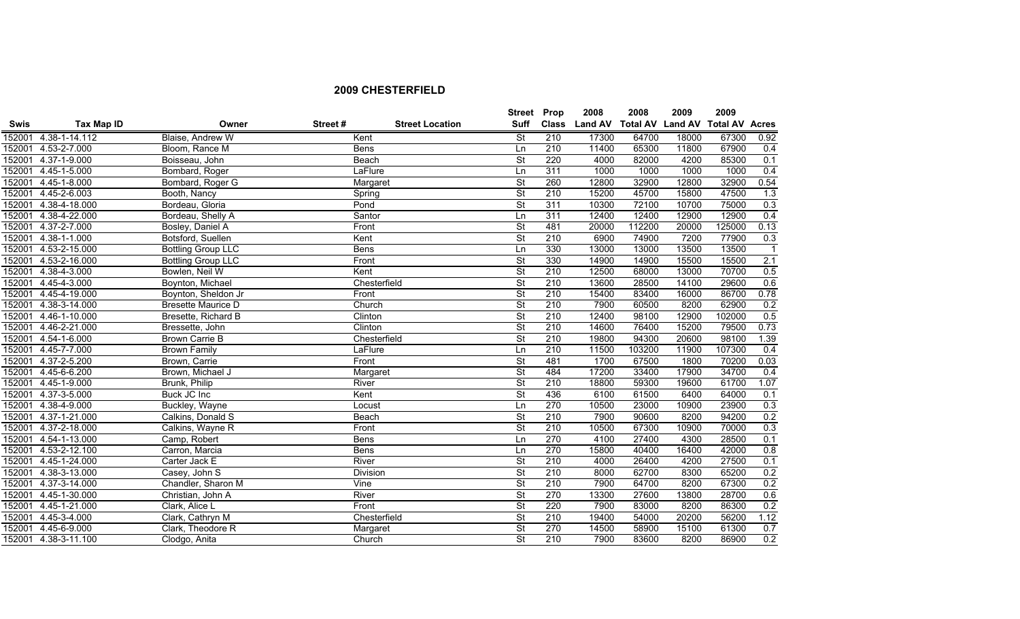|             |                      |                           |             |                        | <b>Street Prop</b>       |                  | 2008           | 2008                    | 2009  | 2009                  |                |
|-------------|----------------------|---------------------------|-------------|------------------------|--------------------------|------------------|----------------|-------------------------|-------|-----------------------|----------------|
| <b>Swis</b> | <b>Tax Map ID</b>    | Owner                     | Street#     | <b>Street Location</b> | <b>Suff</b>              | <b>Class</b>     | <b>Land AV</b> | <b>Total AV Land AV</b> |       | <b>Total AV Acres</b> |                |
| 152001      | $4.38 - 1 - 14.112$  | Blaise, Andrew W          | Kent        |                        | <b>St</b>                | 210              | 17300          | 64700                   | 18000 | 67300                 | 0.92           |
| 152001      | 4.53-2-7.000         | Bloom, Rance M            | <b>Bens</b> |                        | <b>Ln</b>                | 210              | 11400          | 65300                   | 11800 | 67900                 | 0.4            |
| 152001      | 4.37-1-9.000         | Boisseau, John            |             | Beach                  | $\overline{\mathsf{St}}$ | 220              | 4000           | 82000                   | 4200  | 85300                 | 0.1            |
| 152001      | 4.45-1-5.000         | Bombard, Roger            |             | LaFlure                | Ln                       | 311              | 1000           | 1000                    | 1000  | 1000                  | 0.4            |
| 152001      | 4.45-1-8.000         | Bombard, Roger G          |             | Margaret               | $\overline{\mathsf{St}}$ | 260              | 12800          | 32900                   | 12800 | 32900                 | 0.54           |
| 152001      | 4.45-2-6.003         | Booth, Nancy              |             | Spring                 | $\overline{\mathsf{St}}$ | 210              | 15200          | 45700                   | 15800 | 47500                 | 1.3            |
| 152001      | 4.38-4-18.000        | Bordeau, Gloria           | Pond        |                        | $\overline{\mathsf{St}}$ | 311              | 10300          | 72100                   | 10700 | 75000                 | 0.3            |
| 152001      | 4.38-4-22.000        | Bordeau, Shelly A         |             | Santor                 | Ln                       | 311              | 12400          | 12400                   | 12900 | 12900                 | 0.4            |
| 152001      | 4.37-2-7.000         | Bosley, Daniel A          | Front       |                        | $\overline{\mathsf{St}}$ | 481              | 20000          | 112200                  | 20000 | 125000                | 0.13           |
| 152001      | 4.38-1-1.000         | Botsford, Suellen         | Kent        |                        | $\overline{\mathsf{St}}$ | 210              | 6900           | 74900                   | 7200  | 77900                 | 0.3            |
| 152001      | 4.53-2-15.000        | <b>Bottling Group LLC</b> | <b>Bens</b> |                        | Ln                       | 330              | 13000          | 13000                   | 13500 | 13500                 | $\overline{1}$ |
| 152001      | 4.53-2-16.000        | <b>Bottling Group LLC</b> | Front       |                        | <b>St</b>                | 330              | 14900          | 14900                   | 15500 | 15500                 | 2.1            |
| 152001      | 4.38-4-3.000         | Bowlen, Neil W            | Kent        |                        | <b>St</b>                | 210              | 12500          | 68000                   | 13000 | 70700                 | 0.5            |
| 152001      | 4.45-4-3.000         | Boynton, Michael          |             | Chesterfield           | $\overline{\mathsf{St}}$ | 210              | 13600          | 28500                   | 14100 | 29600                 | 0.6            |
| 152001      | 4.45-4-19.000        | Boynton, Sheldon Jr       | Front       |                        | $\overline{\mathsf{St}}$ | 210              | 15400          | 83400                   | 16000 | 86700                 | 0.78           |
| 152001      | 4.38-3-14.000        | <b>Bresette Maurice D</b> |             | Church                 | $\overline{\mathsf{St}}$ | 210              | 7900           | 60500                   | 8200  | 62900                 | 0.2            |
| 152001      | 4.46-1-10.000        | Bresette, Richard B       |             | Clinton                | $\overline{\mathsf{St}}$ | 210              | 12400          | 98100                   | 12900 | 102000                | 0.5            |
| 152001      | 4.46-2-21.000        | Bressette, John           |             | Clinton                | $\overline{\mathsf{St}}$ | 210              | 14600          | 76400                   | 15200 | 79500                 | 0.73           |
| 152001      | 4.54-1-6.000         | <b>Brown Carrie B</b>     |             | Chesterfield           | $\overline{\mathsf{St}}$ | 210              | 19800          | 94300                   | 20600 | 98100                 | 1.39           |
| 152001      | 4.45-7-7.000         | <b>Brown Family</b>       |             | LaFlure                | Ln                       | 210              | 11500          | 103200                  | 11900 | 107300                | 0.4            |
| 152001      | 4.37-2-5.200         | Brown, Carrie             | Front       |                        | $\overline{\mathsf{St}}$ | 481              | 1700           | 67500                   | 1800  | 70200                 | 0.03           |
| 152001      | 4.45-6-6.200         | Brown, Michael J          |             | Margaret               | <b>St</b>                | 484              | 17200          | 33400                   | 17900 | 34700                 | 0.4            |
| 152001      | 4.45-1-9.000         | Brunk, Philip             | River       |                        | $\overline{\mathsf{St}}$ | $\overline{210}$ | 18800          | 59300                   | 19600 | 61700                 | 1.07           |
| 152001      | 4.37-3-5.000         | Buck JC Inc               | Kent        |                        | $\overline{\mathsf{St}}$ | 436              | 6100           | 61500                   | 6400  | 64000                 | 0.1            |
| 152001      | 4.38-4-9.000         | Buckley, Wayne            |             | Locust                 | Ln                       | 270              | 10500          | 23000                   | 10900 | 23900                 | 0.3            |
| 152001      | 4.37-1-21.000        | Calkins, Donald S         |             | Beach                  | $\overline{\mathsf{St}}$ | 210              | 7900           | 90600                   | 8200  | 94200                 | 0.2            |
| 152001      | 4.37-2-18.000        | Calkins, Wayne R          | Front       |                        | <b>St</b>                | 210              | 10500          | 67300                   | 10900 | 70000                 | 0.3            |
| 152001      | 4.54-1-13.000        | Camp, Robert              | <b>Bens</b> |                        | $\overline{\ln}$         | 270              | 4100           | 27400                   | 4300  | 28500                 | 0.1            |
| 152001      | 4.53-2-12.100        | Carron, Marcia            | <b>Bens</b> |                        | Ln                       | 270              | 15800          | 40400                   | 16400 | 42000                 | 0.8            |
| 152001      | 4.45-1-24.000        | Carter Jack E             | River       |                        | $\overline{\mathsf{St}}$ | 210              | 4000           | 26400                   | 4200  | 27500                 | 0.1            |
| 152001      | 4.38-3-13.000        | Casey, John S             |             | Division               | $\overline{\mathsf{St}}$ | 210              | 8000           | 62700                   | 8300  | 65200                 | 0.2            |
| 152001      | 4.37-3-14.000        | Chandler, Sharon M        | Vine        |                        | $\overline{\mathsf{St}}$ | 210              | 7900           | 64700                   | 8200  | 67300                 | 0.2            |
| 152001      | 4.45-1-30.000        | Christian, John A         | River       |                        | $\overline{\mathsf{St}}$ | 270              | 13300          | 27600                   | 13800 | 28700                 | 0.6            |
| 152001      | 4.45-1-21.000        | Clark, Alice L            | Front       |                        | <b>St</b>                | 220              | 7900           | 83000                   | 8200  | 86300                 | 0.2            |
| 152001      | 4.45-3-4.000         | Clark, Cathryn M          |             | Chesterfield           | $\overline{\mathsf{St}}$ | 210              | 19400          | 54000                   | 20200 | 56200                 | 1.12           |
| 152001      | 4.45-6-9.000         | Clark, Theodore R         |             | Margaret               | $\overline{\mathsf{St}}$ | 270              | 14500          | 58900                   | 15100 | 61300                 | 0.7            |
|             | 152001 4.38-3-11.100 | Clodgo, Anita             |             | Church                 | <b>St</b>                | 210              | 7900           | 83600                   | 8200  | 86900                 | 0.2            |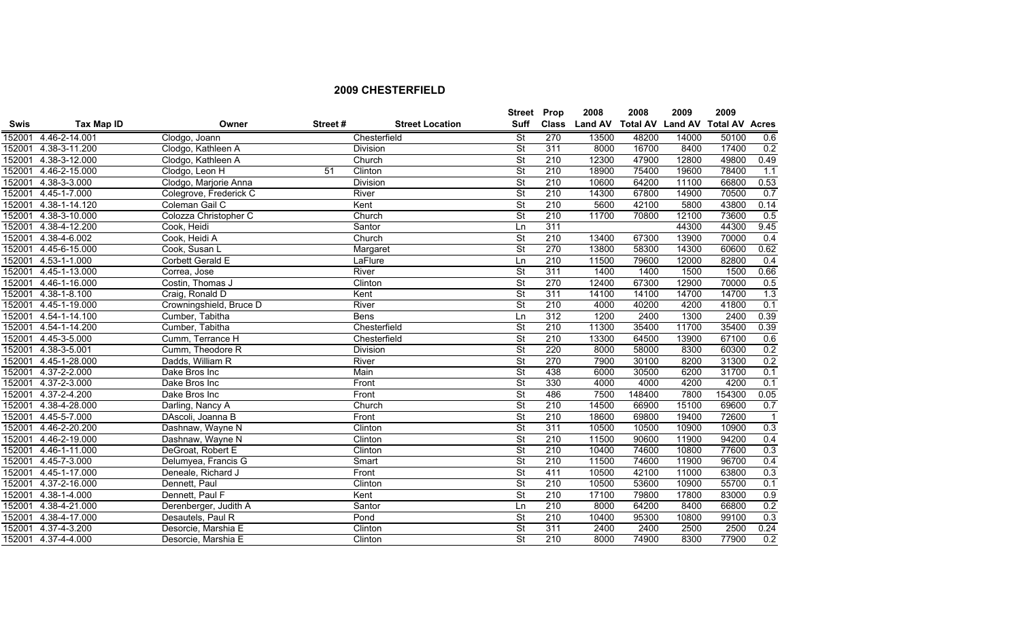|             |                     |                         |         |                        | <b>Street Prop</b>       |                  | 2008           | 2008                    | 2009  | 2009                  |                |
|-------------|---------------------|-------------------------|---------|------------------------|--------------------------|------------------|----------------|-------------------------|-------|-----------------------|----------------|
| <b>Swis</b> | Tax Map ID          | Owner                   | Street# | <b>Street Location</b> | Suff                     | <b>Class</b>     | <b>Land AV</b> | <b>Total AV Land AV</b> |       | <b>Total AV Acres</b> |                |
| 152001      | 4.46-2-14.001       | Clodgo, Joann           |         | Chesterfield           | <b>St</b>                | 270              | 13500          | 48200                   | 14000 | 50100                 | 0.6            |
| 152001      | 4.38-3-11.200       | Clodgo, Kathleen A      |         | <b>Division</b>        | $\overline{\mathsf{St}}$ | 311              | 8000           | 16700                   | 8400  | 17400                 | 0.2            |
| 152001      | $4.38 - 3 - 12.000$ | Clodgo, Kathleen A      |         | Church                 | <b>St</b>                | 210              | 12300          | 47900                   | 12800 | 49800                 | 0.49           |
| 152001      | 4.46-2-15.000       | Clodgo, Leon H          | 51      | Clinton                | $\overline{\mathsf{St}}$ | 210              | 18900          | 75400                   | 19600 | 78400                 | 1.1            |
| 152001      | 4.38-3-3.000        | Clodgo, Marjorie Anna   |         | Division               | $\overline{\mathsf{St}}$ | 210              | 10600          | 64200                   | 11100 | 66800                 | 0.53           |
| 152001      | 4.45-1-7.000        | Colegrove, Frederick C  |         | River                  | $\overline{\mathsf{St}}$ | 210              | 14300          | 67800                   | 14900 | 70500                 | 0.7            |
| 152001      | 4.38-1-14.120       | Coleman Gail C          |         | Kent                   | $\overline{\mathsf{St}}$ | 210              | 5600           | 42100                   | 5800  | 43800                 | 0.14           |
| 152001      | 4.38-3-10.000       | Colozza Christopher C   |         | Church                 | $\overline{\mathsf{St}}$ | 210              | 11700          | 70800                   | 12100 | 73600                 | 0.5            |
| 152001      | 4.38-4-12.200       | Cook, Heidi             |         | Santor                 | Ln                       | 311              |                |                         | 44300 | 44300                 | 9.45           |
| 152001      | 4.38-4-6.002        | Cook, Heidi A           |         | Church                 | $\overline{\mathsf{St}}$ | 210              | 13400          | 67300                   | 13900 | 70000                 | 0.4            |
| 152001      | 4.45-6-15.000       | Cook, Susan L           |         | Margaret               | $\overline{\mathsf{St}}$ | 270              | 13800          | 58300                   | 14300 | 60600                 | 0.62           |
| 152001      | 4.53-1-1.000        | Corbett Gerald E        |         | LaFlure                | Ln                       | 210              | 11500          | 79600                   | 12000 | 82800                 | 0.4            |
| 152001      | 4.45-1-13.000       | Correa, Jose            |         | River                  | $\overline{\mathsf{St}}$ | 311              | 1400           | 1400                    | 1500  | 1500                  | 0.66           |
| 152001      | 4.46-1-16.000       | Costin, Thomas J        |         | Clinton                | $\overline{\mathsf{St}}$ | 270              | 12400          | 67300                   | 12900 | 70000                 | 0.5            |
| 152001      | $4.38 - 1 - 8.100$  | Craig, Ronald D         |         | Kent                   | $\overline{\mathsf{St}}$ | 311              | 14100          | 14100                   | 14700 | 14700                 | 1.3            |
| 152001      | 4.45-1-19.000       | Crowningshield, Bruce D |         | River                  | $\overline{\mathsf{St}}$ | 210              | 4000           | 40200                   | 4200  | 41800                 | 0.1            |
| 152001      | 4.54-1-14.100       | Cumber, Tabitha         |         | Bens                   | Ln                       | 312              | 1200           | 2400                    | 1300  | 2400                  | 0.39           |
| 152001      | 4.54-1-14.200       | Cumber, Tabitha         |         | Chesterfield           | $\overline{\mathsf{St}}$ | 210              | 11300          | 35400                   | 11700 | 35400                 | 0.39           |
| 152001      | 4.45-3-5.000        | Cumm, Terrance H        |         | Chesterfield           | $\overline{\mathsf{St}}$ | 210              | 13300          | 64500                   | 13900 | 67100                 | 0.6            |
| 152001      | 4.38-3-5.001        | Cumm, Theodore R        |         | Division               | $\overline{\mathsf{St}}$ | 220              | 8000           | 58000                   | 8300  | 60300                 | 0.2            |
| 152001      | 4.45-1-28.000       | Dadds, William R        |         | River                  | $\overline{\mathsf{St}}$ | 270              | 7900           | 30100                   | 8200  | 31300                 | 0.2            |
| 152001      | 4.37-2-2.000        | Dake Bros Inc           |         | Main                   | <b>St</b>                | 438              | 6000           | 30500                   | 6200  | 31700                 | 0.1            |
| 152001      | 4.37-2-3.000        | Dake Bros Inc           |         | Front                  | $\overline{\mathsf{St}}$ | 330              | 4000           | 4000                    | 4200  | 4200                  | 0.1            |
| 152001      | 4.37-2-4.200        | Dake Bros Inc           |         | Front                  | $\overline{\mathsf{St}}$ | 486              | 7500           | 148400                  | 7800  | 154300                | 0.05           |
| 152001      | 4.38-4-28.000       | Darling, Nancy A        |         | Church                 | $\overline{\mathsf{St}}$ | 210              | 14500          | 66900                   | 15100 | 69600                 | 0.7            |
| 152001      | 4.45-5-7.000        | DAscoli, Joanna B       |         | Front                  | $\overline{\mathsf{St}}$ | 210              | 18600          | 69800                   | 19400 | 72600                 | $\overline{1}$ |
| 152001      | 4.46-2-20.200       | Dashnaw, Wayne N        |         | Clinton                | $\overline{\mathsf{St}}$ | 311              | 10500          | 10500                   | 10900 | 10900                 | 0.3            |
| 152001      | 4.46-2-19.000       | Dashnaw, Wayne N        |         | Clinton                | $\overline{\mathsf{St}}$ | 210              | 11500          | 90600                   | 11900 | 94200                 | 0.4            |
| 152001      | 4.46-1-11.000       | DeGroat, Robert E       |         | Clinton                | $\overline{\mathsf{St}}$ | 210              | 10400          | 74600                   | 10800 | 77600                 | 0.3            |
| 152001      | 4.45-7-3.000        | Delumyea, Francis G     |         | Smart                  | $\overline{\mathsf{St}}$ | 210              | 11500          | 74600                   | 11900 | 96700                 | 0.4            |
| 152001      | 4.45-1-17.000       | Deneale, Richard J      |         | Front                  | $\overline{\mathsf{St}}$ | 411              | 10500          | 42100                   | 11000 | 63800                 | 0.3            |
| 152001      | 4.37-2-16.000       | Dennett, Paul           |         | Clinton                | $\overline{\mathsf{St}}$ | $\overline{210}$ | 10500          | 53600                   | 10900 | 55700                 | 0.1            |
| 152001      | $4.38 - 1 - 4.000$  | Dennett, Paul F         |         | Kent                   | $\overline{\mathsf{St}}$ | 210              | 17100          | 79800                   | 17800 | 83000                 | 0.9            |
| 152001      | 4.38-4-21.000       | Derenberger, Judith A   |         | Santor                 | Ln                       | 210              | 8000           | 64200                   | 8400  | 66800                 | 0.2            |
| 152001      | 4.38-4-17.000       | Desautels, Paul R       |         | Pond                   | $\overline{\mathsf{St}}$ | 210              | 10400          | 95300                   | 10800 | 99100                 | 0.3            |
| 152001      | 4.37-4-3.200        | Desorcie, Marshia E     |         | Clinton                | $\overline{\mathsf{St}}$ | 311              | 2400           | 2400                    | 2500  | 2500                  | 0.24           |
|             | 152001 4.37-4-4.000 | Desorcie, Marshia E     |         | Clinton                | <b>St</b>                | 210              | 8000           | 74900                   | 8300  | 77900                 | 0.2            |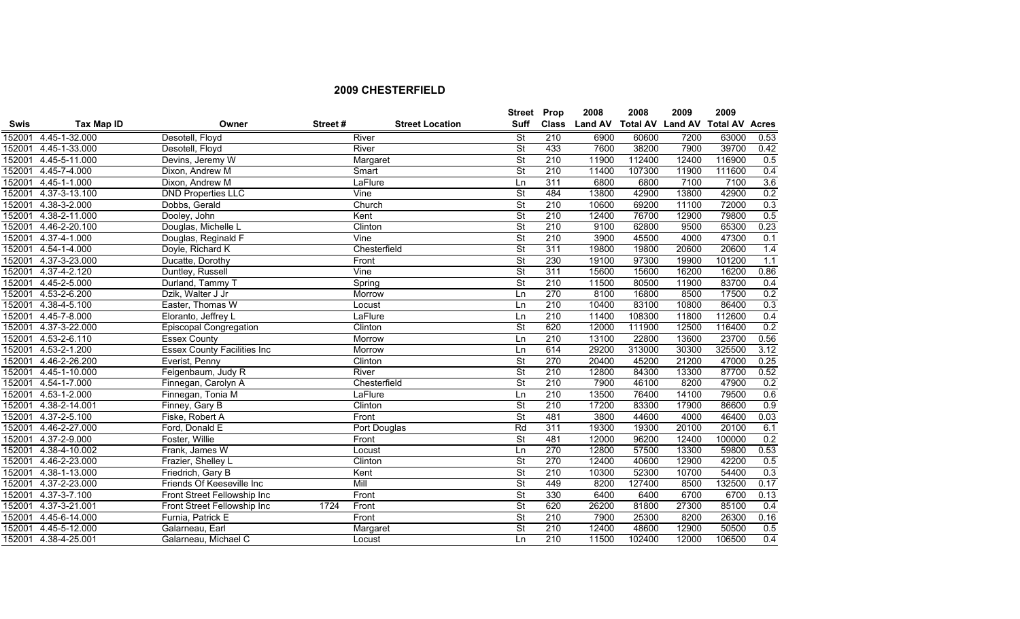|             |                      |                                    |         |                        | <b>Street Prop</b>       |                  | 2008           | 2008                    | 2009  | 2009                  |      |
|-------------|----------------------|------------------------------------|---------|------------------------|--------------------------|------------------|----------------|-------------------------|-------|-----------------------|------|
| <b>Swis</b> | <b>Tax Map ID</b>    | Owner                              | Street# | <b>Street Location</b> | <b>Suff</b>              | <b>Class</b>     | <b>Land AV</b> | <b>Total AV Land AV</b> |       | <b>Total AV Acres</b> |      |
| 152001      | 4.45-1-32.000        | Desotell, Floyd                    |         | River                  | <b>St</b>                | $\overline{210}$ | 6900           | 60600                   | 7200  | 63000                 | 0.53 |
| 152001      | 4.45-1-33.000        | Desotell, Floyd                    |         | River                  | $\overline{\mathsf{St}}$ | 433              | 7600           | 38200                   | 7900  | 39700                 | 0.42 |
| 152001      | 4.45-5-11.000        | Devins, Jeremy W                   |         | Margaret               | <b>St</b>                | 210              | 11900          | 112400                  | 12400 | 116900                | 0.5  |
| 152001      | 4.45-7-4.000         | Dixon, Andrew M                    |         | Smart                  | $\overline{\mathsf{St}}$ | 210              | 11400          | 107300                  | 11900 | 111600                | 0.4  |
| 152001      | 4.45-1-1.000         | Dixon, Andrew M                    |         | LaFlure                | Ln                       | 311              | 6800           | 6800                    | 7100  | 7100                  | 3.6  |
| 152001      | 4.37-3-13.100        | <b>DND Properties LLC</b>          |         | Vine                   | $\overline{\mathsf{St}}$ | 484              | 13800          | 42900                   | 13800 | 42900                 | 0.2  |
| 152001      | 4.38-3-2.000         | Dobbs, Gerald                      |         | Church                 | $\overline{\mathsf{St}}$ | 210              | 10600          | 69200                   | 11100 | 72000                 | 0.3  |
| 152001      | 4.38-2-11.000        | Dooley, John                       |         | Kent                   | $\overline{\mathsf{St}}$ | 210              | 12400          | 76700                   | 12900 | 79800                 | 0.5  |
| 152001      | 4.46-2-20.100        | Douglas, Michelle L                |         | Clinton                | $\overline{\mathsf{St}}$ | 210              | 9100           | 62800                   | 9500  | 65300                 | 0.23 |
| 152001      | 4.37-4-1.000         | Douglas, Reginald F                |         | Vine                   | $\overline{\mathsf{St}}$ | 210              | 3900           | 45500                   | 4000  | 47300                 | 0.1  |
| 152001      | 4.54-1-4.000         | Doyle, Richard K                   |         | Chesterfield           | $\overline{\mathsf{St}}$ | 311              | 19800          | 19800                   | 20600 | 20600                 | 1.4  |
| 152001      | 4.37-3-23.000        | Ducatte, Dorothy                   |         | Front                  | $\overline{\mathsf{St}}$ | 230              | 19100          | 97300                   | 19900 | 101200                | 1.1  |
| 152001      | 4.37-4-2.120         | Duntley, Russell                   |         | Vine                   | <b>St</b>                | 311              | 15600          | 15600                   | 16200 | 16200                 | 0.86 |
| 152001      | 4.45-2-5.000         | Durland, Tammy T                   |         | Spring                 | $\overline{\mathsf{St}}$ | 210              | 11500          | 80500                   | 11900 | 83700                 | 0.4  |
| 152001      | 4.53-2-6.200         | Dzik, Walter J Jr                  |         | Morrow                 | $\overline{\mathsf{Ln}}$ | 270              | 8100           | 16800                   | 8500  | 17500                 | 0.2  |
| 152001      | 4.38-4-5.100         | Easter, Thomas W                   |         | Locust                 | Ln                       | 210              | 10400          | 83100                   | 10800 | 86400                 | 0.3  |
| 152001      | 4.45-7-8.000         | Eloranto, Jeffrey L                |         | LaFlure                | Ln                       | 210              | 11400          | 108300                  | 11800 | 112600                | 0.4  |
| 152001      | 4.37-3-22.000        | <b>Episcopal Congregation</b>      |         | Clinton                | $\overline{\mathsf{St}}$ | 620              | 12000          | 111900                  | 12500 | 116400                | 0.2  |
| 152001      | 4.53-2-6.110         | <b>Essex County</b>                |         | Morrow                 | Ln                       | 210              | 13100          | 22800                   | 13600 | 23700                 | 0.56 |
| 152001      | $4.53 - 2 - 1.200$   | <b>Essex County Facilities Inc</b> |         | Morrow                 | Ln                       | 614              | 29200          | 313000                  | 30300 | 325500                | 3.12 |
| 152001      | 4.46-2-26.200        | Everist, Penny                     |         | Clinton                | $\overline{\mathsf{St}}$ | 270              | 20400          | 45200                   | 21200 | 47000                 | 0.25 |
| 152001      | 4.45-1-10.000        | Feigenbaum, Judy R                 |         | River                  | $\overline{\mathsf{St}}$ | 210              | 12800          | 84300                   | 13300 | 87700                 | 0.52 |
| 152001      | 4.54-1-7.000         | Finnegan, Carolyn A                |         | Chesterfield           | $\overline{\mathsf{St}}$ | $\overline{210}$ | 7900           | 46100                   | 8200  | 47900                 | 0.2  |
| 152001      | 4.53-1-2.000         | Finnegan, Tonia M                  |         | LaFlure                | Ln                       | 210              | 13500          | 76400                   | 14100 | 79500                 | 0.6  |
| 152001      | 4.38-2-14.001        | Finney, Gary B                     |         | Clinton                | $\overline{\mathsf{St}}$ | 210              | 17200          | 83300                   | 17900 | 86600                 | 0.9  |
| 152001      | 4.37-2-5.100         | Fiske, Robert A                    |         | Front                  | $\overline{\mathsf{St}}$ | 481              | 3800           | 44600                   | 4000  | 46400                 | 0.03 |
| 152001      | 4.46-2-27.000        | Ford, Donald E                     |         | Port Douglas           | Rd                       | 311              | 19300          | 19300                   | 20100 | 20100                 | 6.1  |
| 152001      | $4.37 - 2 - 9.000$   | Foster, Willie                     |         | Front                  | <b>St</b>                | 481              | 12000          | 96200                   | 12400 | 100000                | 0.2  |
| 152001      | 4.38-4-10.002        | Frank, James W                     |         | Locust                 | Ln                       | 270              | 12800          | 57500                   | 13300 | 59800                 | 0.53 |
| 152001      | 4.46-2-23.000        | Frazier, Shelley L                 |         | Clinton                | $\overline{\mathsf{St}}$ | 270              | 12400          | 40600                   | 12900 | 42200                 | 0.5  |
| 152001      | 4.38-1-13.000        | Friedrich, Gary B                  |         | Kent                   | $\overline{\mathsf{St}}$ | 210              | 10300          | 52300                   | 10700 | 54400                 | 0.3  |
| 152001      | 4.37-2-23.000        | Friends Of Keeseville Inc          |         | Mill                   | $\overline{\mathsf{St}}$ | 449              | 8200           | 127400                  | 8500  | 132500                | 0.17 |
| 152001      | 4.37-3-7.100         | Front Street Fellowship Inc        |         | Front                  | $\overline{\mathsf{St}}$ | 330              | 6400           | 6400                    | 6700  | 6700                  | 0.13 |
| 152001      | 4.37-3-21.001        | Front Street Fellowship Inc        | 1724    | Front                  | $\overline{\mathsf{St}}$ | 620              | 26200          | 81800                   | 27300 | 85100                 | 0.4  |
| 152001      | 4.45-6-14.000        | Furnia, Patrick E                  |         | Front                  | $\overline{\mathsf{St}}$ | 210              | 7900           | 25300                   | 8200  | 26300                 | 0.16 |
| 152001      | 4.45-5-12.000        | Galarneau, Earl                    |         | Margaret               | $\overline{\mathsf{St}}$ | 210              | 12400          | 48600                   | 12900 | 50500                 | 0.5  |
|             | 152001 4.38-4-25.001 | Galarneau, Michael C               |         | Locust                 | Ln                       | 210              | 11500          | 102400                  | 12000 | 106500                | 0.4  |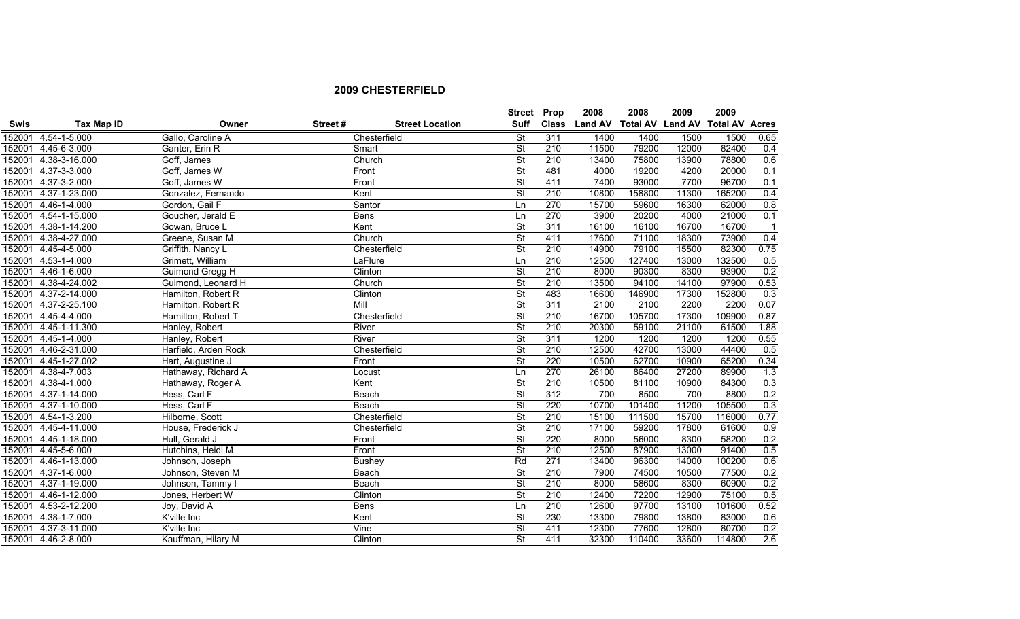|             |                     |                      |         |                        | <b>Street Prop</b>       |     | 2008          | 2008                    | 2009  | 2009                  |                |
|-------------|---------------------|----------------------|---------|------------------------|--------------------------|-----|---------------|-------------------------|-------|-----------------------|----------------|
| <b>Swis</b> | <b>Tax Map ID</b>   | Owner                | Street# | <b>Street Location</b> | <b>Suff</b>              |     | Class Land AV | <b>Total AV Land AV</b> |       | <b>Total AV Acres</b> |                |
| 152001      | 4.54-1-5.000        | Gallo, Caroline A    |         | Chesterfield           | <b>St</b>                | 311 | 1400          | 1400                    | 1500  | 1500                  | 0.65           |
| 152001      | 4.45-6-3.000        | Ganter, Erin R       |         | Smart                  | $\overline{\mathsf{St}}$ | 210 | 11500         | 79200                   | 12000 | 82400                 | 0.4            |
| 152001      | 4.38-3-16.000       | Goff, James          |         | Church                 | $\overline{\mathsf{St}}$ | 210 | 13400         | 75800                   | 13900 | 78800                 | 0.6            |
| 152001      | 4.37-3-3.000        | Goff, James W        |         | Front                  | $\overline{\mathsf{St}}$ | 481 | 4000          | 19200                   | 4200  | 20000                 | 0.1            |
|             | 152001 4.37-3-2.000 | Goff, James W        |         | Front                  | $\overline{\mathsf{St}}$ | 411 | 7400          | 93000                   | 7700  | 96700                 | 0.1            |
| 152001      | 4.37-1-23.000       | Gonzalez, Fernando   |         | Kent                   | St                       | 210 | 10800         | 158800                  | 11300 | 165200                | 0.4            |
| 152001      | 4.46-1-4.000        | Gordon, Gail F       |         | Santor                 | Ln                       | 270 | 15700         | 59600                   | 16300 | 62000                 | 0.8            |
| 152001      | 4.54-1-15.000       | Goucher, Jerald E    |         | <b>Bens</b>            | Ln                       | 270 | 3900          | 20200                   | 4000  | 21000                 | 0.1            |
| 152001      | 4.38-1-14.200       | Gowan, Bruce L       |         | Kent                   | $\overline{\mathsf{St}}$ | 311 | 16100         | 16100                   | 16700 | 16700                 | $\overline{1}$ |
| 152001      | 4.38-4-27.000       | Greene, Susan M      |         | Church                 | $\overline{\mathsf{St}}$ | 411 | 17600         | 71100                   | 18300 | 73900                 | 0.4            |
| 152001      | 4.45-4-5.000        | Griffith, Nancy L    |         | Chesterfield           | $\overline{\mathsf{St}}$ | 210 | 14900         | 79100                   | 15500 | 82300                 | 0.75           |
| 152001      | $4.53 - 1 - 4.000$  | Grimett, William     |         | LaFlure                | Ln                       | 210 | 12500         | 127400                  | 13000 | 132500                | 0.5            |
| 152001      | 4.46-1-6.000        | Guimond Gregg H      |         | Clinton                | <b>St</b>                | 210 | 8000          | 90300                   | 8300  | 93900                 | 0.2            |
| 152001      | 4.38-4-24.002       | Guimond, Leonard H   |         | Church                 | $\overline{\mathsf{St}}$ | 210 | 13500         | 94100                   | 14100 | 97900                 | 0.53           |
| 152001      | 4.37-2-14.000       | Hamilton, Robert R   |         | Clinton                | $\overline{\mathsf{St}}$ | 483 | 16600         | 146900                  | 17300 | 152800                | 0.3            |
| 152001      | 4.37-2-25.100       | Hamilton, Robert R   | Mill    |                        | $\overline{\mathsf{St}}$ | 311 | 2100          | 2100                    | 2200  | 2200                  | 0.07           |
| 152001      | 4.45-4-4.000        | Hamilton, Robert T   |         | Chesterfield           | $\overline{\mathsf{St}}$ | 210 | 16700         | 105700                  | 17300 | 109900                | 0.87           |
| 152001      | 4.45-1-11.300       | Hanley, Robert       |         | River                  | $\overline{\mathsf{St}}$ | 210 | 20300         | 59100                   | 21100 | 61500                 | 1.88           |
| 152001      | 4.45-1-4.000        | Hanley, Robert       |         | River                  | $\overline{\mathsf{St}}$ | 311 | 1200          | 1200                    | 1200  | 1200                  | 0.55           |
| 152001      | 4.46-2-31.000       | Harfield, Arden Rock |         | Chesterfield           | $\overline{\mathsf{St}}$ | 210 | 12500         | 42700                   | 13000 | 44400                 | 0.5            |
| 152001      | 4.45-1-27.002       | Hart, Augustine J    |         | Front                  | $\overline{\mathsf{St}}$ | 220 | 10500         | 62700                   | 10900 | 65200                 | 0.34           |
| 152001      | 4.38-4-7.003        | Hathaway, Richard A  |         | Locust                 | Ln                       | 270 | 26100         | 86400                   | 27200 | 89900                 | 1.3            |
| 152001      | 4.38-4-1.000        | Hathaway, Roger A    |         | Kent                   | $\overline{\mathsf{St}}$ | 210 | 10500         | 81100                   | 10900 | 84300                 | 0.3            |
| 152001      | 4.37-1-14.000       | Hess, Carl F         |         | Beach                  | $\overline{\mathsf{St}}$ | 312 | 700           | 8500                    | 700   | 8800                  | 0.2            |
| 152001      | 4.37-1-10.000       | Hess, Carl F         |         | Beach                  | $\overline{\mathsf{St}}$ | 220 | 10700         | 101400                  | 11200 | 105500                | 0.3            |
|             | 152001 4.54-1-3.200 | Hilborne, Scott      |         | Chesterfield           | $\overline{\mathsf{St}}$ | 210 | 15100         | 111500                  | 15700 | 116000                | 0.77           |
| 152001      | 4.45-4-11.000       | House, Frederick J   |         | Chesterfield           | $\overline{\mathsf{St}}$ | 210 | 17100         | 59200                   | 17800 | 61600                 | 0.9            |
| 152001      | 4.45-1-18.000       | Hull, Gerald J       |         | Front                  | $\overline{\mathsf{St}}$ | 220 | 8000          | 56000                   | 8300  | 58200                 | 0.2            |
| 152001      | 4.45-5-6.000        | Hutchins, Heidi M    |         | Front                  | $\overline{\mathsf{St}}$ | 210 | 12500         | 87900                   | 13000 | 91400                 | 0.5            |
| 152001      | 4.46-1-13.000       | Johnson, Joseph      |         | <b>Bushey</b>          | Rd                       | 271 | 13400         | 96300                   | 14000 | 100200                | 0.6            |
| 152001      | 4.37-1-6.000        | Johnson, Steven M    |         | <b>Beach</b>           | $\overline{\mathsf{St}}$ | 210 | 7900          | 74500                   | 10500 | 77500                 | 0.2            |
| 152001      | 4.37-1-19.000       | Johnson, Tammy I     |         | Beach                  | $\overline{\mathsf{St}}$ | 210 | 8000          | 58600                   | 8300  | 60900                 | 0.2            |
| 152001      | 4.46-1-12.000       | Jones, Herbert W     |         | Clinton                | $\overline{\mathsf{St}}$ | 210 | 12400         | 72200                   | 12900 | 75100                 | 0.5            |
| 152001      | 4.53-2-12.200       | Joy, David A         |         | <b>Bens</b>            | Ln                       | 210 | 12600         | 97700                   | 13100 | 101600                | 0.52           |
| 152001      | 4.38-1-7.000        | K'ville Inc          |         | Kent                   | $\overline{\mathsf{St}}$ | 230 | 13300         | 79800                   | 13800 | 83000                 | 0.6            |
| 152001      | 4.37-3-11.000       | K'ville Inc          |         | Vine                   | <b>St</b>                | 411 | 12300         | 77600                   | 12800 | 80700                 | 0.2            |
|             | 152001 4.46-2-8.000 | Kauffman, Hilary M   |         | Clinton                | $\overline{\mathsf{St}}$ | 411 | 32300         | 110400                  | 33600 | 114800                | 2.6            |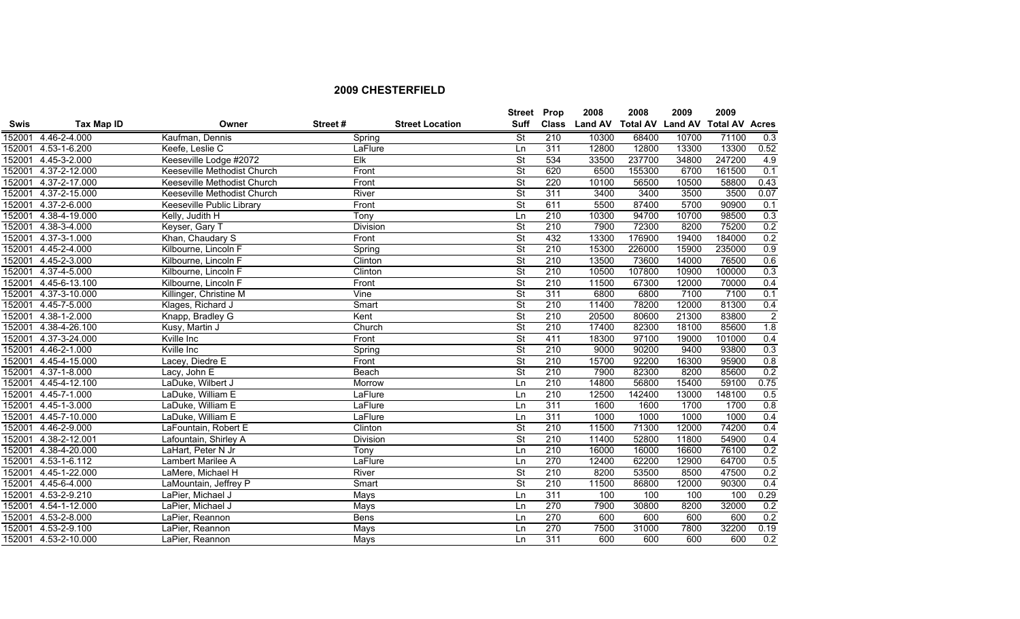|             |                      |                             |                 |                        | <b>Street</b>            | Prop             | 2008           | 2008                    | 2009  | 2009                  |                  |
|-------------|----------------------|-----------------------------|-----------------|------------------------|--------------------------|------------------|----------------|-------------------------|-------|-----------------------|------------------|
| <b>Swis</b> | Tax Map ID           | Owner                       | Street#         | <b>Street Location</b> | <b>Suff</b>              | <b>Class</b>     | <b>Land AV</b> | <b>Total AV Land AV</b> |       | <b>Total AV Acres</b> |                  |
| 152001      | 4.46-2-4.000         | Kaufman, Dennis             | Spring          |                        | <b>St</b>                | 210              | 10300          | 68400                   | 10700 | 71100                 | $\overline{0.3}$ |
| 152001      | 4.53-1-6.200         | Keefe, Leslie C             | LaFlure         |                        | Ln                       | 311              | 12800          | 12800                   | 13300 | 13300                 | 0.52             |
| 152001      | 4.45-3-2.000         | Keeseville Lodge #2072      | Elk             |                        | $\overline{\mathsf{St}}$ | 534              | 33500          | 237700                  | 34800 | 247200                | 4.9              |
| 152001      | 4.37-2-12.000        | Keeseville Methodist Church | Front           |                        | $\overline{\mathsf{St}}$ | 620              | 6500           | 155300                  | 6700  | 161500                | 0.1              |
| 152001      | 4.37-2-17.000        | Keeseville Methodist Church | Front           |                        | St                       | 220              | 10100          | 56500                   | 10500 | 58800                 | 0.43             |
| 152001      | 4.37-2-15.000        | Keeseville Methodist Church | River           |                        | $\overline{\mathsf{St}}$ | 311              | 3400           | 3400                    | 3500  | 3500                  | 0.07             |
| 152001      | 4.37-2-6.000         | Keeseville Public Library   | Front           |                        | St                       | 611              | 5500           | 87400                   | 5700  | 90900                 | 0.1              |
| 152001      | 4.38-4-19.000        | Kelly, Judith H             | Tony            |                        | Ln                       | 210              | 10300          | 94700                   | 10700 | 98500                 | 0.3              |
| 152001      | 4.38-3-4.000         | Keyser, Gary T              | Division        |                        | $\overline{\mathsf{St}}$ | 210              | 7900           | 72300                   | 8200  | 75200                 | 0.2              |
| 152001      | 4.37-3-1.000         | Khan, Chaudary S            | Front           |                        | <b>St</b>                | 432              | 13300          | 176900                  | 19400 | 184000                | 0.2              |
| 152001      | 4.45-2-4.000         | Kilbourne, Lincoln F        | Spring          |                        | <b>St</b>                | 210              | 15300          | 226000                  | 15900 | 235000                | 0.9              |
| 152001      | 4.45-2-3.000         | Kilbourne, Lincoln F        | Clinton         |                        | St                       | 210              | 13500          | 73600                   | 14000 | 76500                 | 0.6              |
| 152001      | 4.37-4-5.000         | Kilbourne, Lincoln F        | Clinton         |                        | <b>St</b>                | 210              | 10500          | 107800                  | 10900 | 100000                | 0.3              |
| 152001      | 4.45-6-13.100        | Kilbourne, Lincoln F        | Front           |                        | <b>St</b>                | 210              | 11500          | 67300                   | 12000 | 70000                 | 0.4              |
| 152001      | 4.37-3-10.000        | Killinger, Christine M      | Vine            |                        | St                       | 311              | 6800           | 6800                    | 7100  | 7100                  | 0.1              |
| 152001      | 4.45-7-5.000         | Klages, Richard J           | Smart           |                        | $\overline{\mathsf{St}}$ | 210              | 11400          | 78200                   | 12000 | 81300                 | 0.4              |
| 152001      | 4.38-1-2.000         | Knapp, Bradley G            | Kent            |                        | <b>St</b>                | 210              | 20500          | 80600                   | 21300 | 83800                 | $\overline{2}$   |
| 152001      | 4.38-4-26.100        | Kusy, Martin J              | Church          |                        | $\overline{\mathsf{St}}$ | 210              | 17400          | 82300                   | 18100 | 85600                 | 1.8              |
| 152001      | 4.37-3-24.000        | Kville Inc                  | Front           |                        | $\overline{\mathsf{St}}$ | 411              | 18300          | 97100                   | 19000 | 101000                | 0.4              |
| 152001      | 4.46-2-1.000         | Kville Inc                  | Spring          |                        | $\overline{\mathsf{St}}$ | 210              | 9000           | 90200                   | 9400  | 93800                 | 0.3              |
| 152001      | 4.45-4-15.000        | Lacey, Diedre E             | Front           |                        | $\overline{\mathsf{St}}$ | 210              | 15700          | 92200                   | 16300 | 95900                 | 0.8              |
| 152001      | 4.37-1-8.000         | Lacy, John E                | Beach           |                        | $\overline{\mathsf{St}}$ | 210              | 7900           | 82300                   | 8200  | 85600                 | 0.2              |
| 152001      | 4.45-4-12.100        | LaDuke, Wilbert J           | Morrow          |                        | Ln                       | 210              | 14800          | 56800                   | 15400 | 59100                 | 0.75             |
| 152001      | 4.45-7-1.000         | LaDuke, William E           | LaFlure         |                        | Ln                       | 210              | 12500          | 142400                  | 13000 | 148100                | 0.5              |
| 152001      | 4.45-1-3.000         | LaDuke, William E           | LaFlure         |                        | Ln                       | 311              | 1600           | 1600                    | 1700  | 1700                  | 0.8              |
| 152001      | 4.45-7-10.000        | LaDuke, William E           | LaFlure         |                        | Ln                       | 311              | 1000           | 1000                    | 1000  | 1000                  | 0.4              |
|             | 152001 4.46-2-9.000  | LaFountain, Robert E        | Clinton         |                        | $\overline{\mathsf{St}}$ | 210              | 11500          | 71300                   | 12000 | 74200                 | 0.4              |
| 152001      | 4.38-2-12.001        | Lafountain, Shirley A       | <b>Division</b> |                        | $\overline{\mathsf{St}}$ | 210              | 11400          | 52800                   | 11800 | 54900                 | 0.4              |
| 152001      | 4.38-4-20.000        | LaHart, Peter N Jr          | Tony            |                        | Ln                       | 210              | 16000          | 16000                   | 16600 | 76100                 | 0.2              |
| 152001      | 4.53-1-6.112         | Lambert Marilee A           | LaFlure         |                        | Ln                       | 270              | 12400          | 62200                   | 12900 | 64700                 | 0.5              |
| 152001      | 4.45-1-22.000        | LaMere, Michael H           | River           |                        | $\overline{\mathsf{St}}$ | $\overline{210}$ | 8200           | 53500                   | 8500  | 47500                 | 0.2              |
| 152001      | 4.45-6-4.000         | LaMountain, Jeffrey P       | Smart           |                        | $\overline{\mathsf{St}}$ | 210              | 11500          | 86800                   | 12000 | 90300                 | 0.4              |
| 152001      | 4.53-2-9.210         | LaPier, Michael J           | Mays            |                        | Ln                       | 311              | 100            | 100                     | 100   | 100                   | 0.29             |
| 152001      | 4.54-1-12.000        | LaPier, Michael J           | <b>Mays</b>     |                        | Ln                       | 270              | 7900           | 30800                   | 8200  | 32000                 | 0.2              |
| 152001      | 4.53-2-8.000         | LaPier, Reannon             | <b>Bens</b>     |                        | Ln                       | 270              | 600            | 600                     | 600   | 600                   | 0.2              |
| 152001      | 4.53-2-9.100         | LaPier, Reannon             | Mays            |                        | Ln                       | 270              | 7500           | 31000                   | 7800  | 32200                 | 0.19             |
|             | 152001 4.53-2-10.000 | LaPier, Reannon             | Mays            |                        | Ln                       | 311              | 600            | 600                     | 600   | 600                   | 0.2              |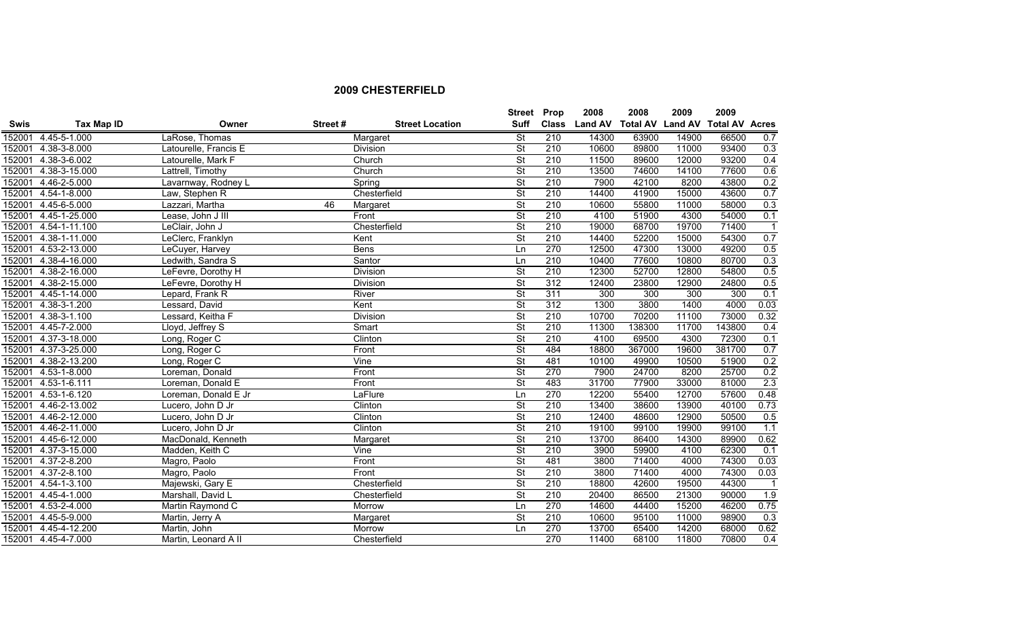|             |                             |                       |         |                        | <b>Street Prop</b>       |                  | 2008           | 2008                    | 2009  | 2009                  |                            |
|-------------|-----------------------------|-----------------------|---------|------------------------|--------------------------|------------------|----------------|-------------------------|-------|-----------------------|----------------------------|
| <b>Swis</b> | Tax Map ID                  | Owner                 | Street# | <b>Street Location</b> | Suff                     | <b>Class</b>     | <b>Land AV</b> | <b>Total AV Land AV</b> |       | <b>Total AV Acres</b> |                            |
| 152001      | 4.45-5-1.000                | LaRose, Thomas        |         | Margaret               | <b>St</b>                | 210              | 14300          | 63900                   | 14900 | 66500                 | 0.7                        |
| 152001      | 4.38-3-8.000                | Latourelle, Francis E |         | <b>Division</b>        | St                       | 210              | 10600          | 89800                   | 11000 | 93400                 | 0.3                        |
| 152001      | 4.38-3-6.002                | Latourelle, Mark F    |         | Church                 | <b>St</b>                | 210              | 11500          | 89600                   | 12000 | 93200                 | 0.4                        |
| 152001      | 4.38-3-15.000               | Lattrell, Timothy     |         | Church                 | $\overline{\mathsf{St}}$ | 210              | 13500          | 74600                   | 14100 | 77600                 | 0.6                        |
| 152001      | 4.46-2-5.000                | Lavarnway, Rodney L   |         | Spring                 | $\overline{\mathsf{St}}$ | 210              | 7900           | 42100                   | 8200  | 43800                 | 0.2                        |
|             | 152001 4.54-1-8.000         | Law, Stephen R        |         | Chesterfield           | $\overline{\mathsf{St}}$ | 210              | 14400          | 41900                   | 15000 | 43600                 | 0.7                        |
| 152001      | 4.45-6-5.000                | Lazzari, Martha       | 46      | Margaret               | $\overline{\mathsf{St}}$ | 210              | 10600          | 55800                   | 11000 | 58000                 | 0.3                        |
| 152001      | 4.45-1-25.000               | Lease, John J III     |         | Front                  | $\overline{\mathsf{St}}$ | 210              | 4100           | 51900                   | 4300  | 54000                 | 0.1                        |
| 152001      | 4.54-1-11.100               | LeClair, John J       |         | Chesterfield           | $\overline{\mathsf{St}}$ | 210              | 19000          | 68700                   | 19700 | 71400                 | $\overline{1}$             |
| 152001      | 4.38-1-11.000               | LeClerc, Franklyn     |         | Kent                   | $\overline{\mathsf{St}}$ | 210              | 14400          | 52200                   | 15000 | 54300                 | 0.7                        |
| 152001      | 4.53-2-13.000               | LeCuyer, Harvey       |         | <b>Bens</b>            | Ln                       | 270              | 12500          | 47300                   | 13000 | 49200                 | 0.5                        |
| 152001      | 4.38-4-16.000               | Ledwith, Sandra S     |         | Santor                 | Ln                       | 210              | 10400          | 77600                   | 10800 | 80700                 | 0.3                        |
| 152001      | 4.38-2-16.000               | LeFevre, Dorothy H    |         | Division               | <b>St</b>                | 210              | 12300          | 52700                   | 12800 | 54800                 | 0.5                        |
| 152001      | $\overline{4.38}$ -2-15.000 | LeFevre, Dorothy H    |         | Division               | $\overline{\mathsf{St}}$ | 312              | 12400          | 23800                   | 12900 | 24800                 | 0.5                        |
| 152001      | 4.45-1-14.000               | Lepard, Frank R       |         | <b>River</b>           | $\overline{\mathsf{St}}$ | 311              | 300            | 300                     | 300   | 300                   | 0.1                        |
| 152001      | 4.38-3-1.200                | Lessard, David        |         | Kent                   | $\overline{\mathsf{St}}$ | 312              | 1300           | 3800                    | 1400  | 4000                  | 0.03                       |
| 152001      | $4.38 - 3 - 1.100$          | Lessard, Keitha F     |         | <b>Division</b>        | $\overline{\mathsf{St}}$ | 210              | 10700          | 70200                   | 11100 | 73000                 | 0.32                       |
| 152001      | $4.45 - 7 - 2.000$          | Lloyd, Jeffrey S      |         | Smart                  | $\overline{\mathsf{St}}$ | 210              | 11300          | 138300                  | 11700 | 143800                | 0.4                        |
| 152001      | 4.37-3-18.000               | Long, Roger C         |         | Clinton                | $\overline{\mathsf{St}}$ | 210              | 4100           | 69500                   | 4300  | 72300                 | 0.1                        |
| 152001      | 4.37-3-25.000               | Long, Roger C         |         | Front                  | $\overline{\mathsf{St}}$ | 484              | 18800          | 367000                  | 19600 | 381700                | 0.7                        |
| 152001      | 4.38-2-13.200               | Long, Roger C         |         | Vine                   | $\overline{\mathsf{St}}$ | 481              | 10100          | 49900                   | 10500 | 51900                 | 0.2                        |
| 152001      | 4.53-1-8.000                | Loreman, Donald       |         | Front                  | St                       | 270              | 7900           | 24700                   | 8200  | 25700                 | 0.2                        |
| 152001      | 4.53-1-6.111                | Loreman, Donald E     |         | Front                  | $\overline{\mathsf{St}}$ | 483              | 31700          | 77900                   | 33000 | 81000                 | 2.3                        |
| 152001      | 4.53-1-6.120                | Loreman, Donald E Jr  |         | LaFlure                | Ln                       | 270              | 12200          | 55400                   | 12700 | 57600                 | 0.48                       |
| 152001      | 4.46-2-13.002               | Lucero, John D Jr     |         | Clinton                | $\overline{\mathsf{St}}$ | 210              | 13400          | 38600                   | 13900 | 40100                 | 0.73                       |
| 152001      | 4.46-2-12.000               | Lucero, John D Jr     |         | Clinton                | $\overline{\mathsf{St}}$ | 210              | 12400          | 48600                   | 12900 | 50500                 | 0.5                        |
|             | 152001 4.46-2-11.000        | Lucero, John D Jr     |         | Clinton                | $\overline{\mathsf{St}}$ | 210              | 19100          | 99100                   | 19900 | 99100                 | 1.1                        |
|             | 152001 4.45-6-12.000        | MacDonald, Kenneth    |         | Margaret               | $\overline{\mathsf{St}}$ | 210              | 13700          | 86400                   | 14300 | 89900                 | 0.62                       |
| 152001      | 4.37-3-15.000               | Madden, Keith C       |         | Vine                   | $\overline{\mathsf{St}}$ | 210              | 3900           | 59900                   | 4100  | 62300                 | 0.1                        |
| 152001      | 4.37-2-8.200                | Magro, Paolo          |         | Front                  | $\overline{\mathsf{St}}$ | 481              | 3800           | 71400                   | 4000  | 74300                 | 0.03                       |
| 152001      | 4.37-2-8.100                | Magro, Paolo          |         | Front                  | $\overline{\mathsf{St}}$ | 210              | 3800           | 71400                   | 4000  | 74300                 | 0.03                       |
| 152001      | $4.54 - 1 - 3.100$          | Majewski, Gary E      |         | Chesterfield           | $\overline{\mathsf{St}}$ | $\overline{210}$ | 18800          | 42600                   | 19500 | 44300                 | $\overline{\phantom{0}}$ 1 |
| 152001      | 4.45-4-1.000                | Marshall, David L     |         | Chesterfield           | $\overline{\mathsf{St}}$ | 210              | 20400          | 86500                   | 21300 | 90000                 | 1.9                        |
| 152001      | 4.53-2-4.000                | Martin Raymond C      |         | Morrow                 | Ln                       | 270              | 14600          | 44400                   | 15200 | 46200                 | 0.75                       |
| 152001      | 4.45-5-9.000                | Martin, Jerry A       |         | Margaret               | $\overline{\mathsf{St}}$ | 210              | 10600          | 95100                   | 11000 | 98900                 | 0.3                        |
| 152001      | 4.45-4-12.200               | Martin, John          |         | Morrow                 | Ln                       | 270              | 13700          | 65400                   | 14200 | 68000                 | 0.62                       |
|             | 152001 4.45-4-7.000         | Martin, Leonard A II  |         | Chesterfield           |                          | 270              | 11400          | 68100                   | 11800 | 70800                 | 0.4                        |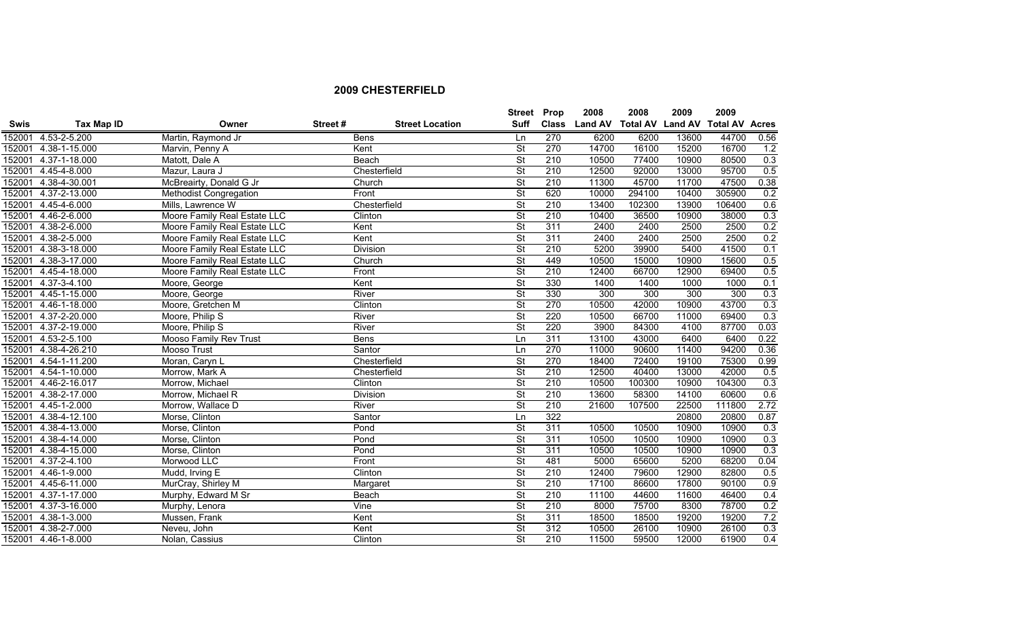|             |                     |                               |         |                        | <b>Street Prop</b>       |                  | 2008           | 2008            | 2009           | 2009                  |      |
|-------------|---------------------|-------------------------------|---------|------------------------|--------------------------|------------------|----------------|-----------------|----------------|-----------------------|------|
| <b>Swis</b> | <b>Tax Map ID</b>   | Owner                         | Street# | <b>Street Location</b> | <b>Suff</b>              | <b>Class</b>     | <b>Land AV</b> | <b>Total AV</b> | <b>Land AV</b> | <b>Total AV Acres</b> |      |
| 152001      | 4.53-2-5.200        | Martin, Raymond Jr            |         | <b>Bens</b>            | Ln                       | 270              | 6200           | 6200            | 13600          | 44700                 | 0.56 |
| 152001      | 4.38-1-15.000       | Marvin, Penny A               | Kent    |                        | $\overline{\mathsf{St}}$ | 270              | 14700          | 16100           | 15200          | 16700                 | 1.2  |
| 152001      | 4.37-1-18.000       | Matott, Dale A                |         | Beach                  | <b>St</b>                | 210              | 10500          | 77400           | 10900          | 80500                 | 0.3  |
| 152001      | 4.45-4-8.000        | Mazur, Laura J                |         | Chesterfield           | $\overline{\mathsf{St}}$ | 210              | 12500          | 92000           | 13000          | 95700                 | 0.5  |
| 152001      | 4.38-4-30.001       | McBreairty, Donald G Jr       |         | Church                 | $\overline{\mathsf{St}}$ | 210              | 11300          | 45700           | 11700          | 47500                 | 0.38 |
| 152001      | 4.37-2-13.000       | <b>Methodist Congregation</b> |         | Front                  | <b>St</b>                | 620              | 10000          | 294100          | 10400          | 305900                | 0.2  |
| 152001      | 4.45-4-6.000        | Mills, Lawrence W             |         | Chesterfield           | $\overline{\mathsf{St}}$ | 210              | 13400          | 102300          | 13900          | 106400                | 0.6  |
| 152001      | 4.46-2-6.000        | Moore Family Real Estate LLC  |         | Clinton                | $\overline{\mathsf{St}}$ | 210              | 10400          | 36500           | 10900          | 38000                 | 0.3  |
| 152001      | 4.38-2-6.000        | Moore Family Real Estate LLC  | Kent    |                        | $\overline{\mathsf{St}}$ | 311              | 2400           | 2400            | 2500           | 2500                  | 0.2  |
| 152001      | 4.38-2-5.000        | Moore Family Real Estate LLC  | Kent    |                        | <b>St</b>                | 311              | 2400           | 2400            | 2500           | 2500                  | 0.2  |
| 152001      | 4.38-3-18.000       | Moore Family Real Estate LLC  |         | <b>Division</b>        | <b>St</b>                | 210              | 5200           | 39900           | 5400           | 41500                 | 0.1  |
| 152001      | 4.38-3-17.000       | Moore Family Real Estate LLC  |         | Church                 | <b>St</b>                | 449              | 10500          | 15000           | 10900          | 15600                 | 0.5  |
| 152001      | 4.45-4-18.000       | Moore Family Real Estate LLC  |         | Front                  | <b>St</b>                | 210              | 12400          | 66700           | 12900          | 69400                 | 0.5  |
| 152001      | 4.37-3-4.100        | Moore, George                 | Kent    |                        | $\overline{\mathsf{St}}$ | 330              | 1400           | 1400            | 1000           | 1000                  | 0.1  |
| 152001      | 4.45-1-15.000       | Moore, George                 |         | River                  | <b>St</b>                | 330              | 300            | 300             | 300            | 300                   | 0.3  |
| 152001      | 4.46-1-18.000       | Moore, Gretchen M             |         | Clinton                | $\overline{\mathsf{St}}$ | 270              | 10500          | 42000           | 10900          | 43700                 | 0.3  |
| 152001      | 4.37-2-20.000       | Moore, Philip S               |         | River                  | <b>St</b>                | 220              | 10500          | 66700           | 11000          | 69400                 | 0.3  |
| 152001      | 4.37-2-19.000       | Moore, Philip S               | River   |                        | $\overline{\mathsf{St}}$ | 220              | 3900           | 84300           | 4100           | 87700                 | 0.03 |
| 152001      | 4.53-2-5.100        | Mooso Family Rev Trust        |         | <b>Bens</b>            | Ln                       | 311              | 13100          | 43000           | 6400           | 6400                  | 0.22 |
| 152001      | 4.38-4-26.210       | Mooso Trust                   |         | Santor                 | Ln                       | 270              | 11000          | 90600           | 11400          | 94200                 | 0.36 |
| 152001      | 4.54-1-11.200       | Moran, Caryn L                |         | Chesterfield           | $\overline{\mathsf{St}}$ | 270              | 18400          | 72400           | 19100          | 75300                 | 0.99 |
| 152001      | 4.54-1-10.000       | Morrow, Mark A                |         | Chesterfield           | <b>St</b>                | 210              | 12500          | 40400           | 13000          | 42000                 | 0.5  |
| 152001      | 4.46-2-16.017       | Morrow, Michael               |         | Clinton                | $\overline{\mathsf{St}}$ | $\overline{210}$ | 10500          | 100300          | 10900          | 104300                | 0.3  |
| 152001      | 4.38-2-17.000       | Morrow, Michael R             |         | Division               | <b>St</b>                | 210              | 13600          | 58300           | 14100          | 60600                 | 0.6  |
| 152001      | 4.45-1-2.000        | Morrow, Wallace D             |         | River                  | <b>St</b>                | 210              | 21600          | 107500          | 22500          | 111800                | 2.72 |
| 152001      | 4.38-4-12.100       | Morse, Clinton                |         | Santor                 | Ln                       | 322              |                |                 | 20800          | 20800                 | 0.87 |
| 152001      | 4.38-4-13.000       | Morse, Clinton                |         | Pond                   | <b>St</b>                | 311              | 10500          | 10500           | 10900          | 10900                 | 0.3  |
| 152001      | 4.38-4-14.000       | Morse, Clinton                |         | Pond                   | <b>St</b>                | 311              | 10500          | 10500           | 10900          | 10900                 | 0.3  |
| 152001      | 4.38-4-15.000       | Morse, Clinton                |         | Pond                   | $\overline{\mathsf{St}}$ | 311              | 10500          | 10500           | 10900          | 10900                 | 0.3  |
| 152001      | 4.37-2-4.100        | Morwood LLC                   |         | Front                  | $\overline{\mathsf{St}}$ | 481              | 5000           | 65600           | 5200           | 68200                 | 0.04 |
| 152001      | 4.46-1-9.000        | Mudd, Irving E                |         | Clinton                | $\overline{\mathsf{St}}$ | 210              | 12400          | 79600           | 12900          | 82800                 | 0.5  |
| 152001      | 4.45-6-11.000       | MurCray, Shirley M            |         | Margaret               | $\overline{\mathsf{St}}$ | $\overline{210}$ | 17100          | 86600           | 17800          | 90100                 | 0.9  |
| 152001      | 4.37-1-17.000       | Murphy, Edward M Sr           |         | <b>Beach</b>           | <b>St</b>                | 210              | 11100          | 44600           | 11600          | 46400                 | 0.4  |
| 152001      | 4.37-3-16.000       | Murphy, Lenora                | Vine    |                        | $\overline{\mathsf{St}}$ | 210              | 8000           | 75700           | 8300           | 78700                 | 0.2  |
| 152001      | 4.38-1-3.000        | Mussen, Frank                 | Kent    |                        | $\overline{\mathsf{St}}$ | 311              | 18500          | 18500           | 19200          | 19200                 | 7.2  |
| 152001      | 4.38-2-7.000        | Neveu, John                   | Kent    |                        | $\overline{\mathsf{St}}$ | 312              | 10500          | 26100           | 10900          | 26100                 | 0.3  |
|             | 152001 4.46-1-8.000 | Nolan, Cassius                |         | Clinton                | $\overline{\mathsf{St}}$ | 210              | 11500          | 59500           | 12000          | 61900                 | 0.4  |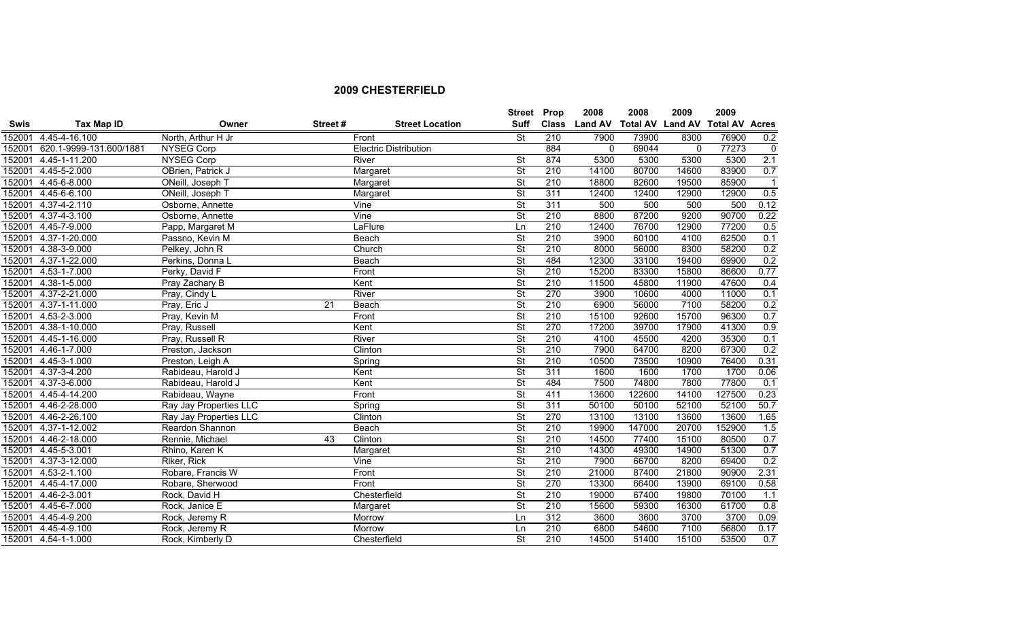|             |                         |                        |                 |                              | Street Prop              |     | 2008          | 2008                    | 2009        | 2009                  |                |
|-------------|-------------------------|------------------------|-----------------|------------------------------|--------------------------|-----|---------------|-------------------------|-------------|-----------------------|----------------|
| <b>Swis</b> | <b>Tax Map ID</b>       | Owner                  | Street#         | <b>Street Location</b>       | <b>Suff</b>              |     | Class Land AV | <b>Total AV Land AV</b> |             | <b>Total AV Acres</b> |                |
| 152001      | 4.45-4-16.100           | North, Arthur H Jr     |                 | Front                        | <b>St</b>                | 210 | 7900          | 73900                   | 8300        | 76900                 | 0.2            |
| 152001      | 620.1-9999-131.600/1881 | NYSEG Corp             |                 | <b>Electric Distribution</b> |                          | 884 | $\Omega$      | 69044                   | $\mathbf 0$ | 77273                 | 0              |
| 152001      | 4.45-1-11.200           | <b>NYSEG Corp</b>      |                 | River                        | $\overline{\mathsf{St}}$ | 874 | 5300          | 5300                    | 5300        | 5300                  | 2.1            |
|             | 152001 4.45-5-2.000     | OBrien, Patrick J      |                 | Margaret                     | $\overline{\mathsf{St}}$ | 210 | 14100         | 80700                   | 14600       | 83900                 | 0.7            |
|             | 152001 4.45-6-8.000     | ONeill, Joseph T       |                 | Margaret                     | $\overline{\mathsf{St}}$ | 210 | 18800         | 82600                   | 19500       | 85900                 | $\overline{1}$ |
| 152001      | 4.45-6-6.100            | ONeill, Joseph T       |                 | Margaret                     | $\overline{\mathsf{St}}$ | 311 | 12400         | 12400                   | 12900       | 12900                 | 0.5            |
| 152001      | 4.37-4-2.110            | Osborne, Annette       |                 | Vine                         | $\overline{\mathsf{St}}$ | 311 | 500           | 500                     | 500         | 500                   | 0.12           |
| 152001      | 4.37-4-3.100            | Osborne, Annette       |                 | Vine                         | $\overline{\mathsf{St}}$ | 210 | 8800          | 87200                   | 9200        | 90700                 | 0.22           |
| 152001      | 4.45-7-9.000            | Papp, Margaret M       |                 | LaFlure                      | Ln                       | 210 | 12400         | 76700                   | 12900       | 77200                 | 0.5            |
| 152001      | 4.37-1-20.000           | Passno, Kevin M        |                 | <b>Beach</b>                 | $\overline{\mathsf{St}}$ | 210 | 3900          | 60100                   | 4100        | 62500                 | 0.1            |
| 152001      | 4.38-3-9.000            | Pelkey, John R         |                 | Church                       | $\overline{\mathsf{St}}$ | 210 | 8000          | 56000                   | 8300        | 58200                 | 0.2            |
| 152001      | 4.37-1-22.000           | Perkins, Donna L       |                 | Beach                        | <b>St</b>                | 484 | 12300         | 33100                   | 19400       | 69900                 | 0.2            |
| 152001      | 4.53-1-7.000            | Perky, David F         |                 | Front                        | $\overline{\mathsf{St}}$ | 210 | 15200         | 83300                   | 15800       | 86600                 | 0.77           |
| 152001      | 4.38-1-5.000            | Pray Zachary B         |                 | Kent                         | $\overline{\mathsf{St}}$ | 210 | 11500         | 45800                   | 11900       | 47600                 | 0.4            |
| 152001      | 4.37-2-21.000           | Pray, Cindy L          |                 | River                        | $\overline{\mathsf{St}}$ | 270 | 3900          | 10600                   | 4000        | 11000                 | 0.1            |
| 152001      | 4.37-1-11.000           | Pray, Eric J           | $\overline{21}$ | Beach                        | $\overline{\mathsf{St}}$ | 210 | 6900          | 56000                   | 7100        | 58200                 | 0.2            |
| 152001      | 4.53-2-3.000            | Pray, Kevin M          |                 | Front                        | $\overline{\mathsf{St}}$ | 210 | 15100         | 92600                   | 15700       | 96300                 | 0.7            |
| 152001      | 4.38-1-10.000           | Pray, Russell          |                 | Kent                         | $\overline{\mathsf{St}}$ | 270 | 17200         | 39700                   | 17900       | 41300                 | 0.9            |
| 152001      | 4.45-1-16.000           | Pray, Russell R        |                 | River                        | $\overline{\mathsf{St}}$ | 210 | 4100          | 45500                   | 4200        | 35300                 | 0.1            |
| 152001      | 4.46-1-7.000            | Preston, Jackson       |                 | Clinton                      | $\overline{\mathsf{St}}$ | 210 | 7900          | 64700                   | 8200        | 67300                 | 0.2            |
| 152001      | 4.45-3-1.000            | Preston, Leigh A       |                 | Spring                       | St                       | 210 | 10500         | 73500                   | 10900       | 76400                 | 0.31           |
| 152001      | 4.37-3-4.200            | Rabideau, Harold J     |                 | Kent                         | $\overline{\mathsf{St}}$ | 311 | 1600          | 1600                    | 1700        | 1700                  | 0.06           |
| 152001      | 4.37-3-6.000            | Rabideau, Harold J     |                 | Kent                         | $\overline{\mathsf{St}}$ | 484 | 7500          | 74800                   | 7800        | 77800                 | 0.1            |
| 152001      | 4.45-4-14.200           | Rabideau, Wayne        |                 | Front                        | $\overline{\mathsf{St}}$ | 411 | 13600         | 122600                  | 14100       | 127500                | 0.23           |
| 152001      | 4.46-2-28.000           | Ray Jay Properties LLC |                 | Spring                       | $\overline{\mathsf{St}}$ | 311 | 50100         | 50100                   | 52100       | 52100                 | 50.7           |
|             | 152001 4.46-2-26.100    | Ray Jay Properties LLC |                 | Clinton                      | St                       | 270 | 13100         | 13100                   | 13600       | 13600                 | 1.65           |
| 152001      | 4.37-1-12.002           | Reardon Shannon        |                 | Beach                        | $\overline{\mathsf{St}}$ | 210 | 19900         | 147000                  | 20700       | 152900                | 1.5            |
| 152001      | 4.46-2-18.000           | Rennie, Michael        | 43              | Clinton                      | $\overline{\mathsf{St}}$ | 210 | 14500         | 77400                   | 15100       | 80500                 | 0.7            |
| 152001      | 4.45-5-3.001            | Rhino, Karen K         |                 | Margaret                     | $\overline{\mathsf{St}}$ | 210 | 14300         | 49300                   | 14900       | 51300                 | 0.7            |
| 152001      | 4.37-3-12.000           | Riker, Rick            |                 | Vine                         | $\overline{\mathsf{St}}$ | 210 | 7900          | 66700                   | 8200        | 69400                 | 0.2            |
| 152001      | 4.53-2-1.100            | Robare, Francis W      |                 | Front                        | $\overline{\mathsf{St}}$ | 210 | 21000         | 87400                   | 21800       | 90900                 | 2.31           |
| 152001      | 4.45-4-17.000           | Robare, Sherwood       |                 | Front                        | $\overline{\mathsf{St}}$ | 270 | 13300         | 66400                   | 13900       | 69100                 | 0.58           |
| 152001      | 4.46-2-3.001            | Rock, David H          |                 | Chesterfield                 | $\overline{\mathsf{St}}$ | 210 | 19000         | 67400                   | 19800       | 70100                 | 1.1            |
| 152001      | 4.45-6-7.000            | Rock, Janice E         |                 | Margaret                     | <b>St</b>                | 210 | 15600         | 59300                   | 16300       | 61700                 | 0.8            |
| 152001      | 4.45-4-9.200            | Rock, Jeremy R         |                 | Morrow                       | Ln                       | 312 | 3600          | 3600                    | 3700        | 3700                  | 0.09           |
| 152001      | 4.45-4-9.100            | Rock, Jeremy R         |                 | Morrow                       | Ln                       | 210 | 6800          | 54600                   | 7100        | 56800                 | 0.17           |
|             | 152001 4.54-1-1.000     | Rock, Kimberly D       |                 | Chesterfield                 | $\overline{\mathsf{St}}$ | 210 | 14500         | 51400                   | 15100       | 53500                 | 0.7            |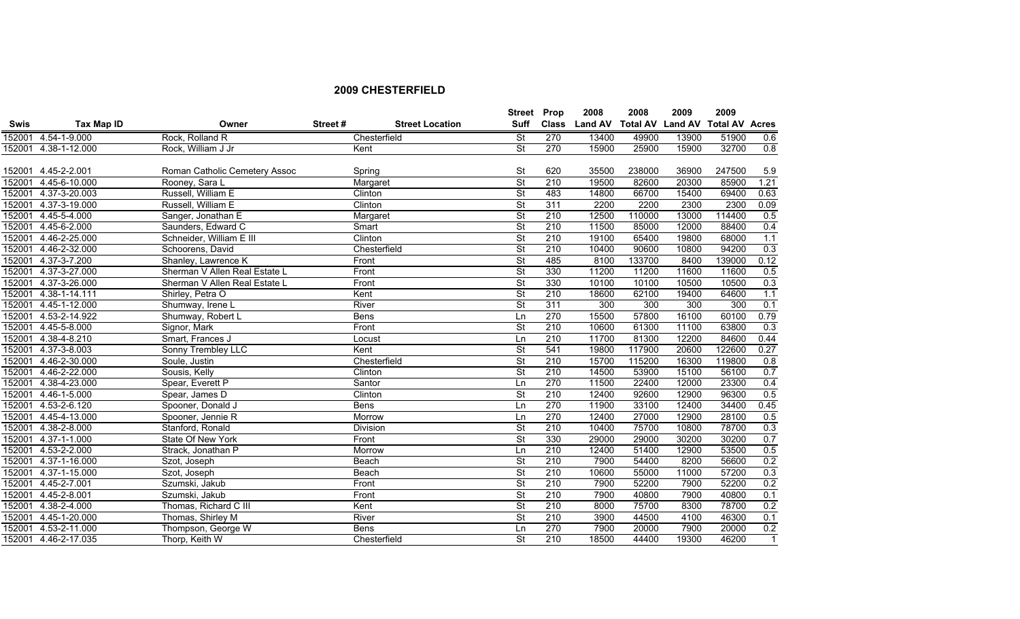|             |                      |                               |             |                        | Street                   | Prop             | 2008           | 2008   | 2009  | 2009                            |              |
|-------------|----------------------|-------------------------------|-------------|------------------------|--------------------------|------------------|----------------|--------|-------|---------------------------------|--------------|
| <b>Swis</b> | Tax Map ID           | Owner                         | Street#     | <b>Street Location</b> | <b>Suff</b>              | <b>Class</b>     | <b>Land AV</b> |        |       | Total AV Land AV Total AV Acres |              |
| 152001      | 4.54-1-9.000         | Rock, Rolland R               |             | Chesterfield           | <b>St</b>                | 270              | 13400          | 49900  | 13900 | 51900                           | 0.6          |
| 152001      | 4.38-1-12.000        | Rock, William J Jr            | Kent        |                        | $\overline{\mathsf{St}}$ | 270              | 15900          | 25900  | 15900 | 32700                           | 0.8          |
|             |                      |                               |             |                        |                          |                  |                |        |       |                                 |              |
|             | 152001 4.45-2-2.001  | Roman Catholic Cemetery Assoc |             | Spring                 | St                       | 620              | 35500          | 238000 | 36900 | 247500                          | 5.9          |
| 152001      | 4.45-6-10.000        | Rooney, Sara L                |             | Margaret               | <b>St</b>                | 210              | 19500          | 82600  | 20300 | 85900                           | 1.21         |
| 152001      | 4.37-3-20.003        | Russell, William E            |             | Clinton                | $\overline{\mathsf{St}}$ | 483              | 14800          | 66700  | 15400 | 69400                           | 0.63         |
| 152001      | 4.37-3-19.000        | Russell, William E            |             | Clinton                | $\overline{\mathsf{St}}$ | 311              | 2200           | 2200   | 2300  | 2300                            | 0.09         |
| 152001      | 4.45-5-4.000         | Sanger, Jonathan E            |             | Margaret               | $\overline{\mathsf{St}}$ | 210              | 12500          | 110000 | 13000 | 114400                          | 0.5          |
| 152001      | 4.45-6-2.000         | Saunders, Edward C            |             | Smart                  | <b>St</b>                | 210              | 11500          | 85000  | 12000 | 88400                           | 0.4          |
| 152001      | 4.46-2-25.000        | Schneider, William E III      |             | Clinton                | <b>St</b>                | 210              | 19100          | 65400  | 19800 | 68000                           | 1.1          |
| 152001      | 4.46-2-32.000        | Schoorens, David              |             | Chesterfield           | <b>St</b>                | 210              | 10400          | 90600  | 10800 | 94200                           | 0.3          |
| 152001      | 4.37-3-7.200         | Shanley, Lawrence K           | Front       |                        | $\overline{\mathsf{St}}$ | 485              | 8100           | 133700 | 8400  | 139000                          | 0.12         |
| 152001      | 4.37-3-27.000        | Sherman V Allen Real Estate L | Front       |                        | <b>St</b>                | 330              | 11200          | 11200  | 11600 | 11600                           | 0.5          |
| 152001      | 4.37-3-26.000        | Sherman V Allen Real Estate L | Front       |                        | $\overline{\mathsf{St}}$ | 330              | 10100          | 10100  | 10500 | 10500                           | 0.3          |
| 152001      | 4.38-1-14.111        | Shirley, Petra O              | Kent        |                        | $\overline{\mathsf{St}}$ | 210              | 18600          | 62100  | 19400 | 64600                           | 1.1          |
| 152001      | 4.45-1-12.000        | Shumway, Irene L              | River       |                        | $\overline{\mathsf{St}}$ | 311              | 300            | 300    | 300   | 300                             | 0.1          |
| 152001      | 4.53-2-14.922        | Shumway, Robert L             | <b>Bens</b> |                        | Ln                       | 270              | 15500          | 57800  | 16100 | 60100                           | 0.79         |
| 152001      | 4.45-5-8.000         | Signor, Mark                  | Front       |                        | $\overline{\mathsf{St}}$ | 210              | 10600          | 61300  | 11100 | 63800                           | 0.3          |
| 152001      | 4.38-4-8.210         | Smart, Frances J              |             | Locust                 | Ln                       | $\overline{210}$ | 11700          | 81300  | 12200 | 84600                           | 0.44         |
| 152001      | 4.37-3-8.003         | Sonny Trembley LLC            | Kent        |                        | <b>St</b>                | 541              | 19800          | 117900 | 20600 | 122600                          | 0.27         |
| 152001      | 4.46-2-30.000        | Soule, Justin                 |             | Chesterfield           | St                       | 210              | 15700          | 115200 | 16300 | 119800                          | 0.8          |
| 152001      | 4.46-2-22.000        | Sousis, Kelly                 |             | Clinton                | $\overline{\mathsf{St}}$ | 210              | 14500          | 53900  | 15100 | 56100                           | 0.7          |
| 152001      | 4.38-4-23.000        | Spear, Everett P              |             | Santor                 | Ln                       | 270              | 11500          | 22400  | 12000 | 23300                           | 0.4          |
|             | 152001 4.46-1-5.000  | Spear, James D                |             | Clinton                | <b>St</b>                | 210              | 12400          | 92600  | 12900 | 96300                           | 0.5          |
| 152001      | 4.53-2-6.120         | Spooner, Donald J             | <b>Bens</b> |                        | Ln                       | 270              | 11900          | 33100  | 12400 | 34400                           | 0.45         |
| 152001      | 4.45-4-13.000        | Spooner, Jennie R             |             | Morrow                 | Ln                       | 270              | 12400          | 27000  | 12900 | 28100                           | 0.5          |
| 152001      | 4.38-2-8.000         | Stanford, Ronald              |             | <b>Division</b>        | <b>St</b>                | 210              | 10400          | 75700  | 10800 | 78700                           | 0.3          |
| 152001      | 4.37-1-1.000         | State Of New York             | Front       |                        | <b>St</b>                | 330              | 29000          | 29000  | 30200 | 30200                           | 0.7          |
| 152001      | 4.53-2-2.000         | Strack, Jonathan P            |             | Morrow                 | Ln                       | 210              | 12400          | 51400  | 12900 | 53500                           | 0.5          |
| 152001      | 4.37-1-16.000        | Szot, Joseph                  |             | Beach                  | $\overline{\mathsf{St}}$ | 210              | 7900           | 54400  | 8200  | 56600                           | 0.2          |
| 152001      | 4.37-1-15.000        | Szot, Joseph                  |             | Beach                  | $\overline{\mathsf{St}}$ | 210              | 10600          | 55000  | 11000 | 57200                           | 0.3          |
| 152001      | 4.45-2-7.001         | Szumski, Jakub                | Front       |                        | $\overline{\mathsf{St}}$ | 210              | 7900           | 52200  | 7900  | 52200                           | 0.2          |
| 152001      | 4.45-2-8.001         | Szumski, Jakub                | Front       |                        | $\overline{\mathsf{St}}$ | 210              | 7900           | 40800  | 7900  | 40800                           | 0.1          |
| 152001      | 4.38-2-4.000         | Thomas, Richard C III         | Kent        |                        | <b>St</b>                | 210              | 8000           | 75700  | 8300  | 78700                           | 0.2          |
| 152001      | 4.45-1-20.000        | Thomas, Shirley M             | River       |                        | <b>St</b>                | 210              | 3900           | 44500  | 4100  | 46300                           | 0.1          |
| 152001      | 4.53-2-11.000        | Thompson, George W            | <b>Bens</b> |                        | Ln                       | 270              | 7900           | 20000  | 7900  | 20000                           | 0.2          |
|             | 152001 4.46-2-17.035 | Thorp, Keith W                |             | Chesterfield           | $\overline{\mathsf{St}}$ | 210              | 18500          | 44400  | 19300 | 46200                           | $\mathbf{1}$ |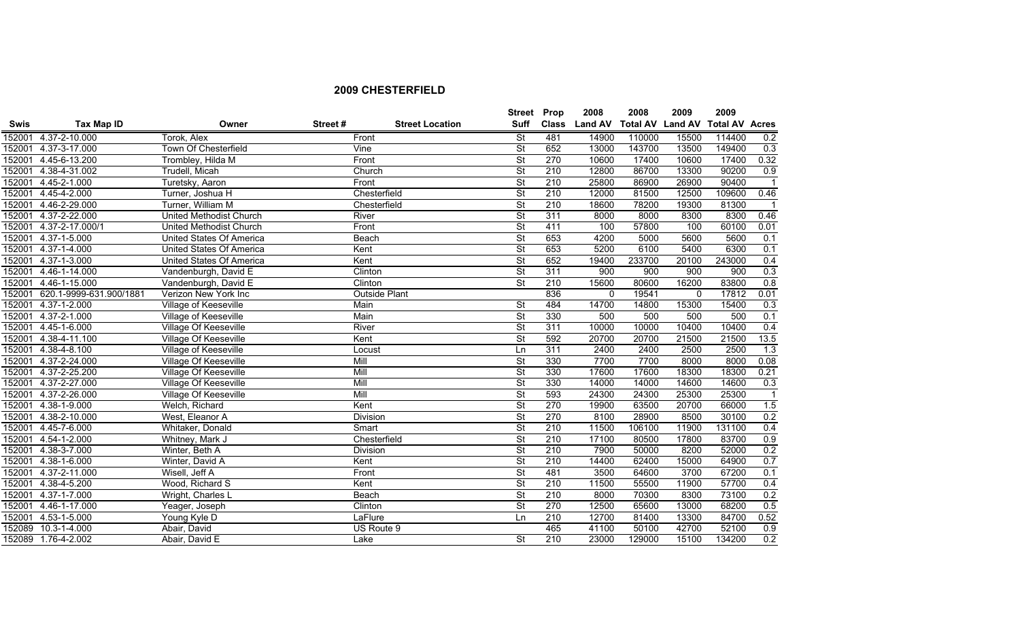|             |                         |                                 |         |                        | <b>Street</b>            | Prop             | 2008           | 2008            | 2009           | 2009                  |                         |
|-------------|-------------------------|---------------------------------|---------|------------------------|--------------------------|------------------|----------------|-----------------|----------------|-----------------------|-------------------------|
| <b>Swis</b> | Tax Map ID              | Owner                           | Street# | <b>Street Location</b> | <b>Suff</b>              | <b>Class</b>     | <b>Land AV</b> | <b>Total AV</b> | <b>Land AV</b> | <b>Total AV Acres</b> |                         |
| 152001      | 4.37-2-10.000           | Torok, Alex                     | Front   |                        | <b>St</b>                | 481              | 14900          | 110000          | 15500          | 114400                | 0.2                     |
| 152001      | 4.37-3-17.000           | Town Of Chesterfield            | Vine    |                        | $\overline{\mathsf{St}}$ | 652              | 13000          | 143700          | 13500          | 149400                | 0.3                     |
| 152001      | 4.45-6-13.200           | Trombley, Hilda M               |         | Front                  | St                       | 270              | 10600          | 17400           | 10600          | 17400                 | 0.32                    |
| 152001      | 4.38-4-31.002           | Trudell, Micah                  |         | Church                 | $\overline{\mathsf{St}}$ | 210              | 12800          | 86700           | 13300          | 90200                 | 0.9                     |
| 152001      | 4.45-2-1.000            | Turetsky, Aaron                 | Front   |                        | $\overline{\mathsf{St}}$ | 210              | 25800          | 86900           | 26900          | 90400                 | $\overline{\mathbf{1}}$ |
| 152001      | 4.45-4-2.000            | Turner, Joshua H                |         | Chesterfield           | $\overline{\mathsf{St}}$ | 210              | 12000          | 81500           | 12500          | 109600                | 0.46                    |
| 152001      | 4.46-2-29.000           | Turner, William M               |         | Chesterfield           | $\overline{\mathsf{St}}$ | 210              | 18600          | 78200           | 19300          | 81300                 | $\overline{\mathbf{1}}$ |
| 152001      | 4.37-2-22.000           | <b>United Methodist Church</b>  | River   |                        | $\overline{\mathsf{St}}$ | 311              | 8000           | 8000            | 8300           | 8300                  | 0.46                    |
| 152001      | 4.37-2-17.000/1         | United Methodist Church         | Front   |                        | $\overline{\mathsf{St}}$ | 411              | 100            | 57800           | 100            | 60100                 | 0.01                    |
| 152001      | 4.37-1-5.000            | <b>United States Of America</b> |         | Beach                  | $\overline{\mathsf{St}}$ | 653              | 4200           | 5000            | 5600           | 5600                  | 0.1                     |
| 152001      | 4.37-1-4.000            | <b>United States Of America</b> | Kent    |                        | $\overline{\mathsf{St}}$ | 653              | 5200           | 6100            | 5400           | 6300                  | 0.1                     |
| 152001      | 4.37-1-3.000            | <b>United States Of America</b> | Kent    |                        | $\overline{\mathsf{St}}$ | 652              | 19400          | 233700          | 20100          | 243000                | 0.4                     |
| 152001      | 4.46-1-14.000           | Vandenburgh, David E            |         | Clinton                | <b>St</b>                | 311              | 900            | 900             | 900            | 900                   | 0.3                     |
| 152001      | 4.46-1-15.000           | Vandenburgh, David E            |         | Clinton                | $\overline{\mathsf{St}}$ | 210              | 15600          | 80600           | 16200          | 83800                 | 0.8                     |
| 152001      | 620.1-9999-631.900/1881 | Verizon New York Inc            |         | <b>Outside Plant</b>   |                          | 836              | $\mathbf 0$    | 19541           | 0              | 17812                 | 0.01                    |
| 152001      | $4.37 - 1 - 2.000$      | Village of Keeseville           | Main    |                        | <b>St</b>                | 484              | 14700          | 14800           | 15300          | 15400                 | 0.3                     |
| 152001      | $4.37 - 2 - 1.000$      | Village of Keeseville           | Main    |                        | $\overline{\mathsf{St}}$ | 330              | 500            | 500             | 500            | 500                   | 0.1                     |
| 152001      | 4.45-1-6.000            | Village Of Keeseville           | River   |                        | $\overline{\mathsf{St}}$ | 311              | 10000          | 10000           | 10400          | 10400                 | 0.4                     |
| 152001      | 4.38-4-11.100           | Village Of Keeseville           | Kent    |                        | $\overline{\mathsf{St}}$ | 592              | 20700          | 20700           | 21500          | 21500                 | 13.5                    |
| 152001      | $4.38 - 4 - 8.100$      | Village of Keeseville           |         | Locust                 | Ln                       | 311              | 2400           | 2400            | 2500           | 2500                  | 1.3                     |
| 152001      | 4.37-2-24.000           | Village Of Keeseville           | Mill    |                        | $\overline{\mathsf{St}}$ | 330              | 7700           | 7700            | 8000           | 8000                  | 0.08                    |
| 152001      | 4.37-2-25.200           | Village Of Keeseville           | Mill    |                        | St                       | 330              | 17600          | 17600           | 18300          | 18300                 | 0.21                    |
| 152001      | 4.37-2-27.000           | Village Of Keeseville           | Mill    |                        | $\overline{\mathsf{St}}$ | 330              | 14000          | 14000           | 14600          | 14600                 | 0.3                     |
| 152001      | 4.37-2-26.000           | Village Of Keeseville           | Mill    |                        | St                       | 593              | 24300          | 24300           | 25300          | 25300                 | $\overline{1}$          |
| 152001      | 4.38-1-9.000            | Welch, Richard                  | Kent    |                        | $\overline{\mathsf{St}}$ | 270              | 19900          | 63500           | 20700          | 66000                 | 1.5                     |
| 152001      | 4.38-2-10.000           | West, Eleanor A                 |         | <b>Division</b>        | $\overline{\mathsf{St}}$ | 270              | 8100           | 28900           | 8500           | 30100                 | 0.2                     |
| 152001      | 4.45-7-6.000            | Whitaker, Donald                |         | Smart                  | $\overline{\mathsf{St}}$ | 210              | 11500          | 106100          | 11900          | 131100                | 0.4                     |
| 152001      | 4.54-1-2.000            | Whitney, Mark J                 |         | Chesterfield           | $\overline{\mathsf{St}}$ | 210              | 17100          | 80500           | 17800          | 83700                 | 0.9                     |
| 152001      | 4.38-3-7.000            | Winter, Beth A                  |         | <b>Division</b>        | $\overline{\mathsf{St}}$ | 210              | 7900           | 50000           | 8200           | 52000                 | 0.2                     |
| 152001      | 4.38-1-6.000            | Winter, David A                 | Kent    |                        | $\overline{\mathsf{St}}$ | 210              | 14400          | 62400           | 15000          | 64900                 | 0.7                     |
| 152001      | 4.37-2-11.000           | Wisell, Jeff A                  | Front   |                        | $\overline{\mathsf{St}}$ | 481              | 3500           | 64600           | 3700           | 67200                 | 0.1                     |
| 152001      | 4.38-4-5.200            | Wood, Richard S                 | Kent    |                        | $\overline{\mathsf{St}}$ | $\overline{210}$ | 11500          | 55500           | 11900          | 57700                 | 0.4                     |
| 152001      | 4.37-1-7.000            | Wright, Charles L               |         | <b>Beach</b>           | $\overline{\mathsf{St}}$ | 210              | 8000           | 70300           | 8300           | 73100                 | 0.2                     |
| 152001      | 4.46-1-17.000           | Yeager, Joseph                  |         | Clinton                | $\overline{\mathsf{St}}$ | 270              | 12500          | 65600           | 13000          | 68200                 | 0.5                     |
| 152001      | 4.53-1-5.000            | Young Kyle D                    |         | LaFlure                | Ln                       | 210              | 12700          | 81400           | 13300          | 84700                 | 0.52                    |
| 152089      | 10.3-1-4.000            | Abair, David                    |         | US Route 9             |                          | 465              | 41100          | 50100           | 42700          | 52100                 | 0.9                     |
|             | 152089 1.76-4-2.002     | Abair, David E                  | Lake    |                        | $\overline{\mathsf{St}}$ | 210              | 23000          | 129000          | 15100          | 134200                | 0.2                     |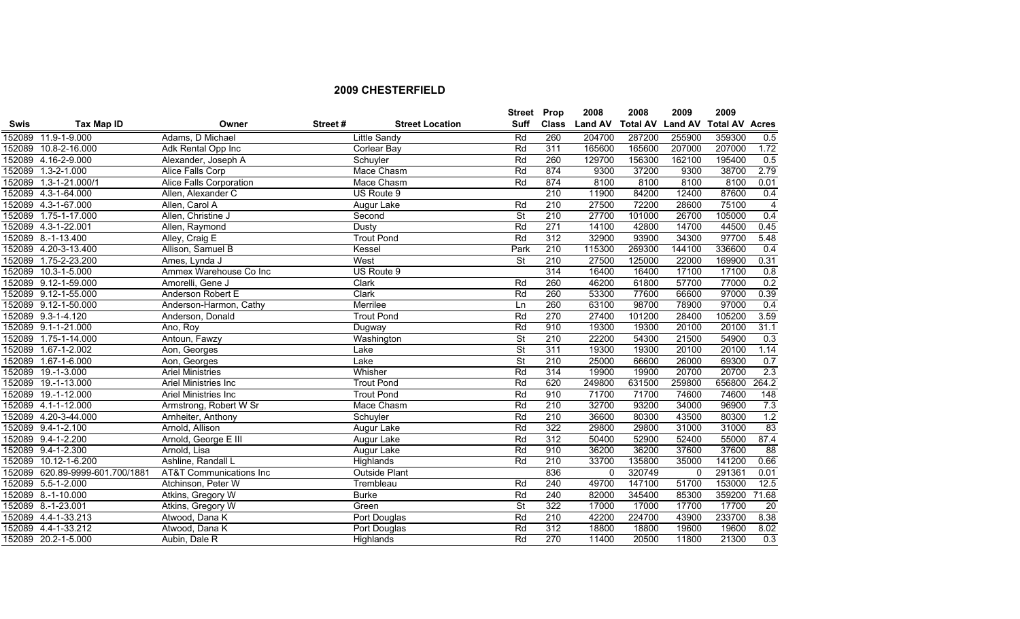|             |                                 |                                    |         |                        | <b>Street Prop</b>       |              | 2008           | 2008                    | 2009     | 2009                  |                 |
|-------------|---------------------------------|------------------------------------|---------|------------------------|--------------------------|--------------|----------------|-------------------------|----------|-----------------------|-----------------|
| <b>Swis</b> | Tax Map ID                      | Owner                              | Street# | <b>Street Location</b> | Suff                     | <b>Class</b> | <b>Land AV</b> | <b>Total AV Land AV</b> |          | <b>Total AV Acres</b> |                 |
|             | 152089 11.9-1-9.000             | Adams, D Michael                   |         | <b>Little Sandy</b>    | Rd                       | 260          | 204700         | 287200                  | 255900   | 359300                | 0.5             |
|             | 152089 10.8-2-16.000            | Adk Rental Opp Inc                 |         | <b>Corlear Bay</b>     | Rd                       | 311          | 165600         | 165600                  | 207000   | 207000                | 1.72            |
|             | 152089 4.16-2-9.000             | Alexander, Joseph A                |         | Schuyler               | Rd                       | 260          | 129700         | 156300                  | 162100   | 195400                | 0.5             |
|             | 152089 1.3-2-1.000              | Alice Falls Corp                   |         | Mace Chasm             | Rd                       | 874          | 9300           | 37200                   | 9300     | 38700                 | 2.79            |
|             | 152089 1.3-1-21.000/1           | Alice Falls Corporation            |         | Mace Chasm             | Rd                       | 874          | 8100           | 8100                    | 8100     | 8100                  | 0.01            |
|             | 152089 4.3-1-64.000             | Allen, Alexander C                 |         | US Route 9             |                          | 210          | 11900          | 84200                   | 12400    | 87600                 | 0.4             |
|             | 152089 4.3-1-67.000             | Allen, Carol A                     |         | Augur Lake             | Rd                       | 210          | 27500          | 72200                   | 28600    | 75100                 | $\overline{4}$  |
|             | 152089 1.75-1-17.000            | Allen, Christine J                 |         | Second                 | $\overline{\mathsf{St}}$ | 210          | 27700          | 101000                  | 26700    | 105000                | 0.4             |
|             | 152089 4.3-1-22.001             | Allen, Raymond                     |         | Dusty                  | Rd                       | 271          | 14100          | 42800                   | 14700    | 44500                 | 0.45            |
|             | 152089 8.-1-13.400              | Alley, Craig E                     |         | <b>Trout Pond</b>      | Rd                       | 312          | 32900          | 93900                   | 34300    | 97700                 | 5.48            |
|             | 152089 4.20-3-13.400            | Allison, Samuel B                  |         | Kessel                 | Park                     | 210          | 115300         | 269300                  | 144100   | 336600                | 0.4             |
|             | 152089 1.75-2-23.200            | Ames, Lynda J                      |         | West                   | $\overline{\mathsf{St}}$ | 210          | 27500          | 125000                  | 22000    | 169900                | 0.31            |
|             | 152089 10.3-1-5.000             | Ammex Warehouse Co Inc             |         | US Route 9             |                          | 314          | 16400          | 16400                   | 17100    | 17100                 | 0.8             |
|             | 152089 9.12-1-59.000            | Amorelli, Gene J                   |         | Clark                  | Rd                       | 260          | 46200          | 61800                   | 57700    | 77000                 | 0.2             |
|             | 152089 9.12-1-55.000            | Anderson Robert E                  |         | Clark                  | Rd                       | 260          | 53300          | 77600                   | 66600    | 97000                 | 0.39            |
|             | 152089 9.12-1-50.000            | Anderson-Harmon, Cathy             |         | Merrilee               | Ln                       | 260          | 63100          | 98700                   | 78900    | 97000                 | 0.4             |
|             | 152089 9.3-1-4.120              | Anderson, Donald                   |         | <b>Trout Pond</b>      | Rd                       | 270          | 27400          | 101200                  | 28400    | 105200                | 3.59            |
|             | 152089 9.1-1-21.000             | Ano, Roy                           |         | Dugway                 | Rd                       | 910          | 19300          | 19300                   | 20100    | 20100                 | 31.1            |
|             | 152089 1.75-1-14.000            | Antoun, Fawzy                      |         | Washington             | $\overline{\mathsf{St}}$ | 210          | 22200          | 54300                   | 21500    | 54900                 | 0.3             |
|             | 152089 1.67-1-2.002             | Aon, Georges                       |         | Lake                   | $\overline{\mathsf{St}}$ | 311          | 19300          | 19300                   | 20100    | 20100                 | 1.14            |
|             | 152089 1.67-1-6.000             | Aon, Georges                       |         | Lake                   | $\overline{\mathsf{St}}$ | 210          | 25000          | 66600                   | 26000    | 69300                 | 0.7             |
|             | 152089 19.-1-3.000              | <b>Ariel Ministries</b>            |         | Whisher                | Rd                       | 314          | 19900          | 19900                   | 20700    | 20700                 | 2.3             |
|             | 152089 19.-1-13.000             | Ariel Ministries Inc               |         | <b>Trout Pond</b>      | Rd                       | 620          | 249800         | 631500                  | 259800   | 656800                | 264.2           |
|             | 152089 19.-1-12.000             | Ariel Ministries Inc               |         | <b>Trout Pond</b>      | Rd                       | 910          | 71700          | 71700                   | 74600    | 74600                 | 148             |
|             | 152089 4.1-1-12.000             | Armstrong, Robert W Sr             |         | Mace Chasm             | Rd                       | 210          | 32700          | 93200                   | 34000    | 96900                 | 7.3             |
|             | 152089 4.20-3-44.000            | Arnheiter, Anthony                 |         | Schuyler               | Rd                       | 210          | 36600          | 80300                   | 43500    | 80300                 | 1.2             |
|             | 152089 9.4-1-2.100              | Arnold, Allison                    |         | Augur Lake             | Rd                       | 322          | 29800          | 29800                   | 31000    | 31000                 | 83              |
|             | 152089 9.4-1-2.200              | Arnold, George E III               |         | Augur Lake             | Rd                       | 312          | 50400          | 52900                   | 52400    | 55000                 | 87.4            |
|             | 152089 9.4-1-2.300              | Arnold, Lisa                       |         | Augur Lake             | Rd                       | 910          | 36200          | 36200                   | 37600    | 37600                 | 88              |
|             | 152089 10.12-1-6.200            | Ashline, Randall L                 |         | Highlands              | Rd                       | 210          | 33700          | 135800                  | 35000    | 141200                | 0.66            |
|             | 152089 620.89-9999-601.700/1881 | <b>AT&amp;T Communications Inc</b> |         | Outside Plant          |                          | 836          | $\Omega$       | 320749                  | $\Omega$ | 291361                | 0.01            |
|             | 152089 5.5-1-2.000              | Atchinson, Peter W                 |         | Trembleau              | Rd                       | 240          | 49700          | 147100                  | 51700    | 153000                | 12.5            |
|             | 152089 8.-1-10.000              | Atkins, Gregory W                  |         | <b>Burke</b>           | Rd                       | 240          | 82000          | 345400                  | 85300    | 359200                | 71.68           |
|             | 152089 8.-1-23.001              | Atkins, Gregory W                  |         | Green                  | $\overline{\mathsf{St}}$ | 322          | 17000          | 17000                   | 17700    | 17700                 | $\overline{20}$ |
|             | 152089 4.4-1-33.213             | Atwood, Dana K                     |         | Port Douglas           | Rd                       | 210          | 42200          | 224700                  | 43900    | 233700                | 8.38            |
|             | 152089 4.4-1-33.212             | Atwood, Dana K                     |         | Port Douglas           | Rd                       | 312          | 18800          | 18800                   | 19600    | 19600                 | 8.02            |
|             | 152089 20.2-1-5.000             | Aubin, Dale R                      |         | Highlands              | Rd                       | 270          | 11400          | 20500                   | 11800    | 21300                 | 0.3             |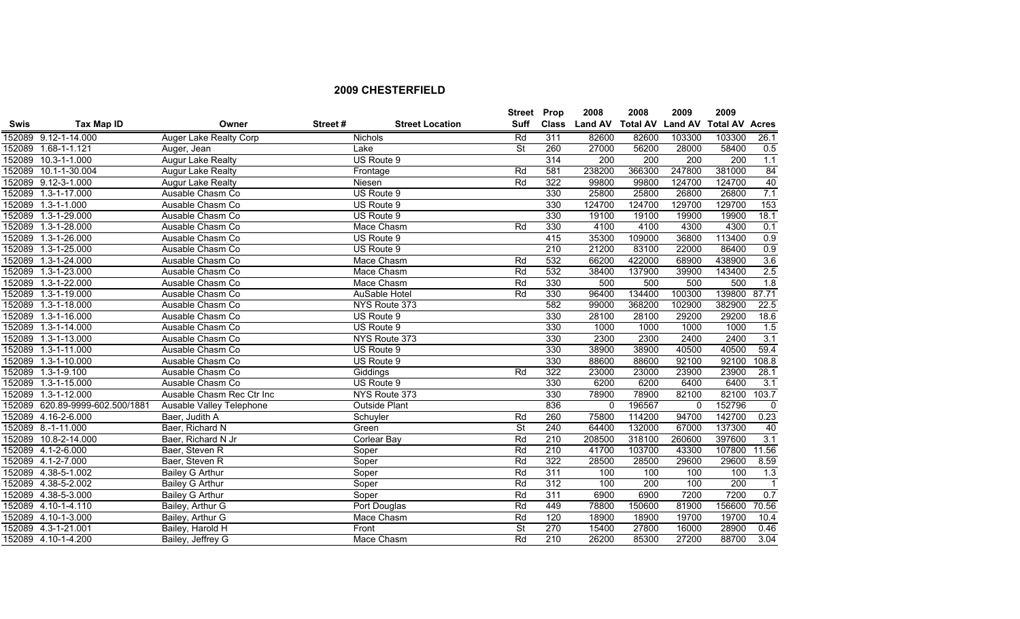|             |                                 |                           |         |                        | <b>Street Prop</b>       |              | 2008           | 2008   | 2009     | 2009                            |                  |
|-------------|---------------------------------|---------------------------|---------|------------------------|--------------------------|--------------|----------------|--------|----------|---------------------------------|------------------|
| <b>Swis</b> | <b>Tax Map ID</b>               | Owner                     | Street# | <b>Street Location</b> | <b>Suff</b>              | <b>Class</b> | <b>Land AV</b> |        |          | Total AV Land AV Total AV Acres |                  |
|             | 152089 9.12-1-14.000            | Auger Lake Realty Corp    |         | Nichols                | Rd                       | 311          | 82600          | 82600  | 103300   | 103300                          | 26.1             |
|             | 152089 1.68-1-1.121             | Auger, Jean               |         | Lake                   | $\overline{\mathsf{St}}$ | 260          | 27000          | 56200  | 28000    | 58400                           | 0.5              |
|             | 152089 10.3-1-1.000             | <b>Augur Lake Realty</b>  |         | US Route 9             |                          | 314          | 200            | 200    | 200      | 200                             | 1.1              |
| 152089      | 10.1-1-30.004                   | Augur Lake Realty         |         | Frontage               | Rd                       | 581          | 238200         | 366300 | 247800   | 381000                          | 84               |
|             | 152089 9.12-3-1.000             | <b>Augur Lake Realty</b>  |         | Niesen                 | Rd                       | 322          | 99800          | 99800  | 124700   | 124700                          | 40               |
|             | 152089 1.3-1-17.000             | Ausable Chasm Co          |         | US Route 9             |                          | 330          | 25800          | 25800  | 26800    | 26800                           | 7.1              |
|             | 152089 1.3-1-1.000              | Ausable Chasm Co          |         | US Route 9             |                          | 330          | 124700         | 124700 | 129700   | 129700                          | 153              |
|             | 152089 1.3-1-29.000             | Ausable Chasm Co          |         | US Route 9             |                          | 330          | 19100          | 19100  | 19900    | 19900                           | 18.1             |
|             | 152089 1.3-1-28.000             | Ausable Chasm Co          |         | Mace Chasm             | Rd                       | 330          | 4100           | 4100   | 4300     | 4300                            | 0.1              |
| 152089      | 1.3-1-26.000                    | Ausable Chasm Co          |         | US Route 9             |                          | 415          | 35300          | 109000 | 36800    | 113400                          | 0.9              |
|             | 152089 1.3-1-25.000             | Ausable Chasm Co          |         | US Route 9             |                          | 210          | 21200          | 83100  | 22000    | 86400                           | 0.9              |
|             | 152089 1.3-1-24.000             | Ausable Chasm Co          |         | Mace Chasm             | Rd                       | 532          | 66200          | 422000 | 68900    | 438900                          | 3.6              |
| 152089      | 1.3-1-23.000                    | Ausable Chasm Co          |         | Mace Chasm             | Rd                       | 532          | 38400          | 137900 | 39900    | 143400                          | 2.5              |
|             | 152089 1.3-1-22.000             | Ausable Chasm Co          |         | Mace Chasm             | Rd                       | 330          | 500            | 500    | 500      | 500                             | 1.8              |
| 152089      | $1.3 - 1 - 19.000$              | Ausable Chasm Co          |         | AuSable Hotel          | Rd                       | 330          | 96400          | 134400 | 100300   | 139800                          | 87.71            |
| 152089      | $1.3 - 1 - 18.000$              | Ausable Chasm Co          |         | NYS Route 373          |                          | 582          | 99000          | 368200 | 102900   | 382900                          | 22.5             |
|             | 152089 1.3-1-16.000             | Ausable Chasm Co          |         | US Route 9             |                          | 330          | 28100          | 28100  | 29200    | 29200                           | 18.6             |
|             | 152089 1.3-1-14.000             | Ausable Chasm Co          |         | US Route 9             |                          | 330          | 1000           | 1000   | 1000     | 1000                            | 1.5              |
|             | 152089 1.3-1-13.000             | Ausable Chasm Co          |         | NYS Route 373          |                          | 330          | 2300           | 2300   | 2400     | 2400                            | 3.1              |
|             | 152089 1.3-1-11.000             | Ausable Chasm Co          |         | US Route 9             |                          | 330          | 38900          | 38900  | 40500    | 40500                           | 59.4             |
|             | 152089 1.3-1-10.000             | Ausable Chasm Co          |         | US Route 9             |                          | 330          | 88600          | 88600  | 92100    | 92100                           | 108.8            |
|             | 152089 1.3-1-9.100              | Ausable Chasm Co          |         | Giddings               | Rd                       | 322          | 23000          | 23000  | 23900    | 23900                           | 28.1             |
|             | 152089 1.3-1-15.000             | Ausable Chasm Co          |         | US Route 9             |                          | 330          | 6200           | 6200   | 6400     | 6400                            | $\overline{3.1}$ |
|             | 152089 1.3-1-12.000             | Ausable Chasm Rec Ctr Inc |         | NYS Route 373          |                          | 330          | 78900          | 78900  | 82100    | 82100                           | 103.7            |
|             | 152089 620.89-9999-602.500/1881 | Ausable Valley Telephone  |         | <b>Outside Plant</b>   |                          | 836          | $\Omega$       | 196567 | $\Omega$ | 152796                          | $\mathbf{0}$     |
|             | 152089 4.16-2-6.000             | Baer, Judith A            |         | Schuyler               | Rd                       | 260          | 75800          | 114200 | 94700    | 142700                          | 0.23             |
|             | 152089 8.-1-11.000              | Baer, Richard N           |         | Green                  | $\overline{\mathsf{St}}$ | 240          | 64400          | 132000 | 67000    | 137300                          | 40               |
|             | 152089 10.8-2-14.000            | Baer, Richard N Jr        |         | <b>Corlear Bay</b>     | Rd                       | 210          | 208500         | 318100 | 260600   | 397600                          | 3.1              |
|             | 152089 4.1-2-6.000              | Baer, Steven R            |         | Soper                  | Rd                       | 210          | 41700          | 103700 | 43300    | 107800                          | 11.56            |
|             | 152089 4.1-2-7.000              | Baer, Steven R            |         | Soper                  | Rd                       | 322          | 28500          | 28500  | 29600    | 29600                           | 8.59             |
|             | 152089 4.38-5-1.002             | <b>Bailey G Arthur</b>    |         | Soper                  | Rd                       | 311          | 100            | 100    | 100      | 100                             | 1.3              |
|             | 152089 4.38-5-2.002             | Bailey G Arthur           |         | Soper                  | Rd                       | 312          | 100            | 200    | 100      | $\overline{200}$                | $\overline{1}$   |
|             | 152089 4.38-5-3.000             | Bailey G Arthur           |         | Soper                  | Rd                       | 311          | 6900           | 6900   | 7200     | 7200                            | 0.7              |
|             | 152089 4.10-1-4.110             | Bailey, Arthur G          |         | Port Douglas           | Rd                       | 449          | 78800          | 150600 | 81900    | 156600                          | 70.56            |
|             | 152089 4.10-1-3.000             | Bailey, Arthur G          |         | Mace Chasm             | Rd                       | 120          | 18900          | 18900  | 19700    | 19700                           | 10.4             |
|             | 152089 4.3-1-21.001             | Bailey, Harold H          |         | Front                  | $\overline{\mathsf{St}}$ | 270          | 15400          | 27800  | 16000    | 28900                           | 0.46             |
|             | 152089 4.10-1-4.200             | Bailey, Jeffrey G         |         | Mace Chasm             | Rd                       | 210          | 26200          | 85300  | 27200    | 88700                           | 3.04             |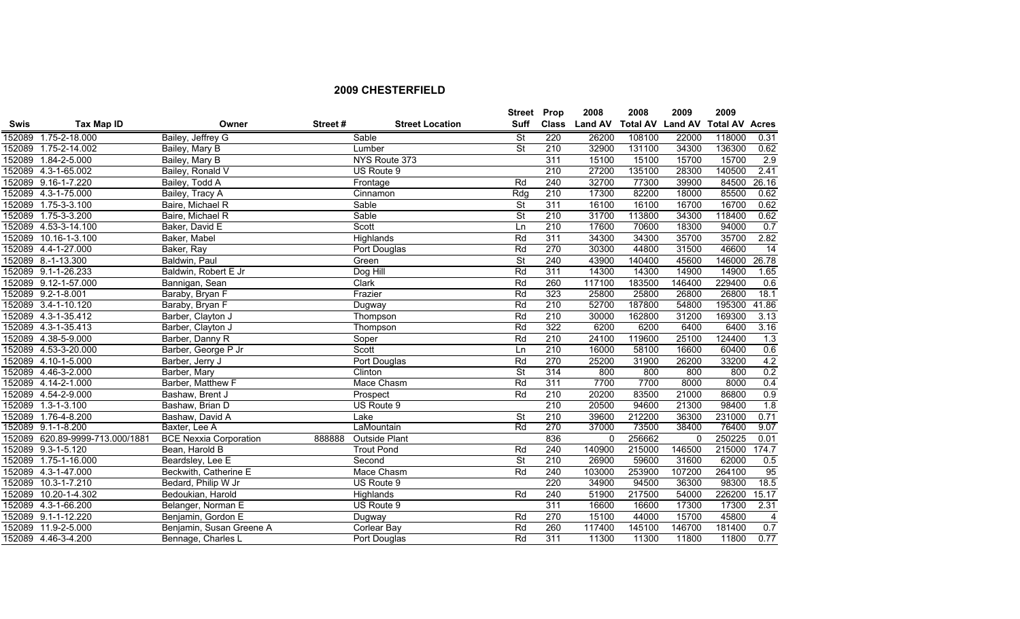|             |                                 |                                         |                        | Street Prop              |                  | 2008           | 2008                    | 2009     | 2009                  |                 |
|-------------|---------------------------------|-----------------------------------------|------------------------|--------------------------|------------------|----------------|-------------------------|----------|-----------------------|-----------------|
| <b>Swis</b> | Tax Map ID                      | Owner<br>Street#                        | <b>Street Location</b> | Suff                     | <b>Class</b>     | <b>Land AV</b> | <b>Total AV Land AV</b> |          | <b>Total AV Acres</b> |                 |
|             | 152089 1.75-2-18.000            | Bailey, Jeffrey G                       | Sable                  | <b>St</b>                | 220              | 26200          | 108100                  | 22000    | 118000                | 0.31            |
|             | 152089 1.75-2-14.002            | Bailey, Mary B                          | Lumber                 | $\overline{\mathsf{St}}$ | 210              | 32900          | 131100                  | 34300    | 136300                | 0.62            |
|             | 152089 1.84-2-5.000             | Bailey, Mary B                          | NYS Route 373          |                          | 311              | 15100          | 15100                   | 15700    | 15700                 | 2.9             |
|             | 152089 4.3-1-65.002             | Bailey, Ronald V                        | US Route 9             |                          | 210              | 27200          | 135100                  | 28300    | 140500                | 2.41            |
|             | 152089 9.16-1-7.220             | Bailey, Todd A                          | Frontage               | Rd                       | 240              | 32700          | 77300                   | 39900    | 84500                 | 26.16           |
|             | 152089 4.3-1-75.000             | Bailey, Tracy A                         | Cinnamon               | Rdq                      | 210              | 17300          | 82200                   | 18000    | 85500                 | 0.62            |
|             | 152089 1.75-3-3.100             | Baire, Michael R                        | Sable                  | $\overline{\mathsf{St}}$ | 311              | 16100          | 16100                   | 16700    | 16700                 | 0.62            |
|             | 152089 1.75-3-3.200             | Baire, Michael R                        | Sable                  | $\overline{\mathsf{St}}$ | 210              | 31700          | 113800                  | 34300    | 118400                | 0.62            |
|             | 152089 4.53-3-14.100            | Baker, David E                          | Scott                  | $\overline{\ln}$         | 210              | 17600          | 70600                   | 18300    | 94000                 | 0.7             |
| 152089      | 10.16-1-3.100                   | Baker, Mabel                            | Highlands              | Rd                       | 311              | 34300          | 34300                   | 35700    | 35700                 | 2.82            |
|             | 152089 4.4-1-27.000             | Baker, Ray                              | Port Douglas           | Rd                       | 270              | 30300          | 44800                   | 31500    | 46600                 | $\overline{14}$ |
|             | 152089 8.-1-13.300              | Baldwin, Paul                           | Green                  | St                       | 240              | 43900          | 140400                  | 45600    | 146000                | 26.78           |
|             | 152089 9.1-1-26.233             | Baldwin, Robert E Jr                    | Dog Hill               | Rd                       | 311              | 14300          | 14300                   | 14900    | 14900                 | 1.65            |
|             | 152089 9.12-1-57.000            | Bannigan, Sean                          | Clark                  | Rd                       | 260              | 117100         | 183500                  | 146400   | 229400                | 0.6             |
|             | 152089 9.2-1-8.001              | Baraby, Bryan F                         | Frazier                | Rd                       | 323              | 25800          | 25800                   | 26800    | 26800                 | 18.1            |
|             | 152089 3.4-1-10.120             | Baraby, Bryan F                         | Dugway                 | Rd                       | 210              | 52700          | 187800                  | 54800    | 195300                | 41.86           |
|             | 152089 4.3-1-35.412             | Barber, Clayton J                       | Thompson               | Rd                       | 210              | 30000          | 162800                  | 31200    | 169300                | 3.13            |
|             | 152089 4.3-1-35.413             | Barber, Clayton J                       | Thompson               | Rd                       | 322              | 6200           | 6200                    | 6400     | 6400                  | 3.16            |
|             | 152089 4.38-5-9.000             | Barber, Danny R                         | Soper                  | Rd                       | 210              | 24100          | 119600                  | 25100    | 124400                | 1.3             |
|             | 152089 4.53-3-20.000            | Barber, George P Jr                     | Scott                  | Ln                       | 210              | 16000          | 58100                   | 16600    | 60400                 | 0.6             |
|             | 152089 4.10-1-5.000             | Barber, Jerry J                         | Port Douglas           | Rd                       | 270              | 25200          | 31900                   | 26200    | 33200                 | 4.2             |
|             | 152089 4.46-3-2.000             | Barber, Mary                            | Clinton                | $\overline{\mathsf{St}}$ | 314              | 800            | 800                     | 800      | 800                   | 0.2             |
|             | 152089 4.14-2-1.000             | Barber, Matthew F                       | Mace Chasm             | Rd                       | 311              | 7700           | 7700                    | 8000     | 8000                  | 0.4             |
|             | 152089 4.54-2-9.000             | Bashaw, Brent J                         | Prospect               | Rd                       | 210              | 20200          | 83500                   | 21000    | 86800                 | 0.9             |
|             | 152089 1.3-1-3.100              | Bashaw, Brian D                         | US Route 9             |                          | 210              | 20500          | 94600                   | 21300    | 98400                 | 1.8             |
|             | 152089 1.76-4-8.200             | Bashaw, David A                         | Lake                   | $\overline{\mathsf{St}}$ | 210              | 39600          | 212200                  | 36300    | 231000                | 0.71            |
|             | 152089 9.1-1-8.200              | Baxter, Lee A                           | LaMountain             | Rd                       | 270              | 37000          | 73500                   | 38400    | 76400                 | 9.07            |
|             | 152089 620.89-9999-713.000/1881 | <b>BCE Nexxia Corporation</b><br>888888 | <b>Outside Plant</b>   |                          | 836              | $\Omega$       | 256662                  | $\Omega$ | 250225                | 0.01            |
|             | 152089 9.3-1-5.120              | Bean, Harold B                          | <b>Trout Pond</b>      | Rd                       | 240              | 140900         | 215000                  | 146500   | 215000                | 174.7           |
|             | 152089 1.75-1-16.000            | Beardsley, Lee E                        | Second                 | $\overline{\mathsf{St}}$ | 210              | 26900          | 59600                   | 31600    | 62000                 | 0.5             |
|             | 152089 4.3-1-47.000             | Beckwith, Catherine E                   | Mace Chasm             | Rd                       | 240              | 103000         | 253900                  | 107200   | 264100                | 95              |
| 152089      | $10.3 - 1 - 7.210$              | Bedard, Philip W Jr                     | US Route 9             |                          | $\overline{220}$ | 34900          | 94500                   | 36300    | 98300                 | 18.5            |
| 152089      | $10.20 - 1 - 4.302$             | Bedoukian, Harold                       | Highlands              | Rd                       | 240              | 51900          | 217500                  | 54000    | 226200                | 15.17           |
|             | 152089 4.3-1-66.200             | Belanger, Norman E                      | US Route 9             |                          | 311              | 16600          | 16600                   | 17300    | 17300                 | 2.31            |
|             | 152089 9.1-1-12.220             | Benjamin, Gordon E                      | Dugway                 | Rd                       | 270              | 15100          | 44000                   | 15700    | 45800                 | $\overline{4}$  |
|             | 152089 11.9-2-5.000             | Benjamin, Susan Greene A                | Corlear Bay            | Rd                       | 260              | 117400         | 145100                  | 146700   | 181400                | 0.7             |
|             | 152089 4.46-3-4.200             | Bennage, Charles L                      | Port Douglas           | Rd                       | 311              | 11300          | 11300                   | 11800    | 11800                 | 0.77            |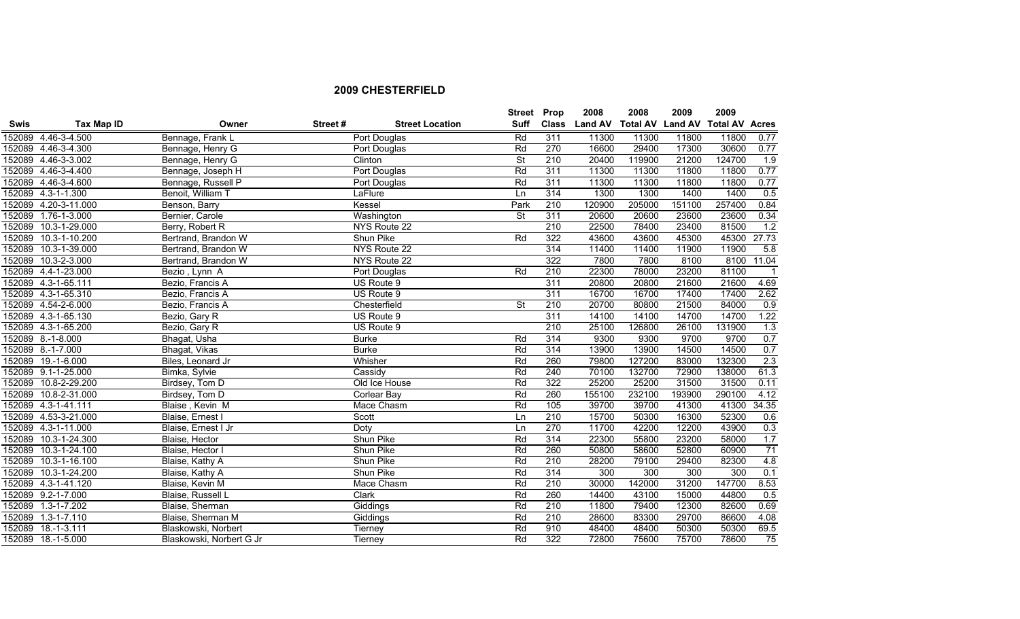|             |                      |                          |         |                        | Street Prop              |              | 2008           | 2008                    | 2009   | 2009                  |                  |
|-------------|----------------------|--------------------------|---------|------------------------|--------------------------|--------------|----------------|-------------------------|--------|-----------------------|------------------|
| <b>Swis</b> | Tax Map ID           | Owner                    | Street# | <b>Street Location</b> | Suff                     | <b>Class</b> | <b>Land AV</b> | <b>Total AV Land AV</b> |        | <b>Total AV Acres</b> |                  |
|             | 152089 4.46-3-4.500  | Bennage, Frank L         |         | Port Douglas           | Rd                       | 311          | 11300          | 11300                   | 11800  | 11800                 | 0.77             |
|             | 152089 4.46-3-4.300  | Bennage, Henry G         |         | Port Douglas           | Rd                       | 270          | 16600          | 29400                   | 17300  | 30600                 | 0.77             |
|             | 152089 4.46-3-3.002  | Bennage, Henry G         |         | Clinton                | $\overline{\mathsf{St}}$ | 210          | 20400          | 119900                  | 21200  | 124700                | 1.9              |
|             | 152089 4.46-3-4.400  | Bennage, Joseph H        |         | Port Douglas           | Rd                       | 311          | 11300          | 11300                   | 11800  | 11800                 | 0.77             |
|             | 152089 4.46-3-4.600  | Bennage, Russell P       |         | Port Douglas           | Rd                       | 311          | 11300          | 11300                   | 11800  | 11800                 | 0.77             |
|             | 152089 4.3-1-1.300   | Benoit, William T        |         | LaFlure                | Ln                       | 314          | 1300           | 1300                    | 1400   | 1400                  | 0.5              |
|             | 152089 4.20-3-11.000 | Benson, Barry            |         | Kessel                 | Park                     | 210          | 120900         | 205000                  | 151100 | 257400                | 0.84             |
|             | 152089 1.76-1-3.000  | Bernier, Carole          |         | Washington             | $\overline{\mathsf{St}}$ | 311          | 20600          | 20600                   | 23600  | 23600                 | 0.34             |
|             | 152089 10.3-1-29.000 | Berry, Robert R          |         | NYS Route 22           |                          | 210          | 22500          | 78400                   | 23400  | 81500                 | 1.2              |
|             | 152089 10.3-1-10.200 | Bertrand, Brandon W      |         | Shun Pike              | Rd                       | 322          | 43600          | 43600                   | 45300  | 45300                 | 27.73            |
|             | 152089 10.3-1-39.000 | Bertrand, Brandon W      |         | NYS Route 22           |                          | 314          | 11400          | 11400                   | 11900  | 11900                 | 5.8              |
| 152089      | $10.3 - 2 - 3.000$   | Bertrand, Brandon W      |         | NYS Route 22           |                          | 322          | 7800           | 7800                    | 8100   | 8100                  | 11.04            |
|             | 152089 4.4-1-23.000  | Bezio, Lynn A            |         | Port Douglas           | Rd                       | 210          | 22300          | 78000                   | 23200  | 81100                 | -1               |
|             | 152089 4.3-1-65.111  | Bezio, Francis A         |         | US Route 9             |                          | 311          | 20800          | 20800                   | 21600  | 21600                 | 4.69             |
|             | 152089 4.3-1-65.310  | Bezio, Francis A         |         | US Route 9             |                          | 311          | 16700          | 16700                   | 17400  | 17400                 | 2.62             |
|             | 152089 4.54-2-6.000  | Bezio, Francis A         |         | Chesterfield           | $\overline{\mathsf{St}}$ | 210          | 20700          | 80800                   | 21500  | 84000                 | $\overline{0.9}$ |
|             | 152089 4.3-1-65.130  | Bezio, Gary R            |         | US Route 9             |                          | 311          | 14100          | 14100                   | 14700  | 14700                 | 1.22             |
|             | 152089 4.3-1-65.200  | Bezio, Gary R            |         | US Route 9             |                          | 210          | 25100          | 126800                  | 26100  | 131900                | 1.3              |
|             | 152089 8.-1-8.000    | Bhagat, Usha             |         | <b>Burke</b>           | Rd                       | 314          | 9300           | 9300                    | 9700   | 9700                  | 0.7              |
|             | 152089 8.-1-7.000    | Bhagat, Vikas            |         | <b>Burke</b>           | Rd                       | 314          | 13900          | 13900                   | 14500  | 14500                 | 0.7              |
|             | 152089 19.-1-6.000   | Biles, Leonard Jr        |         | Whisher                | Rd                       | 260          | 79800          | 127200                  | 83000  | 132300                | 2.3              |
|             | 152089 9.1-1-25.000  | Bimka, Sylvie            |         | Cassidy                | Rd                       | 240          | 70100          | 132700                  | 72900  | 138000                | 61.3             |
|             | 152089 10.8-2-29.200 | Birdsey, Tom D           |         | Old Ice House          | Rd                       | 322          | 25200          | 25200                   | 31500  | 31500                 | 0.11             |
|             | 152089 10.8-2-31.000 | Birdsey, Tom D           |         | Corlear Bay            | Rd                       | 260          | 155100         | 232100                  | 193900 | 290100                | 4.12             |
|             | 152089 4.3-1-41.111  | Blaise, Kevin M          |         | Mace Chasm             | Rd                       | 105          | 39700          | 39700                   | 41300  | 41300                 | 34.35            |
|             | 152089 4.53-3-21.000 | Blaise, Ernest I         |         | Scott                  | Ln                       | 210          | 15700          | 50300                   | 16300  | 52300                 | 0.6              |
|             | 152089 4.3-1-11.000  | Blaise, Ernest I Jr      |         | Doty                   | Ln                       | 270          | 11700          | 42200                   | 12200  | 43900                 | 0.3              |
|             | 152089 10.3-1-24.300 | Blaise, Hector           |         | Shun Pike              | Rd                       | 314          | 22300          | 55800                   | 23200  | 58000                 | 1.7              |
|             | 152089 10.3-1-24.100 | Blaise, Hector I         |         | Shun Pike              | Rd                       | 260          | 50800          | 58600                   | 52800  | 60900                 | $\overline{71}$  |
|             | 152089 10.3-1-16.100 | Blaise, Kathy A          |         | Shun Pike              | Rd                       | 210          | 28200          | 79100                   | 29400  | 82300                 | 4.8              |
|             | 152089 10.3-1-24.200 | Blaise, Kathy A          |         | Shun Pike              | Rd                       | 314          | 300            | 300                     | 300    | 300                   | 0.1              |
|             | 152089 4.3-1-41.120  | Blaise, Kevin M          |         | Mace Chasm             | Rd                       | 210          | 30000          | 142000                  | 31200  | 147700                | 8.53             |
|             | 152089 9.2-1-7.000   | Blaise, Russell L        |         | Clark                  | Rd                       | 260          | 14400          | 43100                   | 15000  | 44800                 | 0.5              |
|             | 152089 1.3-1-7.202   | Blaise, Sherman          |         | Giddings               | Rd                       | 210          | 11800          | 79400                   | 12300  | 82600                 | 0.69             |
|             | 152089 1.3-1-7.110   | Blaise, Sherman M        |         | Giddings               | Rd                       | 210          | 28600          | 83300                   | 29700  | 86600                 | 4.08             |
|             | 152089 18.-1-3.111   | Blaskowski, Norbert      |         | Tierney                | Rd                       | 910          | 48400          | 48400                   | 50300  | 50300                 | 69.5             |
|             | 152089 18.-1-5.000   | Blaskowski, Norbert G Jr |         | Tierney                | Rd                       | 322          | 72800          | 75600                   | 75700  | 78600                 | 75               |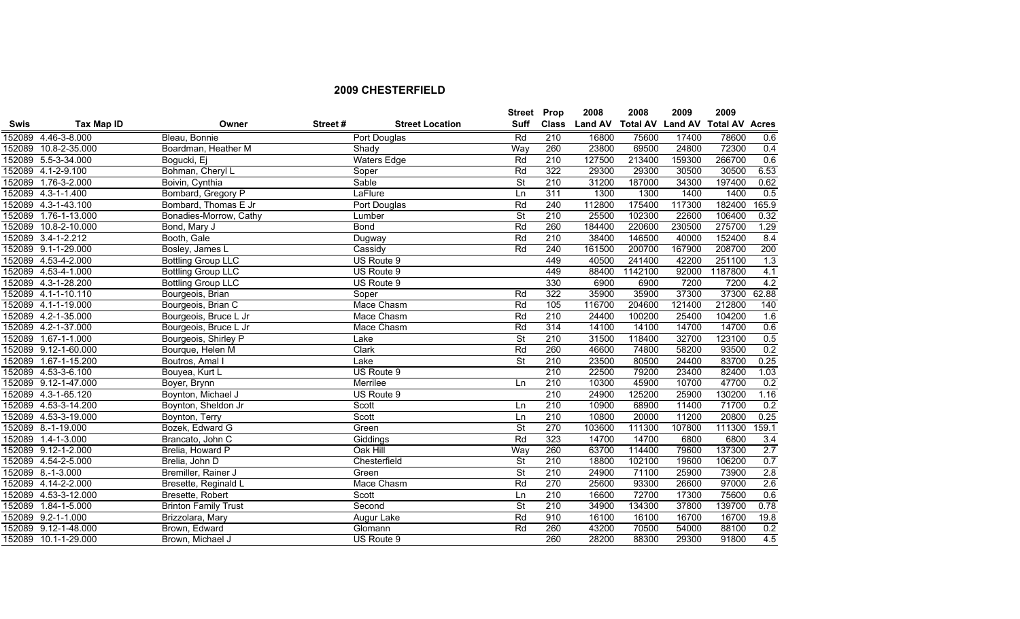|             |                      |                             |         |                        | <b>Street</b>            | Prop         | 2008           | 2008    | 2009                            | 2009    |       |
|-------------|----------------------|-----------------------------|---------|------------------------|--------------------------|--------------|----------------|---------|---------------------------------|---------|-------|
| <b>Swis</b> | <b>Tax Map ID</b>    | Owner                       | Street# | <b>Street Location</b> | <b>Suff</b>              | <b>Class</b> | <b>Land AV</b> |         | Total AV Land AV Total AV Acres |         |       |
|             | 152089 4.46-3-8.000  | Bleau, Bonnie               |         | Port Douglas           | Rd                       | 210          | 16800          | 75600   | 17400                           | 78600   | 0.6   |
|             | 152089 10.8-2-35.000 | Boardman, Heather M         |         | Shady                  | Way                      | 260          | 23800          | 69500   | 24800                           | 72300   | 0.4   |
|             | 152089 5.5-3-34.000  | Bogucki, Ej                 |         | <b>Waters Edge</b>     | Rd                       | 210          | 127500         | 213400  | 159300                          | 266700  | 0.6   |
|             | 152089 4.1-2-9.100   | Bohman, Cheryl L            |         | Soper                  | Rd                       | 322          | 29300          | 29300   | 30500                           | 30500   | 6.53  |
|             | 152089 1.76-3-2.000  | Boivin, Cynthia             |         | Sable                  | $\overline{\mathsf{St}}$ | 210          | 31200          | 187000  | 34300                           | 197400  | 0.62  |
|             | 152089 4.3-1-1.400   | Bombard, Gregory P          |         | LaFlure                | Ln                       | 311          | 1300           | 1300    | 1400                            | 1400    | 0.5   |
|             | 152089 4.3-1-43.100  | Bombard, Thomas E Jr        |         | Port Douglas           | Rd                       | 240          | 112800         | 175400  | 117300                          | 182400  | 165.9 |
|             | 152089 1.76-1-13.000 | Bonadies-Morrow, Cathy      |         | Lumber                 | <b>St</b>                | 210          | 25500          | 102300  | 22600                           | 106400  | 0.32  |
|             | 152089 10.8-2-10.000 | Bond, Mary J                |         | <b>Bond</b>            | Rd                       | 260          | 184400         | 220600  | 230500                          | 275700  | 1.29  |
|             | 152089 3.4-1-2.212   | Booth, Gale                 |         | Dugway                 | Rd                       | 210          | 38400          | 146500  | 40000                           | 152400  | 8.4   |
|             | 152089 9.1-1-29.000  | Bosley, James L             |         | Cassidy                | Rd                       | 240          | 161500         | 200700  | 167900                          | 208700  | 200   |
|             | 152089 4.53-4-2.000  | <b>Bottling Group LLC</b>   |         | US Route 9             |                          | 449          | 40500          | 241400  | 42200                           | 251100  | 1.3   |
|             | 152089 4.53-4-1.000  | <b>Bottling Group LLC</b>   |         | US Route 9             |                          | 449          | 88400          | 1142100 | 92000                           | 1187800 | 4.1   |
|             | 152089 4.3-1-28.200  | <b>Bottling Group LLC</b>   |         | US Route 9             |                          | 330          | 6900           | 6900    | 7200                            | 7200    | 4.2   |
|             | 152089 4.1-1-10.110  | Bourgeois, Brian            |         | Soper                  | Rd                       | 322          | 35900          | 35900   | 37300                           | 37300   | 62.88 |
|             | 152089 4.1-1-19.000  | Bourgeois, Brian C          |         | Mace Chasm             | Rd                       | 105          | 116700         | 204600  | 121400                          | 212800  | 140   |
|             | 152089 4.2-1-35.000  | Bourgeois, Bruce L Jr       |         | Mace Chasm             | Rd                       | 210          | 24400          | 100200  | 25400                           | 104200  | 1.6   |
|             | 152089 4.2-1-37.000  | Bourgeois, Bruce L Jr       |         | Mace Chasm             | Rd                       | 314          | 14100          | 14100   | 14700                           | 14700   | 0.6   |
|             | 152089 1.67-1-1.000  | Bourgeois, Shirley P        |         | Lake                   | St                       | 210          | 31500          | 118400  | 32700                           | 123100  | 0.5   |
|             | 152089 9.12-1-60.000 | Bourque, Helen M            |         | Clark                  | Rd                       | 260          | 46600          | 74800   | 58200                           | 93500   | 0.2   |
|             | 152089 1.67-1-15.200 | Boutros, Amal I             |         | Lake                   | <b>St</b>                | 210          | 23500          | 80500   | 24400                           | 83700   | 0.25  |
|             | 152089 4.53-3-6.100  | Bouyea, Kurt L              |         | US Route 9             |                          | 210          | 22500          | 79200   | 23400                           | 82400   | 1.03  |
|             | 152089 9.12-1-47.000 | Boyer, Brynn                |         | Merrilee               | Ln                       | 210          | 10300          | 45900   | 10700                           | 47700   | 0.2   |
|             | 152089 4.3-1-65.120  | Boynton, Michael J          |         | US Route 9             |                          | 210          | 24900          | 125200  | 25900                           | 130200  | 1.16  |
|             | 152089 4.53-3-14.200 | Boynton, Sheldon Jr         |         | Scott                  | Ln                       | 210          | 10900          | 68900   | 11400                           | 71700   | 0.2   |
|             | 152089 4.53-3-19.000 | Boynton, Terry              |         | Scott                  | Ln                       | 210          | 10800          | 20000   | 11200                           | 20800   | 0.25  |
|             | 152089 8.-1-19.000   | Bozek, Edward G             |         | Green                  | $\overline{\mathsf{St}}$ | 270          | 103600         | 111300  | 107800                          | 111300  | 159.1 |
|             | 152089 1.4-1-3.000   | Brancato, John C            |         | Giddings               | Rd                       | 323          | 14700          | 14700   | 6800                            | 6800    | 3.4   |
|             | 152089 9.12-1-2.000  | Brelia, Howard P            |         | Oak Hill               | Way                      | 260          | 63700          | 114400  | 79600                           | 137300  | 2.7   |
|             | 152089 4.54-2-5.000  | Brelia, John D              |         | Chesterfield           | <b>St</b>                | 210          | 18800          | 102100  | 19600                           | 106200  | 0.7   |
|             | 152089 8.-1-3.000    | Bremiller, Rainer J         |         | Green                  | $\overline{\mathsf{St}}$ | 210          | 24900          | 71100   | 25900                           | 73900   | 2.8   |
|             | 152089 4.14-2-2.000  | Bresette, Reginald L        |         | Mace Chasm             | Rd                       | 270          | 25600          | 93300   | 26600                           | 97000   | 2.6   |
|             | 152089 4.53-3-12.000 | Bresette, Robert            |         | Scott                  | Ln                       | 210          | 16600          | 72700   | 17300                           | 75600   | 0.6   |
|             | 152089 1.84-1-5.000  | <b>Brinton Family Trust</b> |         | Second                 | St                       | 210          | 34900          | 134300  | 37800                           | 139700  | 0.78  |
|             | 152089 9.2-1-1.000   | Brizzolara, Mary            |         | Augur Lake             | Rd                       | 910          | 16100          | 16100   | 16700                           | 16700   | 19.8  |
|             | 152089 9.12-1-48.000 | Brown, Edward               |         | Glomann                | Rd                       | 260          | 43200          | 70500   | 54000                           | 88100   | 0.2   |
|             | 152089 10.1-1-29.000 | Brown, Michael J            |         | US Route 9             |                          | 260          | 28200          | 88300   | 29300                           | 91800   | 4.5   |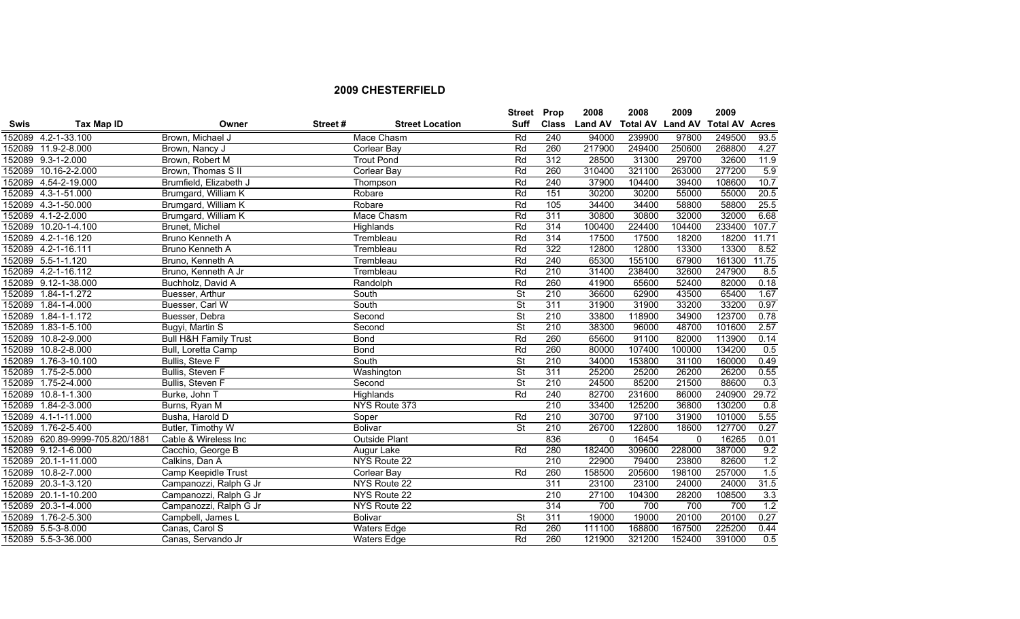|             |                                 |                                  |         |                        | Street Prop              |              | 2008           | 2008                    | 2009         | 2009                  |       |
|-------------|---------------------------------|----------------------------------|---------|------------------------|--------------------------|--------------|----------------|-------------------------|--------------|-----------------------|-------|
| <b>Swis</b> | Tax Map ID                      | Owner                            | Street# | <b>Street Location</b> | Suff                     | <b>Class</b> | <b>Land AV</b> | <b>Total AV Land AV</b> |              | <b>Total AV Acres</b> |       |
|             | 152089 4.2-1-33.100             | Brown, Michael J                 |         | Mace Chasm             | Rd                       | 240          | 94000          | 239900                  | 97800        | 249500                | 93.5  |
|             | 152089 11.9-2-8.000             | Brown, Nancy J                   |         | Corlear Bay            | Rd                       | 260          | 217900         | 249400                  | 250600       | 268800                | 4.27  |
|             | 152089 9.3-1-2.000              | Brown, Robert M                  |         | <b>Trout Pond</b>      | Rd                       | 312          | 28500          | 31300                   | 29700        | 32600                 | 11.9  |
|             | 152089 10.16-2-2.000            | Brown, Thomas S II               |         | Corlear Bay            | Rd                       | 260          | 310400         | 321100                  | 263000       | 277200                | 5.9   |
|             | 152089 4.54-2-19.000            | Brumfield, Elizabeth J           |         | Thompson               | Rd                       | 240          | 37900          | 104400                  | 39400        | 108600                | 10.7  |
|             | 152089 4.3-1-51.000             | Brumgard, William K              |         | Robare                 | Rd                       | 151          | 30200          | 30200                   | 55000        | 55000                 | 20.5  |
|             | 152089 4.3-1-50.000             | Brumgard, William K              |         | Robare                 | Rd                       | 105          | 34400          | 34400                   | 58800        | 58800                 | 25.5  |
|             | 152089 4.1-2-2.000              | Brumgard, William K              |         | Mace Chasm             | Rd                       | 311          | 30800          | 30800                   | 32000        | 32000                 | 6.68  |
|             | 152089 10.20-1-4.100            | Brunet, Michel                   |         | Highlands              | Rd                       | 314          | 100400         | 224400                  | 104400       | 233400                | 107.7 |
|             | 152089 4.2-1-16.120             | <b>Bruno Kenneth A</b>           |         | Trembleau              | Rd                       | 314          | 17500          | 17500                   | 18200        | 18200                 | 11.71 |
|             | 152089 4.2-1-16.111             | <b>Bruno Kenneth A</b>           |         | Trembleau              | Rd                       | 322          | 12800          | 12800                   | 13300        | 13300                 | 8.52  |
|             | 152089 5.5-1-1.120              | Bruno, Kenneth A                 |         | Trembleau              | Rd                       | 240          | 65300          | 155100                  | 67900        | 161300                | 11.75 |
|             | 152089 4.2-1-16.112             | Bruno, Kenneth A Jr              |         | Trembleau              | Rd                       | 210          | 31400          | 238400                  | 32600        | 247900                | 8.5   |
|             | 152089 9.12-1-38.000            | Buchholz, David A                |         | Randolph               | Rd                       | 260          | 41900          | 65600                   | 52400        | 82000                 | 0.18  |
|             | 152089 1.84-1-1.272             | Buesser, Arthur                  |         | South                  | St                       | 210          | 36600          | 62900                   | 43500        | 65400                 | 1.67  |
|             | 152089 1.84-1-4.000             | Buesser, Carl W                  |         | South                  | $\overline{\mathsf{St}}$ | 311          | 31900          | 31900                   | 33200        | 33200                 | 0.97  |
|             | 152089 1.84-1-1.172             | Buesser, Debra                   |         | Second                 | $\overline{\mathsf{St}}$ | 210          | 33800          | 118900                  | 34900        | 123700                | 0.78  |
|             | 152089 1.83-1-5.100             | Bugyi, Martin S                  |         | Second                 | $\overline{\mathsf{St}}$ | 210          | 38300          | 96000                   | 48700        | 101600                | 2.57  |
|             | 152089 10.8-2-9.000             | <b>Bull H&amp;H Family Trust</b> |         | <b>Bond</b>            | Rd                       | 260          | 65600          | 91100                   | 82000        | 113900                | 0.14  |
| 152089      | 10.8-2-8.000                    | Bull, Loretta Camp               |         | <b>Bond</b>            | Rd                       | 260          | 80000          | 107400                  | 100000       | 134200                | 0.5   |
|             | 152089 1.76-3-10.100            | Bullis, Steve F                  |         | South                  | $\overline{\mathsf{St}}$ | 210          | 34000          | 153800                  | 31100        | 160000                | 0.49  |
|             | 152089 1.75-2-5.000             | <b>Bullis, Steven F</b>          |         | Washington             | $\overline{\mathsf{St}}$ | 311          | 25200          | 25200                   | 26200        | 26200                 | 0.55  |
| 152089      | 1.75-2-4.000                    | Bullis, Steven F                 |         | Second                 | $\overline{\mathsf{St}}$ | 210          | 24500          | 85200                   | 21500        | 88600                 | 0.3   |
|             | 152089 10.8-1-1.300             | Burke, John T                    |         | Highlands              | Rd                       | 240          | 82700          | 231600                  | 86000        | 240900                | 29.72 |
|             | 152089 1.84-2-3.000             | Burns, Ryan M                    |         | NYS Route 373          |                          | 210          | 33400          | 125200                  | 36800        | 130200                | 0.8   |
|             | 152089 4.1-1-11.000             | Busha, Harold D                  |         | Soper                  | Rd                       | 210          | 30700          | 97100                   | 31900        | 101000                | 5.55  |
|             | 152089 1.76-2-5.400             | Butler, Timothy W                |         | <b>Bolivar</b>         | <b>St</b>                | 210          | 26700          | 122800                  | 18600        | 127700                | 0.27  |
|             | 152089 620.89-9999-705.820/1881 | Cable & Wireless Inc             |         | <b>Outside Plant</b>   |                          | 836          | $\Omega$       | 16454                   | $\mathbf{0}$ | 16265                 | 0.01  |
|             | 152089 9.12-1-6.000             | Cacchio, George B                |         | Augur Lake             | Rd                       | 280          | 182400         | 309600                  | 228000       | 387000                | 9.2   |
|             | 152089 20.1-1-11.000            | Calkins, Dan A                   |         | NYS Route 22           |                          | 210          | 22900          | 79400                   | 23800        | 82600                 | 1.2   |
|             | 152089 10.8-2-7.000             | Camp Keepidle Trust              |         | Corlear Bay            | Rd                       | 260          | 158500         | 205600                  | 198100       | 257000                | 1.5   |
| 152089      | 20.3-1-3.120                    | Campanozzi, Ralph G Jr           |         | NYS Route 22           |                          | 311          | 23100          | 23100                   | 24000        | 24000                 | 31.5  |
| 152089      | 20.1-1-10.200                   | Campanozzi, Ralph G Jr           |         | NYS Route 22           |                          | 210          | 27100          | 104300                  | 28200        | 108500                | 3.3   |
|             | 152089 20.3-1-4.000             | Campanozzi, Ralph G Jr           |         | NYS Route 22           |                          | 314          | 700            | 700                     | 700          | 700                   | 1.2   |
|             | 152089 1.76-2-5.300             | Campbell, James L                |         | <b>Bolivar</b>         | $\overline{\mathsf{St}}$ | 311          | 19000          | 19000                   | 20100        | 20100                 | 0.27  |
|             | 152089 5.5-3-8.000              | Canas, Carol S                   |         | <b>Waters Edge</b>     | Rd                       | 260          | 111100         | 168800                  | 167500       | 225200                | 0.44  |
|             | 152089 5.5-3-36.000             | Canas, Servando Jr               |         | <b>Waters Edge</b>     | Rd                       | 260          | 121900         | 321200                  | 152400       | 391000                | 0.5   |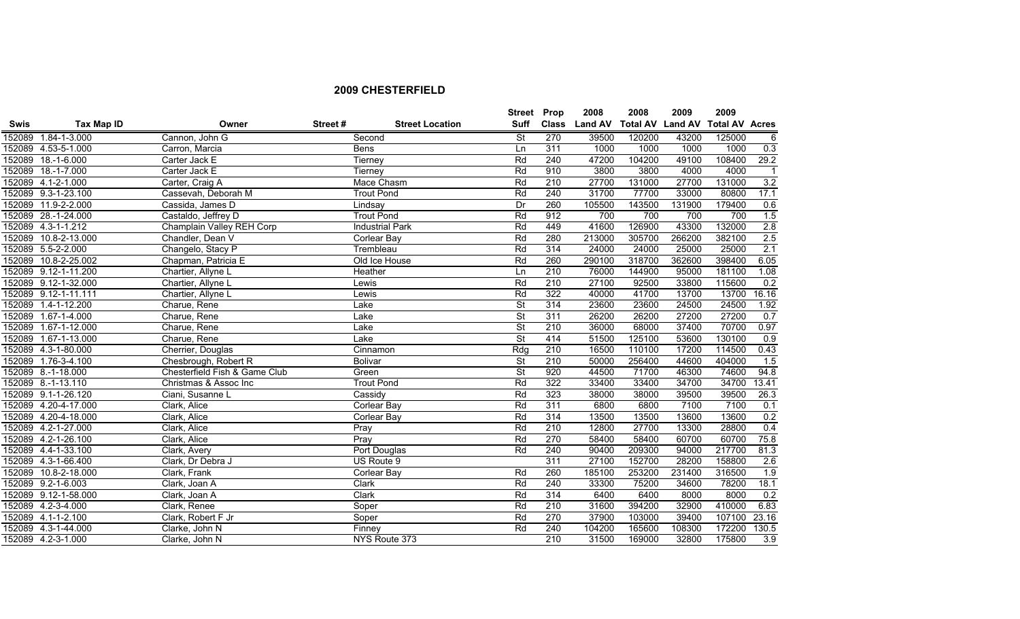|             |                      |                               |         |                        | Street Prop              |              | 2008           | 2008                    | 2009   | 2009                  |                  |
|-------------|----------------------|-------------------------------|---------|------------------------|--------------------------|--------------|----------------|-------------------------|--------|-----------------------|------------------|
| <b>Swis</b> | Tax Map ID           | Owner                         | Street# | <b>Street Location</b> | Suff                     | <b>Class</b> | <b>Land AV</b> | <b>Total AV Land AV</b> |        | <b>Total AV Acres</b> |                  |
|             | 152089 1.84-1-3.000  | Cannon, John G                |         | Second                 | <b>St</b>                | 270          | 39500          | 120200                  | 43200  | 125000                | 6                |
|             | 152089 4.53-5-1.000  | Carron, Marcia                |         | <b>Bens</b>            | Ln                       | 311          | 1000           | 1000                    | 1000   | 1000                  | $\overline{0.3}$ |
|             | 152089 18.-1-6.000   | Carter Jack E                 |         | Tierney                | Rd                       | 240          | 47200          | 104200                  | 49100  | 108400                | 29.2             |
|             | 152089 18.-1-7.000   | Carter Jack E                 |         | Tierney                | Rd                       | 910          | 3800           | 3800                    | 4000   | 4000                  | $\overline{1}$   |
|             | 152089 4.1-2-1.000   | Carter, Craig A               |         | Mace Chasm             | Rd                       | 210          | 27700          | 131000                  | 27700  | 131000                | 3.2              |
|             | 152089 9.3-1-23.100  | Cassevah, Deborah M           |         | <b>Trout Pond</b>      | Rd                       | 240          | 31700          | 77700                   | 33000  | 80800                 | 17.1             |
|             | 152089 11.9-2-2.000  | Cassida, James D              |         | Lindsay                | Dr                       | 260          | 105500         | 143500                  | 131900 | 179400                | 0.6              |
|             | 152089 28.-1-24.000  | Castaldo, Jeffrey D           |         | <b>Trout Pond</b>      | Rd                       | 912          | 700            | 700                     | 700    | 700                   | 1.5              |
|             | 152089 4.3-1-1.212   | Champlain Valley REH Corp     |         | <b>Industrial Park</b> | Rd                       | 449          | 41600          | 126900                  | 43300  | 132000                | 2.8              |
| 152089      | 10.8-2-13.000        | Chandler, Dean V              |         | Corlear Bay            | Rd                       | 280          | 213000         | 305700                  | 266200 | 382100                | 2.5              |
|             | 152089 5.5-2-2.000   | Changelo, Stacy P             |         | Trembleau              | Rd                       | 314          | 24000          | 24000                   | 25000  | 25000                 | 2.1              |
|             | 152089 10.8-2-25.002 | Chapman, Patricia E           |         | Old Ice House          | Rd                       | 260          | 290100         | 318700                  | 362600 | 398400                | 6.05             |
|             | 152089 9.12-1-11.200 | Chartier, Allyne L            |         | <b>Heather</b>         | Ln                       | 210          | 76000          | 144900                  | 95000  | 181100                | 1.08             |
|             | 152089 9.12-1-32.000 | Chartier, Allyne L            |         | Lewis                  | Rd                       | 210          | 27100          | 92500                   | 33800  | 115600                | 0.2              |
|             | 152089 9.12-1-11.111 | Chartier, Allyne L            |         | Lewis                  | Rd                       | 322          | 40000          | 41700                   | 13700  | 13700                 | 16.16            |
|             | 152089 1.4-1-12.200  | Charue, Rene                  |         | Lake                   | $\overline{\mathsf{St}}$ | 314          | 23600          | 23600                   | 24500  | 24500                 | 1.92             |
|             | 152089 1.67-1-4.000  | Charue, Rene                  |         | Lake                   | $\overline{\mathsf{St}}$ | 311          | 26200          | 26200                   | 27200  | 27200                 | 0.7              |
|             | 152089 1.67-1-12.000 | Charue, Rene                  |         | Lake                   | $\overline{\mathsf{St}}$ | 210          | 36000          | 68000                   | 37400  | 70700                 | 0.97             |
|             | 152089 1.67-1-13.000 | Charue, Rene                  |         | Lake                   | $\overline{\mathsf{St}}$ | 414          | 51500          | 125100                  | 53600  | 130100                | 0.9              |
|             | 152089 4.3-1-80.000  | Cherrier, Douglas             |         | Cinnamon               | Rdq                      | 210          | 16500          | 110100                  | 17200  | 114500                | 0.43             |
|             | 152089 1.76-3-4.100  | Chesbrough, Robert R          |         | Bolivar                | $\overline{\mathsf{St}}$ | 210          | 50000          | 256400                  | 44600  | 404000                | 1.5              |
|             | 152089 8.-1-18.000   | Chesterfield Fish & Game Club |         | Green                  | $\overline{\mathsf{St}}$ | 920          | 44500          | 71700                   | 46300  | 74600                 | 94.8             |
|             | 152089 8.-1-13.110   | Christmas & Assoc Inc         |         | <b>Trout Pond</b>      | Rd                       | 322          | 33400          | 33400                   | 34700  | 34700                 | 13.41            |
|             | 152089 9.1-1-26.120  | Ciani, Susanne L              |         | Cassidy                | Rd                       | 323          | 38000          | 38000                   | 39500  | 39500                 | 26.3             |
|             | 152089 4.20-4-17.000 | Clark, Alice                  |         | Corlear Bay            | Rd                       | 311          | 6800           | 6800                    | 7100   | 7100                  | 0.1              |
|             | 152089 4.20-4-18.000 | Clark, Alice                  |         | Corlear Bay            | Rd                       | 314          | 13500          | 13500                   | 13600  | 13600                 | 0.2              |
|             | 152089 4.2-1-27.000  | Clark, Alice                  |         | Pray                   | Rd                       | 210          | 12800          | 27700                   | 13300  | 28800                 | 0.4              |
|             | 152089 4.2-1-26.100  | Clark, Alice                  |         | Pray                   | Rd                       | 270          | 58400          | 58400                   | 60700  | 60700                 | 75.8             |
|             | 152089 4.4-1-33.100  | Clark, Avery                  |         | Port Douglas           | Rd                       | 240          | 90400          | 209300                  | 94000  | 217700                | 81.3             |
|             | 152089 4.3-1-66.400  | Clark, Dr Debra J             |         | US Route 9             |                          | 311          | 27100          | 152700                  | 28200  | 158800                | 2.6              |
|             | 152089 10.8-2-18.000 | Clark, Frank                  |         | Corlear Bay            | Rd                       | 260          | 185100         | 253200                  | 231400 | 316500                | 1.9              |
|             | 152089 9.2-1-6.003   | Clark, Joan A                 |         | Clark                  | Rd                       | 240          | 33300          | 75200                   | 34600  | 78200                 | 18.1             |
|             | 152089 9.12-1-58.000 | Clark, Joan A                 |         | Clark                  | Rd                       | 314          | 6400           | 6400                    | 8000   | 8000                  | 0.2              |
|             | 152089 4.2-3-4.000   | Clark, Renee                  |         | Soper                  | Rd                       | 210          | 31600          | 394200                  | 32900  | 410000                | 6.83             |
|             | 152089 4.1-1-2.100   | Clark, Robert F Jr            |         | Soper                  | Rd                       | 270          | 37900          | 103000                  | 39400  | 107100                | 23.16            |
|             | 152089 4.3-1-44.000  | Clarke, John N                |         | Finney                 | Rd                       | 240          | 104200         | 165600                  | 108300 | 172200                | 130.5            |
|             | 152089 4.2-3-1.000   | Clarke, John N                |         | NYS Route 373          |                          | 210          | 31500          | 169000                  | 32800  | 175800                | 3.9              |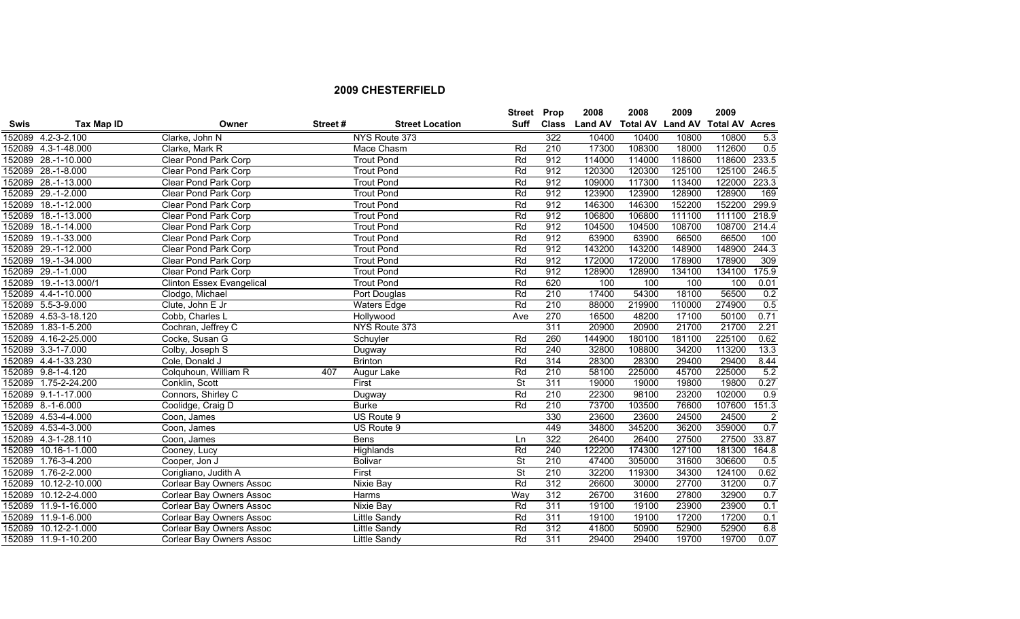|             |                       |                                  |         |                        | <b>Street Prop</b>       |              | 2008           | 2008                    | 2009   | 2009                  |                |
|-------------|-----------------------|----------------------------------|---------|------------------------|--------------------------|--------------|----------------|-------------------------|--------|-----------------------|----------------|
| <b>Swis</b> | Tax Map ID            | Owner                            | Street# | <b>Street Location</b> | Suff                     | <b>Class</b> | <b>Land AV</b> | <b>Total AV Land AV</b> |        | <b>Total AV Acres</b> |                |
|             | 152089 4.2-3-2.100    | Clarke, John N                   |         | NYS Route 373          |                          | 322          | 10400          | 10400                   | 10800  | 10800                 | 5.3            |
|             | 152089 4.3-1-48.000   | Clarke, Mark R                   |         | Mace Chasm             | Rd                       | 210          | 17300          | 108300                  | 18000  | 112600                | 0.5            |
|             | 152089 28.-1-10.000   | Clear Pond Park Corp             |         | <b>Trout Pond</b>      | Rd                       | 912          | 114000         | 114000                  | 118600 | 118600                | 233.5          |
|             | 152089 28.-1-8.000    | Clear Pond Park Corp             |         | <b>Trout Pond</b>      | Rd                       | 912          | 120300         | 120300                  | 125100 | 125100                | 246.5          |
|             | 152089 28.-1-13.000   | Clear Pond Park Corp             |         | <b>Trout Pond</b>      | Rd                       | 912          | 109000         | 117300                  | 113400 | 122000 223.3          |                |
|             | 152089 29.-1-2.000    | Clear Pond Park Corp             |         | <b>Trout Pond</b>      | Rd                       | 912          | 123900         | 123900                  | 128900 | 128900                | 169            |
|             | 152089 18.-1-12.000   | Clear Pond Park Corp             |         | <b>Trout Pond</b>      | Rd                       | 912          | 146300         | 146300                  | 152200 | 152200                | 299.9          |
|             | 152089 18.-1-13.000   | Clear Pond Park Corp             |         | <b>Trout Pond</b>      | Rd                       | 912          | 106800         | 106800                  | 111100 | 111100                | 218.9          |
|             | 152089 18.-1-14.000   | Clear Pond Park Corp             |         | <b>Trout Pond</b>      | Rd                       | 912          | 104500         | 104500                  | 108700 | 108700                | 214.4          |
|             | 152089 19.-1-33.000   | <b>Clear Pond Park Corp</b>      |         | <b>Trout Pond</b>      | Rd                       | 912          | 63900          | 63900                   | 66500  | 66500                 | 100            |
|             | 152089 29.-1-12.000   | <b>Clear Pond Park Corp</b>      |         | <b>Trout Pond</b>      | Rd                       | 912          | 143200         | 143200                  | 148900 | 148900                | 244.3          |
| 152089      | 19.-1-34.000          | <b>Clear Pond Park Corp</b>      |         | <b>Trout Pond</b>      | Rd                       | 912          | 172000         | 172000                  | 178900 | 178900                | 309            |
|             | 152089 29.-1-1.000    | Clear Pond Park Corp             |         | <b>Trout Pond</b>      | Rd                       | 912          | 128900         | 128900                  | 134100 | 134100                | 175.9          |
|             | 152089 19.-1-13.000/1 | <b>Clinton Essex Evangelical</b> |         | <b>Trout Pond</b>      | Rd                       | 620          | 100            | 100                     | 100    | 100                   | 0.01           |
|             | 152089 4.4-1-10.000   | Clodgo, Michael                  |         | Port Douglas           | Rd                       | 210          | 17400          | 54300                   | 18100  | 56500                 | 0.2            |
|             | 152089 5.5-3-9.000    | Clute, John E Jr                 |         | <b>Waters Edge</b>     | Rd                       | 210          | 88000          | 219900                  | 110000 | 274900                | 0.5            |
|             | 152089 4.53-3-18.120  | Cobb, Charles L                  |         | <b>Hollywood</b>       | Ave                      | 270          | 16500          | 48200                   | 17100  | 50100                 | 0.71           |
|             | 152089 1.83-1-5.200   | Cochran, Jeffrey C               |         | NYS Route 373          |                          | 311          | 20900          | 20900                   | 21700  | 21700                 | 2.21           |
|             | 152089 4.16-2-25.000  | Cocke, Susan G                   |         | Schuyler               | Rd                       | 260          | 144900         | 180100                  | 181100 | 225100                | 0.62           |
|             | 152089 3.3-1-7.000    | Colby, Joseph S                  |         | Dugway                 | Rd                       | 240          | 32800          | 108800                  | 34200  | 113200                | 13.3           |
|             | 152089 4.4-1-33.230   | Cole, Donald J                   |         | <b>Brinton</b>         | Rd                       | 314          | 28300          | 28300                   | 29400  | 29400                 | 8.44           |
|             | 152089 9.8-1-4.120    | Colquhoun, William R             | 407     | Augur Lake             | Rd                       | 210          | 58100          | 225000                  | 45700  | 225000                | 5.2            |
|             | 152089 1.75-2-24.200  | Conklin, Scott                   |         | First                  | $\overline{\mathsf{St}}$ | 311          | 19000          | 19000                   | 19800  | 19800                 | 0.27           |
|             | 152089 9.1-1-17.000   | Connors, Shirley C               |         | Dugway                 | Rd                       | 210          | 22300          | 98100                   | 23200  | 102000                | 0.9            |
|             | 152089 8.-1-6.000     | Coolidge, Craig D                |         | <b>Burke</b>           | Rd                       | 210          | 73700          | 103500                  | 76600  | 107600                | 151.3          |
|             | 152089 4.53-4-4.000   | Coon, James                      |         | US Route 9             |                          | 330          | 23600          | 23600                   | 24500  | 24500                 | $\overline{2}$ |
|             | 152089 4.53-4-3.000   | Coon, James                      |         | US Route 9             |                          | 449          | 34800          | 345200                  | 36200  | 359000                | 0.7            |
|             | 152089 4.3-1-28.110   | Coon, James                      |         | <b>Bens</b>            | Ln                       | 322          | 26400          | 26400                   | 27500  | 27500                 | 33.87          |
|             | 152089 10.16-1-1.000  | Cooney, Lucy                     |         | Highlands              | Rd                       | 240          | 122200         | 174300                  | 127100 | 181300                | 164.8          |
|             | 152089 1.76-3-4.200   | Cooper, Jon J                    |         | <b>Bolivar</b>         | $\overline{\mathsf{St}}$ | 210          | 47400          | 305000                  | 31600  | 306600                | 0.5            |
| 152089      | 1.76-2-2.000          | Corigliano, Judith A             |         | First                  | $\overline{\mathsf{St}}$ | 210          | 32200          | 119300                  | 34300  | 124100                | 0.62           |
| 152089      | 10.12-2-10.000        | Corlear Bay Owners Assoc         |         | Nixie Bay              | Rd                       | 312          | 26600          | 30000                   | 27700  | 31200                 | 0.7            |
| 152089      | 10.12-2-4.000         | Corlear Bay Owners Assoc         |         | Harms                  | Way                      | 312          | 26700          | 31600                   | 27800  | 32900                 | 0.7            |
|             | 152089 11.9-1-16.000  | <b>Corlear Bay Owners Assoc</b>  |         | <b>Nixie Bay</b>       | Rd                       | 311          | 19100          | 19100                   | 23900  | 23900                 | 0.1            |
|             | 152089 11.9-1-6.000   | Corlear Bay Owners Assoc         |         | <b>Little Sandy</b>    | Rd                       | 311          | 19100          | 19100                   | 17200  | 17200                 | 0.1            |
|             | 152089 10.12-2-1.000  | Corlear Bay Owners Assoc         |         | Little Sandy           | Rd                       | 312          | 41800          | 50900                   | 52900  | 52900                 | 6.8            |
|             | 152089 11.9-1-10.200  | <b>Corlear Bay Owners Assoc</b>  |         | <b>Little Sandy</b>    | Rd                       | 311          | 29400          | 29400                   | 19700  | 19700                 | 0.07           |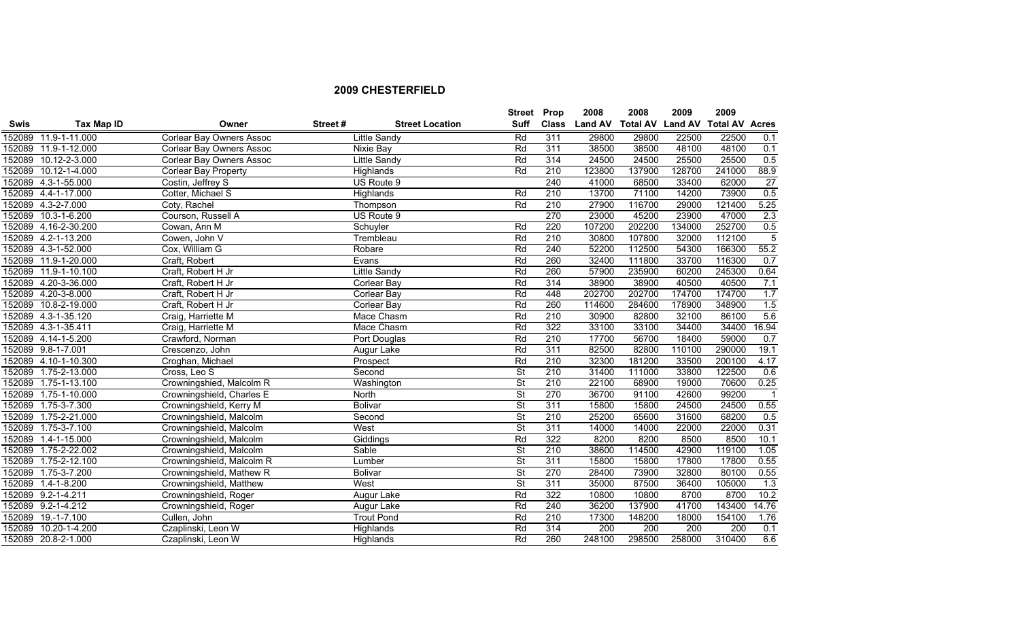|             |                      |                           |         |                        | <b>Street</b>            | Prop             | 2008           | 2008                    | 2009   | 2009                  |                 |
|-------------|----------------------|---------------------------|---------|------------------------|--------------------------|------------------|----------------|-------------------------|--------|-----------------------|-----------------|
| <b>Swis</b> | Tax Map ID           | Owner                     | Street# | <b>Street Location</b> | <b>Suff</b>              | <b>Class</b>     | <b>Land AV</b> | <b>Total AV Land AV</b> |        | <b>Total AV Acres</b> |                 |
|             | 152089 11.9-1-11.000 | Corlear Bay Owners Assoc  |         | <b>Little Sandy</b>    | Rd                       | 311              | 29800          | 29800                   | 22500  | 22500                 | 0.1             |
|             | 152089 11.9-1-12.000 | Corlear Bay Owners Assoc  |         | Nixie Bay              | Rd                       | 311              | 38500          | 38500                   | 48100  | 48100                 | 0.1             |
|             | 152089 10.12-2-3.000 | Corlear Bay Owners Assoc  |         | Little Sandy           | Rd                       | 314              | 24500          | 24500                   | 25500  | 25500                 | 0.5             |
|             | 152089 10.12-1-4.000 | Corlear Bay Property      |         | Highlands              | Rd                       | 210              | 123800         | 137900                  | 128700 | 241000                | 88.9            |
|             | 152089 4.3-1-55.000  | Costin, Jeffrey S         |         | US Route 9             |                          | 240              | 41000          | 68500                   | 33400  | 62000                 | $\overline{27}$ |
|             | 152089 4.4-1-17.000  | Cotter, Michael S         |         | Highlands              | Rd                       | $\overline{210}$ | 13700          | 71100                   | 14200  | 73900                 | 0.5             |
|             | 152089 4.3-2-7.000   | Coty, Rachel              |         | Thompson               | Rd                       | 210              | 27900          | 116700                  | 29000  | 121400                | 5.25            |
|             | 152089 10.3-1-6.200  | Courson, Russell A        |         | US Route 9             |                          | 270              | 23000          | 45200                   | 23900  | 47000                 | 2.3             |
|             | 152089 4.16-2-30.200 | Cowan, Ann M              |         | Schuyler               | Rd                       | 220              | 107200         | 202200                  | 134000 | 252700                | 0.5             |
|             | 152089 4.2-1-13.200  | Cowen, John V             |         | Trembleau              | Rd                       | $\overline{210}$ | 30800          | 107800                  | 32000  | 112100                | $\overline{5}$  |
|             | 152089 4.3-1-52.000  | Cox, William G            |         | Robare                 | Rd                       | 240              | 52200          | 112500                  | 54300  | 166300                | 55.2            |
|             | 152089 11.9-1-20.000 | Craft, Robert             |         | Evans                  | Rd                       | 260              | 32400          | 111800                  | 33700  | 116300                | 0.7             |
|             | 152089 11.9-1-10.100 | Craft, Robert H Jr        |         | <b>Little Sandy</b>    | Rd                       | 260              | 57900          | 235900                  | 60200  | 245300                | 0.64            |
|             | 152089 4.20-3-36.000 | Craft, Robert H Jr        |         | Corlear Bay            | Rd                       | 314              | 38900          | 38900                   | 40500  | 40500                 | 7.1             |
|             | 152089 4.20-3-8.000  | Craft, Robert H Jr        |         | <b>Corlear Bay</b>     | Rd                       | 448              | 202700         | 202700                  | 174700 | 174700                | 1.7             |
|             | 152089 10.8-2-19.000 | Craft, Robert H Jr        |         | <b>Corlear Bay</b>     | Rd                       | 260              | 114600         | 284600                  | 178900 | 348900                | 1.5             |
|             | 152089 4.3-1-35.120  | Craig, Harriette M        |         | Mace Chasm             | Rd                       | 210              | 30900          | 82800                   | 32100  | 86100                 | 5.6             |
|             | 152089 4.3-1-35.411  | Craig, Harriette M        |         | Mace Chasm             | Rd                       | 322              | 33100          | 33100                   | 34400  | 34400                 | 16.94           |
|             | 152089 4.14-1-5.200  | Crawford, Norman          |         | Port Douglas           | Rd                       | 210              | 17700          | 56700                   | 18400  | 59000                 | 0.7             |
|             | 152089 9.8-1-7.001   | Crescenzo, John           |         | Augur Lake             | Rd                       | 311              | 82500          | 82800                   | 110100 | 290000                | 19.1            |
|             | 152089 4.10-1-10.300 | Croghan, Michael          |         | Prospect               | Rd                       | 210              | 32300          | 181200                  | 33500  | 200100                | 4.17            |
|             | 152089 1.75-2-13.000 | Cross, Leo S              |         | Second                 | St                       | 210              | 31400          | 111000                  | 33800  | 122500                | 0.6             |
|             | 152089 1.75-1-13.100 | Crowningshied, Malcolm R  |         | Washington             | $\overline{\mathsf{St}}$ | 210              | 22100          | 68900                   | 19000  | 70600                 | 0.25            |
|             | 152089 1.75-1-10.000 | Crowningshield, Charles E |         | North                  | $\overline{\mathsf{St}}$ | 270              | 36700          | 91100                   | 42600  | 99200                 | $\overline{1}$  |
|             | 152089 1.75-3-7.300  | Crowningshield, Kerry M   |         | <b>Bolivar</b>         | <b>St</b>                | 311              | 15800          | 15800                   | 24500  | 24500                 | 0.55            |
|             | 152089 1.75-2-21.000 | Crowningshield, Malcolm   |         | Second                 | <b>St</b>                | 210              | 25200          | 65600                   | 31600  | 68200                 | 0.5             |
|             | 152089 1.75-3-7.100  | Crowningshield, Malcolm   |         | West                   | $\overline{\mathsf{St}}$ | 311              | 14000          | 14000                   | 22000  | 22000                 | 0.31            |
|             | 152089 1.4-1-15.000  | Crowningshield, Malcolm   |         | Giddings               | Rd                       | 322              | 8200           | 8200                    | 8500   | 8500                  | 10.1            |
|             | 152089 1.75-2-22.002 | Crowningshield, Malcolm   |         | Sable                  | $\overline{\mathsf{St}}$ | 210              | 38600          | 114500                  | 42900  | 119100                | 1.05            |
|             | 152089 1.75-2-12.100 | Crowningshield, Malcolm R |         | Lumber                 | $\overline{\mathsf{St}}$ | 311              | 15800          | 15800                   | 17800  | 17800                 | 0.55            |
| 152089      | 1.75-3-7.200         | Crowningshield, Mathew R  |         | Bolivar                | St                       | 270              | 28400          | 73900                   | 32800  | 80100                 | 0.55            |
| 152089      | 1.4-1-8.200          | Crowningshield, Matthew   |         | West                   | $\overline{\mathsf{St}}$ | 311              | 35000          | 87500                   | 36400  | 105000                | 1.3             |
|             | 152089 9.2-1-4.211   | Crowningshield, Roger     |         | Augur Lake             | Rd                       | 322              | 10800          | 10800                   | 8700   | 8700                  | 10.2            |
|             | 152089 9.2-1-4.212   | Crowningshield, Roger     |         | Augur Lake             | Rd                       | 240              | 36200          | 137900                  | 41700  | 143400                | 14.76           |
|             | 152089 19.-1-7.100   | Cullen, John              |         | <b>Trout Pond</b>      | Rd                       | 210              | 17300          | 148200                  | 18000  | 154100                | 1.76            |
|             | 152089 10.20-1-4.200 | Czaplinski, Leon W        |         | Highlands              | Rd                       | 314              | 200            | 200                     | 200    | 200                   | 0.1             |
|             | 152089 20.8-2-1.000  | Czaplinski, Leon W        |         | Highlands              | Rd                       | 260              | 248100         | 298500                  | 258000 | 310400                | 6.6             |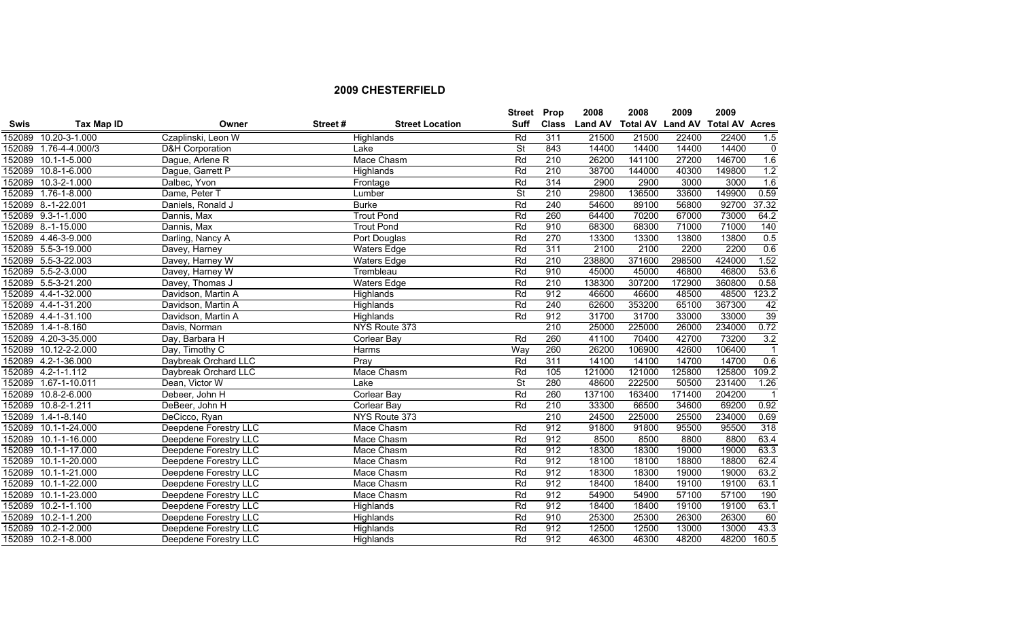|             |                       |                              |         |                        | <b>Street Prop</b>       |              | 2008           | 2008                    | 2009   | 2009                  |                |
|-------------|-----------------------|------------------------------|---------|------------------------|--------------------------|--------------|----------------|-------------------------|--------|-----------------------|----------------|
| <b>Swis</b> | Tax Map ID            | Owner                        | Street# | <b>Street Location</b> | Suff                     | <b>Class</b> | <b>Land AV</b> | <b>Total AV Land AV</b> |        | <b>Total AV Acres</b> |                |
|             | 152089 10.20-3-1.000  | Czaplinski, Leon W           |         | Highlands              | Rd                       | 311          | 21500          | 21500                   | 22400  | 22400                 | 1.5            |
|             | 152089 1.76-4-4.000/3 | D&H Corporation              |         | Lake                   | St                       | 843          | 14400          | 14400                   | 14400  | 14400                 | 0              |
|             | 152089 10.1-1-5.000   | Dague, Arlene R              |         | Mace Chasm             | Rd                       | 210          | 26200          | 141100                  | 27200  | 146700                | 1.6            |
|             | 152089 10.8-1-6.000   | Dague, Garrett P             |         | Highlands              | Rd                       | 210          | 38700          | 144000                  | 40300  | 149800                | 1.2            |
|             | 152089 10.3-2-1.000   | Dalbec, Yvon                 |         | Frontage               | Rd                       | 314          | 2900           | 2900                    | 3000   | 3000                  | 1.6            |
|             | 152089 1.76-1-8.000   | Dame, Peter T                |         | Lumber                 | <b>St</b>                | 210          | 29800          | 136500                  | 33600  | 149900                | 0.59           |
|             | 152089 8.-1-22.001    | Daniels, Ronald J            |         | <b>Burke</b>           | Rd                       | 240          | 54600          | 89100                   | 56800  | 92700                 | 37.32          |
|             | 152089 9.3-1-1.000    | Dannis, Max                  |         | <b>Trout Pond</b>      | Rd                       | 260          | 64400          | 70200                   | 67000  | 73000                 | 64.2           |
|             | 152089 8.-1-15.000    | Dannis, Max                  |         | <b>Trout Pond</b>      | Rd                       | 910          | 68300          | 68300                   | 71000  | 71000                 | 140            |
|             | 152089 4.46-3-9.000   | Darling, Nancy A             |         | Port Douglas           | Rd                       | 270          | 13300          | 13300                   | 13800  | 13800                 | 0.5            |
|             | 152089 5.5-3-19.000   | Davey, Harney                |         | <b>Waters Edge</b>     | Rd                       | 311          | 2100           | 2100                    | 2200   | 2200                  | 0.6            |
|             | 152089 5.5-3-22.003   | Davey, Harney W              |         | <b>Waters Edge</b>     | Rd                       | 210          | 238800         | 371600                  | 298500 | 424000                | 1.52           |
|             | 152089 5.5-2-3.000    | Davey, Harney W              |         | Trembleau              | Rd                       | 910          | 45000          | 45000                   | 46800  | 46800                 | 53.6           |
|             | 152089 5.5-3-21.200   | Davey, Thomas J              |         | <b>Waters Edge</b>     | Rd                       | 210          | 138300         | 307200                  | 172900 | 360800                | 0.58           |
|             | 152089 4.4-1-32.000   | Davidson, Martin A           |         | Highlands              | Rd                       | 912          | 46600          | 46600                   | 48500  | 48500                 | 123.2          |
|             | 152089 4.4-1-31.200   | Davidson, Martin A           |         | Highlands              | Rd                       | 240          | 62600          | 353200                  | 65100  | 367300                | 42             |
|             | 152089 4.4-1-31.100   | Davidson, Martin A           |         | Highlands              | Rd                       | 912          | 31700          | 31700                   | 33000  | 33000                 | 39             |
|             | 152089 1.4-1-8.160    | Davis, Norman                |         | NYS Route 373          |                          | 210          | 25000          | 225000                  | 26000  | 234000                | 0.72           |
|             | 152089 4.20-3-35.000  | Day, Barbara H               |         | Corlear Bay            | Rd                       | 260          | 41100          | 70400                   | 42700  | 73200                 | 3.2            |
|             | 152089 10.12-2-2.000  | Day, Timothy C               |         | Harms                  | Way                      | 260          | 26200          | 106900                  | 42600  | 106400                | $\overline{1}$ |
|             | 152089 4.2-1-36.000   | Daybreak Orchard LLC         |         | Pray                   | Rd                       | 311          | 14100          | 14100                   | 14700  | 14700                 | 0.6            |
|             | 152089 4.2-1-1.112    | Daybreak Orchard LLC         |         | Mace Chasm             | Rd                       | 105          | 121000         | 121000                  | 125800 | 125800                | 109.2          |
|             | 152089 1.67-1-10.011  | Dean, Victor W               |         | Lake                   | $\overline{\mathsf{St}}$ | 280          | 48600          | 222500                  | 50500  | 231400                | 1.26           |
|             | 152089 10.8-2-6.000   | Debeer, John H               |         | Corlear Bay            | Rd                       | 260          | 137100         | 163400                  | 171400 | 204200                | $\overline{1}$ |
|             | 152089 10.8-2-1.211   | DeBeer, John H               |         | Corlear Bay            | Rd                       | 210          | 33300          | 66500                   | 34600  | 69200                 | 0.92           |
|             | 152089 1.4-1-8.140    | DeCicco, Ryan                |         | NYS Route 373          |                          | 210          | 24500          | 225000                  | 25500  | 234000                | 0.69           |
|             | 152089 10.1-1-24.000  | Deepdene Forestry LLC        |         | Mace Chasm             | Rd                       | 912          | 91800          | 91800                   | 95500  | 95500                 | 318            |
|             | 152089 10.1-1-16.000  | Deepdene Forestry LLC        |         | Mace Chasm             | Rd                       | 912          | 8500           | 8500                    | 8800   | 8800                  | 63.4           |
|             | 152089 10.1-1-17.000  | <b>Deepdene Forestry LLC</b> |         | Mace Chasm             | Rd                       | 912          | 18300          | 18300                   | 19000  | 19000                 | 63.3           |
|             | 152089 10.1-1-20.000  | <b>Deepdene Forestry LLC</b> |         | Mace Chasm             | Rd                       | 912          | 18100          | 18100                   | 18800  | 18800                 | 62.4           |
|             | 152089 10.1-1-21.000  | Deepdene Forestry LLC        |         | Mace Chasm             | Rd                       | 912          | 18300          | 18300                   | 19000  | 19000                 | 63.2           |
| 152089      | 10.1-1-22.000         | Deepdene Forestry LLC        |         | Mace Chasm             | Rd                       | 912          | 18400          | 18400                   | 19100  | 19100                 | 63.1           |
| 152089      | 10.1-1-23.000         | Deepdene Forestry LLC        |         | Mace Chasm             | Rd                       | 912          | 54900          | 54900                   | 57100  | 57100                 | 190            |
|             | 152089 10.2-1-1.100   | <b>Deepdene Forestry LLC</b> |         | Highlands              | Rd                       | 912          | 18400          | 18400                   | 19100  | 19100                 | 63.1           |
|             | 152089 10.2-1-1.200   | Deepdene Forestry LLC        |         | Highlands              | Rd                       | 910          | 25300          | 25300                   | 26300  | 26300                 | 60             |
|             | 152089 10.2-1-2.000   | Deepdene Forestry LLC        |         | Highlands              | Rd                       | 912          | 12500          | 12500                   | 13000  | 13000                 | 43.3           |
|             | 152089 10.2-1-8.000   | Deepdene Forestry LLC        |         | Highlands              | Rd                       | 912          | 46300          | 46300                   | 48200  | 48200                 | 160.5          |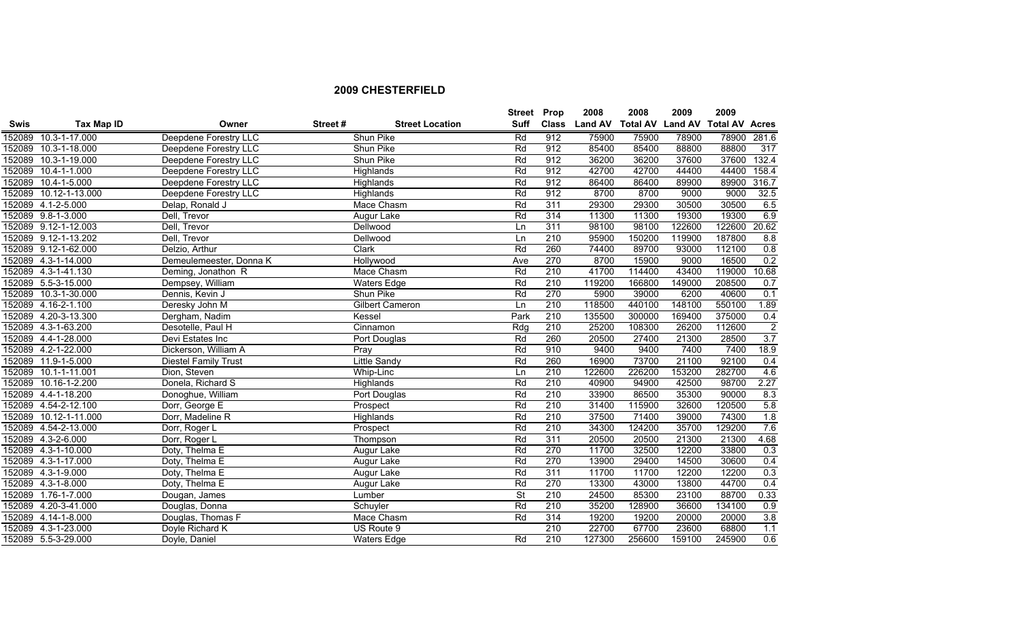|             |                       |                              |         |                        | <b>Street Prop</b>       |              | 2008           | 2008                    | 2009   | 2009                  |                    |
|-------------|-----------------------|------------------------------|---------|------------------------|--------------------------|--------------|----------------|-------------------------|--------|-----------------------|--------------------|
| <b>Swis</b> | Tax Map ID            | Owner                        | Street# | <b>Street Location</b> | Suff                     | <b>Class</b> | <b>Land AV</b> | <b>Total AV Land AV</b> |        | <b>Total AV Acres</b> |                    |
|             | 152089 10.3-1-17.000  | <b>Deepdene Forestry LLC</b> |         | Shun Pike              | Rd                       | 912          | 75900          | 75900                   | 78900  | 78900                 | $\overline{281.6}$ |
|             | 152089 10.3-1-18.000  | Deepdene Forestry LLC        |         | Shun Pike              | Rd                       | 912          | 85400          | 85400                   | 88800  | 88800                 | 317                |
|             | 152089 10.3-1-19.000  | Deepdene Forestry LLC        |         | Shun Pike              | Rd                       | 912          | 36200          | 36200                   | 37600  | 37600                 | 132.4              |
|             | 152089 10.4-1-1.000   | Deepdene Forestry LLC        |         | Highlands              | Rd                       | 912          | 42700          | 42700                   | 44400  | 44400                 | 158.4              |
|             | 152089 10.4-1-5.000   | Deepdene Forestry LLC        |         | Highlands              | Rd                       | 912          | 86400          | 86400                   | 89900  | 89900                 | 316.7              |
|             | 152089 10.12-1-13.000 | Deepdene Forestry LLC        |         | Highlands              | Rd                       | 912          | 8700           | 8700                    | 9000   | 9000                  | 32.5               |
|             | 152089 4.1-2-5.000    | Delap, Ronald J              |         | Mace Chasm             | Rd                       | 311          | 29300          | 29300                   | 30500  | 30500                 | 6.5                |
|             | 152089 9.8-1-3.000    | Dell, Trevor                 |         | Augur Lake             | Rd                       | 314          | 11300          | 11300                   | 19300  | 19300                 | 6.9                |
|             | 152089 9.12-1-12.003  | Dell, Trevor                 |         | Dellwood               | Ln                       | 311          | 98100          | 98100                   | 122600 | 122600                | 20.62              |
|             | 152089 9.12-1-13.202  | Dell, Trevor                 |         | Dellwood               | Ln                       | 210          | 95900          | 150200                  | 119900 | 187800                | 8.8                |
|             | 152089 9.12-1-62.000  | Delzio, Arthur               |         | Clark                  | Rd                       | 260          | 74400          | 89700                   | 93000  | 112100                | 0.8                |
|             | 152089 4.3-1-14.000   | Demeulemeester, Donna K      |         | Hollywood              | Ave                      | 270          | 8700           | 15900                   | 9000   | 16500                 | 0.2                |
|             | 152089 4.3-1-41.130   | Deming, Jonathon R           |         | Mace Chasm             | Rd                       | 210          | 41700          | 114400                  | 43400  | 119000                | 10.68              |
|             | 152089 5.5-3-15.000   | Dempsey, William             |         | <b>Waters Edge</b>     | Rd                       | 210          | 119200         | 166800                  | 149000 | 208500                | 0.7                |
|             | 152089 10.3-1-30.000  | Dennis, Kevin J              |         | Shun Pike              | Rd                       | 270          | 5900           | 39000                   | 6200   | 40600                 | 0.1                |
|             | 152089 4.16-2-1.100   | Deresky John M               |         | Gilbert Cameron        | Ln                       | 210          | 118500         | 440100                  | 148100 | 550100                | 1.89               |
|             | 152089 4.20-3-13.300  | Dergham, Nadim               |         | Kessel                 | Park                     | 210          | 135500         | 300000                  | 169400 | 375000                | 0.4                |
|             | 152089 4.3-1-63.200   | Desotelle, Paul H            |         | Cinnamon               | Rdg                      | 210          | 25200          | 108300                  | 26200  | 112600                | $\overline{2}$     |
|             | 152089 4.4-1-28.000   | Devi Estates Inc             |         | Port Douglas           | Rd                       | 260          | 20500          | 27400                   | 21300  | 28500                 | 3.7                |
|             | 152089 4.2-1-22.000   | Dickerson, William A         |         | Pray                   | Rd                       | 910          | 9400           | 9400                    | 7400   | 7400                  | 18.9               |
|             | 152089 11.9-1-5.000   | <b>Diestel Family Trust</b>  |         | <b>Little Sandy</b>    | Rd                       | 260          | 16900          | 73700                   | 21100  | 92100                 | 0.4                |
|             | 152089 10.1-1-11.001  | Dion, Steven                 |         | Whip-Linc              | Ln                       | 210          | 122600         | 226200                  | 153200 | 282700                | 4.6                |
|             | 152089 10.16-1-2.200  | Donela, Richard S            |         | Highlands              | Rd                       | 210          | 40900          | 94900                   | 42500  | 98700                 | 2.27               |
|             | 152089 4.4-1-18.200   | Donoghue, William            |         | Port Douglas           | Rd                       | 210          | 33900          | 86500                   | 35300  | 90000                 | 8.3                |
|             | 152089 4.54-2-12.100  | Dorr, George E               |         | Prospect               | Rd                       | 210          | 31400          | 115900                  | 32600  | 120500                | 5.8                |
|             | 152089 10.12-1-11.000 | Dorr, Madeline R             |         | Highlands              | Rd                       | 210          | 37500          | 71400                   | 39000  | 74300                 | 1.8                |
|             | 152089 4.54-2-13.000  | Dorr, Roger L                |         | Prospect               | Rd                       | 210          | 34300          | 124200                  | 35700  | 129200                | 7.6                |
|             | 152089 4.3-2-6.000    | Dorr, Roger L                |         | Thompson               | Rd                       | 311          | 20500          | 20500                   | 21300  | 21300                 | 4.68               |
|             | 152089 4.3-1-10.000   | Doty, Thelma E               |         | Augur Lake             | Rd                       | 270          | 11700          | 32500                   | 12200  | 33800                 | 0.3                |
|             | 152089 4.3-1-17.000   | Doty, Thelma E               |         | Augur Lake             | Rd                       | 270          | 13900          | 29400                   | 14500  | 30600                 | 0.4                |
|             | 152089 4.3-1-9.000    | Doty, Thelma E               |         | Augur Lake             | Rd                       | 311          | 11700          | 11700                   | 12200  | 12200                 | 0.3                |
|             | 152089 4.3-1-8.000    | Doty, Thelma E               |         | Augur Lake             | Rd                       | 270          | 13300          | 43000                   | 13800  | 44700                 | 0.4                |
|             | 152089 1.76-1-7.000   | Dougan, James                |         | Lumber                 | $\overline{\mathsf{St}}$ | 210          | 24500          | 85300                   | 23100  | 88700                 | 0.33               |
|             | 152089 4.20-3-41.000  | Douglas, Donna               |         | Schuyler               | Rd                       | 210          | 35200          | 128900                  | 36600  | 134100                | 0.9                |
|             | 152089 4.14-1-8.000   | Douglas, Thomas F            |         | Mace Chasm             | Rd                       | 314          | 19200          | 19200                   | 20000  | 20000                 | 3.8                |
|             | 152089 4.3-1-23.000   | Doyle Richard K              |         | US Route 9             |                          | 210          | 22700          | 67700                   | 23600  | 68800                 | 1.1                |
|             | 152089 5.5-3-29.000   | Doyle, Daniel                |         | <b>Waters Edge</b>     | Rd                       | 210          | 127300         | 256600                  | 159100 | 245900                | 0.6                |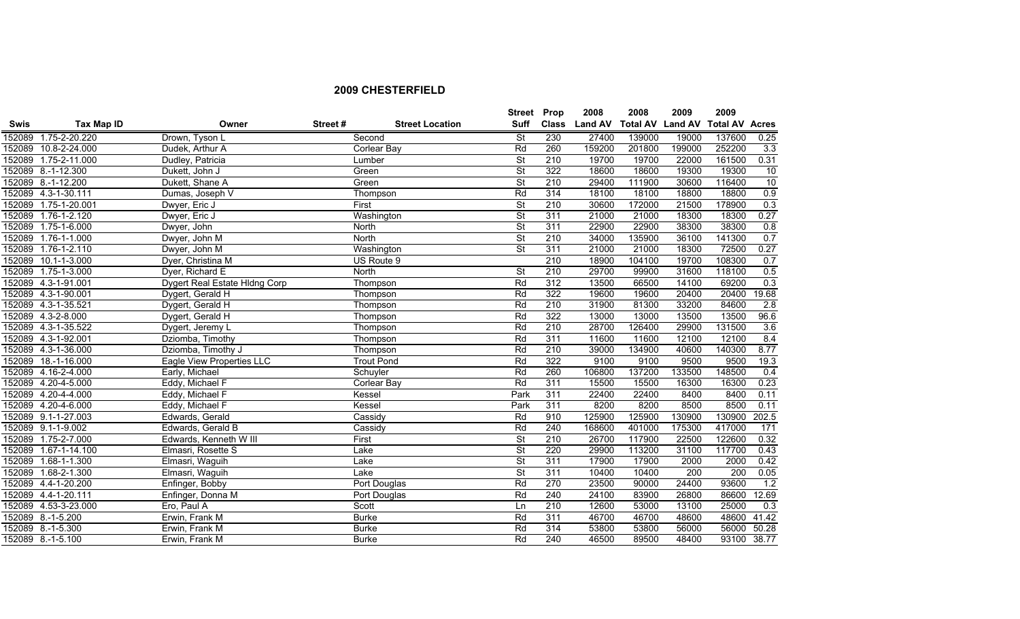|             |                      |                               |         |                        | <b>Street Prop</b>       |                  | 2008          | 2008            | 2009           | 2009                  |                  |
|-------------|----------------------|-------------------------------|---------|------------------------|--------------------------|------------------|---------------|-----------------|----------------|-----------------------|------------------|
| <b>Swis</b> | Tax Map ID           | Owner                         | Street# | <b>Street Location</b> | <b>Suff</b>              |                  | Class Land AV | <b>Total AV</b> | <b>Land AV</b> | <b>Total AV Acres</b> |                  |
|             | 152089 1.75-2-20.220 | Drown, Tyson L                |         | Second                 | <b>St</b>                | 230              | 27400         | 139000          | 19000          | 137600                | 0.25             |
|             | 152089 10.8-2-24.000 | Dudek, Arthur A               |         | Corlear Bay            | Rd                       | 260              | 159200        | 201800          | 199000         | 252200                | 3.3              |
|             | 152089 1.75-2-11.000 | Dudley, Patricia              |         | Lumber                 | St                       | 210              | 19700         | 19700           | 22000          | 161500                | 0.31             |
|             | 152089 8.-1-12.300   | Dukett, John J                |         | Green                  | $\overline{\mathsf{St}}$ | 322              | 18600         | 18600           | 19300          | 19300                 | 10               |
|             | 152089 8.-1-12.200   | Dukett, Shane A               |         | Green                  | St                       | 210              | 29400         | 111900          | 30600          | 116400                | 10               |
|             | 152089 4.3-1-30.111  | Dumas, Joseph V               |         | Thompson               | Rd                       | 314              | 18100         | 18100           | 18800          | 18800                 | 0.9              |
|             | 152089 1.75-1-20.001 | Dwyer, Eric J                 |         | First                  | $\overline{\mathsf{St}}$ | 210              | 30600         | 172000          | 21500          | 178900                | 0.3              |
|             | 152089 1.76-1-2.120  | Dwyer, Eric J                 |         | Washington             | $\overline{\mathsf{St}}$ | 311              | 21000         | 21000           | 18300          | 18300                 | 0.27             |
| 152089      | $1.75 - 1 - 6.000$   | Dwyer, John                   |         | North                  | $\overline{\mathsf{St}}$ | 311              | 22900         | 22900           | 38300          | 38300                 | 0.8              |
| 152089      | $1.76 - 1 - 1.000$   | Dwyer, John M                 |         | North                  | $\overline{\mathsf{St}}$ | 210              | 34000         | 135900          | 36100          | 141300                | 0.7              |
|             | 152089 1.76-1-2.110  | Dwyer, John M                 |         | Washington             | <b>St</b>                | 311              | 21000         | 21000           | 18300          | 72500                 | 0.27             |
|             | 152089 10.1-1-3.000  | Dyer, Christina M             |         | US Route 9             |                          | $\overline{210}$ | 18900         | 104100          | 19700          | 108300                | 0.7              |
|             | 152089 1.75-1-3.000  | Dyer, Richard E               |         | <b>North</b>           | $\overline{\mathsf{St}}$ | 210              | 29700         | 99900           | 31600          | 118100                | 0.5              |
|             | 152089 4.3-1-91.001  | Dygert Real Estate Hidng Corp |         | Thompson               | Rd                       | 312              | 13500         | 66500           | 14100          | 69200                 | 0.3              |
|             | 152089 4.3-1-90.001  | Dygert, Gerald H              |         | Thompson               | Rd                       | 322              | 19600         | 19600           | 20400          | 20400                 | 19.68            |
|             | 152089 4.3-1-35.521  | Dygert, Gerald H              |         | Thompson               | Rd                       | 210              | 31900         | 81300           | 33200          | 84600                 | 2.8              |
|             | 152089 4.3-2-8.000   | Dygert, Gerald H              |         | Thompson               | Rd                       | 322              | 13000         | 13000           | 13500          | 13500                 | 96.6             |
|             | 152089 4.3-1-35.522  | Dygert, Jeremy L              |         | Thompson               | Rd                       | 210              | 28700         | 126400          | 29900          | 131500                | 3.6              |
|             | 152089 4.3-1-92.001  | Dziomba, Timothy              |         | Thompson               | Rd                       | 311              | 11600         | 11600           | 12100          | 12100                 | 8.4              |
|             | 152089 4.3-1-36.000  | Dziomba, Timothy J            |         | Thompson               | Rd                       | 210              | 39000         | 134900          | 40600          | 140300                | 8.77             |
|             | 152089 18.-1-16.000  | Eagle View Properties LLC     |         | <b>Trout Pond</b>      | Rd                       | 322              | 9100          | 9100            | 9500           | 9500                  | 19.3             |
|             | 152089 4.16-2-4.000  | Early, Michael                |         | Schuyler               | Rd                       | 260              | 106800        | 137200          | 133500         | 148500                | 0.4              |
|             | 152089 4.20-4-5.000  | Eddy, Michael F               |         | Corlear Bay            | Rd                       | 311              | 15500         | 15500           | 16300          | 16300                 | 0.23             |
|             | 152089 4.20-4-4.000  | Eddy, Michael F               |         | Kessel                 | Park                     | 311              | 22400         | 22400           | 8400           | 8400                  | 0.11             |
|             | 152089 4.20-4-6.000  | Eddy, Michael F               |         | Kessel                 | Park                     | 311              | 8200          | 8200            | 8500           | 8500                  | 0.11             |
|             | 152089 9.1-1-27.003  | Edwards, Gerald               |         | Cassidy                | Rd                       | 910              | 125900        | 125900          | 130900         | 130900                | 202.5            |
|             | 152089 9.1-1-9.002   | Edwards, Gerald B             |         | Cassidy                | Rd                       | 240              | 168600        | 401000          | 175300         | 417000                | 171              |
|             | 152089 1.75-2-7.000  | Edwards, Kenneth W III        |         | First                  | $\overline{\mathsf{St}}$ | 210              | 26700         | 117900          | 22500          | 122600                | 0.32             |
|             | 152089 1.67-1-14.100 | Elmasri, Rosette S            |         | Lake                   | St                       | 220              | 29900         | 113200          | 31100          | 117700                | 0.43             |
|             | 152089 1.68-1-1.300  | Elmasri, Waguih               |         | Lake                   | $\overline{\mathsf{St}}$ | 311              | 17900         | 17900           | 2000           | 2000                  | 0.42             |
| 152089      | 1.68-2-1.300         | Elmasri, Waguih               |         | Lake                   | $\overline{\mathsf{St}}$ | 311              | 10400         | 10400           | 200            | 200                   | 0.05             |
|             | 152089 4.4-1-20.200  | Enfinger, Bobby               |         | Port Douglas           | Rd                       | 270              | 23500         | 90000           | 24400          | 93600                 | 1.2              |
|             | 152089 4.4-1-20.111  | Enfinger, Donna M             |         | Port Douglas           | Rd                       | 240              | 24100         | 83900           | 26800          | 86600                 | 12.69            |
|             | 152089 4.53-3-23.000 | Ero, Paul A                   |         | Scott                  | Ln                       | 210              | 12600         | 53000           | 13100          | 25000                 | $\overline{0.3}$ |
|             | 152089 8.-1-5.200    | Erwin, Frank M                |         | <b>Burke</b>           | Rd                       | 311              | 46700         | 46700           | 48600          | 48600                 | 41.42            |
|             | 152089 8.-1-5.300    | Erwin, Frank M                |         | <b>Burke</b>           | Rd                       | 314              | 53800         | 53800           | 56000          | 56000                 | 50.28            |
|             | 152089 8.-1-5.100    | Erwin, Frank M                |         | <b>Burke</b>           | Rd                       | 240              | 46500         | 89500           | 48400          | 93100                 | 38.77            |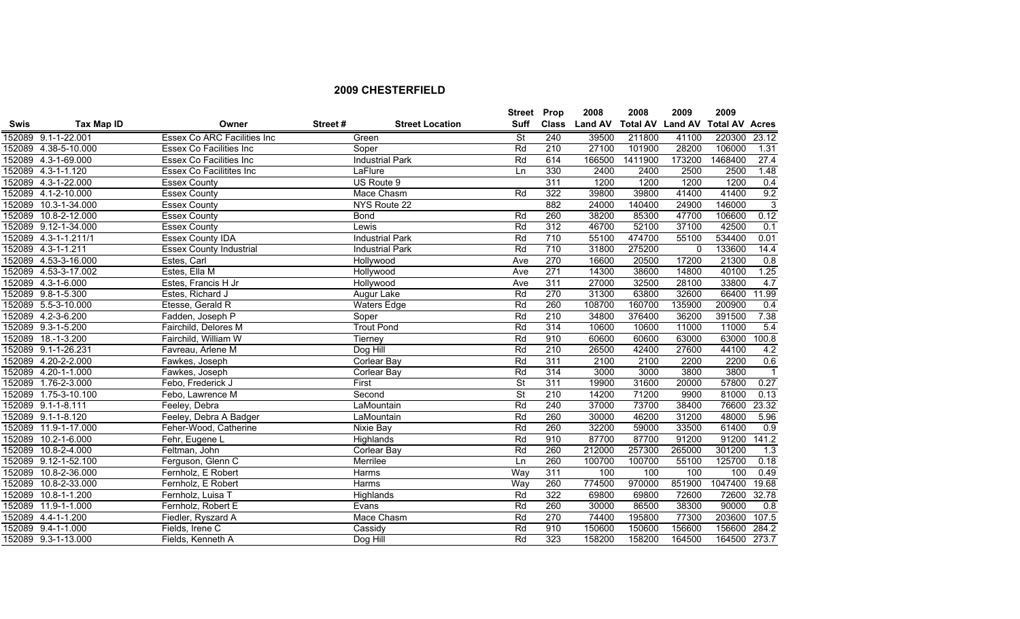|             |                      |                                |         |                        | <b>Street Prop</b>       |              | 2008           | 2008                    | 2009         | 2009                  |                  |
|-------------|----------------------|--------------------------------|---------|------------------------|--------------------------|--------------|----------------|-------------------------|--------------|-----------------------|------------------|
| <b>Swis</b> | Tax Map ID           | Owner                          | Street# | <b>Street Location</b> | <b>Suff</b>              | <b>Class</b> | <b>Land AV</b> | <b>Total AV Land AV</b> |              | <b>Total AV Acres</b> |                  |
|             | 152089 9.1-1-22.001  | Essex Co ARC Facilities Inc    |         | Green                  | <b>St</b>                | 240          | 39500          | 211800                  | 41100        | 220300                | 23.12            |
|             | 152089 4.38-5-10.000 | Essex Co Facilities Inc        |         | Soper                  | Rd                       | 210          | 27100          | 101900                  | 28200        | 106000                | 1.31             |
|             | 152089 4.3-1-69.000  | Essex Co Facilities Inc        |         | <b>Industrial Park</b> | Rd                       | 614          | 166500         | 1411900                 | 173200       | 1468400               | 27.4             |
|             | 152089 4.3-1-1.120   | Essex Co Facilitites Inc       |         | LaFlure                | Ln                       | 330          | 2400           | 2400                    | 2500         | 2500                  | 1.48             |
|             | 152089 4.3-1-22.000  | <b>Essex County</b>            |         | US Route 9             |                          | 311          | 1200           | 1200                    | 1200         | 1200                  | 0.4              |
|             | 152089 4.1-2-10.000  | <b>Essex County</b>            |         | Mace Chasm             | Rd                       | 322          | 39800          | 39800                   | 41400        | 41400                 | 9.2              |
|             | 152089 10.3-1-34.000 | <b>Essex County</b>            |         | NYS Route 22           |                          | 882          | 24000          | 140400                  | 24900        | 146000                | 3                |
|             | 152089 10.8-2-12.000 | <b>Essex County</b>            |         | <b>Bond</b>            | Rd                       | 260          | 38200          | 85300                   | 47700        | 106600                | 0.12             |
|             | 152089 9.12-1-34.000 | <b>Essex County</b>            |         | Lewis                  | Rd                       | 312          | 46700          | 52100                   | 37100        | 42500                 | 0.1              |
|             | 152089 4.3-1-1.211/1 | <b>Essex County IDA</b>        |         | <b>Industrial Park</b> | Rd                       | 710          | 55100          | 474700                  | 55100        | 534400                | 0.01             |
|             | 152089 4.3-1-1.211   | <b>Essex County Industrial</b> |         | <b>Industrial Park</b> | Rd                       | 710          | 31800          | 275200                  | $\mathbf{0}$ | 133600                | 14.4             |
|             | 152089 4.53-3-16.000 | Estes, Carl                    |         | Hollywood              | Ave                      | 270          | 16600          | 20500                   | 17200        | 21300                 | 0.8              |
|             | 152089 4.53-3-17.002 | Estes, Ella M                  |         | Hollywood              | Ave                      | 271          | 14300          | 38600                   | 14800        | 40100                 | 1.25             |
|             | 152089 4.3-1-6.000   | Estes, Francis H Jr            |         | Hollywood              | Ave                      | 311          | 27000          | 32500                   | 28100        | 33800                 | 4.7              |
|             | 152089 9.8-1-5.300   | Estes, Richard J               |         | Augur Lake             | Rd                       | 270          | 31300          | 63800                   | 32600        | 66400                 | 11.99            |
|             | 152089 5.5-3-10.000  | Etesse, Gerald R               |         | <b>Waters Edge</b>     | Rd                       | 260          | 108700         | 160700                  | 135900       | 200900                | 0.4              |
|             | 152089 4.2-3-6.200   | Fadden, Joseph P               |         | Soper                  | Rd                       | 210          | 34800          | 376400                  | 36200        | 391500                | 7.38             |
|             | 152089 9.3-1-5.200   | Fairchild, Delores M           |         | <b>Trout Pond</b>      | Rd                       | 314          | 10600          | 10600                   | 11000        | 11000                 | 5.4              |
|             | 152089 18.-1-3.200   | Fairchild, William W           |         | Tierney                | Rd                       | 910          | 60600          | 60600                   | 63000        | 63000                 | 100.8            |
|             | 152089 9.1-1-26.231  | Favreau, Arlene M              |         | Dog Hill               | Rd                       | 210          | 26500          | 42400                   | 27600        | 44100                 | 4.2              |
|             | 152089 4.20-2-2.000  | Fawkes, Joseph                 |         | Corlear Bay            | Rd                       | 311          | 2100           | 2100                    | 2200         | 2200                  | 0.6              |
|             | 152089 4.20-1-1.000  | Fawkes, Joseph                 |         | Corlear Bay            | Rd                       | 314          | 3000           | 3000                    | 3800         | 3800                  | $\overline{1}$   |
|             | 152089 1.76-2-3.000  | Febo, Frederick J              |         | First                  | $\overline{\mathsf{St}}$ | 311          | 19900          | 31600                   | 20000        | 57800                 | 0.27             |
|             | 152089 1.75-3-10.100 | Febo, Lawrence M               |         | Second                 | $\overline{\mathsf{St}}$ | 210          | 14200          | 71200                   | 9900         | 81000                 | 0.13             |
|             | 152089 9.1-1-8.111   | Feeley, Debra                  |         | LaMountain             | Rd                       | 240          | 37000          | 73700                   | 38400        | 76600                 | 23.32            |
|             | 152089 9.1-1-8.120   | Feeley, Debra A Badger         |         | LaMountain             | Rd                       | 260          | 30000          | 46200                   | 31200        | 48000                 | 5.96             |
|             | 152089 11.9-1-17.000 | Feher-Wood, Catherine          |         | Nixie Bay              | Rd                       | 260          | 32200          | 59000                   | 33500        | 61400                 | 0.9              |
| 152089      | $10.2 - 1 - 6.000$   | Fehr, Eugene L                 |         | Highlands              | Rd                       | 910          | 87700          | 87700                   | 91200        | 91200                 | 141.2            |
|             | 152089 10.8-2-4.000  | Feltman, John                  |         | <b>Corlear Bay</b>     | Rd                       | 260          | 212000         | 257300                  | 265000       | 301200                | $\overline{1.3}$ |
|             | 152089 9.12-1-52.100 | Ferguson, Glenn C              |         | Merrilee               | Ln                       | 260          | 100700         | 100700                  | 55100        | 125700                | 0.18             |
|             | 152089 10.8-2-36.000 | Fernholz, E Robert             |         | <b>Harms</b>           | Way                      | 311          | 100            | 100                     | 100          | 100                   | 0.49             |
| 152089      | 10.8-2-33.000        | Fernholz, E Robert             |         | <b>Harms</b>           | Way                      | 260          | 774500         | 970000                  | 851900       | 1047400               | 19.68            |
| 152089      | $10.8 - 1 - 1.200$   | Fernholz, Luisa T              |         | Highlands              | Rd                       | 322          | 69800          | 69800                   | 72600        | 72600                 | 32.78            |
|             | 152089 11.9-1-1.000  | Fernholz, Robert E             |         | Evans                  | Rd                       | 260          | 30000          | 86500                   | 38300        | 90000                 | $\overline{0.8}$ |
|             | 152089 4.4-1-1.200   | Fiedler, Ryszard A             |         | Mace Chasm             | Rd                       | 270          | 74400          | 195800                  | 77300        | 203600                | 107.5            |
|             | 152089 9.4-1-1.000   | Fields, Irene C                |         | Cassidy                | Rd                       | 910          | 150600         | 150600                  | 156600       | 156600                | 284.2            |
|             | 152089 9.3-1-13.000  | Fields, Kenneth A              |         | Dog Hill               | Rd                       | 323          | 158200         | 158200                  | 164500       | 164500 273.7          |                  |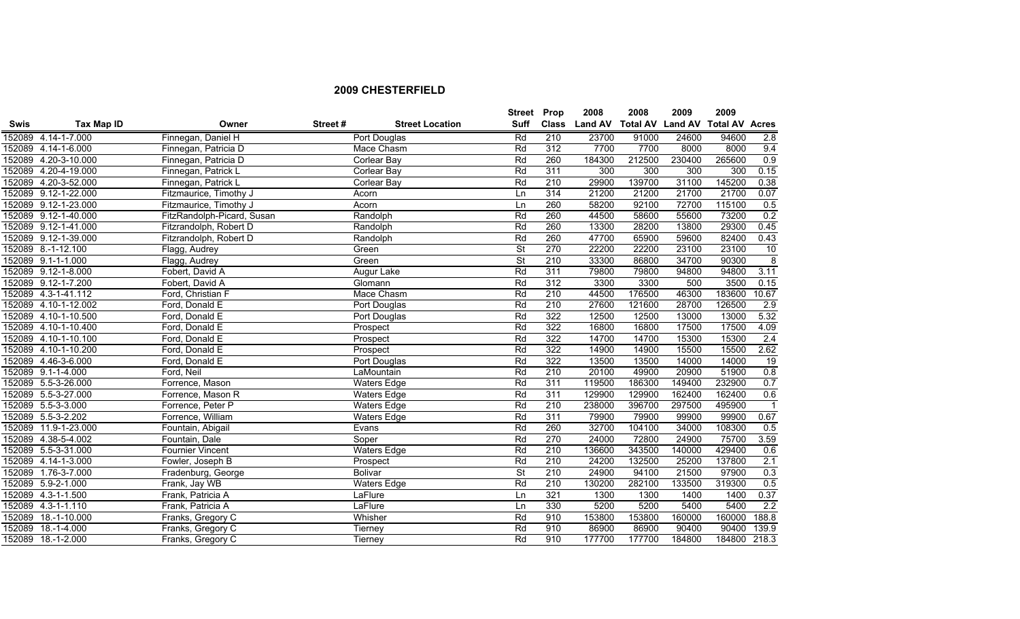|             |                      |                            |         |                        | <b>Street</b> | Prop             | 2008           | 2008                    | 2009   | 2009                  |                |
|-------------|----------------------|----------------------------|---------|------------------------|---------------|------------------|----------------|-------------------------|--------|-----------------------|----------------|
| <b>Swis</b> | Tax Map ID           | Owner                      | Street# | <b>Street Location</b> | <b>Suff</b>   | <b>Class</b>     | <b>Land AV</b> | <b>Total AV Land AV</b> |        | <b>Total AV Acres</b> |                |
|             | 152089 4.14-1-7.000  | Finnegan, Daniel H         |         | Port Douglas           | Rd            | 210              | 23700          | 91000                   | 24600  | 94600                 | 2.8            |
|             | 152089 4.14-1-6.000  | Finnegan, Patricia D       |         | Mace Chasm             | Rd            | 312              | 7700           | 7700                    | 8000   | 8000                  | 9.4            |
|             | 152089 4.20-3-10.000 | Finnegan, Patricia D       |         | Corlear Bay            | Rd            | 260              | 184300         | 212500                  | 230400 | 265600                | 0.9            |
|             | 152089 4.20-4-19.000 | Finnegan, Patrick L        |         | Corlear Bay            | Rd            | 311              | 300            | 300                     | 300    | 300                   | 0.15           |
|             | 152089 4.20-3-52.000 | Finnegan, Patrick L        |         | Corlear Bay            | Rd            | 210              | 29900          | 139700                  | 31100  | 145200                | 0.38           |
|             | 152089 9.12-1-22.000 | Fitzmaurice, Timothy J     |         | Acorn                  | Ln            | 314              | 21200          | 21200                   | 21700  | 21700                 | 0.07           |
|             | 152089 9.12-1-23.000 | Fitzmaurice, Timothy J     |         | Acorn                  | Ln            | 260              | 58200          | 92100                   | 72700  | 115100                | 0.5            |
|             | 152089 9.12-1-40.000 | FitzRandolph-Picard, Susan |         | Randolph               | Rd            | 260              | 44500          | 58600                   | 55600  | 73200                 | 0.2            |
|             | 152089 9.12-1-41.000 | Fitzrandolph, Robert D     |         | Randolph               | Rd            | 260              | 13300          | 28200                   | 13800  | 29300                 | 0.45           |
|             | 152089 9.12-1-39.000 | Fitzrandolph, Robert D     |         | Randolph               | Rd            | 260              | 47700          | 65900                   | 59600  | 82400                 | 0.43           |
|             | 152089 8.-1-12.100   | Flagg, Audrey              |         | Green                  | St            | 270              | 22200          | 22200                   | 23100  | 23100                 | 10             |
|             | 152089 9.1-1-1.000   | Flagg, Audrey              |         | Green                  | <b>St</b>     | 210              | 33300          | 86800                   | 34700  | 90300                 | $\overline{8}$ |
|             | 152089 9.12-1-8.000  | Fobert, David A            |         | Augur Lake             | Rd            | 311              | 79800          | 79800                   | 94800  | 94800                 | 3.11           |
|             | 152089 9.12-1-7.200  | Fobert, David A            |         | Glomann                | Rd            | 312              | 3300           | 3300                    | 500    | 3500                  | 0.15           |
|             | 152089 4.3-1-41.112  | Ford, Christian F          |         | Mace Chasm             | Rd            | 210              | 44500          | 176500                  | 46300  | 183600                | 10.67          |
|             | 152089 4.10-1-12.002 | Ford, Donald E             |         | Port Douglas           | Rd            | 210              | 27600          | 121600                  | 28700  | 126500                | 2.9            |
|             | 152089 4.10-1-10.500 | Ford, Donald E             |         | Port Douglas           | Rd            | 322              | 12500          | 12500                   | 13000  | 13000                 | 5.32           |
|             | 152089 4.10-1-10.400 | Ford, Donald E             |         | Prospect               | Rd            | 322              | 16800          | 16800                   | 17500  | 17500                 | 4.09           |
|             | 152089 4.10-1-10.100 | Ford, Donald E             |         | Prospect               | Rd            | 322              | 14700          | 14700                   | 15300  | 15300                 | 2.4            |
|             | 152089 4.10-1-10.200 | Ford, Donald E             |         | Prospect               | Rd            | 322              | 14900          | 14900                   | 15500  | 15500                 | 2.62           |
|             | 152089 4.46-3-6.000  | Ford, Donald E             |         | Port Douglas           | Rd            | 322              | 13500          | 13500                   | 14000  | 14000                 | 19             |
|             | 152089 9.1-1-4.000   | Ford, Neil                 |         | LaMountain             | Rd            | 210              | 20100          | 49900                   | 20900  | 51900                 | 0.8            |
|             | 152089 5.5-3-26.000  | Forrence, Mason            |         | <b>Waters Edge</b>     | Rd            | 311              | 119500         | 186300                  | 149400 | 232900                | 0.7            |
|             | 152089 5.5-3-27.000  | Forrence, Mason R          |         | <b>Waters Edge</b>     | Rd            | 311              | 129900         | 129900                  | 162400 | 162400                | 0.6            |
|             | 152089 5.5-3-3.000   | Forrence, Peter P          |         | <b>Waters Edge</b>     | Rd            | 210              | 238000         | 396700                  | 297500 | 495900                | $\overline{1}$ |
|             | 152089 5.5-3-2.202   | Forrence, William          |         | <b>Waters Edge</b>     | Rd            | 311              | 79900          | 79900                   | 99900  | 99900                 | 0.67           |
|             | 152089 11.9-1-23.000 | Fountain, Abigail          |         | Evans                  | Rd            | 260              | 32700          | 104100                  | 34000  | 108300                | 0.5            |
|             | 152089 4.38-5-4.002  | Fountain, Dale             |         | Soper                  | Rd            | 270              | 24000          | 72800                   | 24900  | 75700                 | 3.59           |
|             | 152089 5.5-3-31.000  | <b>Fournier Vincent</b>    |         | <b>Waters Edge</b>     | Rd            | 210              | 136600         | 343500                  | 140000 | 429400                | 0.6            |
|             | 152089 4.14-1-3.000  | Fowler, Joseph B           |         | Prospect               | Rd            | 210              | 24200          | 132500                  | 25200  | 137800                | 2.1            |
|             | 152089 1.76-3-7.000  | Fradenburg, George         |         | <b>Bolivar</b>         | St            | $\overline{210}$ | 24900          | 94100                   | 21500  | 97900                 | 0.3            |
| 152089      | 5.9-2-1.000          | Frank, Jay WB              |         | <b>Waters Edge</b>     | Rd            | 210              | 130200         | 282100                  | 133500 | 319300                | 0.5            |
| 152089      | $4.3 - 1 - 1.500$    | Frank, Patricia A          |         | LaFlure                | Ln            | 321              | 1300           | 1300                    | 1400   | 1400                  | 0.37           |
|             | 152089 4.3-1-1.110   | Frank, Patricia A          |         | LaFlure                | Ln            | 330              | 5200           | 5200                    | 5400   | 5400                  | 2.2            |
| 152089      | $18.-1-10.000$       | Franks, Gregory C          |         | Whisher                | Rd            | 910              | 153800         | 153800                  | 160000 | 160000                | 188.8          |
|             | 152089 18.-1-4.000   | Franks, Gregory C          |         | Tierney                | Rd            | 910              | 86900          | 86900                   | 90400  | 90400                 | 139.9          |
|             | 152089 18.-1-2.000   | Franks, Gregory C          |         | Tierney                | Rd            | 910              | 177700         | 177700                  | 184800 | 184800 218.3          |                |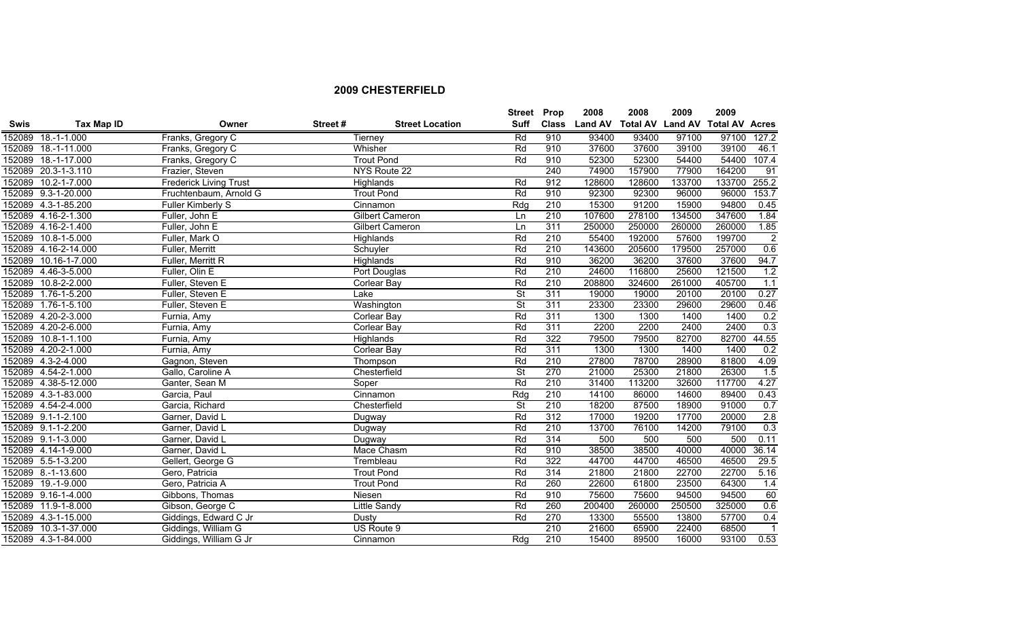|             |                      |                               |         |                        | Street Prop              |              | 2008           | 2008                    | 2009   | 2009                  |                         |
|-------------|----------------------|-------------------------------|---------|------------------------|--------------------------|--------------|----------------|-------------------------|--------|-----------------------|-------------------------|
| <b>Swis</b> | Tax Map ID           | Owner                         | Street# | <b>Street Location</b> | Suff                     | <b>Class</b> | <b>Land AV</b> | <b>Total AV Land AV</b> |        | <b>Total AV Acres</b> |                         |
|             | 152089 18.-1-1.000   | Franks, Gregory C             |         | Tierney                | Rd                       | 910          | 93400          | 93400                   | 97100  | 97100                 | 127.2                   |
|             | 152089 18.-1-11.000  | Franks, Gregory C             |         | Whisher                | Rd                       | 910          | 37600          | 37600                   | 39100  | 39100                 | 46.1                    |
|             | 152089 18.-1-17.000  | Franks, Gregory C             |         | <b>Trout Pond</b>      | Rd                       | 910          | 52300          | 52300                   | 54400  | 54400                 | 107.4                   |
|             | 152089 20.3-1-3.110  | Frazier, Steven               |         | NYS Route 22           |                          | 240          | 74900          | 157900                  | 77900  | 164200                | 91                      |
|             | 152089 10.2-1-7.000  | <b>Frederick Living Trust</b> |         | Highlands              | Rd                       | 912          | 128600         | 128600                  | 133700 | 133700 255.2          |                         |
|             | 152089 9.3-1-20.000  | Fruchtenbaum, Arnold G        |         | <b>Trout Pond</b>      | Rd                       | 910          | 92300          | 92300                   | 96000  | 96000                 | 153.7                   |
|             | 152089 4.3-1-85.200  | Fuller Kimberly S             |         | Cinnamon               | Rdg                      | 210          | 15300          | 91200                   | 15900  | 94800                 | 0.45                    |
|             | 152089 4.16-2-1.300  | Fuller, John E                |         | Gilbert Cameron        | Ln                       | 210          | 107600         | 278100                  | 134500 | 347600                | 1.84                    |
|             | 152089 4.16-2-1.400  | Fuller, John E                |         | Gilbert Cameron        | Ln                       | 311          | 250000         | 250000                  | 260000 | 260000                | 1.85                    |
|             | 152089 10.8-1-5.000  | Fuller, Mark O                |         | Highlands              | Rd                       | 210          | 55400          | 192000                  | 57600  | 199700                | $\overline{2}$          |
|             | 152089 4.16-2-14.000 | Fuller, Merritt               |         | Schuyler               | Rd                       | 210          | 143600         | 205600                  | 179500 | 257000                | 0.6                     |
| 152089      | 10.16-1-7.000        | Fuller, Merritt R             |         | Highlands              | Rd                       | 910          | 36200          | 36200                   | 37600  | 37600                 | 94.7                    |
|             | 152089 4.46-3-5.000  | Fuller, Olin E                |         | Port Douglas           | Rd                       | 210          | 24600          | 116800                  | 25600  | 121500                | 1.2                     |
|             | 152089 10.8-2-2.000  | Fuller, Steven E              |         | Corlear Bay            | Rd                       | 210          | 208800         | 324600                  | 261000 | 405700                | 1.1                     |
|             | 152089 1.76-1-5.200  | Fuller, Steven E              |         | Lake                   | St                       | 311          | 19000          | 19000                   | 20100  | 20100                 | 0.27                    |
|             | 152089 1.76-1-5.100  | Fuller, Steven E              |         | Washington             | $\overline{\mathsf{St}}$ | 311          | 23300          | 23300                   | 29600  | 29600                 | 0.46                    |
|             | 152089 4.20-2-3.000  | Furnia, Amy                   |         | <b>Corlear Bay</b>     | Rd                       | 311          | 1300           | 1300                    | 1400   | 1400                  | 0.2                     |
|             | 152089 4.20-2-6.000  | Furnia, Amy                   |         | <b>Corlear Bay</b>     | Rd                       | 311          | 2200           | 2200                    | 2400   | 2400                  | 0.3                     |
|             | 152089 10.8-1-1.100  | Furnia, Amy                   |         | Highlands              | Rd                       | 322          | 79500          | 79500                   | 82700  | 82700                 | 44.55                   |
|             | 152089 4.20-2-1.000  | Furnia, Amy                   |         | <b>Corlear Bay</b>     | Rd                       | 311          | 1300           | 1300                    | 1400   | 1400                  | 0.2                     |
|             | 152089 4.3-2-4.000   | Gagnon, Steven                |         | Thompson               | Rd                       | 210          | 27800          | 78700                   | 28900  | 81800                 | 4.09                    |
|             | 152089 4.54-2-1.000  | Gallo, Caroline A             |         | Chesterfield           | $\overline{\mathsf{St}}$ | 270          | 21000          | 25300                   | 21800  | 26300                 | 1.5                     |
|             | 152089 4.38-5-12.000 | Ganter, Sean M                |         | Soper                  | Rd                       | 210          | 31400          | 113200                  | 32600  | 117700                | 4.27                    |
|             | 152089 4.3-1-83.000  | Garcia, Paul                  |         | Cinnamon               | Rdq                      | 210          | 14100          | 86000                   | 14600  | 89400                 | 0.43                    |
|             | 152089 4.54-2-4.000  | Garcia, Richard               |         | Chesterfield           | <b>St</b>                | 210          | 18200          | 87500                   | 18900  | 91000                 | 0.7                     |
|             | 152089 9.1-1-2.100   | Garner, David L               |         | Dugway                 | Rd                       | 312          | 17000          | 19200                   | 17700  | 20000                 | 2.8                     |
|             | 152089 9.1-1-2.200   | Garner, David L               |         | Dugway                 | Rd                       | 210          | 13700          | 76100                   | 14200  | 79100                 | 0.3                     |
|             | 152089 9.1-1-3.000   | Garner, David L               |         | Dugway                 | Rd                       | 314          | 500            | 500                     | 500    | 500                   | 0.11                    |
|             | 152089 4.14-1-9.000  | Garner, David L               |         | Mace Chasm             | Rd                       | 910          | 38500          | 38500                   | 40000  | 40000                 | 36.14                   |
|             | 152089 5.5-1-3.200   | Gellert, George G             |         | Trembleau              | Rd                       | 322          | 44700          | 44700                   | 46500  | 46500                 | 29.5                    |
|             | 152089 8.-1-13.600   | Gero, Patricia                |         | <b>Trout Pond</b>      | Rd                       | 314          | 21800          | 21800                   | 22700  | 22700                 | 5.16                    |
|             | 152089 19.-1-9.000   | Gero, Patricia A              |         | <b>Trout Pond</b>      | Rd                       | 260          | 22600          | 61800                   | 23500  | 64300                 | 1.4                     |
|             | 152089 9.16-1-4.000  | Gibbons, Thomas               |         | Niesen                 | Rd                       | 910          | 75600          | 75600                   | 94500  | 94500                 | 60                      |
|             | 152089 11.9-1-8.000  | Gibson, George C              |         | <b>Little Sandy</b>    | Rd                       | 260          | 200400         | 260000                  | 250500 | 325000                | 0.6                     |
|             | 152089 4.3-1-15.000  | Giddings, Edward C Jr         |         | Dusty                  | Rd                       | 270          | 13300          | 55500                   | 13800  | 57700                 | 0.4                     |
|             | 152089 10.3-1-37.000 | Giddings, William G           |         | US Route 9             |                          | 210          | 21600          | 65900                   | 22400  | 68500                 | $\overline{\mathbf{1}}$ |
|             | 152089 4.3-1-84.000  | Giddings, William G Jr        |         | Cinnamon               | Rdq                      | 210          | 15400          | 89500                   | 16000  | 93100                 | 0.53                    |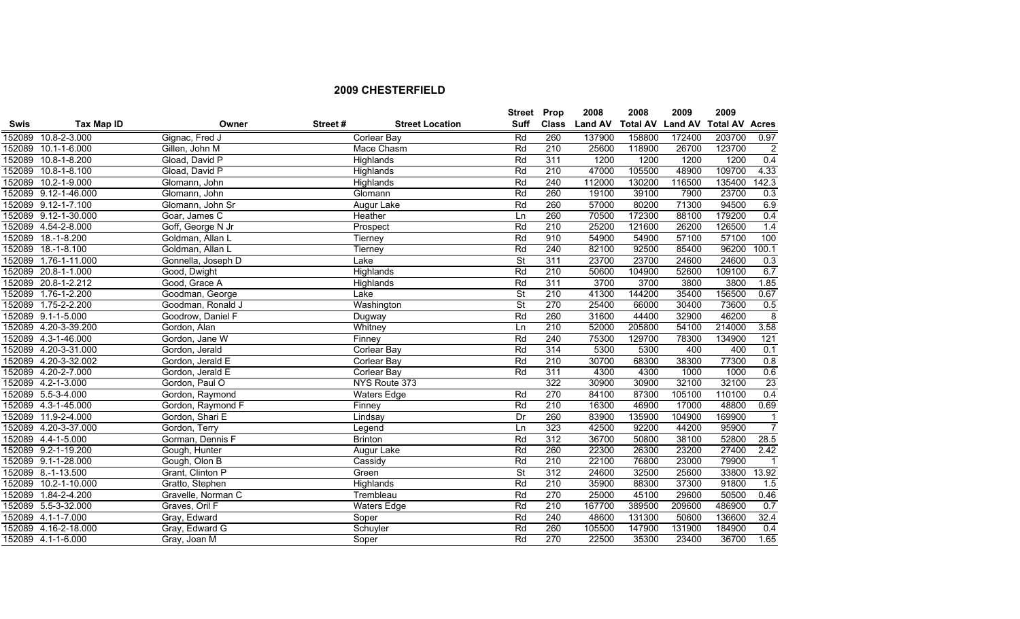|             |                      |                    |         |                        | <b>Street Prop</b>       |              | 2008           | 2008            | 2009           | 2009                  |                 |
|-------------|----------------------|--------------------|---------|------------------------|--------------------------|--------------|----------------|-----------------|----------------|-----------------------|-----------------|
| <b>Swis</b> | <b>Tax Map ID</b>    | Owner              | Street# | <b>Street Location</b> | <b>Suff</b>              | <b>Class</b> | <b>Land AV</b> | <b>Total AV</b> | <b>Land AV</b> | <b>Total AV Acres</b> |                 |
|             | 152089 10.8-2-3.000  | Gignac, Fred J     |         | Corlear Bay            | Rd                       | 260          | 137900         | 158800          | 172400         | 203700                | 0.97            |
|             | 152089 10.1-1-6.000  | Gillen, John M     |         | Mace Chasm             | Rd                       | 210          | 25600          | 118900          | 26700          | 123700                | $\overline{2}$  |
|             | 152089 10.8-1-8.200  | Gload, David P     |         | Highlands              | Rd                       | 311          | 1200           | 1200            | 1200           | 1200                  | 0.4             |
|             | 152089 10.8-1-8.100  | Gload, David P     |         | Highlands              | Rd                       | 210          | 47000          | 105500          | 48900          | 109700                | 4.33            |
|             | 152089 10.2-1-9.000  | Glomann, John      |         | Highlands              | Rd                       | 240          | 112000         | 130200          | 116500         | 135400                | 142.3           |
|             | 152089 9.12-1-46.000 | Glomann, John      |         | Glomann                | Rd                       | 260          | 19100          | 39100           | 7900           | 23700                 | 0.3             |
|             | 152089 9.12-1-7.100  | Glomann, John Sr   |         | Augur Lake             | Rd                       | 260          | 57000          | 80200           | 71300          | 94500                 | 6.9             |
|             | 152089 9.12-1-30.000 | Goar, James C      |         | Heather                | Ln                       | 260          | 70500          | 172300          | 88100          | 179200                | 0.4             |
|             | 152089 4.54-2-8.000  | Goff, George N Jr  |         | Prospect               | Rd                       | 210          | 25200          | 121600          | 26200          | 126500                | 1.4             |
| 152089      | $18.-1-8.200$        | Goldman, Allan L   |         | Tierney                | Rd                       | 910          | 54900          | 54900           | 57100          | 57100                 | 100             |
|             | 152089 18.-1-8.100   | Goldman, Allan L   |         | Tierney                | Rd                       | 240          | 82100          | 92500           | 85400          | 96200                 | 100.1           |
| 152089      | 1.76-1-11.000        | Gonnella, Joseph D |         | Lake                   | <b>St</b>                | 311          | 23700          | 23700           | 24600          | 24600                 | 0.3             |
|             | 152089 20.8-1-1.000  | Good, Dwight       |         | Highlands              | Rd                       | 210          | 50600          | 104900          | 52600          | 109100                | 6.7             |
|             | 152089 20.8-1-2.212  | Good, Grace A      |         | Highlands              | Rd                       | 311          | 3700           | 3700            | 3800           | 3800                  | 1.85            |
|             | 152089 1.76-1-2.200  | Goodman, George    |         | Lake                   | St                       | 210          | 41300          | 144200          | 35400          | 156500                | 0.67            |
|             | 152089 1.75-2-2.200  | Goodman, Ronald J  |         | Washington             | $\overline{\mathsf{St}}$ | 270          | 25400          | 66000           | 30400          | 73600                 | 0.5             |
|             | 152089 9.1-1-5.000   | Goodrow, Daniel F  |         | Dugway                 | Rd                       | 260          | 31600          | 44400           | 32900          | 46200                 | $\overline{8}$  |
|             | 152089 4.20-3-39.200 | Gordon, Alan       |         | Whitney                | Ln                       | 210          | 52000          | 205800          | 54100          | 214000                | 3.58            |
|             | 152089 4.3-1-46.000  | Gordon, Jane W     |         | Finney                 | Rd                       | 240          | 75300          | 129700          | 78300          | 134900                | 121             |
|             | 152089 4.20-3-31.000 | Gordon, Jerald     |         | Corlear Bay            | Rd                       | 314          | 5300           | 5300            | 400            | 400                   | 0.1             |
|             | 152089 4.20-3-32.002 | Gordon, Jerald E   |         | Corlear Bay            | Rd                       | 210          | 30700          | 68300           | 38300          | 77300                 | 0.8             |
|             | 152089 4.20-2-7.000  | Gordon, Jerald E   |         | Corlear Bay            | Rd                       | 311          | 4300           | 4300            | 1000           | 1000                  | 0.6             |
|             | 152089 4.2-1-3.000   | Gordon, Paul O     |         | NYS Route 373          |                          | 322          | 30900          | 30900           | 32100          | 32100                 | $\overline{23}$ |
|             | 152089 5.5-3-4.000   | Gordon, Raymond    |         | <b>Waters Edge</b>     | Rd                       | 270          | 84100          | 87300           | 105100         | 110100                | 0.4             |
|             | 152089 4.3-1-45.000  | Gordon, Raymond F  |         | Finney                 | Rd                       | 210          | 16300          | 46900           | 17000          | 48800                 | 0.69            |
|             | 152089 11.9-2-4.000  | Gordon, Shari E    |         | Lindsay                | Dr                       | 260          | 83900          | 135900          | 104900         | 169900                | $\overline{1}$  |
|             | 152089 4.20-3-37.000 | Gordon, Terry      |         | Legend                 | Ln                       | 323          | 42500          | 92200           | 44200          | 95900                 | $\overline{7}$  |
|             | 152089 4.4-1-5.000   | Gorman, Dennis F   |         | <b>Brinton</b>         | Rd                       | 312          | 36700          | 50800           | 38100          | 52800                 | 28.5            |
|             | 152089 9.2-1-19.200  | Gough, Hunter      |         | Augur Lake             | Rd                       | 260          | 22300          | 26300           | 23200          | 27400                 | 2.42            |
|             | 152089 9.1-1-28.000  | Gough, Olon B      |         | Cassidy                | Rd                       | 210          | 22100          | 76800           | 23000          | 79900                 | $\overline{1}$  |
|             | 152089 8.-1-13.500   | Grant, Clinton P   |         | Green                  | $\overline{\mathsf{St}}$ | 312          | 24600          | 32500           | 25600          | 33800                 | 13.92           |
|             | 152089 10.2-1-10.000 | Gratto, Stephen    |         | Highlands              | Rd                       | 210          | 35900          | 88300           | 37300          | 91800                 | 1.5             |
|             | 152089 1.84-2-4.200  | Gravelle, Norman C |         | Trembleau              | Rd                       | 270          | 25000          | 45100           | 29600          | 50500                 | 0.46            |
|             | 152089 5.5-3-32.000  | Graves, Oril F     |         | <b>Waters Edge</b>     | Rd                       | 210          | 167700         | 389500          | 209600         | 486900                | 0.7             |
|             | 152089 4.1-1-7.000   | Gray, Edward       |         | Soper                  | Rd                       | 240          | 48600          | 131300          | 50600          | 136600                | 32.4            |
|             | 152089 4.16-2-18.000 | Gray, Edward G     |         | Schuyler               | Rd                       | 260          | 105500         | 147900          | 131900         | 184900                | 0.4             |
|             | 152089 4.1-1-6.000   | Gray, Joan M       |         | Soper                  | Rd                       | 270          | 22500          | 35300           | 23400          | 36700                 | 1.65            |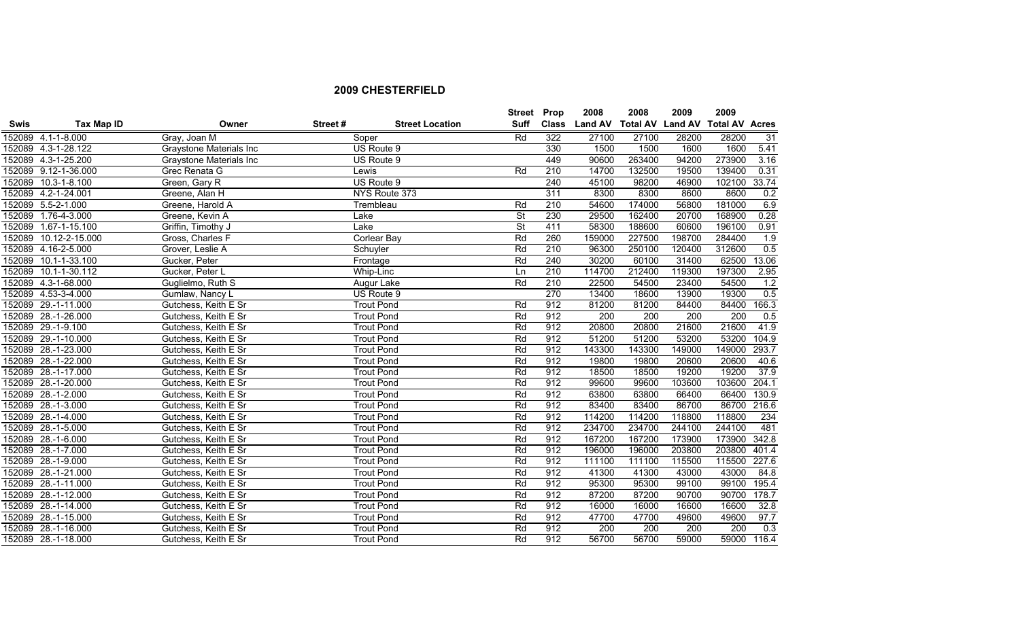|             |                      |                                |         |                        | <b>Street Prop</b>       |              | 2008           | 2008                    | 2009   | 2009                  |       |
|-------------|----------------------|--------------------------------|---------|------------------------|--------------------------|--------------|----------------|-------------------------|--------|-----------------------|-------|
| <b>Swis</b> | <b>Tax Map ID</b>    | Owner                          | Street# | <b>Street Location</b> | Suff                     | <b>Class</b> | <b>Land AV</b> | <b>Total AV Land AV</b> |        | <b>Total AV Acres</b> |       |
|             | 152089 4.1-1-8.000   | Gray, Joan M                   |         | Soper                  | Rd                       | 322          | 27100          | 27100                   | 28200  | 28200                 | 31    |
|             | 152089 4.3-1-28.122  | Graystone Materials Inc        |         | US Route 9             |                          | 330          | 1500           | 1500                    | 1600   | 1600                  | 5.41  |
|             | 152089 4.3-1-25.200  | <b>Graystone Materials Inc</b> |         | US Route 9             |                          | 449          | 90600          | 263400                  | 94200  | 273900                | 3.16  |
|             | 152089 9.12-1-36.000 | Grec Renata G                  |         | Lewis                  | Rd                       | 210          | 14700          | 132500                  | 19500  | 139400                | 0.31  |
|             | 152089 10.3-1-8.100  | Green, Gary R                  |         | US Route 9             |                          | 240          | 45100          | 98200                   | 46900  | 102100                | 33.74 |
|             | 152089 4.2-1-24.001  | Greene, Alan H                 |         | NYS Route 373          |                          | 311          | 8300           | 8300                    | 8600   | 8600                  | 0.2   |
|             | 152089 5.5-2-1.000   | Greene, Harold A               |         | Trembleau              | Rd                       | 210          | 54600          | 174000                  | 56800  | 181000                | 6.9   |
|             | 152089 1.76-4-3.000  | Greene, Kevin A                |         | Lake                   | $\overline{\mathsf{St}}$ | 230          | 29500          | 162400                  | 20700  | 168900                | 0.28  |
| 152089      | 1.67-1-15.100        | Griffin, Timothy J             |         | Lake                   | $\overline{\mathsf{St}}$ | 411          | 58300          | 188600                  | 60600  | 196100                | 0.91  |
| 152089      | 10.12-2-15.000       | Gross, Charles F               |         | Corlear Bay            | Rd                       | 260          | 159000         | 227500                  | 198700 | 284400                | 1.9   |
|             | 152089 4.16-2-5.000  | Grover, Leslie A               |         | Schuyler               | Rd                       | 210          | 96300          | 250100                  | 120400 | 312600                | 0.5   |
| 152089      | 10.1-1-33.100        | Gucker, Peter                  |         | Frontage               | Rd                       | 240          | 30200          | 60100                   | 31400  | 62500                 | 13.06 |
| 152089      | 10.1-1-30.112        | Gucker, Peter L                |         | Whip-Linc              | Ln                       | 210          | 114700         | 212400                  | 119300 | 197300                | 2.95  |
|             | 152089 4.3-1-68.000  | Guglielmo, Ruth S              |         | Augur Lake             | Rd                       | 210          | 22500          | 54500                   | 23400  | 54500                 | 1.2   |
|             | 152089 4.53-3-4.000  | Gumlaw, Nancy L                |         | US Route 9             |                          | 270          | 13400          | 18600                   | 13900  | 19300                 | 0.5   |
|             | 152089 29.-1-11.000  | Gutchess, Keith E Sr           |         | <b>Trout Pond</b>      | Rd                       | 912          | 81200          | 81200                   | 84400  | 84400                 | 166.3 |
|             | 152089 28.-1-26.000  | Gutchess, Keith E Sr           |         | <b>Trout Pond</b>      | Rd                       | 912          | 200            | 200                     | 200    | 200                   | 0.5   |
|             | 152089 29.-1-9.100   | Gutchess, Keith E Sr           |         | <b>Trout Pond</b>      | Rd                       | 912          | 20800          | 20800                   | 21600  | 21600                 | 41.9  |
|             | 152089 29.-1-10.000  | Gutchess, Keith E Sr           |         | <b>Trout Pond</b>      | Rd                       | 912          | 51200          | 51200                   | 53200  | 53200                 | 104.9 |
|             | 152089 28.-1-23.000  | Gutchess, Keith E Sr           |         | <b>Trout Pond</b>      | Rd                       | 912          | 143300         | 143300                  | 149000 | 149000                | 293.7 |
|             | 152089 28.-1-22.000  | Gutchess, Keith E Sr           |         | <b>Trout Pond</b>      | Rd                       | 912          | 19800          | 19800                   | 20600  | 20600                 | 40.6  |
|             | 152089 28.-1-17.000  | Gutchess, Keith E Sr           |         | <b>Trout Pond</b>      | Rd                       | 912          | 18500          | 18500                   | 19200  | 19200                 | 37.9  |
|             | 152089 28.-1-20.000  | Gutchess, Keith E Sr           |         | <b>Trout Pond</b>      | Rd                       | 912          | 99600          | 99600                   | 103600 | 103600                | 204.1 |
|             | 152089 28.-1-2.000   | Gutchess, Keith E Sr           |         | <b>Trout Pond</b>      | Rd                       | 912          | 63800          | 63800                   | 66400  | 66400                 | 130.9 |
|             | 152089 28.-1-3.000   | Gutchess, Keith E Sr           |         | <b>Trout Pond</b>      | Rd                       | 912          | 83400          | 83400                   | 86700  | 86700                 | 216.6 |
|             | 152089 28.-1-4.000   | Gutchess, Keith E Sr           |         | <b>Trout Pond</b>      | Rd                       | 912          | 114200         | 114200                  | 118800 | 118800                | 234   |
|             | 152089 28.-1-5.000   | Gutchess, Keith E Sr           |         | <b>Trout Pond</b>      | Rd                       | 912          | 234700         | 234700                  | 244100 | 244100                | 481   |
|             | 152089 28.-1-6.000   | Gutchess, Keith E Sr           |         | <b>Trout Pond</b>      | Rd                       | 912          | 167200         | 167200                  | 173900 | 173900                | 342.8 |
|             | 152089 28.-1-7.000   | Gutchess, Keith E Sr           |         | <b>Trout Pond</b>      | Rd                       | 912          | 196000         | 196000                  | 203800 | 203800                | 401.4 |
|             | 152089 28.-1-9.000   | Gutchess, Keith E Sr           |         | <b>Trout Pond</b>      | Rd                       | 912          | 111100         | 111100                  | 115500 | 115500                | 227.6 |
|             | 152089 28.-1-21.000  | Gutchess, Keith E Sr           |         | <b>Trout Pond</b>      | Rd                       | 912          | 41300          | 41300                   | 43000  | 43000                 | 84.8  |
|             | 152089 28.-1-11.000  | Gutchess, Keith E Sr           |         | <b>Trout Pond</b>      | Rd                       | 912          | 95300          | 95300                   | 99100  | 99100                 | 195.4 |
| 152089      | 28.-1-12.000         | Gutchess, Keith E Sr           |         | <b>Trout Pond</b>      | Rd                       | 912          | 87200          | 87200                   | 90700  | 90700                 | 178.7 |
|             | 152089 28.-1-14.000  | Gutchess, Keith E Sr           |         | <b>Trout Pond</b>      | Rd                       | 912          | 16000          | 16000                   | 16600  | 16600                 | 32.8  |
|             | 152089 28.-1-15.000  | Gutchess, Keith E Sr           |         | <b>Trout Pond</b>      | Rd                       | 912          | 47700          | 47700                   | 49600  | 49600                 | 97.7  |
|             | 152089 28.-1-16.000  | Gutchess, Keith E Sr           |         | <b>Trout Pond</b>      | Rd                       | 912          | 200            | 200                     | 200    | 200                   | 0.3   |
|             | 152089 28.-1-18.000  | Gutchess, Keith E Sr           |         | <b>Trout Pond</b>      | Rd                       | 912          | 56700          | 56700                   | 59000  | 59000                 | 116.4 |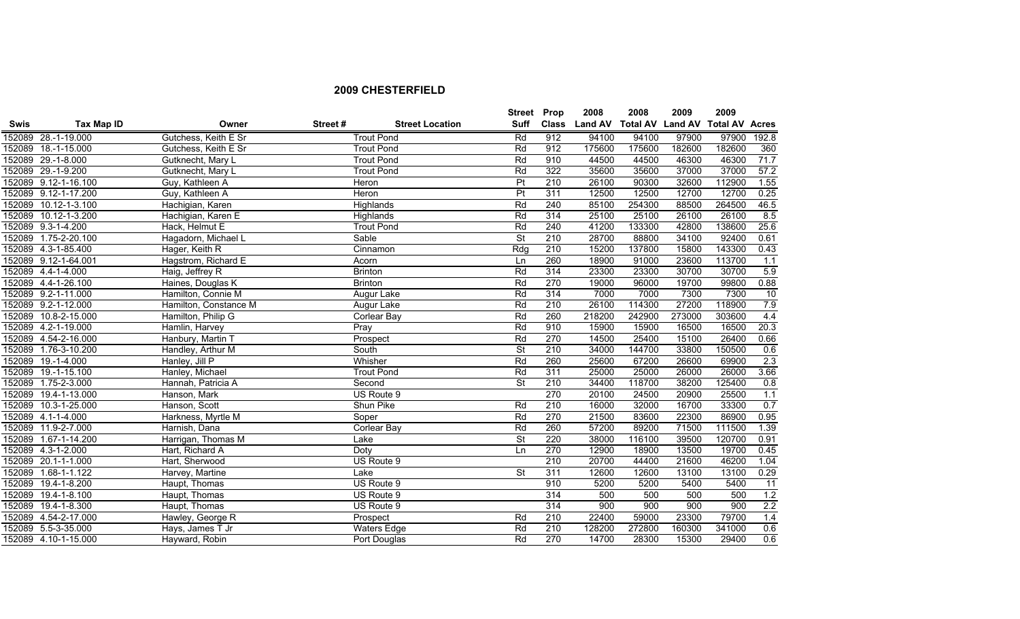|             |                      |                       |         |                        | <b>Street Prop</b>       |              | 2008           | 2008                    | 2009   | 2009                  |       |
|-------------|----------------------|-----------------------|---------|------------------------|--------------------------|--------------|----------------|-------------------------|--------|-----------------------|-------|
| <b>Swis</b> | Tax Map ID           | Owner                 | Street# | <b>Street Location</b> | Suff                     | <b>Class</b> | <b>Land AV</b> | <b>Total AV Land AV</b> |        | <b>Total AV Acres</b> |       |
|             | 152089 28.-1-19.000  | Gutchess, Keith E Sr  |         | <b>Trout Pond</b>      | Rd                       | 912          | 94100          | 94100                   | 97900  | 97900                 | 192.8 |
|             | 152089 18.-1-15.000  | Gutchess, Keith E Sr  |         | <b>Trout Pond</b>      | Rd                       | 912          | 175600         | 175600                  | 182600 | 182600                | 360   |
|             | 152089 29.-1-8.000   | Gutknecht, Mary L     |         | <b>Trout Pond</b>      | Rd                       | 910          | 44500          | 44500                   | 46300  | 46300                 | 71.7  |
|             | 152089 29.-1-9.200   | Gutknecht, Mary L     |         | <b>Trout Pond</b>      | Rd                       | 322          | 35600          | 35600                   | 37000  | 37000                 | 57.2  |
|             | 152089 9.12-1-16.100 | Guy, Kathleen A       |         | Heron                  | $\overline{P}$           | 210          | 26100          | 90300                   | 32600  | 112900                | 1.55  |
|             | 152089 9.12-1-17.200 | Guy, Kathleen A       |         | <b>Heron</b>           | Pt                       | 311          | 12500          | 12500                   | 12700  | 12700                 | 0.25  |
|             | 152089 10.12-1-3.100 | Hachigian, Karen      |         | Highlands              | Rd                       | 240          | 85100          | 254300                  | 88500  | 264500                | 46.5  |
|             | 152089 10.12-1-3.200 | Hachigian, Karen E    |         | Highlands              | Rd                       | 314          | 25100          | 25100                   | 26100  | 26100                 | 8.5   |
|             | 152089 9.3-1-4.200   | Hack, Helmut E        |         | <b>Trout Pond</b>      | Rd                       | 240          | 41200          | 133300                  | 42800  | 138600                | 25.6  |
|             | 152089 1.75-2-20.100 | Hagadorn, Michael L   |         | Sable                  | $\overline{\mathsf{St}}$ | 210          | 28700          | 88800                   | 34100  | 92400                 | 0.61  |
|             | 152089 4.3-1-85.400  | Hager, Keith R        |         | Cinnamon               | Rdq                      | 210          | 15200          | 137800                  | 15800  | 143300                | 0.43  |
|             | 152089 9.12-1-64.001 | Hagstrom, Richard E   |         | Acorn                  | Ln                       | 260          | 18900          | 91000                   | 23600  | 113700                | 1.1   |
|             | 152089 4.4-1-4.000   | Haig, Jeffrey R       |         | <b>Brinton</b>         | Rd                       | 314          | 23300          | 23300                   | 30700  | 30700                 | 5.9   |
|             | 152089 4.4-1-26.100  | Haines, Douglas K     |         | <b>Brinton</b>         | Rd                       | 270          | 19000          | 96000                   | 19700  | 99800                 | 0.88  |
|             | 152089 9.2-1-11.000  | Hamilton, Connie M    |         | Augur Lake             | Rd                       | 314          | 7000           | 7000                    | 7300   | 7300                  | 10    |
|             | 152089 9.2-1-12.000  | Hamilton, Constance M |         | Augur Lake             | Rd                       | 210          | 26100          | 114300                  | 27200  | 118900                | 7.9   |
|             | 152089 10.8-2-15.000 | Hamilton, Philip G    |         | <b>Corlear Bay</b>     | Rd                       | 260          | 218200         | 242900                  | 273000 | 303600                | 4.4   |
|             | 152089 4.2-1-19.000  | Hamlin, Harvey        |         | Pray                   | Rd                       | 910          | 15900          | 15900                   | 16500  | 16500                 | 20.3  |
|             | 152089 4.54-2-16.000 | Hanbury, Martin T     |         | Prospect               | Rd                       | 270          | 14500          | 25400                   | 15100  | 26400                 | 0.66  |
|             | 152089 1.76-3-10.200 | Handley, Arthur M     |         | South                  | $\overline{\mathsf{St}}$ | 210          | 34000          | 144700                  | 33800  | 150500                | 0.6   |
|             | 152089 19.-1-4.000   | Hanley, Jill P        |         | Whisher                | Rd                       | 260          | 25600          | 67200                   | 26600  | 69900                 | 2.3   |
|             | 152089 19.-1-15.100  | Hanley, Michael       |         | <b>Trout Pond</b>      | Rd                       | 311          | 25000          | 25000                   | 26000  | 26000                 | 3.66  |
|             | 152089 1.75-2-3.000  | Hannah, Patricia A    |         | Second                 | $\overline{\mathsf{St}}$ | 210          | 34400          | 118700                  | 38200  | 125400                | 0.8   |
|             | 152089 19.4-1-13.000 | Hanson, Mark          |         | US Route 9             |                          | 270          | 20100          | 24500                   | 20900  | 25500                 | 1.1   |
|             | 152089 10.3-1-25.000 | Hanson, Scott         |         | Shun Pike              | Rd                       | 210          | 16000          | 32000                   | 16700  | 33300                 | 0.7   |
|             | 152089 4.1-1-4.000   | Harkness, Myrtle M    |         | Soper                  | Rd                       | 270          | 21500          | 83600                   | 22300  | 86900                 | 0.95  |
|             | 152089 11.9-2-7.000  | Harnish, Dana         |         | <b>Corlear Bay</b>     | Rd                       | 260          | 57200          | 89200                   | 71500  | 111500                | 1.39  |
|             | 152089 1.67-1-14.200 | Harrigan, Thomas M    |         | Lake                   | $\overline{\mathsf{St}}$ | 220          | 38000          | 116100                  | 39500  | 120700                | 0.91  |
|             | 152089 4.3-1-2.000   | Hart, Richard A       |         | <b>Doty</b>            | Ln                       | 270          | 12900          | 18900                   | 13500  | 19700                 | 0.45  |
|             | 152089 20.1-1-1.000  | Hart, Sherwood        |         | US Route 9             |                          | 210          | 20700          | 44400                   | 21600  | 46200                 | 1.04  |
|             | 152089 1.68-1-1.122  | Harvey, Martine       |         | Lake                   | <b>St</b>                | 311          | 12600          | 12600                   | 13100  | 13100                 | 0.29  |
| 152089      | 19.4-1-8.200         | Haupt, Thomas         |         | US Route 9             |                          | 910          | 5200           | 5200                    | 5400   | 5400                  | 11    |
| 152089      | 19.4-1-8.100         | Haupt, Thomas         |         | US Route 9             |                          | 314          | 500            | 500                     | 500    | 500                   | 1.2   |
|             | 152089 19.4-1-8.300  | Haupt, Thomas         |         | US Route 9             |                          | 314          | 900            | 900                     | 900    | 900                   | 2.2   |
|             | 152089 4.54-2-17.000 | Hawley, George R      |         | Prospect               | Rd                       | 210          | 22400          | 59000                   | 23300  | 79700                 | 1.4   |
|             | 152089 5.5-3-35.000  | Hays, James T Jr      |         | <b>Waters Edge</b>     | Rd                       | 210          | 128200         | 272800                  | 160300 | 341000                | 0.6   |
|             | 152089 4.10-1-15.000 | Hayward, Robin        |         | Port Douglas           | Rd                       | 270          | 14700          | 28300                   | 15300  | 29400                 | 0.6   |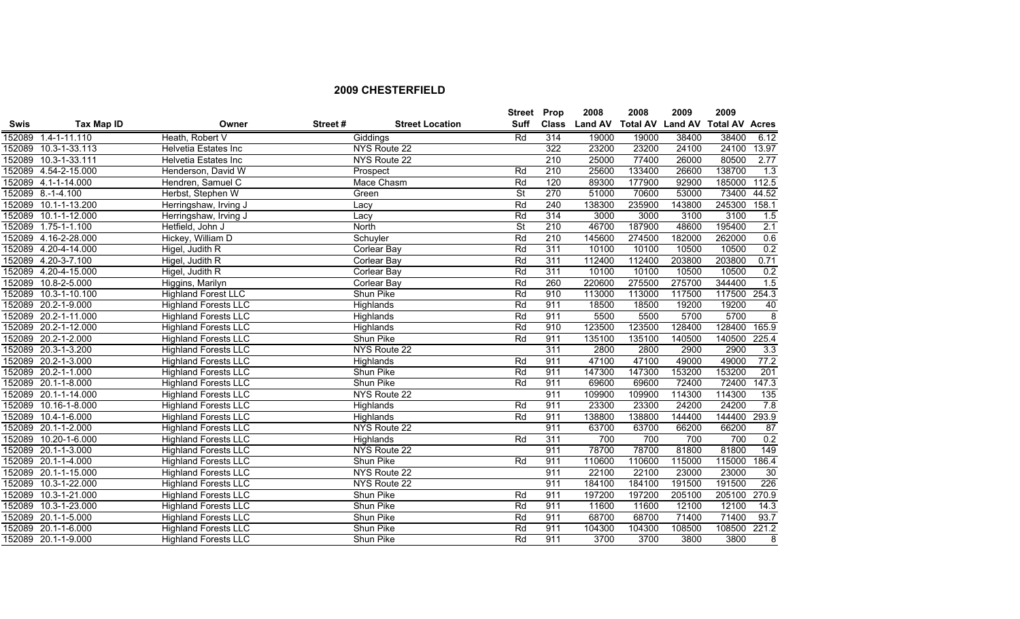|        |                      |                             |         |                        | <b>Street Prop</b>       |              | 2008           | 2008                    | 2009   | 2009                  |                  |
|--------|----------------------|-----------------------------|---------|------------------------|--------------------------|--------------|----------------|-------------------------|--------|-----------------------|------------------|
| Swis   | <b>Tax Map ID</b>    | Owner                       | Street# | <b>Street Location</b> | <b>Suff</b>              | <b>Class</b> | <b>Land AV</b> | <b>Total AV Land AV</b> |        | <b>Total AV Acres</b> |                  |
| 152089 | 1.4-1-11.110         | Heath, Robert V             |         | Giddings               | Rd                       | 314          | 19000          | 19000                   | 38400  | 38400                 | 6.12             |
| 152089 | 10.3-1-33.113        | Helvetia Estates Inc        |         | NYS Route 22           |                          | 322          | 23200          | 23200                   | 24100  | 24100                 | 13.97            |
|        | 152089 10.3-1-33.111 | Helvetia Estates Inc        |         | NYS Route 22           |                          | 210          | 25000          | 77400                   | 26000  | 80500                 | 2.77             |
|        | 152089 4.54-2-15.000 | Henderson, David W          |         | Prospect               | Rd                       | 210          | 25600          | 133400                  | 26600  | 138700                | $\overline{1.3}$ |
|        | 152089 4.1-1-14.000  | Hendren, Samuel C           |         | Mace Chasm             | Rd                       | 120          | 89300          | 177900                  | 92900  | 185000                | 112.5            |
|        | 152089 8.-1-4.100    | Herbst, Stephen W           |         | Green                  | <b>St</b>                | 270          | 51000          | 70600                   | 53000  | 73400                 | 44.52            |
|        | 152089 10.1-1-13.200 | Herringshaw, Irving J       |         | Lacy                   | Rd                       | 240          | 138300         | 235900                  | 143800 | 245300                | 158.1            |
|        | 152089 10.1-1-12.000 | Herringshaw, Irving J       |         | Lacy                   | Rd                       | 314          | 3000           | 3000                    | 3100   | 3100                  | 1.5              |
| 152089 | $1.75 - 1 - 1.100$   | Hetfield, John J            |         | North                  | $\overline{\mathsf{St}}$ | 210          | 46700          | 187900                  | 48600  | 195400                | 2.1              |
|        | 152089 4.16-2-28.000 | Hickey, William D           |         | Schuyler               | Rd                       | 210          | 145600         | 274500                  | 182000 | 262000                | 0.6              |
|        | 152089 4.20-4-14.000 | Higel, Judith R             |         | Corlear Bay            | Rd                       | 311          | 10100          | 10100                   | 10500  | 10500                 | 0.2              |
|        | 152089 4.20-3-7.100  | Higel, Judith R             |         | <b>Corlear Bay</b>     | Rd                       | 311          | 112400         | 112400                  | 203800 | 203800                | 0.71             |
| 152089 | 4.20-4-15.000        | Higel, Judith R             |         | Corlear Bay            | Rd                       | 311          | 10100          | 10100                   | 10500  | 10500                 | 0.2              |
| 152089 | 10.8-2-5.000         | Higgins, Marilyn            |         | Corlear Bay            | Rd                       | 260          | 220600         | 275500                  | 275700 | 344400                | 1.5              |
|        | 152089 10.3-1-10.100 | <b>Highland Forest LLC</b>  |         | Shun Pike              | Rd                       | 910          | 113000         | 113000                  | 117500 | 117500                | 254.3            |
|        | 152089 20.2-1-9.000  | <b>Highland Forests LLC</b> |         | Highlands              | Rd                       | 911          | 18500          | 18500                   | 19200  | 19200                 | 40               |
|        | 152089 20.2-1-11.000 | <b>Highland Forests LLC</b> |         | Highlands              | Rd                       | 911          | 5500           | 5500                    | 5700   | 5700                  | $\overline{8}$   |
|        | 152089 20.2-1-12.000 | <b>Highland Forests LLC</b> |         | Highlands              | Rd                       | 910          | 123500         | 123500                  | 128400 | 128400                | 165.9            |
|        | 152089 20.2-1-2.000  | <b>Highland Forests LLC</b> |         | Shun Pike              | Rd                       | 911          | 135100         | 135100                  | 140500 | 140500                | 225.4            |
|        | 152089 20.3-1-3.200  | <b>Highland Forests LLC</b> |         | NYS Route 22           |                          | 311          | 2800           | 2800                    | 2900   | 2900                  | 3.3              |
|        | 152089 20.2-1-3.000  | <b>Highland Forests LLC</b> |         | Highlands              | Rd                       | 911          | 47100          | 47100                   | 49000  | 49000                 | 77.2             |
|        | 152089 20.2-1-1.000  | <b>Highland Forests LLC</b> |         | Shun Pike              | Rd                       | 911          | 147300         | 147300                  | 153200 | 153200                | 201              |
|        | 152089 20.1-1-8.000  | <b>Highland Forests LLC</b> |         | Shun Pike              | Rd                       | 911          | 69600          | 69600                   | 72400  | 72400                 | 147.3            |
|        | 152089 20.1-1-14.000 | <b>Highland Forests LLC</b> |         | NYS Route 22           |                          | 911          | 109900         | 109900                  | 114300 | 114300                | 135              |
|        | 152089 10.16-1-8.000 | <b>Highland Forests LLC</b> |         | Highlands              | Rd                       | 911          | 23300          | 23300                   | 24200  | 24200                 | 7.8              |
|        | 152089 10.4-1-6.000  | <b>Highland Forests LLC</b> |         | Highlands              | Rd                       | 911          | 138800         | 138800                  | 144400 | 144400                | 293.9            |
|        | 152089 20.1-1-2.000  | <b>Highland Forests LLC</b> |         | NYS Route 22           |                          | 911          | 63700          | 63700                   | 66200  | 66200                 | $\overline{87}$  |
| 152089 | 10.20-1-6.000        | <b>Highland Forests LLC</b> |         | Highlands              | Rd                       | 311          | 700            | 700                     | 700    | 700                   | 0.2              |
|        | 152089 20.1-1-3.000  | <b>Highland Forests LLC</b> |         | NYS Route 22           |                          | 911          | 78700          | 78700                   | 81800  | 81800                 | 149              |
|        | 152089 20.1-1-4.000  | <b>Highland Forests LLC</b> |         | Shun Pike              | Rd                       | 911          | 110600         | 110600                  | 115000 | 115000                | 186.4            |
|        | 152089 20.1-1-15.000 | <b>Highland Forests LLC</b> |         | NYS Route 22           |                          | 911          | 22100          | 22100                   | 23000  | 23000                 | 30               |
| 152089 | 10.3-1-22.000        | <b>Highland Forests LLC</b> |         | NYS Route 22           |                          | 911          | 184100         | 184100                  | 191500 | 191500                | 226              |
| 152089 | 10.3-1-21.000        | <b>Highland Forests LLC</b> |         | Shun Pike              | Rd                       | 911          | 197200         | 197200                  | 205100 | 205100                | 270.9            |
| 152089 | 10.3-1-23.000        | <b>Highland Forests LLC</b> |         | Shun Pike              | Rd                       | 911          | 11600          | 11600                   | 12100  | 12100                 | 14.3             |
|        | 152089 20.1-1-5.000  | <b>Highland Forests LLC</b> |         | Shun Pike              | Rd                       | 911          | 68700          | 68700                   | 71400  | 71400                 | 93.7             |
|        | 152089 20.1-1-6.000  | <b>Highland Forests LLC</b> |         | Shun Pike              | Rd                       | 911          | 104300         | 104300                  | 108500 | 108500                | 221.2            |
|        | 152089 20.1-1-9.000  | <b>Highland Forests LLC</b> |         | Shun Pike              | Rd                       | 911          | 3700           | 3700                    | 3800   | 3800                  | 8                |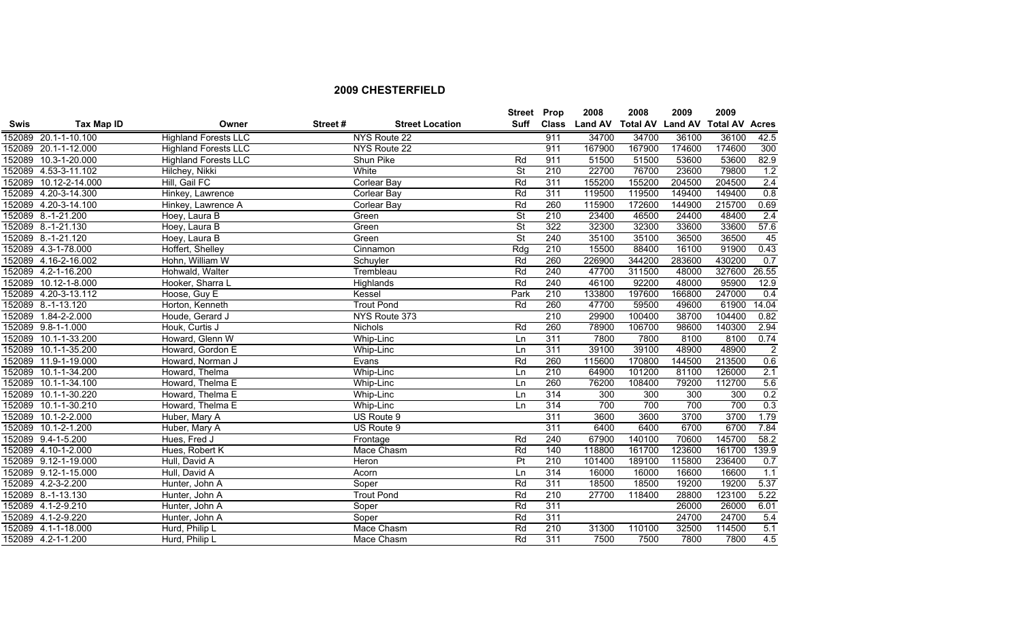|             |                       |                             |          |                        |                          | Street Prop  | 2008           | 2008   | 2009   | 2009                                   |                |
|-------------|-----------------------|-----------------------------|----------|------------------------|--------------------------|--------------|----------------|--------|--------|----------------------------------------|----------------|
| <b>Swis</b> | <b>Tax Map ID</b>     | Owner                       | Street # | <b>Street Location</b> | Suff                     | <b>Class</b> | <b>Land AV</b> |        |        | <b>Total AV Land AV Total AV Acres</b> |                |
|             | 152089 20.1-1-10.100  | <b>Highland Forests LLC</b> |          | NYS Route 22           |                          | 911          | 34700          | 34700  | 36100  | 36100                                  | 42.5           |
|             | 152089 20.1-1-12.000  | <b>Highland Forests LLC</b> |          | <b>NYS Route 22</b>    |                          | 911          | 167900         | 167900 | 174600 | 174600                                 | 300            |
|             | 152089 10.3-1-20.000  | <b>Highland Forests LLC</b> |          | Shun Pike              | Rd                       | 911          | 51500          | 51500  | 53600  | 53600                                  | 82.9           |
|             | 152089 4.53-3-11.102  | Hilchey, Nikki              |          | White                  | $\overline{\mathsf{St}}$ | 210          | 22700          | 76700  | 23600  | 79800                                  | 1.2            |
|             | 152089 10.12-2-14.000 | Hill, Gail FC               |          | <b>Corlear Bay</b>     | Rd                       | 311          | 155200         | 155200 | 204500 | 204500                                 | 2.4            |
|             | 152089 4.20-3-14.300  | Hinkey, Lawrence            |          | <b>Corlear Bay</b>     | Rd                       | 311          | 119500         | 119500 | 149400 | 149400                                 | 0.8            |
|             | 152089 4.20-3-14.100  | Hinkey, Lawrence A          |          | Corlear Bay            | Rd                       | 260          | 115900         | 172600 | 144900 | 215700                                 | 0.69           |
|             | 152089 8.-1-21.200    | Hoey, Laura B               |          | Green                  | $\overline{\mathsf{St}}$ | 210          | 23400          | 46500  | 24400  | 48400                                  | 2.4            |
|             | 152089 8.-1-21.130    | Hoey, Laura B               |          | Green                  | $\overline{\mathsf{St}}$ | 322          | 32300          | 32300  | 33600  | 33600                                  | 57.6           |
|             | 152089 8.-1-21.120    | Hoey, Laura B               |          | Green                  | $\overline{\mathsf{St}}$ | 240          | 35100          | 35100  | 36500  | 36500                                  | 45             |
|             | 152089 4.3-1-78.000   | Hoffert, Shelley            |          | Cinnamon               | Rdq                      | 210          | 15500          | 88400  | 16100  | 91900                                  | 0.43           |
|             | 152089 4.16-2-16.002  | Hohn, William W             |          | Schuyler               | Rd                       | 260          | 226900         | 344200 | 283600 | 430200                                 | 0.7            |
|             | 152089 4.2-1-16.200   | Hohwald, Walter             |          | Trembleau              | Rd                       | 240          | 47700          | 311500 | 48000  | 327600                                 | 26.55          |
|             | 152089 10.12-1-8.000  | Hooker, Sharra L            |          | Highlands              | Rd                       | 240          | 46100          | 92200  | 48000  | 95900                                  | 12.9           |
|             | 152089 4.20-3-13.112  | Hoose, Guy E                |          | Kessel                 | Park                     | 210          | 133800         | 197600 | 166800 | 247000                                 | 0.4            |
|             | 152089 8.-1-13.120    | Horton, Kenneth             |          | <b>Trout Pond</b>      | Rd                       | 260          | 47700          | 59500  | 49600  | 61900                                  | 14.04          |
|             | 152089 1.84-2-2.000   | Houde, Gerard J             |          | NYS Route 373          |                          | 210          | 29900          | 100400 | 38700  | 104400                                 | 0.82           |
|             | 152089 9.8-1-1.000    | Houk, Curtis J              |          | <b>Nichols</b>         | Rd                       | 260          | 78900          | 106700 | 98600  | 140300                                 | 2.94           |
|             | 152089 10.1-1-33.200  | Howard, Glenn W             |          | Whip-Linc              | Ln                       | 311          | 7800           | 7800   | 8100   | 8100                                   | 0.74           |
|             | 152089 10.1-1-35.200  | Howard, Gordon E            |          | Whip-Linc              | Ln                       | 311          | 39100          | 39100  | 48900  | 48900                                  | $\overline{2}$ |
|             | 152089 11.9-1-19.000  | Howard, Norman J            |          | Evans                  | Rd                       | 260          | 115600         | 170800 | 144500 | 213500                                 | 0.6            |
|             | 152089 10.1-1-34.200  | Howard, Thelma              |          | Whip-Linc              | Ln                       | 210          | 64900          | 101200 | 81100  | 126000                                 | 2.1            |
|             | 152089 10.1-1-34.100  | Howard, Thelma E            |          | Whip-Linc              | Ln                       | 260          | 76200          | 108400 | 79200  | 112700                                 | 5.6            |
|             | 152089 10.1-1-30.220  | Howard, Thelma E            |          | Whip-Linc              | Ln                       | 314          | 300            | 300    | 300    | 300                                    | 0.2            |
|             | 152089 10.1-1-30.210  | Howard, Thelma E            |          | Whip-Linc              | Ln                       | 314          | 700            | 700    | 700    | 700                                    | 0.3            |
|             | 152089 10.1-2-2.000   | Huber, Mary A               |          | US Route 9             |                          | 311          | 3600           | 3600   | 3700   | 3700                                   | 1.79           |
|             | 152089 10.1-2-1.200   | Huber, Mary A               |          | US Route 9             |                          | 311          | 6400           | 6400   | 6700   | 6700                                   | 7.84           |
|             | 152089 9.4-1-5.200    | Hues, Fred J                |          | Frontage               | Rd                       | 240          | 67900          | 140100 | 70600  | 145700                                 | 58.2           |
|             | 152089 4.10-1-2.000   | Hues, Robert K              |          | Mace Chasm             | Rd                       | 140          | 118800         | 161700 | 123600 | 161700                                 | 139.9          |
|             | 152089 9.12-1-19.000  | Hull, David A               |          | Heron                  | P <sub>t</sub>           | 210          | 101400         | 189100 | 115800 | 236400                                 | 0.7            |
|             | 152089 9.12-1-15.000  | Hull, David A               |          | Acorn                  | Ln                       | 314          | 16000          | 16000  | 16600  | 16600                                  | 1.1            |
|             | 152089 4.2-3-2.200    | Hunter, John A              |          | Soper                  | Rd                       | 311          | 18500          | 18500  | 19200  | 19200                                  | 5.37           |
|             | 152089 8.-1-13.130    | Hunter, John A              |          | <b>Trout Pond</b>      | Rd                       | 210          | 27700          | 118400 | 28800  | 123100                                 | 5.22           |
|             | 152089 4.1-2-9.210    | Hunter, John A              |          | Soper                  | Rd                       | 311          |                |        | 26000  | 26000                                  | 6.01           |
|             | 152089 4.1-2-9.220    | Hunter, John A              |          | Soper                  | Rd                       | 311          |                |        | 24700  | 24700                                  | 5.4            |
|             | 152089 4.1-1-18.000   | Hurd, Philip L              |          | Mace Chasm             | Rd                       | 210          | 31300          | 110100 | 32500  | 114500                                 | 5.1            |
|             | 152089 4.2-1-1.200    | Hurd, Philip L              |          | Mace Chasm             | Rd                       | 311          | 7500           | 7500   | 7800   | 7800                                   | 4.5            |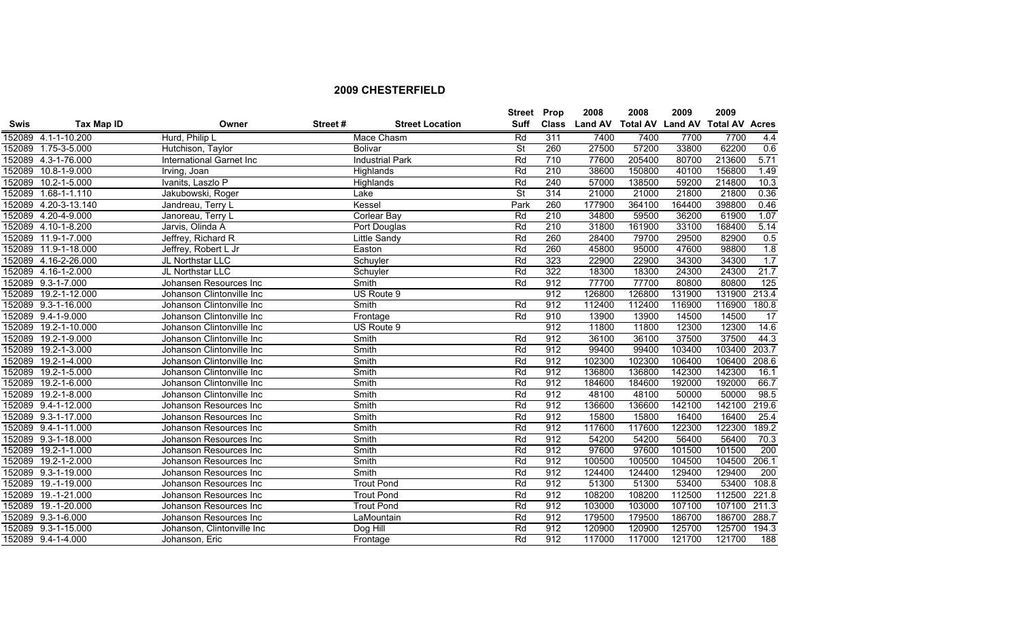|             |                            |                            |         |                        | <b>Street</b> | Prop         | 2008           | 2008                    | 2009   | 2009                  |                 |
|-------------|----------------------------|----------------------------|---------|------------------------|---------------|--------------|----------------|-------------------------|--------|-----------------------|-----------------|
| <b>Swis</b> | Tax Map ID                 | Owner                      | Street# | <b>Street Location</b> | <b>Suff</b>   | <b>Class</b> | <b>Land AV</b> | <b>Total AV Land AV</b> |        | <b>Total AV Acres</b> |                 |
|             | 152089 4.1-1-10.200        | Hurd, Philip L             |         | Mace Chasm             | Rd            | 311          | 7400           | 7400                    | 7700   | 7700                  | 4.4             |
|             | 152089 1.75-3-5.000        | Hutchison, Taylor          |         | <b>Bolivar</b>         | <b>St</b>     | 260          | 27500          | 57200                   | 33800  | 62200                 | 0.6             |
|             | 152089 4.3-1-76.000        | International Garnet Inc   |         | <b>Industrial Park</b> | Rd            | 710          | 77600          | 205400                  | 80700  | 213600                | 5.71            |
| 152089      | 10.8-1-9.000               | Irving, Joan               |         | Highlands              | Rd            | 210          | 38600          | 150800                  | 40100  | 156800                | 1.49            |
| 152089      | 10.2-1-5.000               | Ivanits, Laszlo P          |         | Highlands              | Rd            | 240          | 57000          | 138500                  | 59200  | 214800                | 10.3            |
| 152089      | 1.68-1-1.110               | Jakubowski, Roger          |         | Lake                   | <b>St</b>     | 314          | 21000          | 21000                   | 21800  | 21800                 | 0.36            |
| 152089      | 4.20-3-13.140              | Jandreau, Terry L          |         | Kessel                 | Park          | 260          | 177900         | 364100                  | 164400 | 398800                | 0.46            |
| 152089      | 4.20-4-9.000               | Janoreau, Terry L          |         | Corlear Bay            | Rd            | 210          | 34800          | 59500                   | 36200  | 61900                 | 1.07            |
| 152089      | $4.10 - 1 - 8.200$         | Jarvis, Olinda A           |         | Port Douglas           | Rd            | 210          | 31800          | 161900                  | 33100  | 168400                | 5.14            |
| 152089      | 11.9-1-7.000               | Jeffrey, Richard R         |         | Little Sandy           | Rd            | 260          | 28400          | 79700                   | 29500  | 82900                 | 0.5             |
| 152089      | 11.9-1-18.000              | Jeffrey, Robert L Jr       |         | Easton                 | Rd            | 260          | 45800          | 95000                   | 47600  | 98800                 | 1.8             |
| 152089      | 4.16-2-26.000              | JL Northstar LLC           |         | Schuyler               | Rd            | 323          | 22900          | 22900                   | 34300  | 34300                 | 1.7             |
| 152089      | $4.16 - 1 - 2.000$         | JL Northstar LLC           |         | Schuyler               | Rd            | 322          | 18300          | 18300                   | 24300  | 24300                 | 21.7            |
| 152089      | 9.3-1-7.000                | Johansen Resources Inc     |         | Smith                  | Rd            | 912          | 77700          | 77700                   | 80800  | 80800                 | 125             |
| 152089      | 19.2-1-12.000              | Johanson Clintonville Inc  |         | US Route 9             |               | 912          | 126800         | 126800                  | 131900 | 131900                | 213.4           |
|             | 152089 9.3-1-16.000        | Johanson Clintonville Inc  |         | Smith                  | Rd            | 912          | 112400         | 112400                  | 116900 | 116900                | 180.8           |
|             | 152089 9.4-1-9.000         | Johanson Clintonville Inc  |         | Frontage               | Rd            | 910          | 13900          | 13900                   | 14500  | 14500                 | $\overline{17}$ |
| 152089      | 19.2-1-10.000              | Johanson Clintonville Inc  |         | US Route 9             |               | 912          | 11800          | 11800                   | 12300  | 12300                 | 14.6            |
| 152089      | 19.2-1-9.000               | Johanson Clintonville Inc  |         | Smith                  | Rd            | 912          | 36100          | 36100                   | 37500  | 37500                 | 44.3            |
| 152089      | 19.2-1-3.000               | Johanson Clintonville Inc  |         | Smith                  | Rd            | 912          | 99400          | 99400                   | 103400 | 103400                | 203.7           |
| 152089      | 19.2-1-4.000               | Johanson Clintonville Inc  |         | Smith                  | Rd            | 912          | 102300         | 102300                  | 106400 | 106400                | 208.6           |
| 152089      | 19.2-1-5.000               | Johanson Clintonville Inc  |         | Smith                  | Rd            | 912          | 136800         | 136800                  | 142300 | 142300                | 16.1            |
| 152089      | 19.2-1-6.000               | Johanson Clintonville Inc  |         | Smith                  | Rd            | 912          | 184600         | 184600                  | 192000 | 192000                | 66.7            |
| 152089      | 19.2-1-8.000               | Johanson Clintonville Inc  |         | Smith                  | Rd            | 912          | 48100          | 48100                   | 50000  | 50000                 | 98.5            |
|             | 152089 9.4-1-12.000        | Johanson Resources Inc     |         | Smith                  | Rd            | 912          | 136600         | 136600                  | 142100 | 142100                | 219.6           |
|             | 152089 9.3-1-17.000        | Johanson Resources Inc     |         | Smith                  | Rd            | 912          | 15800          | 15800                   | 16400  | 16400                 | 25.4            |
|             | 152089 9.4-1-11.000        | Johanson Resources Inc     |         | Smith                  | Rd            | 912          | 117600         | 117600                  | 122300 | 122300                | 189.2           |
| 152089      | $9.3 - 1 - 18.000$         | Johanson Resources Inc     |         | Smith                  | Rd            | 912          | 54200          | 54200                   | 56400  | 56400                 | 70.3            |
| 152089      | 19.2-1-1.000               | Johanson Resources Inc     |         | Smith                  | Rd            | 912          | 97600          | 97600                   | 101500 | 101500                | 200             |
| 152089      | $19.2 - 1 - 2.000$         | Johanson Resources Inc     |         | Smith                  | Rd            | 912          | 100500         | 100500                  | 104500 | 104500                | 206.1           |
|             | 152089 9.3-1-19.000        | Johanson Resources Inc     |         | Smith                  | Rd            | 912          | 124400         | 124400                  | 129400 | 129400                | 200             |
| 152089      | $\overline{19.}$ -1-19.000 | Johanson Resources Inc     |         | <b>Trout Pond</b>      | Rd            | 912          | 51300          | 51300                   | 53400  | 53400                 | 108.8           |
| 152089      | 19.-1-21.000               | Johanson Resources Inc     |         | <b>Trout Pond</b>      | Rd            | 912          | 108200         | 108200                  | 112500 | 112500                | 221.8           |
| 152089      | 19.-1-20.000               | Johanson Resources Inc     |         | <b>Trout Pond</b>      | Rd            | 912          | 103000         | 103000                  | 107100 | 107100                | 211.3           |
|             | 152089 9.3-1-6.000         | Johanson Resources Inc     |         | LaMountain             | Rd            | 912          | 179500         | 179500                  | 186700 | 186700                | 288.7           |
|             | 152089 9.3-1-15.000        | Johanson, Clintonville Inc |         | Dog Hill               | Rd            | 912          | 120900         | 120900                  | 125700 | 125700                | 194.3           |
|             | 152089 9.4-1-4.000         | Johanson, Eric             |         | Frontage               | Rd            | 912          | 117000         | 117000                  | 121700 | 121700                | 188             |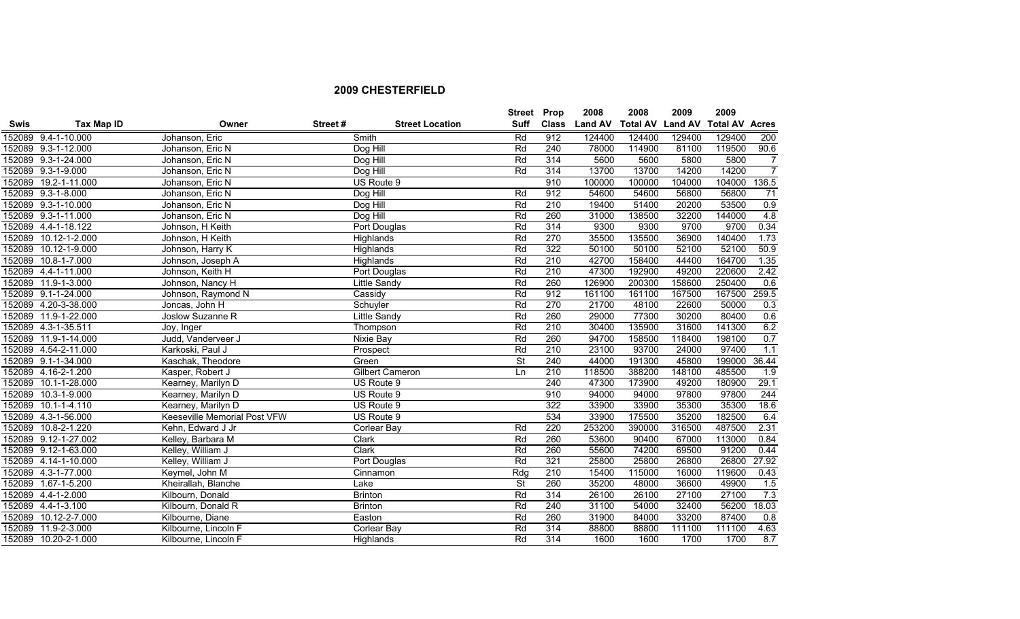|             |                      |                              |         |                        | <b>Street Prop</b>       |                  | 2008           | 2008   | 2009   | 2009                            |                  |
|-------------|----------------------|------------------------------|---------|------------------------|--------------------------|------------------|----------------|--------|--------|---------------------------------|------------------|
| <b>Swis</b> | Tax Map ID           | Owner                        | Street# | <b>Street Location</b> | <b>Suff</b>              | <b>Class</b>     | <b>Land AV</b> |        |        | Total AV Land AV Total AV Acres |                  |
|             | 152089 9.4-1-10.000  | Johanson, Eric               |         | Smith                  | Rd                       | 912              | 124400         | 124400 | 129400 | 129400                          | 200              |
|             | 152089 9.3-1-12.000  | Johanson, Eric N             |         | Dog Hill               | Rd                       | 240              | 78000          | 114900 | 81100  | 119500                          | 90.6             |
|             | 152089 9.3-1-24.000  | Johanson, Eric N             |         | Dog Hill               | Rd                       | 314              | 5600           | 5600   | 5800   | 5800                            | $\overline{7}$   |
|             | 152089 9.3-1-9.000   | Johanson, Eric N             |         | Dog Hill               | Rd                       | 314              | 13700          | 13700  | 14200  | 14200                           | $\overline{7}$   |
|             | 152089 19.2-1-11.000 | Johanson, Eric N             |         | US Route 9             |                          | 910              | 100000         | 100000 | 104000 | 104000                          | 136.5            |
|             | 152089 9.3-1-8.000   | Johanson, Eric N             |         | Dog Hill               | Rd                       | 912              | 54600          | 54600  | 56800  | 56800                           | $\overline{71}$  |
|             | 152089 9.3-1-10.000  | Johanson, Eric N             |         | Dog Hill               | Rd                       | 210              | 19400          | 51400  | 20200  | 53500                           | 0.9              |
|             | 152089 9.3-1-11.000  | Johanson, Eric N             |         | Dog Hill               | Rd                       | 260              | 31000          | 138500 | 32200  | 144000                          | 4.8              |
|             | 152089 4.4-1-18.122  | Johnson, H Keith             |         | Port Douglas           | Rd                       | 314              | 9300           | 9300   | 9700   | 9700                            | 0.34             |
|             | 152089 10.12-1-2.000 | Johnson, H Keith             |         | Highlands              | Rd                       | 270              | 35500          | 135500 | 36900  | 140400                          | 1.73             |
|             | 152089 10.12-1-9.000 | Johnson, Harry K             |         | Highlands              | Rd                       | 322              | 50100          | 50100  | 52100  | 52100                           | 50.9             |
|             | 152089 10.8-1-7.000  | Johnson, Joseph A            |         | Highlands              | Rd                       | 210              | 42700          | 158400 | 44400  | 164700                          | 1.35             |
|             | 152089 4.4-1-11.000  | Johnson, Keith H             |         | Port Douglas           | Rd                       | 210              | 47300          | 192900 | 49200  | 220600                          | 2.42             |
|             | 152089 11.9-1-3.000  | Johnson, Nancy H             |         | Little Sandy           | Rd                       | 260              | 126900         | 200300 | 158600 | 250400                          | 0.6              |
|             | 152089 9.1-1-24.000  | Johnson, Raymond N           |         | Cassidy                | Rd                       | 912              | 161100         | 161100 | 167500 | 167500                          | 259.5            |
|             | 152089 4.20-3-38.000 | Joncas, John H               |         | Schuyler               | Rd                       | 270              | 21700          | 48100  | 22600  | 50000                           | 0.3              |
|             | 152089 11.9-1-22.000 | Joslow Suzanne R             |         | Little Sandy           | Rd                       | 260              | 29000          | 77300  | 30200  | 80400                           | 0.6              |
|             | 152089 4.3-1-35.511  | Joy, Inger                   |         | Thompson               | Rd                       | 210              | 30400          | 135900 | 31600  | 141300                          | 6.2              |
|             | 152089 11.9-1-14.000 | Judd, Vanderveer J           |         | Nixie Bay              | Rd                       | 260              | 94700          | 158500 | 118400 | 198100                          | 0.7              |
|             | 152089 4.54-2-11.000 | Karkoski, Paul J             |         | Prospect               | Rd                       | 210              | 23100          | 93700  | 24000  | 97400                           | 1.1              |
|             | 152089 9.1-1-34.000  | Kaschak, Theodore            |         | Green                  | $\overline{\mathsf{St}}$ | 240              | 44000          | 191300 | 45800  | 199000                          | 36.44            |
|             | 152089 4.16-2-1.200  | Kasper, Robert J             |         | <b>Gilbert Cameron</b> | Ln                       | 210              | 118500         | 388200 | 148100 | 485500                          | $\overline{1.9}$ |
|             | 152089 10.1-1-28.000 | Kearney, Marilyn D           |         | US Route 9             |                          | 240              | 47300          | 173900 | 49200  | 180900                          | 29.1             |
|             | 152089 10.3-1-9.000  | Kearney, Marilyn D           |         | US Route 9             |                          | 910              | 94000          | 94000  | 97800  | 97800                           | 244              |
|             | 152089 10.1-1-4.110  | Kearney, Marilyn D           |         | US Route 9             |                          | 322              | 33900          | 33900  | 35300  | 35300                           | 18.6             |
|             | 152089 4.3-1-56.000  | Keeseville Memorial Post VFW |         | US Route 9             |                          | 534              | 33900          | 175500 | 35200  | 182500                          | 6.4              |
|             | 152089 10.8-2-1.220  | Kehn, Edward J Jr            |         | Corlear Bay            | Rd                       | 220              | 253200         | 390000 | 316500 | 487500                          | 2.31             |
|             | 152089 9.12-1-27.002 | Kelley, Barbara M            |         | <b>Clark</b>           | Rd                       | 260              | 53600          | 90400  | 67000  | 113000                          | 0.84             |
|             | 152089 9.12-1-63.000 | Kelley, William J            |         | Clark                  | Rd                       | 260              | 55600          | 74200  | 69500  | 91200                           | 0.44             |
|             | 152089 4.14-1-10.000 | Kelley, William J            |         | Port Douglas           | Rd                       | 321              | 25800          | 25800  | 26800  | 26800                           | 27.92            |
|             | 152089 4.3-1-77.000  | Keymel, John M               |         | Cinnamon               | Rdq                      | 210              | 15400          | 115000 | 16000  | 119600                          | 0.43             |
|             | 152089 1.67-1-5.200  | Kheirallah, Blanche          |         | Lake                   | $\overline{\mathsf{St}}$ | 260              | 35200          | 48000  | 36600  | 49900                           | 1.5              |
|             | 152089 4.4-1-2.000   | Kilbourn, Donald             |         | <b>Brinton</b>         | Rd                       | 314              | 26100          | 26100  | 27100  | 27100                           | 7.3              |
|             | 152089 4.4-1-3.100   | Kilbourn, Donald R           |         | <b>Brinton</b>         | Rd                       | 240              | 31100          | 54000  | 32400  | 56200                           | 18.03            |
|             | 152089 10.12-2-7.000 | Kilbourne, Diane             |         | Easton                 | Rd                       | 260              | 31900          | 84000  | 33200  | 87400                           | 0.8              |
|             | 152089 11.9-2-3.000  | Kilbourne, Lincoln F         |         | Corlear Bay            | Rd                       | 314              | 88800          | 88800  | 111100 | 111100                          | 4.63             |
|             | 152089 10.20-2-1.000 | Kilbourne, Lincoln F         |         | Highlands              | Rd                       | $\overline{314}$ | 1600           | 1600   | 1700   | 1700                            | 8.7              |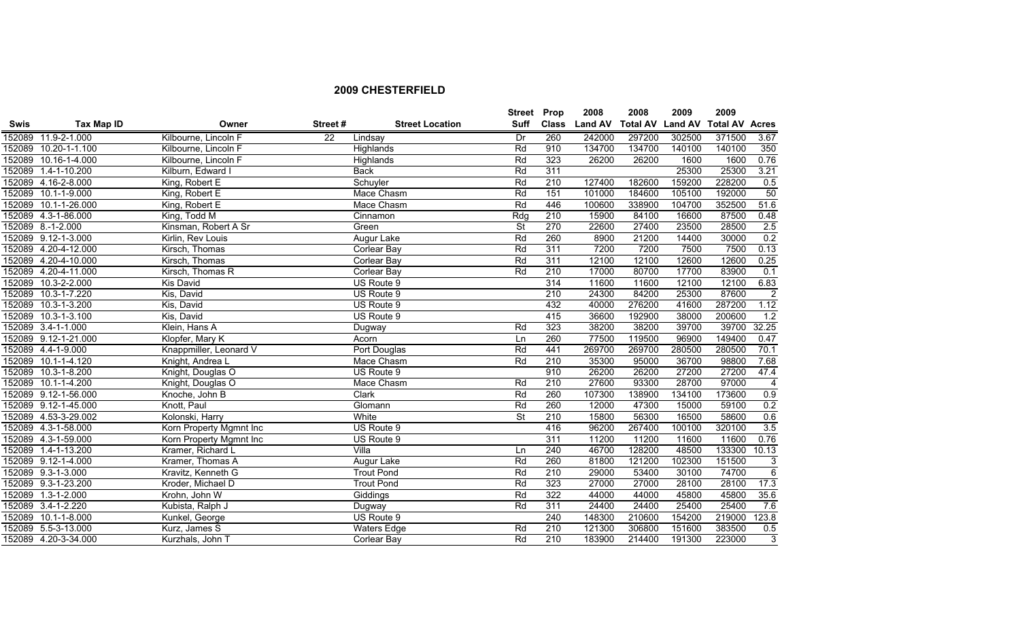|             |                      |                         |         |                        | Street Prop              |              | 2008           | 2008            | 2009           | 2009                  |                |
|-------------|----------------------|-------------------------|---------|------------------------|--------------------------|--------------|----------------|-----------------|----------------|-----------------------|----------------|
| <b>Swis</b> | <b>Tax Map ID</b>    | Owner                   | Street# | <b>Street Location</b> | Suff                     | <b>Class</b> | <b>Land AV</b> | <b>Total AV</b> | <b>Land AV</b> | <b>Total AV Acres</b> |                |
|             | 152089 11.9-2-1.000  | Kilbourne, Lincoln F    | 22      | Lindsay                | Dr                       | 260          | 242000         | 297200          | 302500         | 371500                | 3.67           |
|             | 152089 10.20-1-1.100 | Kilbourne, Lincoln F    |         | Highlands              | Rd                       | 910          | 134700         | 134700          | 140100         | 140100                | 350            |
|             | 152089 10.16-1-4.000 | Kilbourne, Lincoln F    |         | Highlands              | Rd                       | 323          | 26200          | 26200           | 1600           | 1600                  | 0.76           |
|             | 152089 1.4-1-10.200  | Kilburn, Edward I       |         | <b>Back</b>            | Rd                       | 311          |                |                 | 25300          | 25300                 | 3.21           |
|             | 152089 4.16-2-8.000  | King, Robert E          |         | Schuyler               | Rd                       | 210          | 127400         | 182600          | 159200         | 228200                | 0.5            |
|             | 152089 10.1-1-9.000  | King, Robert E          |         | Mace Chasm             | Rd                       | 151          | 101000         | 184600          | 105100         | 192000                | 50             |
|             | 152089 10.1-1-26.000 | King, Robert E          |         | Mace Chasm             | Rd                       | 446          | 100600         | 338900          | 104700         | 352500                | 51.6           |
|             | 152089 4.3-1-86.000  | King, Todd M            |         | Cinnamon               | Rdg                      | 210          | 15900          | 84100           | 16600          | 87500                 | 0.48           |
|             | 152089 8.-1-2.000    | Kinsman, Robert A Sr    |         | Green                  | $\overline{\mathsf{St}}$ | 270          | 22600          | 27400           | 23500          | 28500                 | 2.5            |
|             | 152089 9.12-1-3.000  | Kirlin, Rev Louis       |         | Augur Lake             | Rd                       | 260          | 8900           | 21200           | 14400          | 30000                 | 0.2            |
|             | 152089 4.20-4-12.000 | Kirsch, Thomas          |         | <b>Corlear Bay</b>     | Rd                       | 311          | 7200           | 7200            | 7500           | 7500                  | 0.13           |
|             | 152089 4.20-4-10.000 | Kirsch, Thomas          |         | <b>Corlear Bay</b>     | Rd                       | 311          | 12100          | 12100           | 12600          | 12600                 | 0.25           |
|             | 152089 4.20-4-11.000 | Kirsch, Thomas R        |         | <b>Corlear Bay</b>     | Rd                       | 210          | 17000          | 80700           | 17700          | 83900                 | 0.1            |
|             | 152089 10.3-2-2.000  | Kis David               |         | US Route 9             |                          | 314          | 11600          | 11600           | 12100          | 12100                 | 6.83           |
|             | 152089 10.3-1-7.220  | Kis, David              |         | US Route 9             |                          | 210          | 24300          | 84200           | 25300          | 87600                 | $\overline{2}$ |
|             | 152089 10.3-1-3.200  | Kis, David              |         | US Route 9             |                          | 432          | 40000          | 276200          | 41600          | 287200                | 1.12           |
|             | 152089 10.3-1-3.100  | Kis, David              |         | US Route 9             |                          | 415          | 36600          | 192900          | 38000          | 200600                | 1.2            |
|             | 152089 3.4-1-1.000   | Klein, Hans A           |         | Dugway                 | Rd                       | 323          | 38200          | 38200           | 39700          | 39700                 | 32.25          |
|             | 152089 9.12-1-21.000 | Klopfer, Mary K         |         | Acorn                  | Ln                       | 260          | 77500          | 119500          | 96900          | 149400                | 0.47           |
|             | 152089 4.4-1-9.000   | Knappmiller, Leonard V  |         | Port Douglas           | Rd                       | 441          | 269700         | 269700          | 280500         | 280500                | 70.1           |
|             | 152089 10.1-1-4.120  | Knight, Andrea L        |         | Mace Chasm             | Rd                       | 210          | 35300          | 95000           | 36700          | 98800                 | 7.68           |
|             | 152089 10.3-1-8.200  | Knight, Douglas O       |         | US Route 9             |                          | 910          | 26200          | 26200           | 27200          | 27200                 | 47.4           |
|             | 152089 10.1-1-4.200  | Knight, Douglas O       |         | Mace Chasm             | Rd                       | 210          | 27600          | 93300           | 28700          | 97000                 | $\overline{4}$ |
|             | 152089 9.12-1-56.000 | Knoche, John B          |         | Clark                  | Rd                       | 260          | 107300         | 138900          | 134100         | 173600                | 0.9            |
|             | 152089 9.12-1-45.000 | Knott, Paul             |         | Glomann                | Rd                       | 260          | 12000          | 47300           | 15000          | 59100                 | 0.2            |
|             | 152089 4.53-3-29.002 | Kolonski, Harry         |         | White                  | <b>St</b>                | 210          | 15800          | 56300           | 16500          | 58600                 | 0.6            |
|             | 152089 4.3-1-58.000  | Korn Property Mgmnt Inc |         | US Route 9             |                          | 416          | 96200          | 267400          | 100100         | 320100                | 3.5            |
|             | 152089 4.3-1-59.000  | Korn Property Mgmnt Inc |         | US Route 9             |                          | 311          | 11200          | 11200           | 11600          | 11600                 | 0.76           |
|             | 152089 1.4-1-13.200  | Kramer, Richard L       |         | Villa                  | Ln                       | 240          | 46700          | 128200          | 48500          | 133300                | 10.13          |
|             | 152089 9.12-1-4.000  | Kramer, Thomas A        |         | Augur Lake             | Rd                       | 260          | 81800          | 121200          | 102300         | 151500                | 3              |
|             | 152089 9.3-1-3.000   | Kravitz, Kenneth G      |         | <b>Trout Pond</b>      | Rd                       | 210          | 29000          | 53400           | 30100          | 74700                 | 6              |
|             | 152089 9.3-1-23.200  | Kroder, Michael D       |         | <b>Trout Pond</b>      | Rd                       | 323          | 27000          | 27000           | 28100          | 28100                 | 17.3           |
|             | 152089 1.3-1-2.000   | Krohn, John W           |         | Giddings               | Rd                       | 322          | 44000          | 44000           | 45800          | 45800                 | 35.6           |
|             | 152089 3.4-1-2.220   | Kubista, Ralph J        |         | Dugway                 | Rd                       | 311          | 24400          | 24400           | 25400          | 25400                 | 7.6            |
|             | 152089 10.1-1-8.000  | Kunkel, George          |         | US Route 9             |                          | 240          | 148300         | 210600          | 154200         | 219000                | 123.8          |
|             | 152089 5.5-3-13.000  | Kurz, James S           |         | <b>Waters Edge</b>     | Rd                       | 210          | 121300         | 306800          | 151600         | 383500                | 0.5            |
|             | 152089 4.20-3-34.000 | Kurzhals, John T        |         | <b>Corlear Bay</b>     | Rd                       | 210          | 183900         | 214400          | 191300         | 223000                | $\overline{3}$ |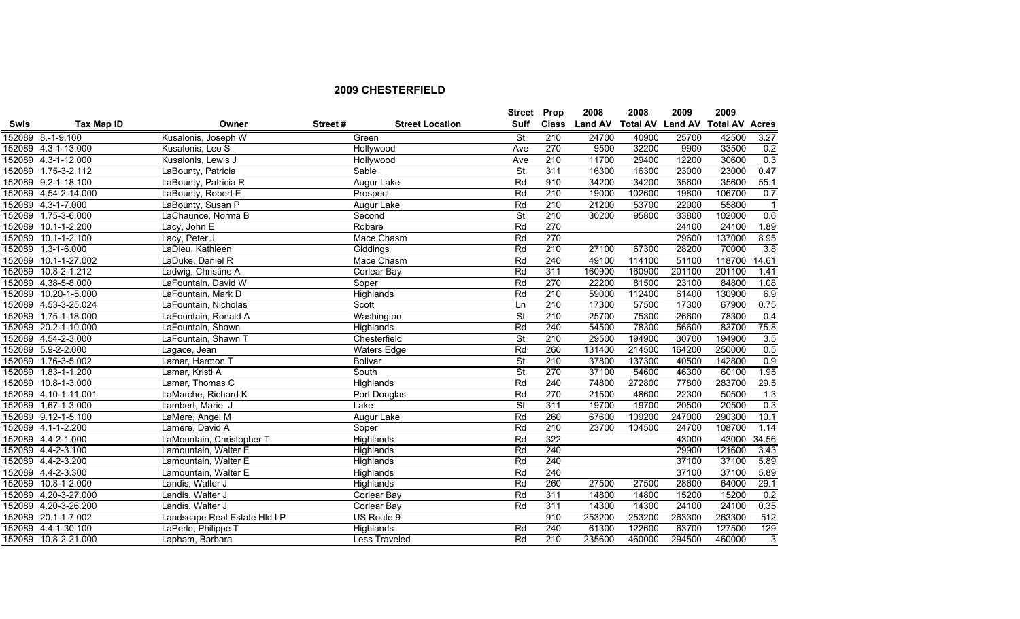|             |                      |                              |         |                        | Street Prop              |              | 2008           | 2008                    | 2009   | 2009                  |                |
|-------------|----------------------|------------------------------|---------|------------------------|--------------------------|--------------|----------------|-------------------------|--------|-----------------------|----------------|
| <b>Swis</b> | Tax Map ID           | Owner                        | Street# | <b>Street Location</b> | Suff                     | <b>Class</b> | <b>Land AV</b> | <b>Total AV Land AV</b> |        | <b>Total AV Acres</b> |                |
|             | 152089 8.-1-9.100    | Kusalonis, Joseph W          |         | Green                  | <b>St</b>                | 210          | 24700          | 40900                   | 25700  | 42500                 | 3.27           |
|             | 152089 4.3-1-13.000  | Kusalonis, Leo S             |         | Hollywood              | Ave                      | 270          | 9500           | 32200                   | 9900   | 33500                 | 0.2            |
|             | 152089 4.3-1-12.000  | Kusalonis, Lewis J           |         | Hollywood              | Ave                      | 210          | 11700          | 29400                   | 12200  | 30600                 | 0.3            |
|             | 152089 1.75-3-2.112  | LaBounty, Patricia           |         | Sable                  | $\overline{\mathsf{St}}$ | 311          | 16300          | 16300                   | 23000  | 23000                 | 0.47           |
|             | 152089 9.2-1-18.100  | LaBounty, Patricia R         |         | Augur Lake             | Rd                       | 910          | 34200          | 34200                   | 35600  | 35600                 | 55.1           |
|             | 152089 4.54-2-14.000 | LaBounty, Robert E           |         | Prospect               | Rd                       | 210          | 19000          | 102600                  | 19800  | 106700                | 0.7            |
|             | 152089 4.3-1-7.000   | LaBounty, Susan P            |         | <b>Augur Lake</b>      | Rd                       | 210          | 21200          | 53700                   | 22000  | 55800                 | $\overline{1}$ |
|             | 152089 1.75-3-6.000  | LaChaunce, Norma B           |         | Second                 | $\overline{\mathsf{St}}$ | 210          | 30200          | 95800                   | 33800  | 102000                | 0.6            |
| 152089      | $10.1 - 1 - 2.200$   | Lacy, John E                 |         | Robare                 | Rd                       | 270          |                |                         | 24100  | 24100                 | 1.89           |
| 152089      | $10.1 - 1 - 2.100$   | Lacy, Peter J                |         | Mace Chasm             | Rd                       | 270          |                |                         | 29600  | 137000                | 8.95           |
| 152089      | $1.3 - 1 - 6.000$    | LaDieu, Kathleen             |         | Giddings               | Rd                       | 210          | 27100          | 67300                   | 28200  | 70000                 | 3.8            |
| 152089      | 10.1-1-27.002        | LaDuke, Daniel R             |         | Mace Chasm             | Rd                       | 240          | 49100          | 114100                  | 51100  | 118700                | 14.61          |
|             | 152089 10.8-2-1.212  | Ladwig, Christine A          |         | Corlear Bay            | Rd                       | 311          | 160900         | 160900                  | 201100 | 201100                | 1.41           |
|             | 152089 4.38-5-8.000  | LaFountain, David W          |         | Soper                  | Rd                       | 270          | 22200          | 81500                   | 23100  | 84800                 | 1.08           |
| 152089      | 10.20-1-5.000        | LaFountain, Mark D           |         | Highlands              | Rd                       | 210          | 59000          | 112400                  | 61400  | 130900                | 6.9            |
|             | 152089 4.53-3-25.024 | LaFountain, Nicholas         |         | Scott                  | Ln                       | 210          | 17300          | 57500                   | 17300  | 67900                 | 0.75           |
|             | 152089 1.75-1-18.000 | LaFountain, Ronald A         |         | Washington             | $\overline{\mathsf{St}}$ | 210          | 25700          | 75300                   | 26600  | 78300                 | 0.4            |
|             | 152089 20.2-1-10.000 | LaFountain, Shawn            |         | Highlands              | Rd                       | 240          | 54500          | 78300                   | 56600  | 83700                 | 75.8           |
|             | 152089 4.54-2-3.000  | LaFountain, Shawn T          |         | Chesterfield           | $\overline{\mathsf{St}}$ | 210          | 29500          | 194900                  | 30700  | 194900                | 3.5            |
|             | 152089 5.9-2-2.000   | Lagace, Jean                 |         | <b>Waters Edge</b>     | Rd                       | 260          | 131400         | 214500                  | 164200 | 250000                | 0.5            |
|             | 152089 1.76-3-5.002  | Lamar, Harmon T              |         | <b>Bolivar</b>         | St                       | 210          | 37800          | 137300                  | 40500  | 142800                | 0.9            |
|             | 152089 1.83-1-1.200  | Lamar, Kristi A              |         | South                  | $\overline{\mathsf{St}}$ | 270          | 37100          | 54600                   | 46300  | 60100                 | 1.95           |
|             | 152089 10.8-1-3.000  | Lamar, Thomas C              |         | Highlands              | Rd                       | 240          | 74800          | 272800                  | 77800  | 283700                | 29.5           |
|             | 152089 4.10-1-11.001 | LaMarche, Richard K          |         | Port Douglas           | Rd                       | 270          | 21500          | 48600                   | 22300  | 50500                 | 1.3            |
|             | 152089 1.67-1-3.000  | Lambert, Marie J             |         | Lake                   | $\overline{\mathsf{St}}$ | 311          | 19700          | 19700                   | 20500  | 20500                 | 0.3            |
|             | 152089 9.12-1-5.100  | LaMere, Angel M              |         | Augur Lake             | Rd                       | 260          | 67600          | 109200                  | 247000 | 290300                | 10.1           |
|             | 152089 4.1-1-2.200   | Lamere, David A              |         | Soper                  | Rd                       | 210          | 23700          | 104500                  | 24700  | 108700                | 1.14           |
|             | 152089 4.4-2-1.000   | LaMountain, Christopher T    |         | Highlands              | Rd                       | 322          |                |                         | 43000  | 43000                 | 34.56          |
|             | 152089 4.4-2-3.100   | Lamountain, Walter E         |         | Highlands              | Rd                       | 240          |                |                         | 29900  | 121600                | 3.43           |
|             | 152089 4.4-2-3.200   | Lamountain, Walter E         |         | Highlands              | Rd                       | 240          |                |                         | 37100  | 37100                 | 5.89           |
|             | 152089 4.4-2-3.300   | Lamountain, Walter E         |         | Highlands              | Rd                       | 240          |                |                         | 37100  | 37100                 | 5.89           |
| 152089      | 10.8-1-2.000         | Landis, Walter J             |         | Highlands              | Rd                       | 260          | 27500          | 27500                   | 28600  | 64000                 | 29.1           |
|             | 152089 4.20-3-27.000 | Landis, Walter J             |         | Corlear Bay            | Rd                       | 311          | 14800          | 14800                   | 15200  | 15200                 | 0.2            |
|             | 152089 4.20-3-26.200 | Landis, Walter J             |         | Corlear Bay            | Rd                       | 311          | 14300          | 14300                   | 24100  | 24100                 | 0.35           |
|             | 152089 20.1-1-7.002  | Landscape Real Estate HId LP |         | US Route 9             |                          | 910          | 253200         | 253200                  | 263300 | 263300                | 512            |
|             | 152089 4.4-1-30.100  | LaPerle, Philippe T          |         | Highlands              | Rd                       | 240          | 61300          | 122600                  | 63700  | 127500                | 129            |
|             | 152089 10.8-2-21.000 | Lapham, Barbara              |         | <b>Less Traveled</b>   | Rd                       | 210          | 235600         | 460000                  | 294500 | 460000                | $\overline{3}$ |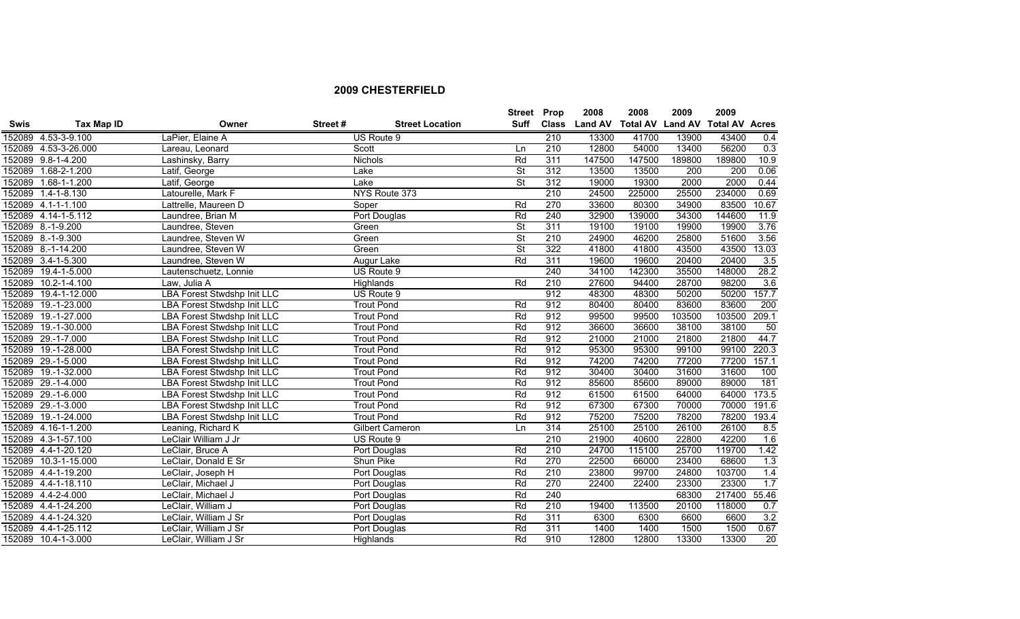|             |                      |                                    |         |                        | Street Prop              |              | 2008   | 2008   | 2009   | 2009                                    |       |
|-------------|----------------------|------------------------------------|---------|------------------------|--------------------------|--------------|--------|--------|--------|-----------------------------------------|-------|
| <b>Swis</b> | <b>Tax Map ID</b>    | Owner                              | Street# | <b>Street Location</b> | Suff                     | <b>Class</b> |        |        |        | Land AV Total AV Land AV Total AV Acres |       |
|             | 152089 4.53-3-9.100  | LaPier, Elaine A                   |         | US Route 9             |                          | 210          | 13300  | 41700  | 13900  | 43400                                   | 0.4   |
|             | 152089 4.53-3-26.000 | Lareau, Leonard                    |         | Scott                  | Ln                       | 210          | 12800  | 54000  | 13400  | 56200                                   | 0.3   |
|             | 152089 9.8-1-4.200   | Lashinsky, Barry                   |         | <b>Nichols</b>         | Rd                       | 311          | 147500 | 147500 | 189800 | 189800                                  | 10.9  |
| 152089      | $1.68 - 2 - 1.200$   | Latif, George                      |         | Lake                   | St                       | 312          | 13500  | 13500  | 200    | 200                                     | 0.06  |
| 152089      | $1.68 - 1 - 1.200$   | Latif, George                      |         | Lake                   | $\overline{\mathsf{St}}$ | 312          | 19000  | 19300  | 2000   | 2000                                    | 0.44  |
| 152089      | $1.4 - 1 - 8.130$    | Latourelle, Mark F                 |         | NYS Route 373          |                          | 210          | 24500  | 225000 | 25500  | 234000                                  | 0.69  |
|             | 152089 4.1-1-1.100   | Lattrelle, Maureen D               |         | Soper                  | Rd                       | 270          | 33600  | 80300  | 34900  | 83500                                   | 10.67 |
|             | 152089 4.14-1-5.112  | Laundree, Brian M                  |         | Port Douglas           | Rd                       | 240          | 32900  | 139000 | 34300  | 144600                                  | 11.9  |
|             | 152089 8.-1-9.200    | Laundree, Steven                   |         | Green                  | <b>St</b>                | 311          | 19100  | 19100  | 19900  | 19900                                   | 3.76  |
|             | 152089 8.-1-9.300    | Laundree, Steven W                 |         | Green                  | <b>St</b>                | 210          | 24900  | 46200  | 25800  | 51600                                   | 3.56  |
|             | 152089 8.-1-14.200   | Laundree, Steven W                 |         | Green                  | <b>St</b>                | 322          | 41800  | 41800  | 43500  | 43500                                   | 13.03 |
|             | 152089 3.4-1-5.300   | Laundree, Steven W                 |         | Augur Lake             | Rd                       | 311          | 19600  | 19600  | 20400  | 20400                                   | 3.5   |
|             | 152089 19.4-1-5.000  | Lautenschuetz, Lonnie              |         | US Route 9             |                          | 240          | 34100  | 142300 | 35500  | 148000                                  | 28.2  |
|             | 152089 10.2-1-4.100  | Law, Julia A                       |         | Highlands              | Rd                       | 210          | 27600  | 94400  | 28700  | 98200                                   | 3.6   |
|             | 152089 19.4-1-12.000 | <b>LBA Forest Stwdshp Init LLC</b> |         | US Route 9             |                          | 912          | 48300  | 48300  | 50200  | 50200                                   | 157.7 |
|             | 152089 19.-1-23.000  | <b>LBA Forest Stwdshp Init LLC</b> |         | <b>Trout Pond</b>      | Rd                       | 912          | 80400  | 80400  | 83600  | 83600                                   | 200   |
|             | 152089 19.-1-27.000  | <b>LBA Forest Stwdshp Init LLC</b> |         | <b>Trout Pond</b>      | Rd                       | 912          | 99500  | 99500  | 103500 | 103500                                  | 209.1 |
|             | 152089 19.-1-30.000  | <b>LBA Forest Stwdshp Init LLC</b> |         | <b>Trout Pond</b>      | Rd                       | 912          | 36600  | 36600  | 38100  | 38100                                   | 50    |
|             | 152089 29.-1-7.000   | <b>LBA Forest Stwdshp Init LLC</b> |         | <b>Trout Pond</b>      | Rd                       | 912          | 21000  | 21000  | 21800  | 21800                                   | 44.7  |
|             | 152089 19.-1-28.000  | LBA Forest Stwdshp Init LLC        |         | <b>Trout Pond</b>      | Rd                       | 912          | 95300  | 95300  | 99100  | 99100                                   | 220.3 |
|             | 152089 29.-1-5.000   | <b>LBA Forest Stwdshp Init LLC</b> |         | <b>Trout Pond</b>      | Rd                       | 912          | 74200  | 74200  | 77200  | 77200                                   | 157.1 |
|             | 152089 19.-1-32.000  | <b>LBA Forest Stwdshp Init LLC</b> |         | <b>Trout Pond</b>      | Rd                       | 912          | 30400  | 30400  | 31600  | 31600                                   | 100   |
|             | 152089 29.-1-4.000   | LBA Forest Stwdshp Init LLC        |         | <b>Trout Pond</b>      | Rd                       | 912          | 85600  | 85600  | 89000  | 89000                                   | 181   |
|             | 152089 29.-1-6.000   | LBA Forest Stwdshp Init LLC        |         | <b>Trout Pond</b>      | Rd                       | 912          | 61500  | 61500  | 64000  | 64000                                   | 173.5 |
|             | 152089 29.-1-3.000   | <b>LBA Forest Stwdshp Init LLC</b> |         | <b>Trout Pond</b>      | Rd                       | 912          | 67300  | 67300  | 70000  | 70000                                   | 191.6 |
|             | 152089 19.-1-24.000  | <b>LBA Forest Stwdshp Init LLC</b> |         | <b>Trout Pond</b>      | Rd                       | 912          | 75200  | 75200  | 78200  | 78200                                   | 193.4 |
|             | 152089 4.16-1-1.200  | Leaning, Richard K                 |         | Gilbert Cameron        | Ln                       | 314          | 25100  | 25100  | 26100  | 26100                                   | 8.5   |
|             | 152089 4.3-1-57.100  | LeClair William J Jr               |         | US Route 9             |                          | 210          | 21900  | 40600  | 22800  | 42200                                   | 1.6   |
|             | 152089 4.4-1-20.120  | LeClair, Bruce A                   |         | Port Douglas           | Rd                       | 210          | 24700  | 115100 | 25700  | 119700                                  | 1.42  |
|             | 152089 10.3-1-15.000 | LeClair, Donald E Sr               |         | Shun Pike              | Rd                       | 270          | 22500  | 66000  | 23400  | 68600                                   | 1.3   |
|             | 152089 4.4-1-19.200  | LeClair, Joseph H                  |         | Port Douglas           | Rd                       | 210          | 23800  | 99700  | 24800  | 103700                                  | 1.4   |
|             | 152089 4.4-1-18.110  | LeClair, Michael J                 |         | Port Douglas           | Rd                       | 270          | 22400  | 22400  | 23300  | 23300                                   | 1.7   |
|             | 152089 4.4-2-4.000   | LeClair, Michael J                 |         | Port Douglas           | Rd                       | 240          |        |        | 68300  | 217400                                  | 55.46 |
|             | 152089 4.4-1-24.200  | LeClair, William J                 |         | Port Douglas           | Rd                       | 210          | 19400  | 113500 | 20100  | 118000                                  | 0.7   |
|             | 152089 4.4-1-24.320  | LeClair, William J Sr              |         | Port Douglas           | Rd                       | 311          | 6300   | 6300   | 6600   | 6600                                    | 3.2   |
|             | 152089 4.4-1-25.112  | LeClair, William J Sr              |         | Port Douglas           | Rd                       | 311          | 1400   | 1400   | 1500   | 1500                                    | 0.67  |
|             | 152089 10.4-1-3.000  | LeClair, William J Sr              |         | Highlands              | Rd                       | 910          | 12800  | 12800  | 13300  | 13300                                   | 20    |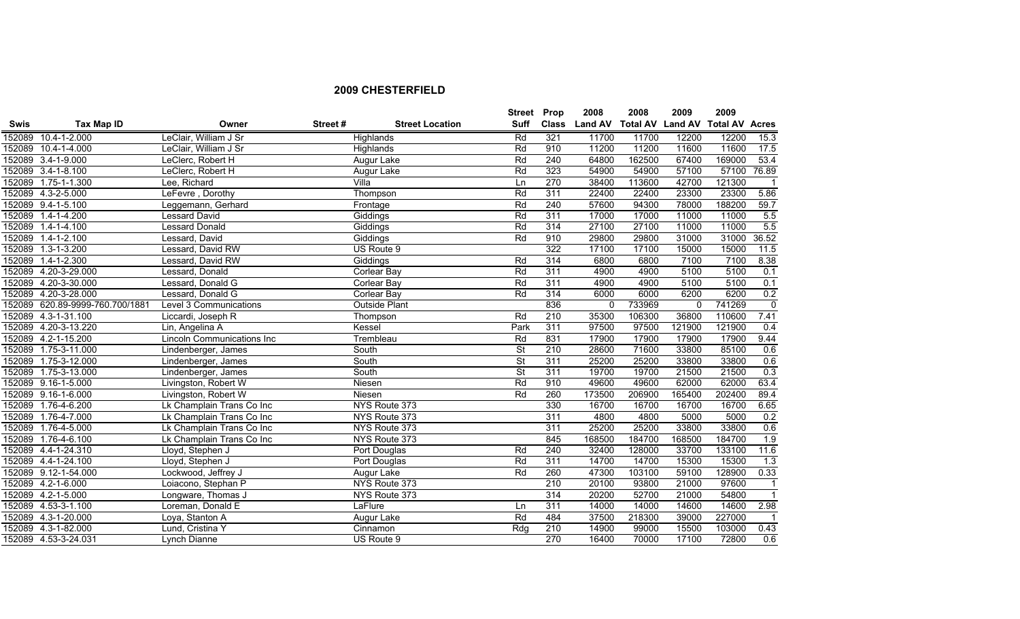|             |                                 |                                   |         |                        | <b>Street</b>            | Prop         | 2008           | 2008                    | 2009     | 2009                  |                |
|-------------|---------------------------------|-----------------------------------|---------|------------------------|--------------------------|--------------|----------------|-------------------------|----------|-----------------------|----------------|
| <b>Swis</b> | Tax Map ID                      | Owner                             | Street# | <b>Street Location</b> | <b>Suff</b>              | <b>Class</b> | <b>Land AV</b> | <b>Total AV Land AV</b> |          | <b>Total AV Acres</b> |                |
|             | 152089 10.4-1-2.000             | LeClair, William J Sr             |         | Highlands              | Rd                       | 321          | 11700          | 11700                   | 12200    | 12200                 | 15.3           |
|             | 152089 10.4-1-4.000             | LeClair, William J Sr             |         | Highlands              | Rd                       | 910          | 11200          | 11200                   | 11600    | 11600                 | 17.5           |
|             | 152089 3.4-1-9.000              | LeClerc, Robert H                 |         | Augur Lake             | Rd                       | 240          | 64800          | 162500                  | 67400    | 169000                | 53.4           |
|             | 152089 3.4-1-8.100              | LeClerc, Robert H                 |         | Augur Lake             | Rd                       | 323          | 54900          | 54900                   | 57100    | 57100                 | 76.89          |
|             | 152089 1.75-1-1.300             | Lee, Richard                      |         | Villa                  | Ln                       | 270          | 38400          | 113600                  | 42700    | 121300                |                |
|             | 152089 4.3-2-5.000              | LeFevre, Dorothy                  |         | Thompson               | Rd                       | 311          | 22400          | 22400                   | 23300    | 23300                 | 5.86           |
|             | 152089 9.4-1-5.100              | Leggemann, Gerhard                |         | Frontage               | Rd                       | 240          | 57600          | 94300                   | 78000    | 188200                | 59.7           |
|             | 152089 1.4-1-4.200              | Lessard David                     |         | Giddings               | Rd                       | 311          | 17000          | 17000                   | 11000    | 11000                 | 5.5            |
| 152089      | $1.4 - 1 - 4.100$               | <b>Lessard Donald</b>             |         | Giddings               | Rd                       | 314          | 27100          | 27100                   | 11000    | 11000                 | 5.5            |
|             | 152089 1.4-1-2.100              | Lessard, David                    |         | Giddings               | Rd                       | 910          | 29800          | 29800                   | 31000    | 31000                 | 36.52          |
| 152089      | $1.3 - 1 - 3.200$               | Lessard, David RW                 |         | US Route 9             |                          | 322          | 17100          | 17100                   | 15000    | 15000                 | 11.5           |
| 152089      | $1.4 - 1 - 2.300$               | Lessard, David RW                 |         | Giddings               | Rd                       | 314          | 6800           | 6800                    | 7100     | 7100                  | 8.38           |
|             | 152089 4.20-3-29.000            | Lessard, Donald                   |         | <b>Corlear Bay</b>     | Rd                       | 311          | 4900           | 4900                    | 5100     | 5100                  | 0.1            |
| 152089      | 4.20-3-30.000                   | Lessard, Donald G                 |         | Corlear Bay            | Rd                       | 311          | 4900           | 4900                    | 5100     | 5100                  | 0.1            |
|             | 152089 4.20-3-28.000            | Lessard, Donald G                 |         | <b>Corlear Bay</b>     | Rd                       | 314          | 6000           | 6000                    | 6200     | 6200                  | 0.2            |
|             | 152089 620.89-9999-760.700/1881 | Level 3 Communications            |         | <b>Outside Plant</b>   |                          | 836          | $\mathbf 0$    | 733969                  | $\Omega$ | 741269                | $\overline{0}$ |
|             | 152089 4.3-1-31.100             | Liccardi, Joseph R                |         | Thompson               | Rd                       | 210          | 35300          | 106300                  | 36800    | 110600                | 7.41           |
|             | 152089 4.20-3-13.220            | Lin, Angelina A                   |         | Kessel                 | Park                     | 311          | 97500          | 97500                   | 121900   | 121900                | 0.4            |
|             | 152089 4.2-1-15.200             | <b>Lincoln Communications Inc</b> |         | Trembleau              | Rd                       | 831          | 17900          | 17900                   | 17900    | 17900                 | 9.44           |
| 152089      | 1.75-3-11.000                   | Lindenberger, James               |         | South                  | $\overline{\mathsf{St}}$ | 210          | 28600          | 71600                   | 33800    | 85100                 | 0.6            |
| 152089      | 1.75-3-12.000                   | Lindenberger, James               |         | South                  | $\overline{\mathsf{St}}$ | 311          | 25200          | 25200                   | 33800    | 33800                 | 0.6            |
| 152089      | 1.75-3-13.000                   | Lindenberger, James               |         | South                  | St                       | 311          | 19700          | 19700                   | 21500    | 21500                 | 0.3            |
|             | 152089 9.16-1-5.000             | Livingston, Robert W              |         | Niesen                 | Rd                       | 910          | 49600          | 49600                   | 62000    | 62000                 | 63.4           |
|             | 152089 9.16-1-6.000             | Livingston, Robert W              |         | Niesen                 | Rd                       | 260          | 173500         | 206900                  | 165400   | 202400                | 89.4           |
|             | 152089 1.76-4-6.200             | Lk Champlain Trans Co Inc         |         | NYS Route 373          |                          | 330          | 16700          | 16700                   | 16700    | 16700                 | 6.65           |
|             | 152089 1.76-4-7.000             | Lk Champlain Trans Co Inc         |         | NYS Route 373          |                          | 311          | 4800           | 4800                    | 5000     | 5000                  | 0.2            |
|             | 152089 1.76-4-5.000             | Lk Champlain Trans Co Inc         |         | NYS Route 373          |                          | 311          | 25200          | 25200                   | 33800    | 33800                 | 0.6            |
| 152089      | 1.76-4-6.100                    | Lk Champlain Trans Co Inc         |         | NYS Route 373          |                          | 845          | 168500         | 184700                  | 168500   | 184700                | 1.9            |
|             | 152089 4.4-1-24.310             | Lloyd, Stephen J                  |         | Port Douglas           | Rd                       | 240          | 32400          | 128000                  | 33700    | 133100                | 11.6           |
|             | 152089 4.4-1-24.100             | Lloyd, Stephen J                  |         | Port Douglas           | Rd                       | 311          | 14700          | 14700                   | 15300    | 15300                 | 1.3            |
|             | 152089 9.12-1-54.000            | Lockwood, Jeffrey J               |         | Augur Lake             | Rd                       | 260          | 47300          | 103100                  | 59100    | 128900                | 0.33           |
|             | 152089 4.2-1-6.000              | Loiacono, Stephan P               |         | NYS Route 373          |                          | 210          | 20100          | 93800                   | 21000    | 97600                 | $\mathbf{1}$   |
|             | 152089 4.2-1-5.000              | Longware, Thomas J                |         | NYS Route 373          |                          | 314          | 20200          | 52700                   | 21000    | 54800                 | $\mathbf{1}$   |
|             | 152089 4.53-3-1.100             | Loreman, Donald E                 |         | LaFlure                | Ln                       | 311          | 14000          | 14000                   | 14600    | 14600                 | 2.98           |
|             | 152089 4.3-1-20.000             | Loya, Stanton A                   |         | Augur Lake             | Rd                       | 484          | 37500          | 218300                  | 39000    | 227000                | $\overline{1}$ |
|             | 152089 4.3-1-82.000             | Lund, Cristina Y                  |         | Cinnamon               | Rdg                      | 210          | 14900          | 99000                   | 15500    | 103000                | 0.43           |
|             | 152089 4.53-3-24.031            | Lynch Dianne                      |         | US Route 9             |                          | 270          | 16400          | 70000                   | 17100    | 72800                 | 0.6            |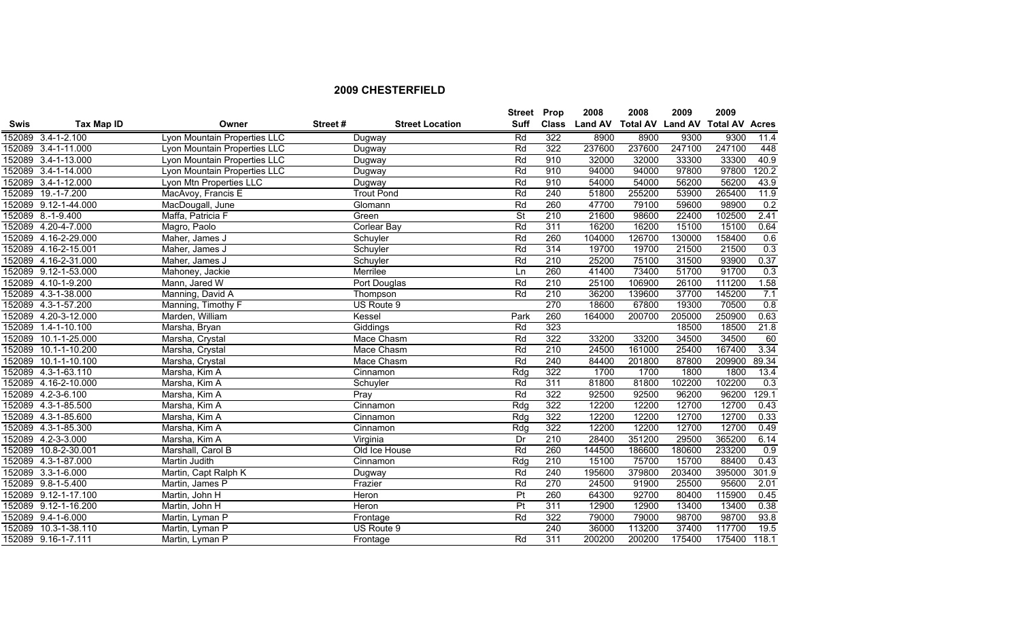|             |                      |                              |         |                        | <b>Street Prop</b>       |              | 2008           | 2008                    | 2009   | 2009                  |       |
|-------------|----------------------|------------------------------|---------|------------------------|--------------------------|--------------|----------------|-------------------------|--------|-----------------------|-------|
| <b>Swis</b> | Tax Map ID           | Owner                        | Street# | <b>Street Location</b> | <b>Suff</b>              | <b>Class</b> | <b>Land AV</b> | <b>Total AV Land AV</b> |        | <b>Total AV Acres</b> |       |
|             | 152089 3.4-1-2.100   | Lyon Mountain Properties LLC |         | Dugway                 | Rd                       | 322          | 8900           | 8900                    | 9300   | 9300                  | 11.4  |
|             | 152089 3.4-1-11.000  | Lyon Mountain Properties LLC |         | Dugway                 | Rd                       | 322          | 237600         | 237600                  | 247100 | 247100                | 448   |
|             | 152089 3.4-1-13.000  | Lyon Mountain Properties LLC |         | Dugway                 | Rd                       | 910          | 32000          | 32000                   | 33300  | 33300                 | 40.9  |
|             | 152089 3.4-1-14.000  | Lyon Mountain Properties LLC |         | Dugway                 | Rd                       | 910          | 94000          | 94000                   | 97800  | 97800                 | 120.2 |
|             | 152089 3.4-1-12.000  | Lyon Mtn Properties LLC      |         | Dugway                 | Rd                       | 910          | 54000          | 54000                   | 56200  | 56200                 | 43.9  |
|             | 152089 19.-1-7.200   | MacAvoy, Francis E           |         | <b>Trout Pond</b>      | Rd                       | 240          | 51800          | 255200                  | 53900  | 265400                | 11.9  |
|             | 152089 9.12-1-44.000 | MacDougall, June             |         | Glomann                | Rd                       | 260          | 47700          | 79100                   | 59600  | 98900                 | 0.2   |
|             | 152089 8.-1-9.400    | Maffa, Patricia F            |         | Green                  | $\overline{\mathsf{St}}$ | 210          | 21600          | 98600                   | 22400  | 102500                | 2.41  |
|             | 152089 4.20-4-7.000  | Magro, Paolo                 |         | Corlear Bay            | Rd                       | 311          | 16200          | 16200                   | 15100  | 15100                 | 0.64  |
|             | 152089 4.16-2-29.000 | Maher, James J               |         | Schuyler               | Rd                       | 260          | 104000         | 126700                  | 130000 | 158400                | 0.6   |
|             | 152089 4.16-2-15.001 | Maher, James J               |         | Schuyler               | Rd                       | 314          | 19700          | 19700                   | 21500  | 21500                 | 0.3   |
|             | 152089 4.16-2-31.000 | Maher, James J               |         | Schuyler               | Rd                       | 210          | 25200          | 75100                   | 31500  | 93900                 | 0.37  |
|             | 152089 9.12-1-53.000 | Mahoney, Jackie              |         | Merrilee               | Ln                       | 260          | 41400          | 73400                   | 51700  | 91700                 | 0.3   |
|             | 152089 4.10-1-9.200  | Mann, Jared W                |         | Port Douglas           | Rd                       | 210          | 25100          | 106900                  | 26100  | 111200                | 1.58  |
|             | 152089 4.3-1-38.000  | Manning, David A             |         | Thompson               | Rd                       | 210          | 36200          | 139600                  | 37700  | 145200                | 7.1   |
|             | 152089 4.3-1-57.200  | Manning, Timothy F           |         | US Route 9             |                          | 270          | 18600          | 67800                   | 19300  | 70500                 | 0.8   |
|             | 152089 4.20-3-12.000 | Marden, William              |         | Kessel                 | Park                     | 260          | 164000         | 200700                  | 205000 | 250900                | 0.63  |
|             | 152089 1.4-1-10.100  | Marsha, Bryan                |         | Giddings               | Rd                       | 323          |                |                         | 18500  | 18500                 | 21.8  |
|             | 152089 10.1-1-25.000 | Marsha, Crystal              |         | Mace Chasm             | Rd                       | 322          | 33200          | 33200                   | 34500  | 34500                 | 60    |
|             | 152089 10.1-1-10.200 | Marsha, Crystal              |         | Mace Chasm             | Rd                       | 210          | 24500          | 161000                  | 25400  | 167400                | 3.34  |
|             | 152089 10.1-1-10.100 | Marsha, Crystal              |         | Mace Chasm             | Rd                       | 240          | 84400          | 201800                  | 87800  | 209900                | 89.34 |
|             | 152089 4.3-1-63.110  | Marsha, Kim A                |         | Cinnamon               | Rdg                      | 322          | 1700           | 1700                    | 1800   | 1800                  | 13.4  |
|             | 152089 4.16-2-10.000 | Marsha, Kim A                |         | Schuyler               | Rd                       | 311          | 81800          | 81800                   | 102200 | 102200                | 0.3   |
|             | 152089 4.2-3-6.100   | Marsha, Kim A                |         | $\overline{Pr}$ ay     | Rd                       | 322          | 92500          | 92500                   | 96200  | 96200                 | 129.1 |
|             | 152089 4.3-1-85.500  | Marsha, Kim A                |         | Cinnamon               | Rdg                      | 322          | 12200          | 12200                   | 12700  | 12700                 | 0.43  |
|             | 152089 4.3-1-85.600  | Marsha, Kim A                |         | Cinnamon               | Rdg                      | 322          | 12200          | 12200                   | 12700  | 12700                 | 0.33  |
|             | 152089 4.3-1-85.300  | Marsha, Kim A                |         | Cinnamon               | Rdg                      | 322          | 12200          | 12200                   | 12700  | 12700                 | 0.49  |
|             | 152089 4.2-3-3.000   | Marsha, Kim A                |         | Virginia               | Dr                       | 210          | 28400          | 351200                  | 29500  | 365200                | 6.14  |
|             | 152089 10.8-2-30.001 | Marshall, Carol B            |         | Old Ice House          | Rd                       | 260          | 144500         | 186600                  | 180600 | 233200                | 0.9   |
|             | 152089 4.3-1-87.000  | Martin Judith                |         | Cinnamon               | Rdg                      | 210          | 15100          | 75700                   | 15700  | 88400                 | 0.43  |
|             | 152089 3.3-1-6.000   | Martin, Capt Ralph K         |         | Dugway                 | Rd                       | 240          | 195600         | 379800                  | 203400 | 395000                | 301.9 |
|             | 152089 9.8-1-5.400   | Martin, James P              |         | Frazier                | Rd                       | 270          | 24500          | 91900                   | 25500  | 95600                 | 2.01  |
|             | 152089 9.12-1-17.100 | Martin, John H               |         | Heron                  | P <sub>t</sub>           | 260          | 64300          | 92700                   | 80400  | 115900                | 0.45  |
|             | 152089 9.12-1-16.200 | Martin, John H               |         | Heron                  | P <sub>t</sub>           | 311          | 12900          | 12900                   | 13400  | 13400                 | 0.38  |
|             | 152089 9.4-1-6.000   | Martin, Lyman P              |         | Frontage               | Rd                       | 322          | 79000          | 79000                   | 98700  | 98700                 | 93.8  |
|             | 152089 10.3-1-38.110 | Martin, Lyman P              |         | US Route 9             |                          | 240          | 36000          | 113200                  | 37400  | 117700                | 19.5  |
|             | 152089 9.16-1-7.111  | Martin, Lyman P              |         | Frontage               | Rd                       | 311          | 200200         | 200200                  | 175400 | 175400                | 118.1 |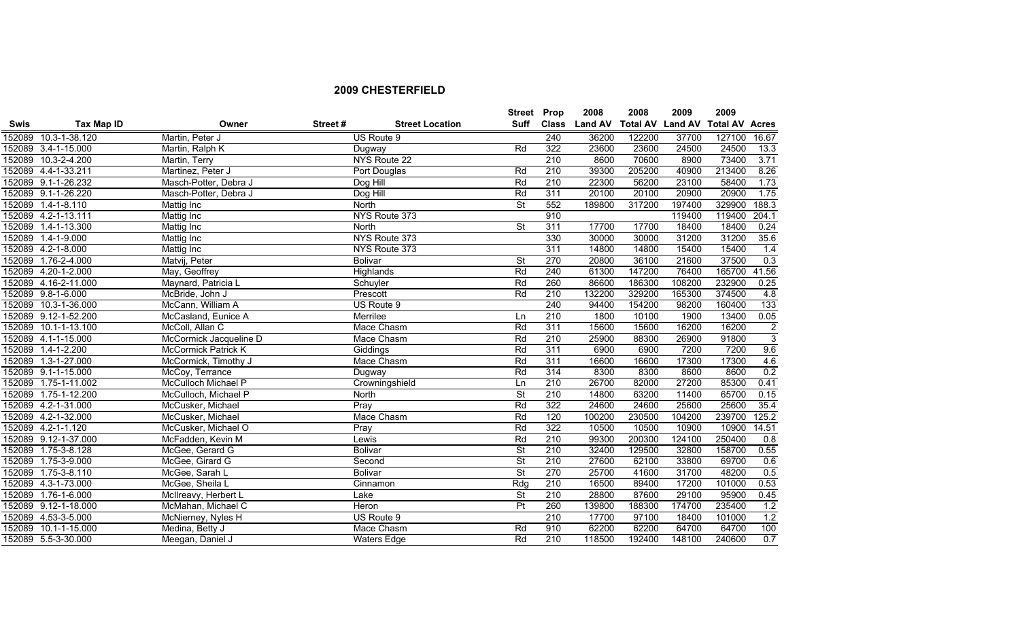|             |                      |                            |         |                        | Street Prop              |     | 2008          | 2008                    | 2009   | 2009                  |                |
|-------------|----------------------|----------------------------|---------|------------------------|--------------------------|-----|---------------|-------------------------|--------|-----------------------|----------------|
| <b>Swis</b> | Tax Map ID           | Owner                      | Street# | <b>Street Location</b> | Suff                     |     | Class Land AV | <b>Total AV Land AV</b> |        | <b>Total AV Acres</b> |                |
| 152089      | 10.3-1-38.120        | Martin, Peter J            |         | US Route 9             |                          | 240 | 36200         | 122200                  | 37700  | 127100                | 16.67          |
|             | 152089 3.4-1-15.000  | Martin, Ralph K            |         | Dugway                 | Rd                       | 322 | 23600         | 23600                   | 24500  | 24500                 | 13.3           |
|             | 152089 10.3-2-4.200  | Martin, Terry              |         | NYS Route 22           |                          | 210 | 8600          | 70600                   | 8900   | 73400                 | 3.71           |
|             | 152089 4.4-1-33.211  | Martinez, Peter J          |         | Port Douglas           | Rd                       | 210 | 39300         | 205200                  | 40900  | 213400                | 8.26           |
|             | 152089 9.1-1-26.232  | Masch-Potter, Debra J      |         | Dog Hill               | Rd                       | 210 | 22300         | 56200                   | 23100  | 58400                 | 1.73           |
|             | 152089 9.1-1-26.220  | Masch-Potter, Debra J      |         | Dog Hill               | Rd                       | 311 | 20100         | 20100                   | 20900  | 20900                 | 1.75           |
|             | 152089 1.4-1-8.110   | Mattig Inc                 |         | North                  | <b>St</b>                | 552 | 189800        | 317200                  | 197400 | 329900                | 188.3          |
|             | 152089 4.2-1-13.111  | Mattig Inc                 |         | NYS Route 373          |                          | 910 |               |                         | 119400 | 119400                | 204.1          |
|             | 152089 1.4-1-13.300  | Mattig Inc                 |         | North                  | $\overline{\mathsf{St}}$ | 311 | 17700         | 17700                   | 18400  | 18400                 | 0.24           |
|             | 152089 1.4-1-9.000   | <b>Mattig Inc</b>          |         | NYS Route 373          |                          | 330 | 30000         | 30000                   | 31200  | 31200                 | 35.6           |
|             | 152089 4.2-1-8.000   | Mattig Inc                 |         | NYS Route 373          |                          | 311 | 14800         | 14800                   | 15400  | 15400                 | 1.4            |
|             | 152089 1.76-2-4.000  | Matvij, Peter              |         | <b>Bolivar</b>         | $\overline{\mathsf{St}}$ | 270 | 20800         | 36100                   | 21600  | 37500                 | 0.3            |
|             | 152089 4.20-1-2.000  | May, Geoffrey              |         | Highlands              | Rd                       | 240 | 61300         | 147200                  | 76400  | 165700                | 41.56          |
|             | 152089 4.16-2-11.000 | Maynard, Patricia L        |         | Schuyler               | Rd                       | 260 | 86600         | 186300                  | 108200 | 232900                | 0.25           |
|             | 152089 9.8-1-6.000   | McBride, John J            |         | Prescott               | Rd                       | 210 | 132200        | 329200                  | 165300 | 374500                | 4.8            |
|             | 152089 10.3-1-36.000 | McCann, William A          |         | US Route 9             |                          | 240 | 94400         | 154200                  | 98200  | 160400                | 133            |
|             | 152089 9.12-1-52.200 | McCasland, Eunice A        |         | Merrilee               | Ln                       | 210 | 1800          | 10100                   | 1900   | 13400                 | 0.05           |
|             | 152089 10.1-1-13.100 | McColl, Allan C            |         | Mace Chasm             | Rd                       | 311 | 15600         | 15600                   | 16200  | 16200                 | $\overline{2}$ |
|             | 152089 4.1-1-15.000  | McCormick Jacqueline D     |         | Mace Chasm             | Rd                       | 210 | 25900         | 88300                   | 26900  | 91800                 | $\overline{3}$ |
|             | 152089 1.4-1-2.200   | <b>McCormick Patrick K</b> |         | Giddings               | Rd                       | 311 | 6900          | 6900                    | 7200   | 7200                  | 9.6            |
|             | 152089 1.3-1-27.000  | McCormick, Timothy J       |         | Mace Chasm             | Rd                       | 311 | 16600         | 16600                   | 17300  | 17300                 | 4.6            |
|             | 152089 9.1-1-15.000  | McCoy, Terrance            |         | Dugway                 | Rd                       | 314 | 8300          | 8300                    | 8600   | 8600                  | 0.2            |
|             | 152089 1.75-1-11.002 | McCulloch Michael P        |         | Crowningshield         | Ln                       | 210 | 26700         | 82000                   | 27200  | 85300                 | 0.41           |
|             | 152089 1.75-1-12.200 | McCulloch, Michael P       |         | North                  | $\overline{\mathsf{St}}$ | 210 | 14800         | 63200                   | 11400  | 65700                 | 0.15           |
|             | 152089 4.2-1-31.000  | McCusker, Michael          |         | Pray                   | Rd                       | 322 | 24600         | 24600                   | 25600  | 25600                 | 35.4           |
|             | 152089 4.2-1-32.000  | McCusker, Michael          |         | Mace Chasm             | Rd                       | 120 | 100200        | 230500                  | 104200 | 239700                | 125.2          |
|             | 152089 4.2-1-1.120   | McCusker, Michael O        |         | Pray                   | Rd                       | 322 | 10500         | 10500                   | 10900  | 10900                 | 14.51          |
|             | 152089 9.12-1-37.000 | McFadden, Kevin M          |         | Lewis                  | Rd                       | 210 | 99300         | 200300                  | 124100 | 250400                | 0.8            |
|             | 152089 1.75-3-8.128  | McGee, Gerard G            |         | <b>Bolivar</b>         | $\overline{\mathsf{St}}$ | 210 | 32400         | 129500                  | 32800  | 158700                | 0.55           |
|             | 152089 1.75-3-9.000  | McGee, Girard G            |         | Second                 | $\overline{\mathsf{St}}$ | 210 | 27600         | 62100                   | 33800  | 69700                 | 0.6            |
|             | 152089 1.75-3-8.110  | McGee, Sarah L             |         | <b>Bolivar</b>         | $\overline{\mathsf{St}}$ | 270 | 25700         | 41600                   | 31700  | 48200                 | 0.5            |
|             | 152089 4.3-1-73.000  | McGee, Sheila L            |         | Cinnamon               | Rdg                      | 210 | 16500         | 89400                   | 17200  | 101000                | 0.53           |
|             | 152089 1.76-1-6.000  | McIlreavy, Herbert L       |         | Lake                   | $\overline{\mathsf{St}}$ | 210 | 28800         | 87600                   | 29100  | 95900                 | 0.45           |
|             | 152089 9.12-1-18.000 | McMahan, Michael C         |         | <b>Heron</b>           | P <sub>t</sub>           | 260 | 139800        | 188300                  | 174700 | 235400                | 1.2            |
|             | 152089 4.53-3-5.000  | McNierney, Nyles H         |         | US Route 9             |                          | 210 | 17700         | 97100                   | 18400  | 101000                | 1.2            |
|             | 152089 10.1-1-15.000 | Medina, Betty J            |         | Mace Chasm             | Rd                       | 910 | 62200         | 62200                   | 64700  | 64700                 | 100            |
|             | 152089 5.5-3-30.000  | Meegan, Daniel J           |         | <b>Waters Edge</b>     | Rd                       | 210 | 118500        | 192400                  | 148100 | 240600                | 0.7            |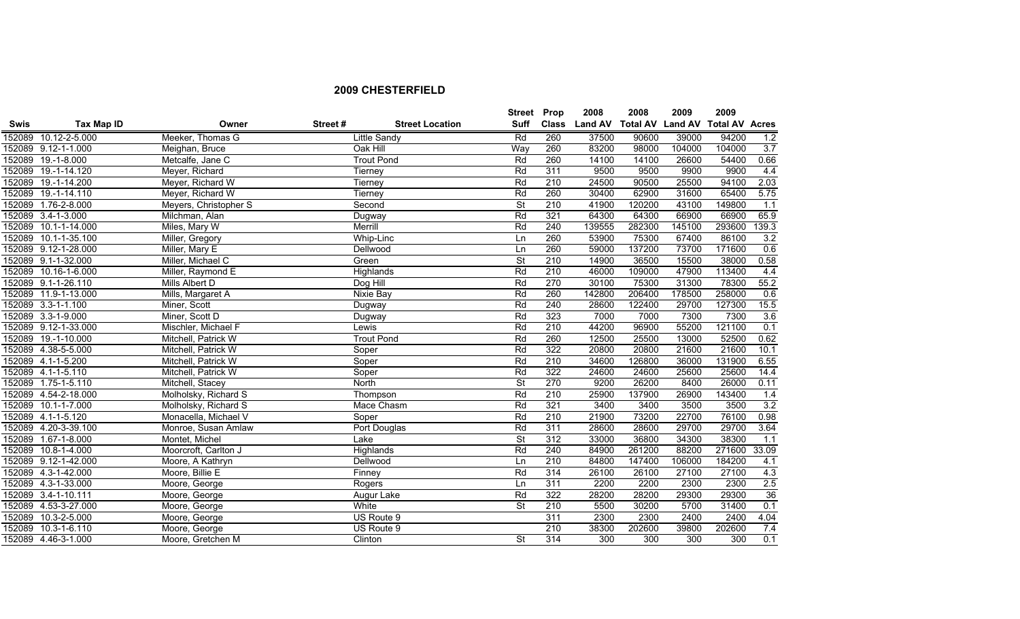|             |                      |                       |         |                        |                          | Street Prop  | 2008           | 2008                    | 2009   | 2009                  |       |
|-------------|----------------------|-----------------------|---------|------------------------|--------------------------|--------------|----------------|-------------------------|--------|-----------------------|-------|
| <b>Swis</b> | Tax Map ID           | Owner                 | Street# | <b>Street Location</b> | Suff                     | <b>Class</b> | <b>Land AV</b> | <b>Total AV Land AV</b> |        | <b>Total AV Acres</b> |       |
|             | 152089 10.12-2-5.000 | Meeker, Thomas G      |         | Little Sandy           | Rd                       | 260          | 37500          | 90600                   | 39000  | 94200                 | 1.2   |
|             | 152089 9.12-1-1.000  | Meighan, Bruce        |         | Oak Hill               | Way                      | 260          | 83200          | 98000                   | 104000 | 104000                | 3.7   |
|             | 152089 19.-1-8.000   | Metcalfe, Jane C      |         | <b>Trout Pond</b>      | Rd                       | 260          | 14100          | 14100                   | 26600  | 54400                 | 0.66  |
|             | 152089 19.-1-14.120  | Meyer, Richard        |         | Tierney                | Rd                       | 311          | 9500           | 9500                    | 9900   | 9900                  | 4.4   |
|             | 152089 19.-1-14.200  | Meyer, Richard W      |         | Tierney                | Rd                       | 210          | 24500          | 90500                   | 25500  | 94100                 | 2.03  |
|             | 152089 19.-1-14.110  | Meyer, Richard W      |         | Tierney                | Rd                       | 260          | 30400          | 62900                   | 31600  | 65400                 | 5.75  |
|             | 152089 1.76-2-8.000  | Meyers, Christopher S |         | Second                 | $\overline{\mathsf{St}}$ | 210          | 41900          | 120200                  | 43100  | 149800                | 1.1   |
|             | 152089 3.4-1-3.000   | Milchman, Alan        |         | Dugway                 | Rd                       | 321          | 64300          | 64300                   | 66900  | 66900                 | 65.9  |
|             | 152089 10.1-1-14.000 | Miles, Mary W         |         | Merrill                | Rd                       | 240          | 139555         | 282300                  | 145100 | 293600                | 139.3 |
|             | 152089 10.1-1-35.100 | Miller, Gregory       |         | Whip-Linc              | Ln                       | 260          | 53900          | 75300                   | 67400  | 86100                 | 3.2   |
|             | 152089 9.12-1-28.000 | Miller, Mary E        |         | Dellwood               | Ln                       | 260          | 59000          | 137200                  | 73700  | 171600                | 0.6   |
|             | 152089 9.1-1-32.000  | Miller, Michael C     |         | Green                  | <b>St</b>                | 210          | 14900          | 36500                   | 15500  | 38000                 | 0.58  |
|             | 152089 10.16-1-6.000 | Miller, Raymond E     |         | Highlands              | Rd                       | 210          | 46000          | 109000                  | 47900  | 113400                | 4.4   |
|             | 152089 9.1-1-26.110  | Mills Albert D        |         | Dog Hill               | Rd                       | 270          | 30100          | 75300                   | 31300  | 78300                 | 55.2  |
|             | 152089 11.9-1-13.000 | Mills, Margaret A     |         | <b>Nixie Bay</b>       | Rd                       | 260          | 142800         | 206400                  | 178500 | 258000                | 0.6   |
|             | 152089 3.3-1-1.100   | Miner, Scott          |         | Dugway                 | Rd                       | 240          | 28600          | 122400                  | 29700  | 127300                | 15.5  |
|             | 152089 3.3-1-9.000   | Miner, Scott D        |         | Dugway                 | Rd                       | 323          | 7000           | 7000                    | 7300   | 7300                  | 3.6   |
|             | 152089 9.12-1-33.000 | Mischler, Michael F   |         | Lewis                  | Rd                       | 210          | 44200          | 96900                   | 55200  | 121100                | 0.1   |
|             | 152089 19.-1-10.000  | Mitchell, Patrick W   |         | <b>Trout Pond</b>      | Rd                       | 260          | 12500          | 25500                   | 13000  | 52500                 | 0.62  |
|             | 152089 4.38-5-5.000  | Mitchell, Patrick W   |         | Soper                  | Rd                       | 322          | 20800          | 20800                   | 21600  | 21600                 | 10.1  |
|             | 152089 4.1-1-5.200   | Mitchell, Patrick W   |         | Soper                  | Rd                       | 210          | 34600          | 126800                  | 36000  | 131900                | 6.55  |
|             | 152089 4.1-1-5.110   | Mitchell, Patrick W   |         | Soper                  | Rd                       | 322          | 24600          | 24600                   | 25600  | 25600                 | 14.4  |
|             | 152089 1.75-1-5.110  | Mitchell, Stacey      |         | North                  | $\overline{\mathsf{St}}$ | 270          | 9200           | 26200                   | 8400   | 26000                 | 0.11  |
|             | 152089 4.54-2-18.000 | Molholsky, Richard S  |         | Thompson               | Rd                       | 210          | 25900          | 137900                  | 26900  | 143400                | $1.4$ |
|             | 152089 10.1-1-7.000  | Molholsky, Richard S  |         | Mace Chasm             | Rd                       | 321          | 3400           | 3400                    | 3500   | 3500                  | 3.2   |
|             | 152089 4.1-1-5.120   | Monacella, Michael V  |         | Soper                  | Rd                       | 210          | 21900          | 73200                   | 22700  | 76100                 | 0.98  |
|             | 152089 4.20-3-39.100 | Monroe, Susan Amlaw   |         | Port Douglas           | Rd                       | 311          | 28600          | 28600                   | 29700  | 29700                 | 3.64  |
|             | 152089 1.67-1-8.000  | Montet, Michel        |         | Lake                   | St                       | 312          | 33000          | 36800                   | 34300  | 38300                 | 1.1   |
|             | 152089 10.8-1-4.000  | Moorcroft, Carlton J  |         | Highlands              | Rd                       | 240          | 84900          | 261200                  | 88200  | 271600                | 33.09 |
|             | 152089 9.12-1-42.000 | Moore, A Kathryn      |         | Dellwood               | Ln                       | 210          | 84800          | 147400                  | 106000 | 184200                | 4.1   |
|             | 152089 4.3-1-42.000  | Moore, Billie E       |         | Finney                 | Rd                       | 314          | 26100          | 26100                   | 27100  | 27100                 | 4.3   |
|             | 152089 4.3-1-33.000  | Moore, George         |         | Rogers                 | Ln                       | 311          | 2200           | 2200                    | 2300   | 2300                  | 2.5   |
|             | 152089 3.4-1-10.111  | Moore, George         |         | Augur Lake             | Rd                       | 322          | 28200          | 28200                   | 29300  | 29300                 | 36    |
|             | 152089 4.53-3-27.000 | Moore, George         |         | White                  | <b>St</b>                | 210          | 5500           | 30200                   | 5700   | 31400                 | 0.1   |
|             | 152089 10.3-2-5.000  | Moore, George         |         | US Route 9             |                          | 311          | 2300           | 2300                    | 2400   | 2400                  | 4.04  |
|             | 152089 10.3-1-6.110  | Moore, George         |         | US Route 9             |                          | 210          | 38300          | 202600                  | 39800  | 202600                | 7.4   |
|             | 152089 4.46-3-1.000  | Moore, Gretchen M     |         | Clinton                | $\overline{\mathsf{St}}$ | 314          | 300            | 300                     | 300    | 300                   | 0.1   |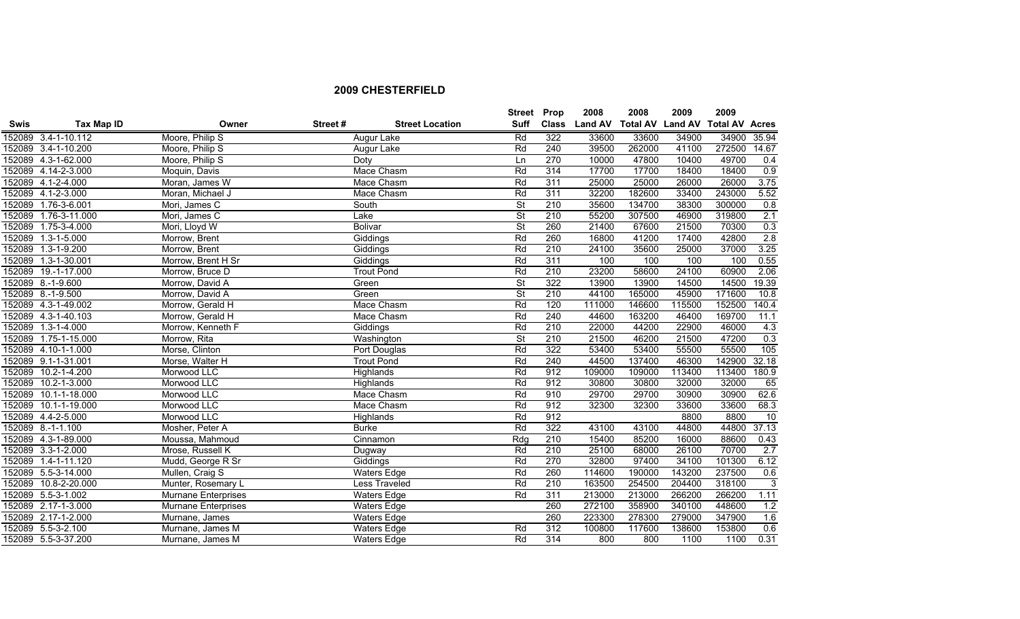|             |                      |                     |         |                        | <b>Street</b>            | Prop         | 2008           | 2008                    | 2009   | 2009                  |              |
|-------------|----------------------|---------------------|---------|------------------------|--------------------------|--------------|----------------|-------------------------|--------|-----------------------|--------------|
| <b>Swis</b> | Tax Map ID           | Owner               | Street# | <b>Street Location</b> | <b>Suff</b>              | <b>Class</b> | <b>Land AV</b> | <b>Total AV Land AV</b> |        | <b>Total AV Acres</b> |              |
|             | 152089 3.4-1-10.112  | Moore, Philip S     |         | Augur Lake             | Rd                       | 322          | 33600          | 33600                   | 34900  | 34900                 | 35.94        |
|             | 152089 3.4-1-10.200  | Moore, Philip S     |         | Augur Lake             | Rd                       | 240          | 39500          | 262000                  | 41100  | 272500                | 14.67        |
|             | 152089 4.3-1-62.000  | Moore, Philip S     |         | Doty                   | Ln                       | 270          | 10000          | 47800                   | 10400  | 49700                 | 0.4          |
|             | 152089 4.14-2-3.000  | Moquin, Davis       |         | Mace Chasm             | Rd                       | 314          | 17700          | 17700                   | 18400  | 18400                 | 0.9          |
|             | 152089 4.1-2-4.000   | Moran, James W      |         | Mace Chasm             | Rd                       | 311          | 25000          | 25000                   | 26000  | 26000                 | 3.75         |
|             | 152089 4.1-2-3.000   | Moran, Michael J    |         | Mace Chasm             | Rd                       | 311          | 32200          | 182600                  | 33400  | 243000                | 5.52         |
|             | 152089 1.76-3-6.001  | Mori, James C       |         | South                  | $\overline{\mathsf{St}}$ | 210          | 35600          | 134700                  | 38300  | 300000                | 0.8          |
| 152089      | 1.76-3-11.000        | Mori, James C       |         | Lake                   | <b>St</b>                | 210          | 55200          | 307500                  | 46900  | 319800                | 2.1          |
| 152089      | $1.75 - 3 - 4.000$   | Mori, Lloyd W       |         | <b>Bolivar</b>         | $\overline{\mathsf{St}}$ | 260          | 21400          | 67600                   | 21500  | 70300                 | 0.3          |
|             | 152089 1.3-1-5.000   | Morrow, Brent       |         | Giddings               | Rd                       | 260          | 16800          | 41200                   | 17400  | 42800                 | 2.8          |
| 152089      | $1.3 - 1 - 9.200$    | Morrow, Brent       |         | Giddings               | Rd                       | 210          | 24100          | 35600                   | 25000  | 37000                 | 3.25         |
| 152089      | $1.3 - 1 - 30.001$   | Morrow, Brent H Sr  |         | Giddings               | Rd                       | 311          | 100            | 100                     | 100    | 100                   | 0.55         |
| 152089      | 19.-1-17.000         | Morrow, Bruce D     |         | <b>Trout Pond</b>      | Rd                       | 210          | 23200          | 58600                   | 24100  | 60900                 | 2.06         |
|             | 152089 8.-1-9.600    | Morrow, David A     |         | Green                  | $\overline{\mathsf{St}}$ | 322          | 13900          | 13900                   | 14500  | 14500                 | 19.39        |
|             | 152089 8.-1-9.500    | Morrow, David A     |         | Green                  | $\overline{\mathsf{St}}$ | 210          | 44100          | 165000                  | 45900  | 171600                | 10.8         |
|             | 152089 4.3-1-49.002  | Morrow, Gerald H    |         | Mace Chasm             | Rd                       | 120          | 111000         | 146600                  | 115500 | 152500                | 140.4        |
|             | 152089 4.3-1-40.103  | Morrow, Gerald H    |         | Mace Chasm             | Rd                       | 240          | 44600          | 163200                  | 46400  | 169700                | 11.1         |
|             | 152089 1.3-1-4.000   | Morrow, Kenneth F   |         | Giddings               | Rd                       | 210          | 22000          | 44200                   | 22900  | 46000                 | 4.3          |
|             | 152089 1.75-1-15.000 | Morrow, Rita        |         | Washington             | $\overline{\mathsf{St}}$ | 210          | 21500          | 46200                   | 21500  | 47200                 | 0.3          |
|             | 152089 4.10-1-1.000  | Morse, Clinton      |         | Port Douglas           | Rd                       | 322          | 53400          | 53400                   | 55500  | 55500                 | 105          |
|             | 152089 9.1-1-31.001  | Morse, Walter H     |         | <b>Trout Pond</b>      | Rd                       | 240          | 44500          | 137400                  | 46300  | 142900                | 32.18        |
| 152089      | $10.2 - 1 - 4.200$   | Morwood LLC         |         | Highlands              | Rd                       | 912          | 109000         | 109000                  | 113400 | 113400                | 180.9        |
| 152089      | 10.2-1-3.000         | Morwood LLC         |         | Highlands              | Rd                       | 912          | 30800          | 30800                   | 32000  | 32000                 | 65           |
|             | 152089 10.1-1-18.000 | Morwood LLC         |         | Mace Chasm             | Rd                       | 910          | 29700          | 29700                   | 30900  | 30900                 | 62.6         |
| 152089      | 10.1-1-19.000        | Morwood LLC         |         | Mace Chasm             | Rd                       | 912          | 32300          | 32300                   | 33600  | 33600                 | 68.3         |
|             | 152089 4.4-2-5.000   | Morwood LLC         |         | <b>Highlands</b>       | Rd                       | 912          |                |                         | 8800   | 8800                  | 10           |
|             | 152089 8.-1-1.100    | Mosher, Peter A     |         | <b>Burke</b>           | Rd                       | 322          | 43100          | 43100                   | 44800  | 44800                 | 37.13        |
|             | 152089 4.3-1-89.000  | Moussa, Mahmoud     |         | Cinnamon               | Rdq                      | 210          | 15400          | 85200                   | 16000  | 88600                 | 0.43         |
|             | 152089 3.3-1-2.000   | Mrose, Russell K    |         | Dugway                 | Rd                       | 210          | 25100          | 68000                   | 26100  | 70700                 | 2.7          |
|             | 152089 1.4-1-11.120  | Mudd, George R Sr   |         | Giddings               | Rd                       | 270          | 32800          | 97400                   | 34100  | 101300                | 6.12         |
|             | 152089 5.5-3-14.000  | Mullen, Craig S     |         | <b>Waters Edge</b>     | Rd                       | 260          | 114600         | 190000                  | 143200 | 237500                | 0.6          |
| 152089      | 10.8-2-20.000        | Munter, Rosemary L  |         | Less Traveled          | Rd                       | 210          | 163500         | 254500                  | 204400 | 318100                | $\mathbf{3}$ |
|             | 152089 5.5-3-1.002   | Murnane Enterprises |         | <b>Waters Edge</b>     | Rd                       | 311          | 213000         | 213000                  | 266200 | 266200                | 1.11         |
|             | 152089 2.17-1-3.000  | Murnane Enterprises |         | <b>Waters Edge</b>     |                          | 260          | 272100         | 358900                  | 340100 | 448600                | 1.2          |
|             | 152089 2.17-1-2.000  | Murnane, James      |         | <b>Waters Edge</b>     |                          | 260          | 223300         | 278300                  | 279000 | 347900                | 1.6          |
|             | 152089 5.5-3-2.100   | Murnane, James M    |         | <b>Waters Edge</b>     | Rd                       | 312          | 100800         | 117600                  | 138600 | 153800                | 0.6          |
|             | 152089 5.5-3-37.200  | Murnane, James M    |         | <b>Waters Edge</b>     | Rd                       | 314          | 800            | 800                     | 1100   | 1100                  | 0.31         |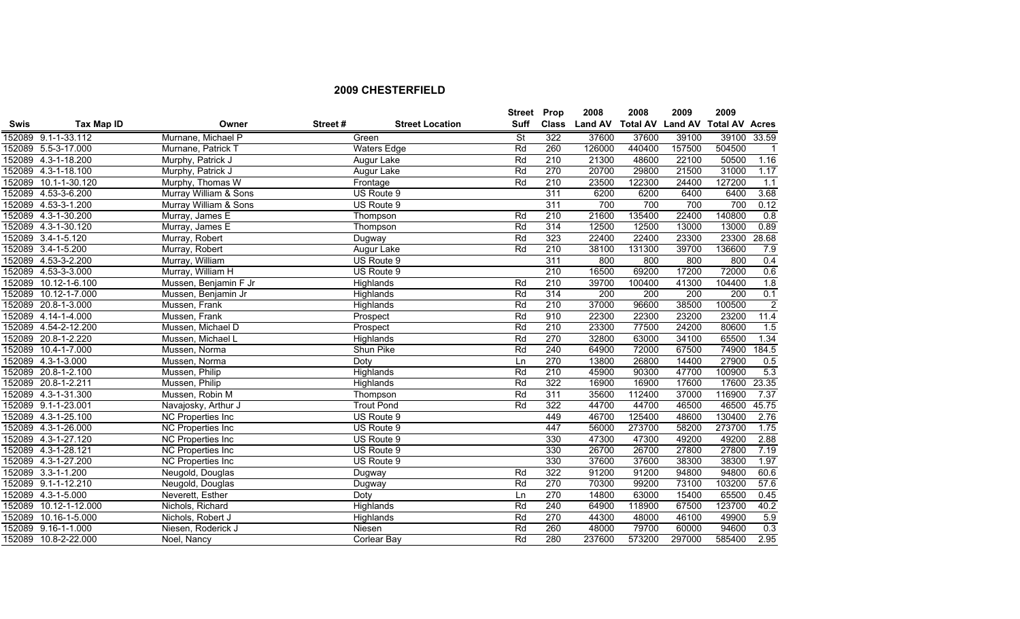|             |                       |                          |         |                        | <b>Street Prop</b> |              | 2008           | 2008                    | 2009   | 2009                  |                |
|-------------|-----------------------|--------------------------|---------|------------------------|--------------------|--------------|----------------|-------------------------|--------|-----------------------|----------------|
| <b>Swis</b> | Tax Map ID            | Owner                    | Street# | <b>Street Location</b> | Suff               | <b>Class</b> | <b>Land AV</b> | <b>Total AV Land AV</b> |        | <b>Total AV Acres</b> |                |
|             | 152089 9.1-1-33.112   | Murnane, Michael P       |         | Green                  | <b>St</b>          | 322          | 37600          | 37600                   | 39100  | 39100                 | 33.59          |
|             | 152089 5.5-3-17.000   | Murnane, Patrick T       |         | <b>Waters Edge</b>     | Rd                 | 260          | 126000         | 440400                  | 157500 | 504500                | $\overline{1}$ |
|             | 152089 4.3-1-18.200   | Murphy, Patrick J        |         | Augur Lake             | Rd                 | 210          | 21300          | 48600                   | 22100  | 50500                 | 1.16           |
|             | 152089 4.3-1-18.100   | Murphy, Patrick J        |         | Augur Lake             | Rd                 | 270          | 20700          | 29800                   | 21500  | 31000                 | 1.17           |
|             | 152089 10.1-1-30.120  | Murphy, Thomas W         |         | Frontage               | Rd                 | 210          | 23500          | 122300                  | 24400  | 127200                | 1.1            |
|             | 152089 4.53-3-6.200   | Murray William & Sons    |         | US Route 9             |                    | 311          | 6200           | 6200                    | 6400   | 6400                  | 3.68           |
|             | 152089 4.53-3-1.200   | Murray William & Sons    |         | US Route 9             |                    | 311          | 700            | 700                     | 700    | 700                   | 0.12           |
|             | 152089 4.3-1-30.200   | Murray, James E          |         | Thompson               | Rd                 | 210          | 21600          | 135400                  | 22400  | 140800                | 0.8            |
|             | 152089 4.3-1-30.120   | Murray, James E          |         | Thompson               | Rd                 | 314          | 12500          | 12500                   | 13000  | 13000                 | 0.89           |
|             | 152089 3.4-1-5.120    | Murray, Robert           |         | Dugway                 | Rd                 | 323          | 22400          | 22400                   | 23300  | 23300                 | 28.68          |
|             | 152089 3.4-1-5.200    | Murray, Robert           |         | Augur Lake             | Rd                 | 210          | 38100          | 131300                  | 39700  | 136600                | 7.9            |
|             | 152089 4.53-3-2.200   | Murray, William          |         | US Route 9             |                    | 311          | 800            | 800                     | 800    | 800                   | 0.4            |
|             | 152089 4.53-3-3.000   | Murray, William H        |         | US Route 9             |                    | 210          | 16500          | 69200                   | 17200  | 72000                 | 0.6            |
|             | 152089 10.12-1-6.100  | Mussen, Benjamin F Jr    |         | Highlands              | Rd                 | 210          | 39700          | 100400                  | 41300  | 104400                | 1.8            |
|             | 152089 10.12-1-7.000  | Mussen, Benjamin Jr      |         | Highlands              | Rd                 | 314          | 200            | 200                     | 200    | 200                   | 0.1            |
|             | 152089 20.8-1-3.000   | Mussen, Frank            |         | Highlands              | Rd                 | 210          | 37000          | 96600                   | 38500  | 100500                | $\overline{2}$ |
|             | 152089 4.14-1-4.000   | Mussen, Frank            |         | Prospect               | Rd                 | 910          | 22300          | 22300                   | 23200  | 23200                 | 11.4           |
|             | 152089 4.54-2-12.200  | Mussen, Michael D        |         | Prospect               | Rd                 | 210          | 23300          | 77500                   | 24200  | 80600                 | 1.5            |
|             | 152089 20.8-1-2.220   | Mussen, Michael L        |         | Highlands              | Rd                 | 270          | 32800          | 63000                   | 34100  | 65500                 | 1.34           |
|             | 152089 10.4-1-7.000   | Mussen, Norma            |         | Shun Pike              | Rd                 | 240          | 64900          | 72000                   | 67500  | 74900                 | 184.5          |
|             | 152089 4.3-1-3.000    | Mussen, Norma            |         | Doty                   | Ln                 | 270          | 13800          | 26800                   | 14400  | 27900                 | 0.5            |
|             | 152089 20.8-1-2.100   | Mussen, Philip           |         | <b>Highlands</b>       | Rd                 | 210          | 45900          | 90300                   | 47700  | 100900                | 5.3            |
|             | 152089 20.8-1-2.211   | Mussen, Philip           |         | Highlands              | Rd                 | 322          | 16900          | 16900                   | 17600  | 17600                 | 23.35          |
|             | 152089 4.3-1-31.300   | Mussen, Robin M          |         | Thompson               | Rd                 | 311          | 35600          | 112400                  | 37000  | 116900                | 7.37           |
|             | 152089 9.1-1-23.001   | Navajosky, Arthur J      |         | <b>Trout Pond</b>      | Rd                 | 322          | 44700          | 44700                   | 46500  | 46500                 | 45.75          |
|             | 152089 4.3-1-25.100   | <b>NC Properties Inc</b> |         | US Route 9             |                    | 449          | 46700          | 125400                  | 48600  | 130400                | 2.76           |
|             | 152089 4.3-1-26.000   | NC Properties Inc        |         | US Route 9             |                    | 447          | 56000          | 273700                  | 58200  | 273700                | 1.75           |
|             | 152089 4.3-1-27.120   | <b>NC Properties Inc</b> |         | US Route 9             |                    | 330          | 47300          | 47300                   | 49200  | 49200                 | 2.88           |
|             | 152089 4.3-1-28.121   | <b>NC Properties Inc</b> |         | US Route 9             |                    | 330          | 26700          | 26700                   | 27800  | 27800                 | 7.19           |
|             | 152089 4.3-1-27.200   | NC Properties Inc        |         | US Route 9             |                    | 330          | 37600          | 37600                   | 38300  | 38300                 | 1.97           |
|             | 152089 3.3-1-1.200    | Neugold, Douglas         |         | Dugway                 | Rd                 | 322          | 91200          | 91200                   | 94800  | 94800                 | 60.6           |
|             | 152089 9.1-1-12.210   | Neugold, Douglas         |         | Dugway                 | Rd                 | 270          | 70300          | 99200                   | 73100  | 103200                | 57.6           |
|             | 152089 4.3-1-5.000    | Neverett, Esther         |         | Doty                   | Ln                 | 270          | 14800          | 63000                   | 15400  | 65500                 | 0.45           |
|             | 152089 10.12-1-12.000 | Nichols, Richard         |         | <b>Highlands</b>       | Rd                 | 240          | 64900          | 118900                  | 67500  | 123700                | 40.2           |
|             | 152089 10.16-1-5.000  | Nichols, Robert J        |         | Highlands              | Rd                 | 270          | 44300          | 48000                   | 46100  | 49900                 | 5.9            |
|             | 152089 9.16-1-1.000   | Niesen, Roderick J       |         | Niesen                 | Rd                 | 260          | 48000          | 79700                   | 60000  | 94600                 | 0.3            |
|             | 152089 10.8-2-22.000  | Noel, Nancy              |         | Corlear Bay            | Rd                 | 280          | 237600         | 573200                  | 297000 | 585400                | 2.95           |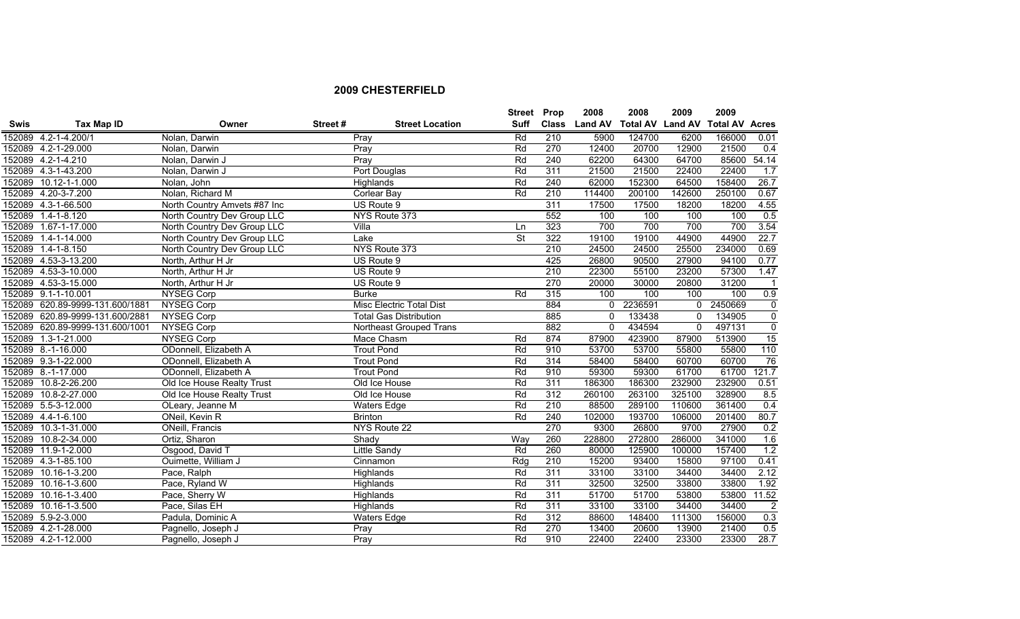|             |                                 |                              |         |                                 | <b>Street Prop</b>       |     | 2008          | 2008             | 2009         | 2009                  |                |
|-------------|---------------------------------|------------------------------|---------|---------------------------------|--------------------------|-----|---------------|------------------|--------------|-----------------------|----------------|
| <b>Swis</b> | Tax Map ID                      | Owner                        | Street# | <b>Street Location</b>          | <b>Suff</b>              |     | Class Land AV | Total AV Land AV |              | <b>Total AV Acres</b> |                |
|             | 152089 4.2-1-4.200/1            | Nolan, Darwin                |         | Prav                            | Rd                       | 210 | 5900          | 124700           | 6200         | 166000                | 0.01           |
|             | 152089 4.2-1-29.000             | Nolan, Darwin                |         | Pray                            | Rd                       | 270 | 12400         | 20700            | 12900        | 21500                 | 0.4            |
|             | 152089 4.2-1-4.210              | Nolan, Darwin J              |         | Pray                            | Rd                       | 240 | 62200         | 64300            | 64700        | 85600                 | 54.14          |
|             | 152089 4.3-1-43.200             | Nolan, Darwin J              |         | Port Douglas                    | Rd                       | 311 | 21500         | 21500            | 22400        | 22400                 | 1.7            |
|             | 152089 10.12-1-1.000            | Nolan, John                  |         | Highlands                       | Rd                       | 240 | 62000         | 152300           | 64500        | 158400                | 26.7           |
|             | 152089 4.20-3-7.200             | Nolan, Richard M             |         | <b>Corlear Bay</b>              | Rd                       | 210 | 114400        | 200100           | 142600       | 250100                | 0.67           |
|             | 152089 4.3-1-66.500             | North Country Amvets #87 Inc |         | US Route 9                      |                          | 311 | 17500         | 17500            | 18200        | 18200                 | 4.55           |
|             | 152089 1.4-1-8.120              | North Country Dev Group LLC  |         | NYS Route 373                   |                          | 552 | 100           | 100              | 100          | 100                   | 0.5            |
|             | 152089 1.67-1-17.000            | North Country Dev Group LLC  |         | Villa                           | Ln                       | 323 | 700           | 700              | 700          | 700                   | 3.54           |
|             | 152089 1.4-1-14.000             | North Country Dev Group LLC  |         | Lake                            | $\overline{\mathsf{St}}$ | 322 | 19100         | 19100            | 44900        | 44900                 | 22.7           |
|             | 152089 1.4-1-8.150              | North Country Dev Group LLC  |         | NYS Route 373                   |                          | 210 | 24500         | 24500            | 25500        | 234000                | 0.69           |
|             | 152089 4.53-3-13.200            | North, Arthur H Jr           |         | US Route 9                      |                          | 425 | 26800         | 90500            | 27900        | 94100                 | 0.77           |
|             | 152089 4.53-3-10.000            | North, Arthur H Jr           |         | US Route 9                      |                          | 210 | 22300         | 55100            | 23200        | 57300                 | 1.47           |
|             | 152089 4.53-3-15.000            | North, Arthur H Jr           |         | US Route 9                      |                          | 270 | 20000         | 30000            | 20800        | 31200                 | $\mathbf{1}$   |
|             | 152089 9.1-1-10.001             | <b>NYSEG Corp</b>            |         | <b>Burke</b>                    | Rd                       | 315 | 100           | 100              | 100          | 100                   | 0.9            |
|             | 152089 620.89-9999-131.600/1881 | <b>NYSEG Corp</b>            |         | <b>Misc Electric Total Dist</b> |                          | 884 | 0             | 2236591          | $\mathbf{0}$ | 2450669               | $\overline{0}$ |
|             | 152089 620.89-9999-131.600/2881 | <b>NYSEG Corp</b>            |         | <b>Total Gas Distribution</b>   |                          | 885 | $\mathbf 0$   | 133438           | 0            | 134905                | $\overline{0}$ |
|             | 152089 620.89-9999-131.600/1001 | <b>NYSEG Corp</b>            |         | Northeast Grouped Trans         |                          | 882 | $\Omega$      | 434594           | $\mathbf{0}$ | 497131                | $\mathbf 0$    |
|             | 152089 1.3-1-21.000             | <b>NYSEG Corp</b>            |         | Mace Chasm                      | Rd                       | 874 | 87900         | 423900           | 87900        | 513900                | 15             |
|             | 152089 8.-1-16.000              | ODonnell, Elizabeth A        |         | <b>Trout Pond</b>               | Rd                       | 910 | 53700         | 53700            | 55800        | 55800                 | 110            |
|             | 152089 9.3-1-22.000             | ODonnell, Elizabeth A        |         | <b>Trout Pond</b>               | Rd                       | 314 | 58400         | 58400            | 60700        | 60700                 | 76             |
|             | 152089 8.-1-17.000              | ODonnell, Elizabeth A        |         | <b>Trout Pond</b>               | Rd                       | 910 | 59300         | 59300            | 61700        | 61700                 | 121.7          |
|             | 152089 10.8-2-26.200            | Old Ice House Realty Trust   |         | Old Ice House                   | Rd                       | 311 | 186300        | 186300           | 232900       | 232900                | 0.51           |
|             | 152089 10.8-2-27.000            | Old Ice House Realty Trust   |         | Old Ice House                   | Rd                       | 312 | 260100        | 263100           | 325100       | 328900                | 8.5            |
|             | 152089 5.5-3-12.000             | OLeary, Jeanne M             |         | Waters Edge                     | Rd                       | 210 | 88500         | 289100           | 110600       | 361400                | 0.4            |
|             | 152089 4.4-1-6.100              | ONeil, Kevin R               |         | <b>Brinton</b>                  | Rd                       | 240 | 102000        | 193700           | 106000       | 201400                | 80.7           |
|             | 152089 10.3-1-31.000            | ONeill, Francis              |         | NYS Route 22                    |                          | 270 | 9300          | 26800            | 9700         | 27900                 | 0.2            |
|             | 152089 10.8-2-34.000            | Ortiz, Sharon                |         | Shady                           | Way                      | 260 | 228800        | 272800           | 286000       | 341000                | 1.6            |
|             | 152089 11.9-1-2.000             | Osgood, David T              |         | <b>Little Sandy</b>             | Rd                       | 260 | 80000         | 125900           | 100000       | 157400                | 1.2            |
|             | 152089 4.3-1-85.100             | Ouimette, William J          |         | Cinnamon                        | Rdg                      | 210 | 15200         | 93400            | 15800        | 97100                 | 0.41           |
|             | 152089 10.16-1-3.200            | Pace, Ralph                  |         | Highlands                       | Rd                       | 311 | 33100         | 33100            | 34400        | 34400                 | 2.12           |
| 152089      | 10.16-1-3.600                   | Pace, Ryland W               |         | Highlands                       | Rd                       | 311 | 32500         | 32500            | 33800        | 33800                 | 1.92           |
|             | 152089 10.16-1-3.400            | Pace, Sherry W               |         | Highlands                       | Rd                       | 311 | 51700         | 51700            | 53800        | 53800                 | 11.52          |
|             | 152089 10.16-1-3.500            | Pace, Silas EH               |         | <b>Highlands</b>                | Rd                       | 311 | 33100         | 33100            | 34400        | 34400                 | $\overline{2}$ |
|             | 152089 5.9-2-3.000              | Padula, Dominic A            |         | <b>Waters Edge</b>              | Rd                       | 312 | 88600         | 148400           | 111300       | 156000                | 0.3            |
|             | 152089 4.2-1-28.000             | Pagnello, Joseph J           |         | Pray                            | Rd                       | 270 | 13400         | 20600            | 13900        | 21400                 | 0.5            |
|             | 152089 4.2-1-12.000             | Pagnello, Joseph J           |         | Pray                            | Rd                       | 910 | 22400         | 22400            | 23300        | 23300                 | 28.7           |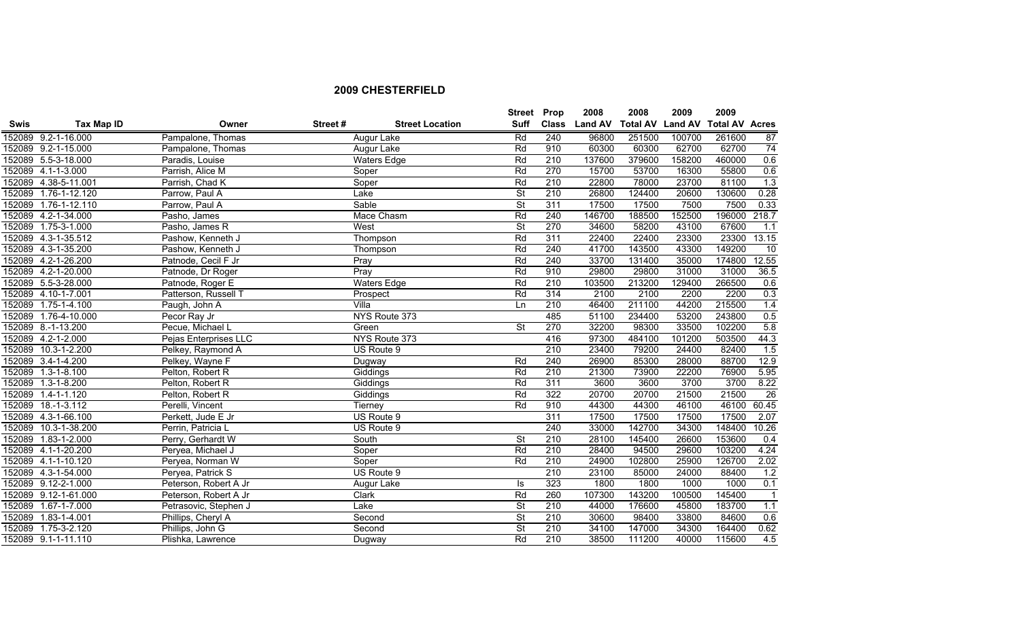|             |                      |                       |         |                        | <b>Street Prop</b>       |              | 2008           | 2008            | 2009           | 2009                  |                |
|-------------|----------------------|-----------------------|---------|------------------------|--------------------------|--------------|----------------|-----------------|----------------|-----------------------|----------------|
| <b>Swis</b> | Tax Map ID           | Owner                 | Street# | <b>Street Location</b> | <b>Suff</b>              | <b>Class</b> | <b>Land AV</b> | <b>Total AV</b> | <b>Land AV</b> | <b>Total AV Acres</b> |                |
|             | 152089 9.2-1-16.000  | Pampalone, Thomas     |         | Augur Lake             | Rd                       | 240          | 96800          | 251500          | 100700         | 261600                | 87             |
|             | 152089 9.2-1-15.000  | Pampalone, Thomas     |         | Augur Lake             | Rd                       | 910          | 60300          | 60300           | 62700          | 62700                 | 74             |
|             | 152089 5.5-3-18.000  | Paradis, Louise       |         | <b>Waters Edge</b>     | Rd                       | 210          | 137600         | 379600          | 158200         | 460000                | 0.6            |
|             | 152089 4.1-1-3.000   | Parrish, Alice M      |         | Soper                  | Rd                       | 270          | 15700          | 53700           | 16300          | 55800                 | 0.6            |
|             | 152089 4.38-5-11.001 | Parrish, Chad K       |         | Soper                  | Rd                       | 210          | 22800          | 78000           | 23700          | 81100                 | 1.3            |
|             | 152089 1.76-1-12.120 | Parrow, Paul A        |         | Lake                   | <b>St</b>                | 210          | 26800          | 124400          | 20600          | 130600                | 0.28           |
|             | 152089 1.76-1-12.110 | Parrow, Paul A        |         | Sable                  | $\overline{\mathsf{St}}$ | 311          | 17500          | 17500           | 7500           | 7500                  | 0.33           |
|             | 152089 4.2-1-34.000  | Pasho, James          |         | Mace Chasm             | Rd                       | 240          | 146700         | 188500          | 152500         | 196000                | 218.7          |
|             | 152089 1.75-3-1.000  | Pasho, James R        |         | West                   | $\overline{\mathsf{St}}$ | 270          | 34600          | 58200           | 43100          | 67600                 | 1.1            |
|             | 152089 4.3-1-35.512  | Pashow, Kenneth J     |         | Thompson               | Rd                       | 311          | 22400          | 22400           | 23300          | 23300                 | 13.15          |
|             | 152089 4.3-1-35.200  | Pashow, Kenneth J     |         | Thompson               | Rd                       | 240          | 41700          | 143500          | 43300          | 149200                | 10             |
|             | 152089 4.2-1-26.200  | Patnode, Cecil F Jr   |         | Pray                   | Rd                       | 240          | 33700          | 131400          | 35000          | 174800                | 12.55          |
|             | 152089 4.2-1-20.000  | Patnode, Dr Roger     |         | Pray                   | Rd                       | 910          | 29800          | 29800           | 31000          | 31000                 | 36.5           |
|             | 152089 5.5-3-28.000  | Patnode, Roger E      |         | <b>Waters Edge</b>     | Rd                       | 210          | 103500         | 213200          | 129400         | 266500                | 0.6            |
|             | 152089 4.10-1-7.001  | Patterson, Russell T  |         | Prospect               | Rd                       | 314          | 2100           | 2100            | 2200           | 2200                  | 0.3            |
|             | 152089 1.75-1-4.100  | Paugh, John A         |         | Villa                  | Ln                       | 210          | 46400          | 211100          | 44200          | 215500                | 1.4            |
|             | 152089 1.76-4-10.000 | Pecor Ray Jr          |         | NYS Route 373          |                          | 485          | 51100          | 234400          | 53200          | 243800                | 0.5            |
|             | 152089 8.-1-13.200   | Pecue, Michael L      |         | Green                  | $\overline{\mathsf{St}}$ | 270          | 32200          | 98300           | 33500          | 102200                | 5.8            |
|             | 152089 4.2-1-2.000   | Pejas Enterprises LLC |         | NYS Route 373          |                          | 416          | 97300          | 484100          | 101200         | 503500                | 44.3           |
|             | 152089 10.3-1-2.200  | Pelkey, Raymond A     |         | US Route 9             |                          | 210          | 23400          | 79200           | 24400          | 82400                 | 1.5            |
|             | 152089 3.4-1-4.200   | Pelkey, Wayne F       |         | Dugway                 | Rd                       | 240          | 26900          | 85300           | 28000          | 88700                 | 12.9           |
|             | 152089 1.3-1-8.100   | Pelton, Robert R      |         | Giddings               | Rd                       | 210          | 21300          | 73900           | 22200          | 76900                 | 5.95           |
| 152089      | $1.3 - 1 - 8.200$    | Pelton, Robert R      |         | Giddings               | Rd                       | 311          | 3600           | 3600            | 3700           | 3700                  | 8.22           |
| 152089      | $1.4 - 1 - 1.120$    | Pelton, Robert R      |         | Giddings               | Rd                       | 322          | 20700          | 20700           | 21500          | 21500                 | 26             |
| 152089      | $18.-1-3.112$        | Perelli, Vincent      |         | Tierney                | Rd                       | 910          | 44300          | 44300           | 46100          | 46100                 | 60.45          |
|             | 152089 4.3-1-66.100  | Perkett, Jude E Jr    |         | US Route 9             |                          | 311          | 17500          | 17500           | 17500          | 17500                 | 2.07           |
| 152089      | 10.3-1-38.200        | Perrin, Patricia L    |         | US Route 9             |                          | 240          | 33000          | 142700          | 34300          | 148400                | 10.26          |
| 152089      | $1.83 - 1 - 2.000$   | Perry, Gerhardt W     |         | South                  | $\overline{\mathsf{St}}$ | 210          | 28100          | 145400          | 26600          | 153600                | 0.4            |
|             | 152089 4.1-1-20.200  | Peryea, Michael J     |         | Soper                  | Rd                       | 210          | 28400          | 94500           | 29600          | 103200                | 4.24           |
|             | 152089 4.1-1-10.120  | Peryea, Norman W      |         | Soper                  | Rd                       | 210          | 24900          | 102800          | 25900          | 126700                | 2.02           |
|             | 152089 4.3-1-54.000  | Peryea, Patrick S     |         | US Route 9             |                          | 210          | 23100          | 85000           | 24000          | 88400                 | 1.2            |
|             | 152089 9.12-2-1.000  | Peterson, Robert A Jr |         | Augur Lake             | ls                       | 323          | 1800           | 1800            | 1000           | 1000                  | 0.1            |
|             | 152089 9.12-1-61.000 | Peterson, Robert A Jr |         | Clark                  | Rd                       | 260          | 107300         | 143200          | 100500         | 145400                | $\overline{1}$ |
|             | 152089 1.67-1-7.000  | Petrasovic, Stephen J |         | Lake                   | <b>St</b>                | 210          | 44000          | 176600          | 45800          | 183700                | 1.1            |
|             | 152089 1.83-1-4.001  | Phillips, Cheryl A    |         | Second                 | $\overline{\mathsf{St}}$ | 210          | 30600          | 98400           | 33800          | 84600                 | 0.6            |
|             | 152089 1.75-3-2.120  | Phillips, John G      |         | Second                 | <b>St</b>                | 210          | 34100          | 147000          | 34300          | 164400                | 0.62           |
|             | 152089 9.1-1-11.110  | Plishka, Lawrence     |         | Dugway                 | Rd                       | 210          | 38500          | 111200          | 40000          | 115600                | 4.5            |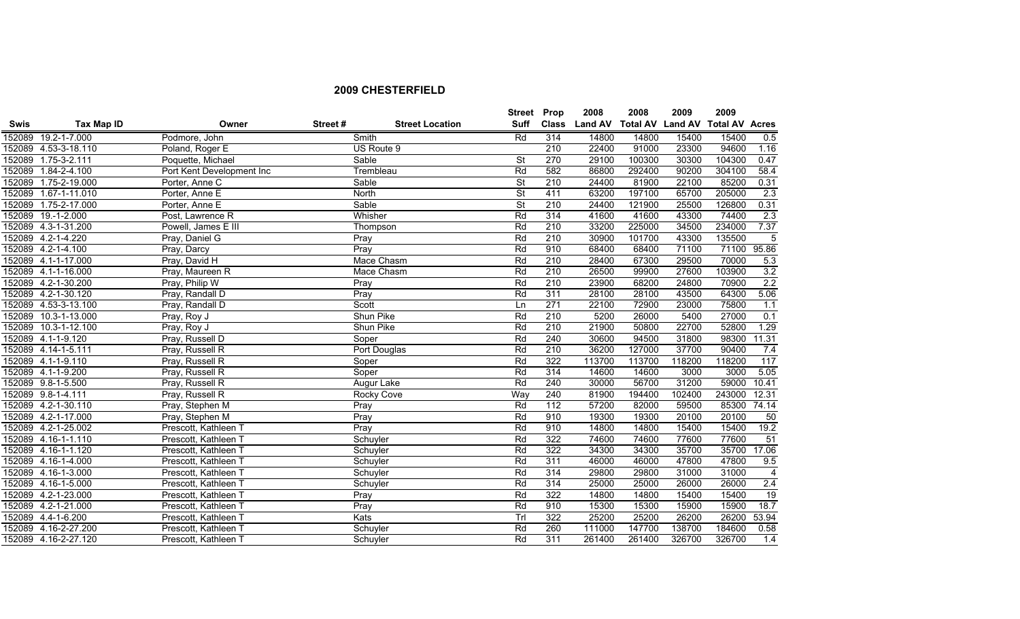|             |                      |                           |         |                        | <b>Street Prop</b>       |              | 2008           | 2008                    | 2009   | 2009                  |                |
|-------------|----------------------|---------------------------|---------|------------------------|--------------------------|--------------|----------------|-------------------------|--------|-----------------------|----------------|
| <b>Swis</b> | Tax Map ID           | Owner                     | Street# | <b>Street Location</b> | Suff                     | <b>Class</b> | <b>Land AV</b> | <b>Total AV Land AV</b> |        | <b>Total AV Acres</b> |                |
|             | 152089 19.2-1-7.000  | Podmore, John             |         | Smith                  | Rd                       | 314          | 14800          | 14800                   | 15400  | 15400                 | 0.5            |
|             | 152089 4.53-3-18.110 | Poland, Roger E           |         | US Route 9             |                          | 210          | 22400          | 91000                   | 23300  | 94600                 | 1.16           |
|             | 152089 1.75-3-2.111  | Poquette, Michael         |         | Sable                  | $\overline{\mathsf{St}}$ | 270          | 29100          | 100300                  | 30300  | 104300                | 0.47           |
| 152089      | $1.84 - 2 - 4.100$   | Port Kent Development Inc |         | Trembleau              | Rd                       | 582          | 86800          | 292400                  | 90200  | 304100                | 58.4           |
|             | 152089 1.75-2-19.000 | Porter, Anne C            |         | Sable                  | $\overline{\mathsf{St}}$ | 210          | 24400          | 81900                   | 22100  | 85200                 | 0.31           |
|             | 152089 1.67-1-11.010 | Porter, Anne E            |         | North                  | $\overline{\mathsf{St}}$ | 411          | 63200          | 197100                  | 65700  | 205000                | 2.3            |
|             | 152089 1.75-2-17.000 | Porter, Anne E            |         | Sable                  | $\overline{\mathsf{St}}$ | 210          | 24400          | 121900                  | 25500  | 126800                | 0.31           |
|             | 152089 19.-1-2.000   | Post, Lawrence R          |         | Whisher                | Rd                       | 314          | 41600          | 41600                   | 43300  | 74400                 | 2.3            |
|             | 152089 4.3-1-31.200  | Powell, James E III       |         | Thompson               | Rd                       | 210          | 33200          | 225000                  | 34500  | 234000                | 7.37           |
|             | 152089 4.2-1-4.220   | Pray, Daniel G            |         | Pray                   | Rd                       | 210          | 30900          | 101700                  | 43300  | 135500                | $\overline{5}$ |
|             | 152089 4.2-1-4.100   | Pray, Darcy               |         | Pray                   | Rd                       | 910          | 68400          | 68400                   | 71100  | 71100                 | 95.86          |
| 152089      | 4.1-1-17.000         | Pray, David H             |         | Mace Chasm             | Rd                       | 210          | 28400          | 67300                   | 29500  | 70000                 | 5.3            |
|             | 152089 4.1-1-16.000  | Pray, Maureen R           |         | Mace Chasm             | Rd                       | 210          | 26500          | 99900                   | 27600  | 103900                | 3.2            |
|             | 152089 4.2-1-30.200  | Pray, Philip W            |         | Pray                   | Rd                       | 210          | 23900          | 68200                   | 24800  | 70900                 | 2.2            |
|             | 152089 4.2-1-30.120  | Pray, Randall D           |         | Pray                   | Rd                       | 311          | 28100          | 28100                   | 43500  | 64300                 | 5.06           |
|             | 152089 4.53-3-13.100 | Pray, Randall D           |         | Scott                  | Ln                       | 271          | 22100          | 72900                   | 23000  | 75800                 | 1.1            |
| 152089      | 10.3-1-13.000        | Pray, Roy J               |         | Shun Pike              | Rd                       | 210          | 5200           | 26000                   | 5400   | 27000                 | 0.1            |
|             | 152089 10.3-1-12.100 | Pray, Roy J               |         | Shun Pike              | Rd                       | 210          | 21900          | 50800                   | 22700  | 52800                 | 1.29           |
|             | 152089 4.1-1-9.120   | Pray, Russell D           |         | Soper                  | Rd                       | 240          | 30600          | 94500                   | 31800  | 98300                 | 11.31          |
|             | 152089 4.14-1-5.111  | Pray, Russell R           |         | Port Douglas           | Rd                       | 210          | 36200          | 127000                  | 37700  | 90400                 | 7.4            |
|             | 152089 4.1-1-9.110   | Pray, Russell R           |         | Soper                  | Rd                       | 322          | 113700         | 113700                  | 118200 | 118200                | 117            |
|             | 152089 4.1-1-9.200   | Pray, Russell R           |         | Soper                  | Rd                       | 314          | 14600          | 14600                   | 3000   | 3000                  | 5.05           |
|             | 152089 9.8-1-5.500   | Pray, Russell R           |         | Augur Lake             | Rd                       | 240          | 30000          | 56700                   | 31200  | 59000                 | 10.41          |
|             | 152089 9.8-1-4.111   | Pray, Russell R           |         | Rocky Cove             | Way                      | 240          | 81900          | 194400                  | 102400 | 243000                | 12.31          |
|             | 152089 4.2-1-30.110  | Pray, Stephen M           |         | Pray                   | Rd                       | 112          | 57200          | 82000                   | 59500  | 85300                 | 74.14          |
|             | 152089 4.2-1-17.000  | Pray, Stephen M           |         | Pray                   | Rd                       | 910          | 19300          | 19300                   | 20100  | 20100                 | 50             |
|             | 152089 4.2-1-25.002  | Prescott, Kathleen 1      |         | Pray                   | Rd                       | 910          | 14800          | 14800                   | 15400  | 15400                 | 19.2           |
|             | 152089 4.16-1-1.110  | Prescott, Kathleen        |         | Schuyler               | Rd                       | 322          | 74600          | 74600                   | 77600  | 77600                 | 51             |
|             | 152089 4.16-1-1.120  | Prescott, Kathleen T      |         | Schuyler               | Rd                       | 322          | 34300          | 34300                   | 35700  | 35700                 | 17.06          |
|             | 152089 4.16-1-4.000  | Prescott, Kathleen 7      |         | Schuyler               | Rd                       | 311          | 46000          | 46000                   | 47800  | 47800                 | 9.5            |
|             | 152089 4.16-1-3.000  | Prescott, Kathleen 7      |         | Schuyler               | Rd                       | 314          | 29800          | 29800                   | 31000  | 31000                 | $\overline{4}$ |
|             | 152089 4.16-1-5.000  | Prescott, Kathleen T      |         | Schuyler               | Rd                       | 314          | 25000          | 25000                   | 26000  | 26000                 | $2.4$          |
|             | 152089 4.2-1-23.000  | Prescott, Kathleen 1      |         | Pray                   | Rd                       | 322          | 14800          | 14800                   | 15400  | 15400                 | 19             |
|             | 152089 4.2-1-21.000  | Prescott, Kathleen T      |         | Pray                   | Rd                       | 910          | 15300          | 15300                   | 15900  | 15900                 | 18.7           |
|             | 152089 4.4-1-6.200   | Prescott, Kathleen T      |         | Kats                   | Tr                       | 322          | 25200          | 25200                   | 26200  | 26200                 | 53.94          |
|             | 152089 4.16-2-27.200 | Prescott, Kathleen 1      |         | Schuyler               | Rd                       | 260          | 111000         | 147700                  | 138700 | 184600                | 0.58           |
|             | 152089 4.16-2-27.120 | Prescott, Kathleen T      |         | Schuyler               | Rd                       | 311          | 261400         | 261400                  | 326700 | 326700                | 1.4            |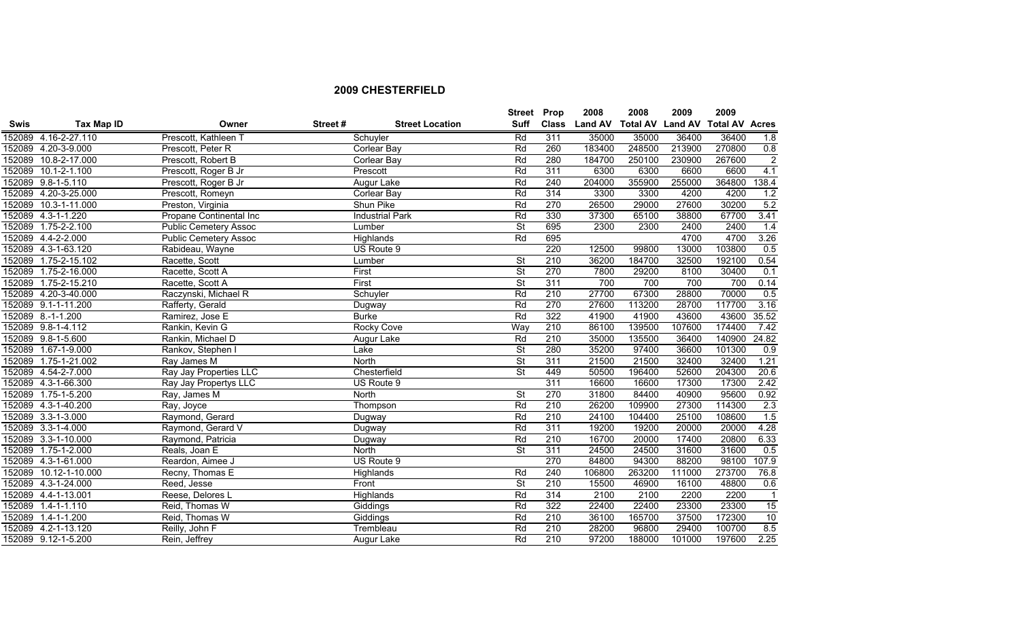|             |                       |                              |         |                        | <b>Street Prop</b>       |                  | 2008           | 2008   | 2009   | 2009                                   |                |
|-------------|-----------------------|------------------------------|---------|------------------------|--------------------------|------------------|----------------|--------|--------|----------------------------------------|----------------|
| <b>Swis</b> | <b>Tax Map ID</b>     | Owner                        | Street# | <b>Street Location</b> | <b>Suff</b>              | <b>Class</b>     | <b>Land AV</b> |        |        | <b>Total AV Land AV Total AV Acres</b> |                |
|             | 152089 4.16-2-27.110  | Prescott, Kathleen T         |         | Schuyler               | Rd                       | 311              | 35000          | 35000  | 36400  | 36400                                  | 1.8            |
|             | 152089 4.20-3-9.000   | Prescott, Peter R            |         | Corlear Bay            | Rd                       | 260              | 183400         | 248500 | 213900 | 270800                                 | 0.8            |
|             | 152089 10.8-2-17.000  | Prescott, Robert B           |         | Corlear Bay            | Rd                       | 280              | 184700         | 250100 | 230900 | 267600                                 | $\overline{2}$ |
| 152089      | $10.1 - 2 - 1.100$    | Prescott, Roger B Jr         |         | Prescott               | Rd                       | 311              | 6300           | 6300   | 6600   | 6600                                   | 4.1            |
| 152089      | $9.8 - 1 - 5.110$     | Prescott, Roger B Jr         |         | Augur Lake             | Rd                       | 240              | 204000         | 355900 | 255000 | 364800                                 | 138.4          |
|             | 152089 4.20-3-25.000  | Prescott, Romeyn             |         | <b>Corlear Bay</b>     | Rd                       | 314              | 3300           | 3300   | 4200   | 4200                                   | 1.2            |
| 152089      | 10.3-1-11.000         | Preston, Virginia            |         | Shun Pike              | Rd                       | 270              | 26500          | 29000  | 27600  | 30200                                  | 5.2            |
|             | 152089 4.3-1-1.220    | Propane Continental Inc      |         | <b>Industrial Park</b> | Rd                       | 330              | 37300          | 65100  | 38800  | 67700                                  | 3.41           |
| 152089      | $1.75 - 2 - 2.100$    | <b>Public Cemetery Assoc</b> |         | Lumber                 | $\overline{\mathsf{St}}$ | 695              | 2300           | 2300   | 2400   | 2400                                   | 1.4            |
|             | 152089 4.4-2-2.000    | <b>Public Cemetery Assoc</b> |         | Highlands              | Rd                       | 695              |                |        | 4700   | 4700                                   | 3.26           |
|             | 152089 4.3-1-63.120   | Rabideau, Wayne              |         | US Route 9             |                          | 220              | 12500          | 99800  | 13000  | 103800                                 | 0.5            |
|             | 152089 1.75-2-15.102  | Racette, Scott               |         | Lumber                 | $\overline{\mathsf{St}}$ | 210              | 36200          | 184700 | 32500  | 192100                                 | 0.54           |
| 152089      | 1.75-2-16.000         | Racette, Scott A             |         | First                  | $\overline{\mathsf{St}}$ | 270              | 7800           | 29200  | 8100   | 30400                                  | 0.1            |
|             | 152089 1.75-2-15.210  | Racette, Scott A             |         | First                  | $\overline{\mathsf{St}}$ | 311              | 700            | 700    | 700    | 700                                    | 0.14           |
|             | 152089 4.20-3-40.000  | Raczynski, Michael R         |         | Schuyler               | Rd                       | 210              | 27700          | 67300  | 28800  | 70000                                  | 0.5            |
|             | 152089 9.1-1-11.200   | Rafferty, Gerald             |         | Dugway                 | Rd                       | 270              | 27600          | 113200 | 28700  | 117700                                 | 3.16           |
|             | 152089 8.-1-1.200     | Ramirez, Jose E              |         | <b>Burke</b>           | Rd                       | 322              | 41900          | 41900  | 43600  | 43600                                  | 35.52          |
|             | 152089 9.8-1-4.112    | Rankin, Kevin G              |         | <b>Rocky Cove</b>      | Way                      | 210              | 86100          | 139500 | 107600 | 174400                                 | 7.42           |
|             | 152089 9.8-1-5.600    | Rankin, Michael D            |         | Augur Lake             | Rd                       | 210              | 35000          | 135500 | 36400  | 140900                                 | 24.82          |
|             | 152089 1.67-1-9.000   | Rankov, Stephen I            |         | Lake                   | $\overline{\mathsf{St}}$ | 280              | 35200          | 97400  | 36600  | 101300                                 | 0.9            |
|             | 152089 1.75-1-21.002  | Ray James M                  |         | North                  | $\overline{\mathsf{St}}$ | 311              | 21500          | 21500  | 32400  | 32400                                  | 1.21           |
|             | 152089 4.54-2-7.000   | Ray Jay Properties LLC       |         | Chesterfield           | $\overline{\mathsf{St}}$ | 449              | 50500          | 196400 | 52600  | 204300                                 | 20.6           |
|             | 152089 4.3-1-66.300   | Ray Jay Propertys LLC        |         | US Route 9             |                          | 311              | 16600          | 16600  | 17300  | 17300                                  | 2.42           |
|             | 152089 1.75-1-5.200   | Ray, James M                 |         | North                  | $\overline{\mathsf{St}}$ | 270              | 31800          | 84400  | 40900  | 95600                                  | 0.92           |
|             | 152089 4.3-1-40.200   | Ray, Joyce                   |         | Thompson               | Rd                       | 210              | 26200          | 109900 | 27300  | 114300                                 | 2.3            |
| 152089      | $3.3 - 1 - 3.000$     | Raymond, Gerard              |         | Dugway                 | Rd                       | 210              | 24100          | 104400 | 25100  | 108600                                 | 1.5            |
|             | 152089 3.3-1-4.000    | Raymond, Gerard V            |         | Dugway                 | Rd                       | 311              | 19200          | 19200  | 20000  | 20000                                  | 4.28           |
|             | 152089 3.3-1-10.000   | Raymond, Patricia            |         | Dugway                 | Rd                       | 210              | 16700          | 20000  | 17400  | 20800                                  | 6.33           |
|             | 152089 1.75-1-2.000   | Reals, Joan E                |         | North                  | $\overline{\mathsf{St}}$ | 311              | 24500          | 24500  | 31600  | 31600                                  | 0.5            |
|             | 152089 4.3-1-61.000   | Reardon, Aimee J             |         | US Route 9             |                          | 270              | 84800          | 94300  | 88200  | 98100                                  | 107.9          |
|             | 152089 10.12-1-10.000 | Recny, Thomas E              |         | Highlands              | Rd                       | 240              | 106800         | 263200 | 111000 | 273700                                 | 76.8           |
|             | 152089 4.3-1-24.000   | Reed, Jesse                  |         | Front                  | $\overline{\mathsf{St}}$ | $\overline{210}$ | 15500          | 46900  | 16100  | 48800                                  | 0.6            |
|             | 152089 4.4-1-13.001   | Reese, Delores L             |         | Highlands              | Rd                       | 314              | 2100           | 2100   | 2200   | 2200                                   | $\overline{1}$ |
|             | 152089 1.4-1-1.110    | Reid, Thomas W               |         | Giddings               | Rd                       | 322              | 22400          | 22400  | 23300  | 23300                                  | 15             |
|             | 152089 1.4-1-1.200    | Reid, Thomas W               |         | Giddings               | Rd                       | 210              | 36100          | 165700 | 37500  | 172300                                 | 10             |
|             | 152089 4.2-1-13.120   | Reilly, John F               |         | Trembleau              | Rd                       | 210              | 28200          | 96800  | 29400  | 100700                                 | 8.5            |
|             | 152089 9.12-1-5.200   | Rein, Jeffrey                |         | Augur Lake             | Rd                       | 210              | 97200          | 188000 | 101000 | 197600                                 | 2.25           |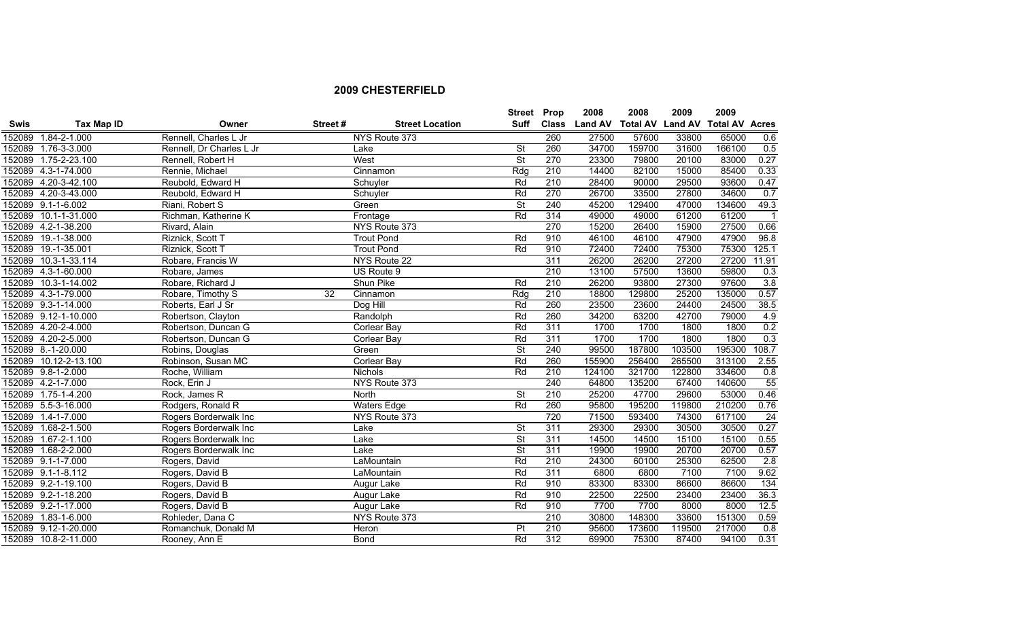|             |                       |                          |         |                        | <b>Street Prop</b>       |              | 2008           | 2008                    | 2009   | 2009                  |                  |
|-------------|-----------------------|--------------------------|---------|------------------------|--------------------------|--------------|----------------|-------------------------|--------|-----------------------|------------------|
| <b>Swis</b> | Tax Map ID            | Owner                    | Street# | <b>Street Location</b> | Suff                     | <b>Class</b> | <b>Land AV</b> | <b>Total AV Land AV</b> |        | <b>Total AV Acres</b> |                  |
| 152089      | 1.84-2-1.000          | Rennell, Charles L Jr    |         | NYS Route 373          |                          | 260          | 27500          | 57600                   | 33800  | 65000                 | 0.6              |
|             | 152089 1.76-3-3.000   | Rennell, Dr Charles L Jr |         | Lake                   | <b>St</b>                | 260          | 34700          | 159700                  | 31600  | 166100                | 0.5              |
|             | 152089 1.75-2-23.100  | Rennell, Robert H        |         | West                   | $\overline{\mathsf{St}}$ | 270          | 23300          | 79800                   | 20100  | 83000                 | 0.27             |
|             | 152089 4.3-1-74.000   | Rennie, Michael          |         | Cinnamon               | Rdq                      | 210          | 14400          | 82100                   | 15000  | 85400                 | 0.33             |
|             | 152089 4.20-3-42.100  | Reubold, Edward H        |         | Schuyler               | Rd                       | 210          | 28400          | 90000                   | 29500  | 93600                 | 0.47             |
|             | 152089 4.20-3-43.000  | Reubold, Edward H        |         | Schuyler               | Rd                       | 270          | 26700          | 33500                   | 27800  | 34600                 | 0.7              |
|             | 152089 9.1-1-6.002    | Riani, Robert S          |         | Green                  | $\overline{\mathsf{St}}$ | 240          | 45200          | 129400                  | 47000  | 134600                | 49.3             |
|             | 152089 10.1-1-31.000  | Richman, Katherine K     |         | Frontage               | Rd                       | 314          | 49000          | 49000                   | 61200  | 61200                 | $\overline{1}$   |
|             | 152089 4.2-1-38.200   | Rivard, Alain            |         | NYS Route 373          |                          | 270          | 15200          | 26400                   | 15900  | 27500                 | 0.66             |
| 152089      | 19.-1-38.000          | Riznick, Scott T         |         | <b>Trout Pond</b>      | Rd                       | 910          | 46100          | 46100                   | 47900  | 47900                 | 96.8             |
| 152089      | 19.-1-35.001          | Riznick, Scott T         |         | <b>Trout Pond</b>      | Rd                       | 910          | 72400          | 72400                   | 75300  | 75300                 | 125.1            |
| 152089      | 10.3-1-33.114         | Robare, Francis W        |         | NYS Route 22           |                          | 311          | 26200          | 26200                   | 27200  | 27200                 | 11.91            |
|             | 152089 4.3-1-60.000   | Robare, James            |         | US Route 9             |                          | 210          | 13100          | 57500                   | 13600  | 59800                 | 0.3              |
| 152089      | 10.3-1-14.002         | Robare, Richard J        |         | Shun Pike              | Rd                       | 210          | 26200          | 93800                   | 27300  | 97600                 | 3.8              |
|             | 152089 4.3-1-79.000   | Robare, Timothy S        | 32      | Cinnamon               | Rdg                      | 210          | 18800          | 129800                  | 25200  | 135000                | 0.57             |
|             | 152089 9.3-1-14.000   | Roberts, Earl J Sr       |         | Dog Hill               | Rd                       | 260          | 23500          | 23600                   | 24400  | 24500                 | 38.5             |
|             | 152089 9.12-1-10.000  | Robertson, Clayton       |         | Randolph               | Rd                       | 260          | 34200          | 63200                   | 42700  | 79000                 | 4.9              |
|             | 152089 4.20-2-4.000   | Robertson, Duncan G      |         | <b>Corlear Bay</b>     | Rd                       | 311          | 1700           | 1700                    | 1800   | 1800                  | 0.2              |
|             | 152089 4.20-2-5.000   | Robertson, Duncan G      |         | <b>Corlear Bay</b>     | Rd                       | 311          | 1700           | 1700                    | 1800   | 1800                  | 0.3              |
|             | 152089 8.-1-20.000    | Robins, Douglas          |         | Green                  | $\overline{\mathsf{St}}$ | 240          | 99500          | 187800                  | 103500 | 195300                | 108.7            |
|             | 152089 10.12-2-13.100 | Robinson, Susan MC       |         | <b>Corlear Bay</b>     | Rd                       | 260          | 155900         | 256400                  | 265500 | 313100                | 2.55             |
|             | 152089 9.8-1-2.000    | Roche, William           |         | <b>Nichols</b>         | Rd                       | 210          | 124100         | 321700                  | 122800 | 334600                | 0.8              |
|             | 152089 4.2-1-7.000    | Rock, Erin J             |         | NYS Route 373          |                          | 240          | 64800          | 135200                  | 67400  | 140600                | $\overline{55}$  |
|             | 152089 1.75-1-4.200   | Rock, James R            |         | North                  | <b>St</b>                | 210          | 25200          | 47700                   | 29600  | 53000                 | 0.46             |
|             | 152089 5.5-3-16.000   | Rodgers, Ronald R        |         | <b>Waters Edge</b>     | Rd                       | 260          | 95800          | 195200                  | 119800 | 210200                | 0.76             |
|             | 152089 1.4-1-7.000    | Rogers Borderwalk Inc    |         | NYS Route 373          |                          | 720          | 71500          | 593400                  | 74300  | 617100                | 24               |
|             | 152089 1.68-2-1.500   | Rogers Borderwalk Inc    |         | Lake                   | <b>St</b>                | 311          | 29300          | 29300                   | 30500  | 30500                 | 0.27             |
| 152089      | $1.67 - 2 - 1.100$    | Rogers Borderwalk Inc    |         | Lake                   | $\overline{\mathsf{St}}$ | 311          | 14500          | 14500                   | 15100  | 15100                 | 0.55             |
|             | 152089 1.68-2-2.000   | Rogers Borderwalk Inc    |         | Lake                   | $\overline{\mathsf{St}}$ | 311          | 19900          | 19900                   | 20700  | 20700                 | 0.57             |
|             | 152089 9.1-1-7.000    | Rogers, David            |         | LaMountain             | Rd                       | 210          | 24300          | 60100                   | 25300  | 62500                 | 2.8              |
|             | 152089 9.1-1-8.112    | Rogers, David B          |         | LaMountain             | Rd                       | 311          | 6800           | 6800                    | 7100   | 7100                  | 9.62             |
|             | 152089 9.2-1-19.100   | Rogers, David B          |         | Augur Lake             | Rd                       | 910          | 83300          | 83300                   | 86600  | 86600                 | 134              |
|             | 152089 9.2-1-18.200   | Rogers, David B          |         | Augur Lake             | Rd                       | 910          | 22500          | 22500                   | 23400  | 23400                 | 36.3             |
|             | 152089 9.2-1-17.000   | Rogers, David B          |         | Augur Lake             | Rd                       | 910          | 7700           | 7700                    | 8000   | 8000                  | 12.5             |
|             | 152089 1.83-1-6.000   | Rohleder, Dana C         |         | NYS Route 373          |                          | 210          | 30800          | 148300                  | 33600  | 151300                | 0.59             |
|             | 152089 9.12-1-20.000  | Romanchuk, Donald M      |         | Heron                  | P <sub>t</sub>           | 210          | 95600          | 173600                  | 119500 | 217000                | $\overline{0.8}$ |
|             | 152089 10.8-2-11.000  | Rooney, Ann E            |         | <b>Bond</b>            | Rd                       | 312          | 69900          | 75300                   | 87400  | 94100                 | 0.31             |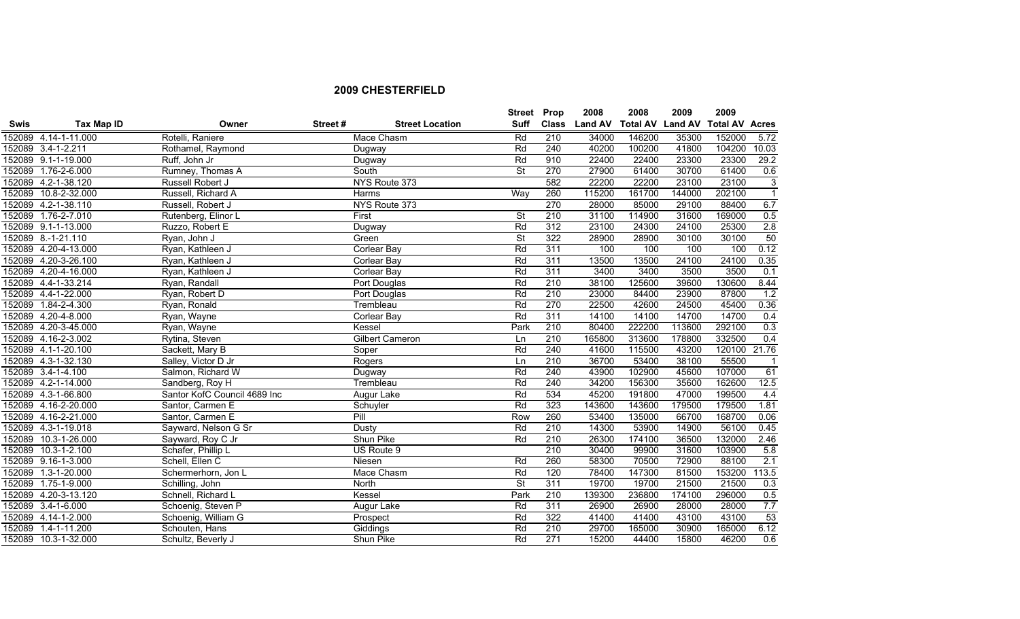|             |                      |                              |         |                        | <b>Street Prop</b>       |                  | 2008           | 2008   | 2009   | 2009                            |                |
|-------------|----------------------|------------------------------|---------|------------------------|--------------------------|------------------|----------------|--------|--------|---------------------------------|----------------|
| <b>Swis</b> | <b>Tax Map ID</b>    | Owner                        | Street# | <b>Street Location</b> | Suff                     | <b>Class</b>     | <b>Land AV</b> |        |        | Total AV Land AV Total AV Acres |                |
|             | 152089 4.14-1-11.000 | Rotelli, Raniere             |         | Mace Chasm             | Rd                       | 210              | 34000          | 146200 | 35300  | 152000                          | 5.72           |
|             | 152089 3.4-1-2.211   | Rothamel, Raymond            |         | Dugway                 | Rd                       | 240              | 40200          | 100200 | 41800  | 104200                          | 10.03          |
|             | 152089 9.1-1-19.000  | Ruff, John Jr                |         | Dugway                 | Rd                       | 910              | 22400          | 22400  | 23300  | 23300                           | 29.2           |
|             | 152089 1.76-2-6.000  | Rumney, Thomas A             |         | South                  | $\overline{\mathsf{St}}$ | 270              | 27900          | 61400  | 30700  | 61400                           | 0.6            |
|             | 152089 4.2-1-38.120  | Russell Robert J             |         | NYS Route 373          |                          | 582              | 22200          | 22200  | 23100  | 23100                           | $\overline{3}$ |
|             | 152089 10.8-2-32.000 | Russell, Richard A           |         | Harms                  | Way                      | 260              | 115200         | 161700 | 144000 | 202100                          | $\overline{1}$ |
|             | 152089 4.2-1-38.110  | Russell, Robert J            |         | NYS Route 373          |                          | 270              | 28000          | 85000  | 29100  | 88400                           | 6.7            |
|             | 152089 1.76-2-7.010  | Rutenberg, Elinor L          |         | First                  | $\overline{\mathsf{St}}$ | 210              | 31100          | 114900 | 31600  | 169000                          | 0.5            |
|             | 152089 9.1-1-13.000  | Ruzzo, Robert E              |         | Dugway                 | Rd                       | 312              | 23100          | 24300  | 24100  | 25300                           | 2.8            |
|             | 152089 8.-1-21.110   | Ryan, John J                 |         | Green                  | $\overline{\mathsf{St}}$ | 322              | 28900          | 28900  | 30100  | 30100                           | 50             |
|             | 152089 4.20-4-13.000 | Ryan, Kathleen J             |         | Corlear Bay            | Rd                       | 311              | 100            | 100    | 100    | 100                             | 0.12           |
|             | 152089 4.20-3-26.100 | Ryan, Kathleen J             |         | Corlear Bay            | Rd                       | 311              | 13500          | 13500  | 24100  | 24100                           | 0.35           |
|             | 152089 4.20-4-16.000 | Ryan, Kathleen J             |         | <b>Corlear Bay</b>     | Rd                       | 311              | 3400           | 3400   | 3500   | 3500                            | 0.1            |
|             | 152089 4.4-1-33.214  | Ryan, Randall                |         | Port Douglas           | Rd                       | $\overline{210}$ | 38100          | 125600 | 39600  | 130600                          | 8.44           |
|             | 152089 4.4-1-22.000  | Ryan, Robert D               |         | Port Douglas           | Rd                       | 210              | 23000          | 84400  | 23900  | 87800                           | 1.2            |
|             | 152089 1.84-2-4.300  | Ryan, Ronald                 |         | Trembleau              | Rd                       | 270              | 22500          | 42600  | 24500  | 45400                           | 0.36           |
|             | 152089 4.20-4-8.000  | Ryan, Wayne                  |         | Corlear Bay            | Rd                       | 311              | 14100          | 14100  | 14700  | 14700                           | 0.4            |
|             | 152089 4.20-3-45.000 | Ryan, Wayne                  |         | Kessel                 | Park                     | 210              | 80400          | 222200 | 113600 | 292100                          | 0.3            |
|             | 152089 4.16-2-3.002  | Rytina, Steven               |         | <b>Gilbert Cameron</b> | Ln                       | 210              | 165800         | 313600 | 178800 | 332500                          | 0.4            |
|             | 152089 4.1-1-20.100  | Sackett, Mary B              |         | Soper                  | Rd                       | 240              | 41600          | 115500 | 43200  | 120100                          | 21.76          |
|             | 152089 4.3-1-32.130  | Salley, Victor D Jr          |         | Rogers                 | Ln                       | 210              | 36700          | 53400  | 38100  | 55500                           | $\overline{1}$ |
|             | 152089 3.4-1-4.100   | Salmon, Richard W            |         | Dugway                 | Rd                       | 240              | 43900          | 102900 | 45600  | 107000                          | 61             |
|             | 152089 4.2-1-14.000  | Sandberg, Roy H              |         | Trembleau              | Rd                       | 240              | 34200          | 156300 | 35600  | 162600                          | 12.5           |
|             | 152089 4.3-1-66.800  | Santor KofC Council 4689 Inc |         | Augur Lake             | Rd                       | 534              | 45200          | 191800 | 47000  | 199500                          | 4.4            |
|             | 152089 4.16-2-20.000 | Santor, Carmen E             |         | Schuyler               | Rd                       | 323              | 143600         | 143600 | 179500 | 179500                          | 1.81           |
|             | 152089 4.16-2-21.000 | Santor, Carmen E             |         | Pill                   | Row                      | 260              | 53400          | 135000 | 66700  | 168700                          | 0.06           |
|             | 152089 4.3-1-19.018  | Sayward, Nelson G Sr         |         | Dusty                  | Rd                       | 210              | 14300          | 53900  | 14900  | 56100                           | 0.45           |
|             | 152089 10.3-1-26.000 | Sayward, Roy C Jr            |         | Shun Pike              | Rd                       | 210              | 26300          | 174100 | 36500  | 132000                          | 2.46           |
|             | 152089 10.3-1-2.100  | Schafer, Phillip L           |         | US Route 9             |                          | 210              | 30400          | 99900  | 31600  | 103900                          | 5.8            |
|             | 152089 9.16-1-3.000  | Schell, Ellen C              |         | Niesen                 | Rd                       | 260              | 58300          | 70500  | 72900  | 88100                           | 2.1            |
|             | 152089 1.3-1-20.000  | Schermerhorn, Jon L          |         | Mace Chasm             | Rd                       | 120              | 78400          | 147300 | 81500  | 153200                          | 113.5          |
|             | 152089 1.75-1-9.000  | Schilling, John              |         | North                  | $\overline{\mathsf{St}}$ | 311              | 19700          | 19700  | 21500  | 21500                           | 0.3            |
|             | 152089 4.20-3-13.120 | Schnell, Richard L           |         | Kessel                 | Park                     | 210              | 139300         | 236800 | 174100 | 296000                          | 0.5            |
|             | 152089 3.4-1-6.000   | Schoenig, Steven P           |         | Augur Lake             | Rd                       | 311              | 26900          | 26900  | 28000  | 28000                           | 7.7            |
|             | 152089 4.14-1-2.000  | Schoenig, William G          |         | Prospect               | Rd                       | 322              | 41400          | 41400  | 43100  | 43100                           | 53             |
|             | 152089 1.4-1-11.200  | Schouten, Hans               |         | Giddings               | Rd                       | 210              | 29700          | 165000 | 30900  | 165000                          | 6.12           |
|             | 152089 10.3-1-32.000 | Schultz, Beverly J           |         | Shun Pike              | Rd                       | 271              | 15200          | 44400  | 15800  | 46200                           | 0.6            |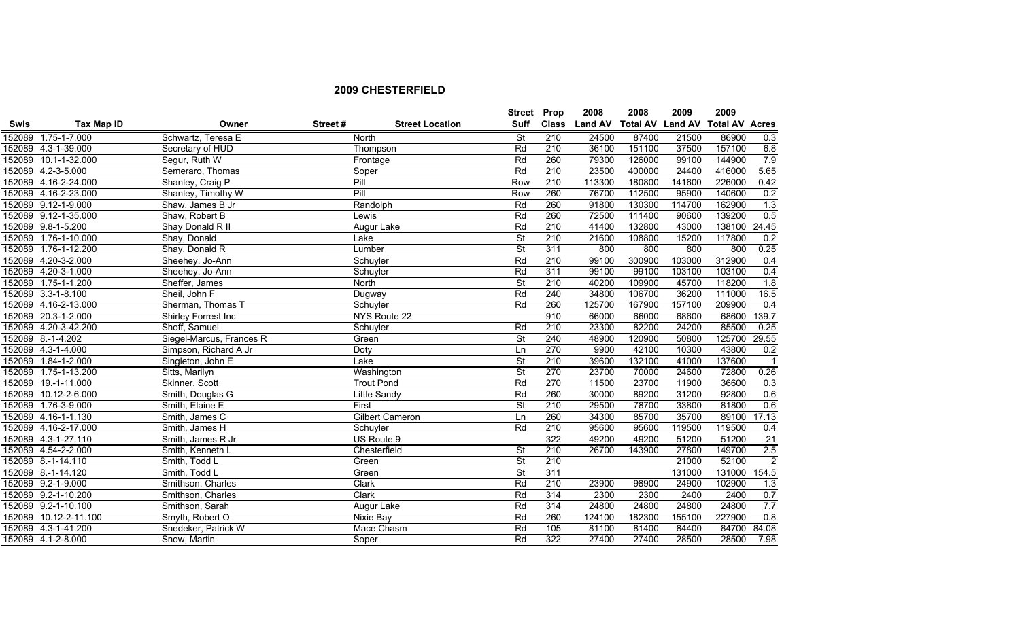|             |                       |                          |         |                        | Street Prop              |                  | 2008           | 2008                    | 2009   | 2009                  |                            |
|-------------|-----------------------|--------------------------|---------|------------------------|--------------------------|------------------|----------------|-------------------------|--------|-----------------------|----------------------------|
| <b>Swis</b> | Tax Map ID            | Owner                    | Street# | <b>Street Location</b> | Suff                     | <b>Class</b>     | <b>Land AV</b> | <b>Total AV Land AV</b> |        | <b>Total AV Acres</b> |                            |
|             | 152089 1.75-1-7.000   | Schwartz, Teresa E       |         | North                  | <b>St</b>                | 210              | 24500          | 87400                   | 21500  | 86900                 | 0.3                        |
|             | 152089 4.3-1-39.000   | Secretary of HUD         |         | Thompson               | Rd                       | 210              | 36100          | 151100                  | 37500  | 157100                | 6.8                        |
|             | 152089 10.1-1-32.000  | Segur, Ruth W            |         | Frontage               | Rd                       | 260              | 79300          | 126000                  | 99100  | 144900                | 7.9                        |
|             | 152089 4.2-3-5.000    | Semeraro, Thomas         |         | Soper                  | Rd                       | 210              | 23500          | 400000                  | 24400  | 416000                | 5.65                       |
|             | 152089 4.16-2-24.000  | Shanley, Craig P         |         | Pill                   | Row                      | 210              | 113300         | 180800                  | 141600 | 226000                | 0.42                       |
|             | 152089 4.16-2-23.000  | Shanley, Timothy W       |         | Pill                   | Row                      | 260              | 76700          | 112500                  | 95900  | 140600                | 0.2                        |
|             | 152089 9.12-1-9.000   | Shaw, James B Jr         |         | Randolph               | Rd                       | 260              | 91800          | 130300                  | 114700 | 162900                | 1.3                        |
|             | 152089 9.12-1-35.000  | Shaw, Robert B           |         | Lewis                  | Rd                       | 260              | 72500          | 111400                  | 90600  | 139200                | 0.5                        |
|             | 152089 9.8-1-5.200    | Shay Donald R II         |         | Augur Lake             | Rd                       | 210              | 41400          | 132800                  | 43000  | 138100                | 24.45                      |
|             | 152089 1.76-1-10.000  | Shay, Donald             |         | Lake                   | $\overline{\mathsf{St}}$ | 210              | 21600          | 108800                  | 15200  | 117800                | 0.2                        |
|             | 152089 1.76-1-12.200  | Shay, Donald R           |         | Lumber                 | $\overline{\mathsf{St}}$ | 311              | 800            | 800                     | 800    | 800                   | 0.25                       |
|             | 152089 4.20-3-2.000   | Sheehey, Jo-Ann          |         | Schuyler               | Rd                       | 210              | 99100          | 300900                  | 103000 | 312900                | 0.4                        |
|             | 152089 4.20-3-1.000   | Sheehey, Jo-Ann          |         | Schuyler               | Rd                       | 311              | 99100          | 99100                   | 103100 | 103100                | 0.4                        |
|             | 152089 1.75-1-1.200   | Sheffer, James           |         | North                  | $\overline{\mathsf{St}}$ | $\overline{210}$ | 40200          | 109900                  | 45700  | 118200                | 1.8                        |
|             | 152089 3.3-1-8.100    | Sheil, John F            |         | Dugway                 | Rd                       | 240              | 34800          | 106700                  | 36200  | 111000                | 16.5                       |
|             | 152089 4.16-2-13.000  | Sherman, Thomas T        |         | Schuyler               | Rd                       | 260              | 125700         | 167900                  | 157100 | 209900                | 0.4                        |
|             | 152089 20.3-1-2.000   | Shirley Forrest Inc      |         | NYS Route 22           |                          | 910              | 66000          | 66000                   | 68600  | 68600                 | 139.7                      |
|             | 152089 4.20-3-42.200  | Shoff, Samuel            |         | Schuyler               | Rd                       | 210              | 23300          | 82200                   | 24200  | 85500                 | 0.25                       |
|             | 152089 8.-1-4.202     | Siegel-Marcus, Frances R |         | Green                  | $\overline{\mathsf{St}}$ | 240              | 48900          | 120900                  | 50800  | 125700                | 29.55                      |
|             | 152089 4.3-1-4.000    | Simpson, Richard A Jr    |         | Doty                   | Ln                       | 270              | 9900           | 42100                   | 10300  | 43800                 | 0.2                        |
|             | 152089 1.84-1-2.000   | Singleton, John E        |         | Lake                   | $\overline{\mathsf{St}}$ | 210              | 39600          | 132100                  | 41000  | 137600                | $\overline{\phantom{0}}$ 1 |
|             | 152089 1.75-1-13.200  | Sitts, Marilyn           |         | Washington             | $\overline{\mathsf{St}}$ | 270              | 23700          | 70000                   | 24600  | 72800                 | 0.26                       |
|             | 152089 19.-1-11.000   | Skinner, Scott           |         | <b>Trout Pond</b>      | Rd                       | 270              | 11500          | 23700                   | 11900  | 36600                 | 0.3                        |
|             | 152089 10.12-2-6.000  | Smith, Douglas G         |         | Little Sandy           | Rd                       | 260              | 30000          | 89200                   | 31200  | 92800                 | 0.6                        |
|             | 152089 1.76-3-9.000   | Smith, Elaine E          |         | First                  | $\overline{\mathsf{St}}$ | 210              | 29500          | 78700                   | 33800  | 81800                 | 0.6                        |
|             | 152089 4.16-1-1.130   | Smith, James C           |         | <b>Gilbert Cameron</b> | Ln                       | 260              | 34300          | 85700                   | 35700  | 89100                 | 17.13                      |
|             | 152089 4.16-2-17.000  | Smith, James H           |         | Schuyler               | Rd                       | 210              | 95600          | 95600                   | 119500 | 119500                | 0.4                        |
|             | 152089 4.3-1-27.110   | Smith, James R Jr        |         | US Route 9             |                          | 322              | 49200          | 49200                   | 51200  | 51200                 | $\overline{21}$            |
|             | 152089 4.54-2-2.000   | Smith, Kenneth L         |         | Chesterfield           | $\overline{\mathsf{St}}$ | 210              | 26700          | 143900                  | 27800  | 149700                | 2.5                        |
|             | 152089 8.-1-14.110    | Smith, Todd L            |         | Green                  | $\overline{\mathsf{St}}$ | 210              |                |                         | 21000  | 52100                 | $\overline{2}$             |
|             | 152089 8.-1-14.120    | Smith, Todd L            |         | Green                  | $\overline{\mathsf{St}}$ | 311              |                |                         | 131000 | 131000                | 154.5                      |
|             | 152089 9.2-1-9.000    | Smithson, Charles        |         | Clark                  | Rd                       | 210              | 23900          | 98900                   | 24900  | 102900                | 1.3                        |
|             | 152089 9.2-1-10.200   | Smithson, Charles        |         | Clark                  | Rd                       | 314              | 2300           | 2300                    | 2400   | 2400                  | 0.7                        |
|             | 152089 9.2-1-10.100   | Smithson, Sarah          |         | Augur Lake             | Rd                       | 314              | 24800          | 24800                   | 24800  | 24800                 | 7.7                        |
|             | 152089 10.12-2-11.100 | Smyth, Robert O          |         | <b>Nixie Bay</b>       | Rd                       | 260              | 124100         | 182300                  | 155100 | 227900                | 0.8                        |
|             | 152089 4.3-1-41.200   | Snedeker, Patrick W      |         | Mace Chasm             | Rd                       | 105              | 81100          | 81400                   | 84400  | 84700                 | 84.08                      |
|             | 152089 4.1-2-8.000    | Snow, Martin             |         | Soper                  | Rd                       | 322              | 27400          | 27400                   | 28500  | 28500                 | 7.98                       |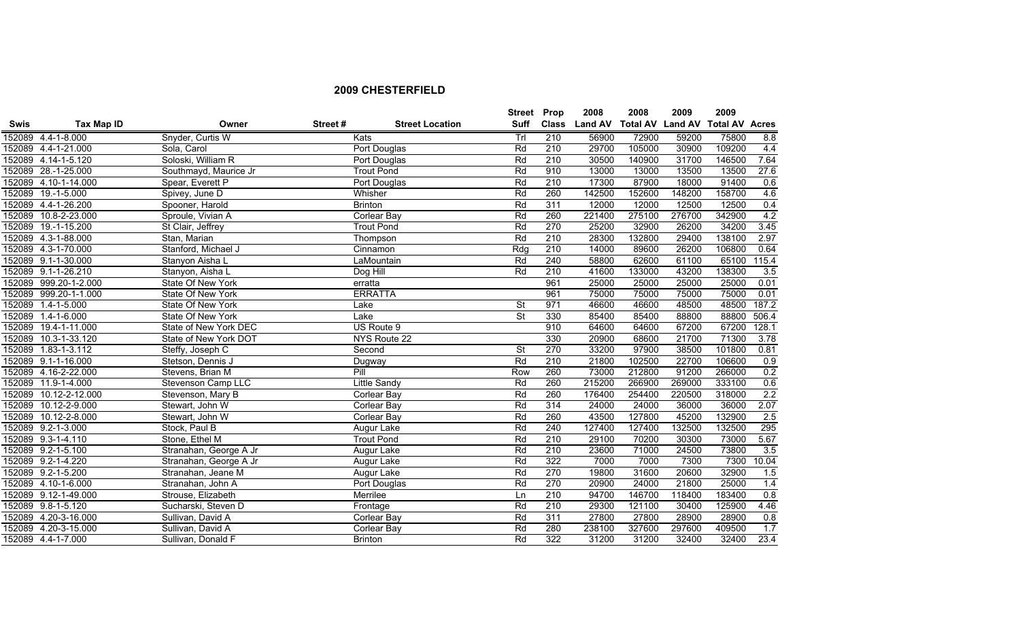|             |                       |                        |         |                        | Street Prop              |                  | 2008          | 2008            | 2009           | 2009                  |       |
|-------------|-----------------------|------------------------|---------|------------------------|--------------------------|------------------|---------------|-----------------|----------------|-----------------------|-------|
| <b>Swis</b> | Tax Map ID            | Owner                  | Street# | <b>Street Location</b> | <b>Suff</b>              |                  | Class Land AV | <b>Total AV</b> | <b>Land AV</b> | <b>Total AV Acres</b> |       |
|             | 152089 4.4-1-8.000    | Snyder, Curtis W       |         | Kats                   | Trl                      | 210              | 56900         | 72900           | 59200          | 75800                 | 8.8   |
|             | 152089 4.4-1-21.000   | Sola, Carol            |         | Port Douglas           | Rd                       | 210              | 29700         | 105000          | 30900          | 109200                | 4.4   |
|             | 152089 4.14-1-5.120   | Soloski, William R     |         | Port Douglas           | Rd                       | 210              | 30500         | 140900          | 31700          | 146500                | 7.64  |
|             | 152089 28.-1-25.000   | Southmayd, Maurice Jr  |         | <b>Trout Pond</b>      | Rd                       | 910              | 13000         | 13000           | 13500          | 13500                 | 27.6  |
|             | 152089 4.10-1-14.000  | Spear, Everett P       |         | Port Douglas           | Rd                       | 210              | 17300         | 87900           | 18000          | 91400                 | 0.6   |
|             | 152089 19.-1-5.000    | Spivey, June D         |         | Whisher                | Rd                       | 260              | 142500        | 152600          | 148200         | 158700                | 4.6   |
|             | 152089 4.4-1-26.200   | Spooner, Harold        |         | <b>Brinton</b>         | Rd                       | 311              | 12000         | 12000           | 12500          | 12500                 | 0.4   |
|             | 152089 10.8-2-23.000  | Sproule, Vivian A      |         | <b>Corlear Bay</b>     | Rd                       | 260              | 221400        | 275100          | 276700         | 342900                | 4.2   |
|             | 152089 19.-1-15.200   | St Clair, Jeffrey      |         | <b>Trout Pond</b>      | Rd                       | 270              | 25200         | 32900           | 26200          | 34200                 | 3.45  |
|             | 152089 4.3-1-88.000   | Stan, Marian           |         | Thompson               | Rd                       | 210              | 28300         | 132800          | 29400          | 138100                | 2.97  |
|             | 152089 4.3-1-70.000   | Stanford, Michael J    |         | Cinnamon               | Rdg                      | 210              | 14000         | 89600           | 26200          | 106800                | 0.64  |
|             | 152089 9.1-1-30.000   | Stanyon Aisha L        |         | LaMountain             | Rd                       | 240              | 58800         | 62600           | 61100          | 65100                 | 115.4 |
|             | 152089 9.1-1-26.210   | Stanyon, Aisha L       |         | Dog Hill               | Rd                       | 210              | 41600         | 133000          | 43200          | 138300                | 3.5   |
|             | 152089 999.20-1-2.000 | State Of New York      |         | erratta                |                          | $\overline{961}$ | 25000         | 25000           | 25000          | 25000                 | 0.01  |
|             | 152089 999.20-1-1.000 | State Of New York      |         | <b>ERRATTA</b>         |                          | 961              | 75000         | 75000           | 75000          | 75000                 | 0.01  |
|             | 152089 1.4-1-5.000    | State Of New York      |         | Lake                   | $\overline{\mathsf{St}}$ | 971              | 46600         | 46600           | 48500          | 48500                 | 187.2 |
|             | 152089 1.4-1-6.000    | State Of New York      |         | Lake                   | $\overline{\mathsf{St}}$ | 330              | 85400         | 85400           | 88800          | 88800                 | 506.4 |
|             | 152089 19.4-1-11.000  | State of New York DEC  |         | US Route 9             |                          | 910              | 64600         | 64600           | 67200          | 67200                 | 128.1 |
|             | 152089 10.3-1-33.120  | State of New York DOT  |         | NYS Route 22           |                          | 330              | 20900         | 68600           | 21700          | 71300                 | 3.78  |
| 152089      | $1.83 - 1 - 3.112$    | Steffy, Joseph C       |         | Second                 | $\overline{\mathsf{St}}$ | 270              | 33200         | 97900           | 38500          | 101800                | 0.81  |
|             | 152089 9.1-1-16.000   | Stetson, Dennis J      |         | Dugway                 | Rd                       | $\overline{210}$ | 21800         | 102500          | 22700          | 106600                | 0.9   |
|             | 152089 4.16-2-22.000  | Stevens, Brian M       |         | Pill                   | Row                      | 260              | 73000         | 212800          | 91200          | 266000                | 0.2   |
|             | 152089 11.9-1-4.000   | Stevenson Camp LLC     |         | Little Sandy           | Rd                       | 260              | 215200        | 266900          | 269000         | 333100                | 0.6   |
|             | 152089 10.12-2-12.000 | Stevenson, Mary B      |         | Corlear Bay            | Rd                       | 260              | 176400        | 254400          | 220500         | 318000                | 2.2   |
|             | 152089 10.12-2-9.000  | Stewart, John W        |         | Corlear Bay            | Rd                       | 314              | 24000         | 24000           | 36000          | 36000                 | 2.07  |
|             | 152089 10.12-2-8.000  | Stewart, John W        |         | Corlear Bay            | Rd                       | 260              | 43500         | 127800          | 45200          | 132900                | 2.5   |
|             | 152089 9.2-1-3.000    | Stock, Paul B          |         | Augur Lake             | Rd                       | 240              | 127400        | 127400          | 132500         | 132500                | 295   |
|             | 152089 9.3-1-4.110    | Stone, Ethel M         |         | <b>Trout Pond</b>      | Rd                       | 210              | 29100         | 70200           | 30300          | 73000                 | 5.67  |
|             | 152089 9.2-1-5.100    | Stranahan, George A Jr |         | Augur Lake             | Rd                       | 210              | 23600         | 71000           | 24500          | 73800                 | 3.5   |
|             | 152089 9.2-1-4.220    | Stranahan, George A Jr |         | Augur Lake             | Rd                       | 322              | 7000          | 7000            | 7300           | 7300                  | 10.04 |
|             | 152089 9.2-1-5.200    | Stranahan, Jeane M     |         | Augur Lake             | Rd                       | 270              | 19800         | 31600           | 20600          | 32900                 | 1.5   |
|             | 152089 4.10-1-6.000   | Stranahan, John A      |         | Port Douglas           | Rd                       | 270              | 20900         | 24000           | 21800          | 25000                 | 1.4   |
|             | 152089 9.12-1-49.000  | Strouse, Elizabeth     |         | Merrilee               | Ln                       | 210              | 94700         | 146700          | 118400         | 183400                | 0.8   |
|             | 152089 9.8-1-5.120    | Sucharski, Steven D    |         | Frontage               | Rd                       | 210              | 29300         | 121100          | 30400          | 125900                | 4.46  |
|             | 152089 4.20-3-16.000  | Sullivan, David A      |         | Corlear Bay            | Rd                       | 311              | 27800         | 27800           | 28900          | 28900                 | 0.8   |
|             | 152089 4.20-3-15.000  | Sullivan, David A      |         | Corlear Bay            | Rd                       | 280              | 238100        | 327600          | 297600         | 409500                | 1.7   |
|             | 152089 4.4-1-7.000    | Sullivan, Donald F     |         | <b>Brinton</b>         | Rd                       | 322              | 31200         | 31200           | 32400          | 32400                 | 23.4  |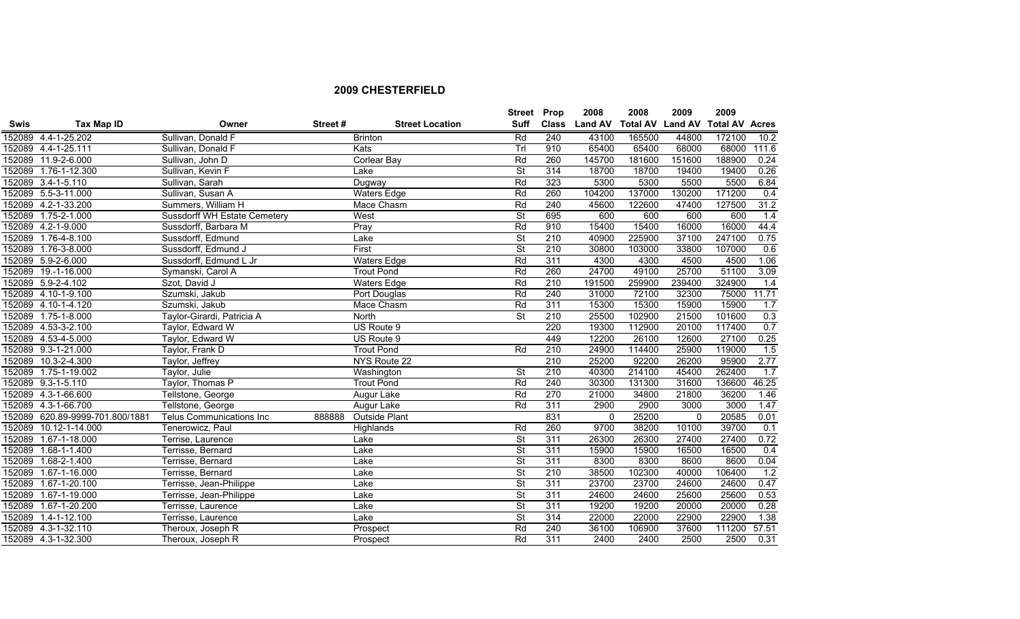|             |                                 |                                     |         |                        | <b>Street</b>            | Prop             | 2008           | 2008                    | 2009     | 2009                  |       |
|-------------|---------------------------------|-------------------------------------|---------|------------------------|--------------------------|------------------|----------------|-------------------------|----------|-----------------------|-------|
| <b>Swis</b> | Tax Map ID                      | Owner                               | Street# | <b>Street Location</b> | <b>Suff</b>              | <b>Class</b>     | <b>Land AV</b> | <b>Total AV Land AV</b> |          | <b>Total AV Acres</b> |       |
|             | 152089 4.4-1-25.202             | Sullivan, Donald F                  |         | <b>Brinton</b>         | Rd                       | 240              | 43100          | 165500                  | 44800    | 172100                | 10.2  |
|             | 152089 4.4-1-25.111             | Sullivan, Donald F                  |         | Kats                   | Trl                      | 910              | 65400          | 65400                   | 68000    | 68000                 | 111.6 |
|             | 152089 11.9-2-6.000             | Sullivan, John D                    |         | Corlear Bay            | Rd                       | 260              | 145700         | 181600                  | 151600   | 188900                | 0.24  |
|             | 152089 1.76-1-12.300            | Sullivan, Kevin F                   |         | Lake                   | $\overline{\mathsf{St}}$ | 314              | 18700          | 18700                   | 19400    | 19400                 | 0.26  |
|             | 152089 3.4-1-5.110              | Sullivan, Sarah                     |         | Dugway                 | Rd                       | 323              | 5300           | 5300                    | 5500     | 5500                  | 6.84  |
|             | 152089 5.5-3-11.000             | Sullivan, Susan A                   |         | <b>Waters Edge</b>     | Rd                       | 260              | 104200         | 137000                  | 130200   | 171200                | 0.4   |
|             | 152089 4.2-1-33.200             | Summers, William H                  |         | Mace Chasm             | Rd                       | 240              | 45600          | 122600                  | 47400    | 127500                | 31.2  |
|             | 152089 1.75-2-1.000             | <b>Sussdorff WH Estate Cemetery</b> |         | West                   | $\overline{\mathsf{St}}$ | 695              | 600            | 600                     | 600      | 600                   | 1.4   |
|             | 152089 4.2-1-9.000              | Sussdorff, Barbara M                |         | Pray                   | Rd                       | 910              | 15400          | 15400                   | 16000    | 16000                 | 44.4  |
| 152089      | $1.76 - 4 - 8.100$              | Sussdorff, Edmund                   |         | Lake                   | $\overline{\mathsf{St}}$ | 210              | 40900          | 225900                  | 37100    | 247100                | 0.75  |
| 152089      | 1.76-3-8.000                    | Sussdorff, Edmund J                 |         | First                  | $\overline{\mathsf{St}}$ | 210              | 30800          | 103000                  | 33800    | 107000                | 0.6   |
|             | 152089 5.9-2-6.000              | Sussdorff, Edmund L Jr              |         | <b>Waters Edge</b>     | Rd                       | 311              | 4300           | 4300                    | 4500     | 4500                  | 1.06  |
|             | 152089 19.-1-16.000             | Symanski, Carol A                   |         | <b>Trout Pond</b>      | Rd                       | 260              | 24700          | 49100                   | 25700    | 51100                 | 3.09  |
|             | 152089 5.9-2-4.102              | Szot, David J                       |         | <b>Waters Edge</b>     | Rd                       | $\overline{210}$ | 191500         | 259900                  | 239400   | 324900                | 1.4   |
|             | 152089 4.10-1-9.100             | Szumski, Jakub                      |         | Port Douglas           | Rd                       | 240              | 31000          | 72100                   | 32300    | 75000                 | 11.71 |
|             | 152089 4.10-1-4.120             | Szumski, Jakub                      |         | Mace Chasm             | Rd                       | 311              | 15300          | 15300                   | 15900    | 15900                 | 1.7   |
|             | 152089 1.75-1-8.000             | Taylor-Girardi, Patricia A          |         | North                  | $\overline{\mathsf{St}}$ | 210              | 25500          | 102900                  | 21500    | 101600                | 0.3   |
|             | 152089 4.53-3-2.100             | Taylor, Edward W                    |         | US Route 9             |                          | 220              | 19300          | 112900                  | 20100    | 117400                | 0.7   |
|             | 152089 4.53-4-5.000             | Taylor, Edward W                    |         | US Route 9             |                          | 449              | 12200          | 26100                   | 12600    | 27100                 | 0.25  |
|             | 152089 9.3-1-21.000             | Taylor, Frank D                     |         | <b>Trout Pond</b>      | Rd                       | 210              | 24900          | 114400                  | 25900    | 119000                | 1.5   |
|             | 152089 10.3-2-4.300             | Taylor, Jeffrey                     |         | NYS Route 22           |                          | 210              | 25200          | 92200                   | 26200    | 95900                 | 2.77  |
|             | 152089 1.75-1-19.002            | Taylor, Julie                       |         | Washington             | $\overline{\mathsf{St}}$ | 210              | 40300          | 214100                  | 45400    | 262400                | 1.7   |
|             | 152089 9.3-1-5.110              | Taylor, Thomas P                    |         | <b>Trout Pond</b>      | Rd                       | 240              | 30300          | 131300                  | 31600    | 136600                | 46.25 |
|             | 152089 4.3-1-66.600             | Tellstone, George                   |         | Augur Lake             | Rd                       | 270              | 21000          | 34800                   | 21800    | 36200                 | 1.46  |
|             | 152089 4.3-1-66.700             | Tellstone, George                   |         | Augur Lake             | Rd                       | 311              | 2900           | 2900                    | 3000     | 3000                  | 1.47  |
|             | 152089 620.89-9999-701.800/1881 | <b>Telus Communications Inc</b>     | 888888  | Outside Plant          |                          | 831              | $\Omega$       | 25200                   | $\Omega$ | 20585                 | 0.01  |
|             | 152089 10.12-1-14.000           | Tenerowicz, Paul                    |         | Highlands              | Rd                       | 260              | 9700           | 38200                   | 10100    | 39700                 | 0.1   |
| 152089      | 1.67-1-18.000                   | Terrise, Laurence                   |         | Lake                   | $\overline{\mathsf{St}}$ | 311              | 26300          | 26300                   | 27400    | 27400                 | 0.72  |
| 152089      | $1.68 - 1 - 1.400$              | Terrisse, Bernard                   |         | Lake                   | $\overline{\mathsf{St}}$ | 311              | 15900          | 15900                   | 16500    | 16500                 | 0.4   |
| 152089      | 1.68-2-1.400                    | Terrisse, Bernard                   |         | Lake                   | $\overline{\mathsf{St}}$ | 311              | 8300           | 8300                    | 8600     | 8600                  | 0.04  |
| 152089      | 1.67-1-16.000                   | Terrisse, Bernard                   |         | Lake                   | $\overline{\mathsf{St}}$ | 210              | 38500          | 102300                  | 40000    | 106400                | 1.2   |
| 152089      | 1.67-1-20.100                   | Terrisse, Jean-Philippe             |         | Lake                   | $\overline{\mathsf{St}}$ | 311              | 23700          | 23700                   | 24600    | 24600                 | 0.47  |
| 152089      | 1.67-1-19.000                   | Terrisse, Jean-Philippe             |         | Lake                   | $\overline{\mathsf{St}}$ | 311              | 24600          | 24600                   | 25600    | 25600                 | 0.53  |
| 152089      | 1.67-1-20.200                   | Terrisse, Laurence                  |         | Lake                   | $\overline{\mathsf{St}}$ | 311              | 19200          | 19200                   | 20000    | 20000                 | 0.28  |
| 152089      | $1.4 - 1 - 12.100$              | Terrisse, Laurence                  |         | Lake                   | $\overline{\mathsf{St}}$ | 314              | 22000          | 22000                   | 22900    | 22900                 | 1.38  |
|             | 152089 4.3-1-32.110             | Theroux, Joseph R                   |         | Prospect               | Rd                       | 240              | 36100          | 106900                  | 37600    | 111200                | 57.51 |
|             | 152089 4.3-1-32.300             | Theroux, Joseph R                   |         | Prospect               | Rd                       | 311              | 2400           | 2400                    | 2500     | 2500                  | 0.31  |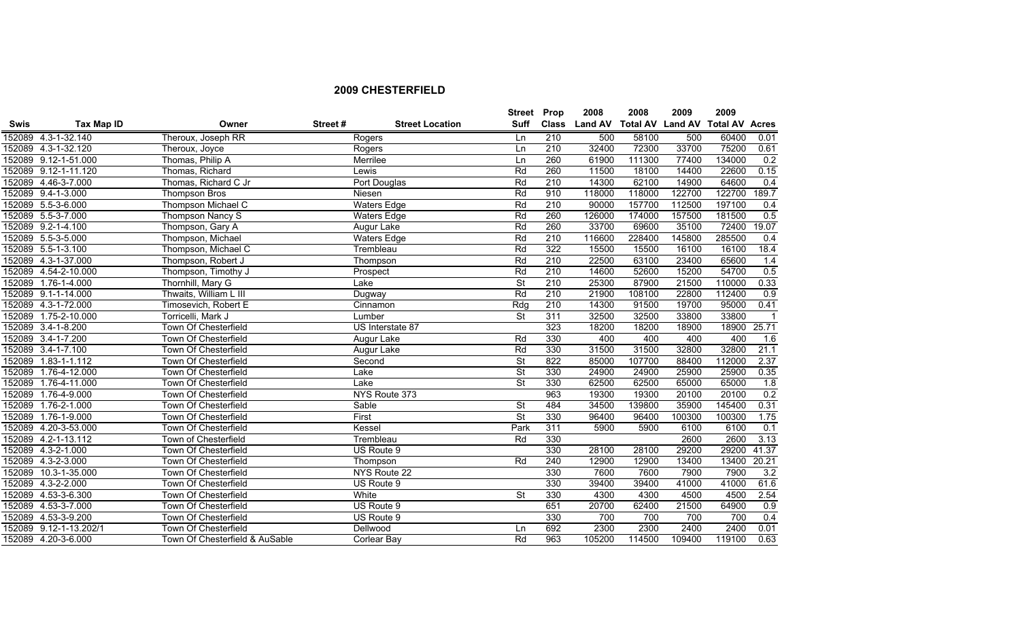|             |                        |                                |         |                        | <b>Street Prop</b>       |              | 2008           | 2008                    | 2009   | 2009                  |                         |
|-------------|------------------------|--------------------------------|---------|------------------------|--------------------------|--------------|----------------|-------------------------|--------|-----------------------|-------------------------|
| <b>Swis</b> | Tax Map ID             | Owner                          | Street# | <b>Street Location</b> | <b>Suff</b>              | <b>Class</b> | <b>Land AV</b> | <b>Total AV Land AV</b> |        | <b>Total AV Acres</b> |                         |
|             | 152089 4.3-1-32.140    | Theroux, Joseph RR             |         | Rogers                 | Ln                       | 210          | 500            | 58100                   | 500    | 60400                 | 0.01                    |
|             | 152089 4.3-1-32.120    | Theroux, Joyce                 |         | Rogers                 | <b>Ln</b>                | 210          | 32400          | 72300                   | 33700  | 75200                 | 0.61                    |
|             | 152089 9.12-1-51.000   | Thomas, Philip A               |         | Merrilee               | Ln                       | 260          | 61900          | 111300                  | 77400  | 134000                | 0.2                     |
|             | 152089 9.12-1-11.120   | Thomas, Richard                |         | Lewis                  | Rd                       | 260          | 11500          | 18100                   | 14400  | 22600                 | 0.15                    |
|             | 152089 4.46-3-7.000    | Thomas, Richard C Jr           |         | Port Douglas           | Rd                       | 210          | 14300          | 62100                   | 14900  | 64600                 | 0.4                     |
|             | 152089 9.4-1-3.000     | <b>Thompson Bros</b>           |         | Niesen                 | Rd                       | 910          | 118000         | 118000                  | 122700 | 122700                | 189.7                   |
|             | 152089 5.5-3-6.000     | Thompson Michael C             |         | <b>Waters Edge</b>     | Rd                       | 210          | 90000          | 157700                  | 112500 | 197100                | 0.4                     |
|             | 152089 5.5-3-7.000     | Thompson Nancy S               |         | <b>Waters Edge</b>     | Rd                       | 260          | 126000         | 174000                  | 157500 | 181500                | 0.5                     |
|             | 152089 9.2-1-4.100     | Thompson, Gary A               |         | Augur Lake             | Rd                       | 260          | 33700          | 69600                   | 35100  | 72400                 | 19.07                   |
|             | 152089 5.5-3-5.000     | Thompson, Michael              |         | <b>Waters Edge</b>     | Rd                       | 210          | 116600         | 228400                  | 145800 | 285500                | 0.4                     |
|             | 152089 5.5-1-3.100     | Thompson, Michael C            |         | Trembleau              | Rd                       | 322          | 15500          | 15500                   | 16100  | 16100                 | 18.4                    |
| 152089      | 4.3-1-37.000           | Thompson, Robert J             |         | Thompson               | Rd                       | 210          | 22500          | 63100                   | 23400  | 65600                 | 1.4                     |
| 152089      | 4.54-2-10.000          | Thompson, Timothy J            |         | Prospect               | Rd                       | 210          | 14600          | 52600                   | 15200  | 54700                 | 0.5                     |
| 152089      | $1.76 - 1 - 4.000$     | Thornhill, Mary G              |         | Lake                   | $\overline{\mathsf{St}}$ | 210          | 25300          | 87900                   | 21500  | 110000                | 0.33                    |
|             | 152089 9.1-1-14.000    | Thwaits, William L III         |         | Dugway                 | Rd                       | 210          | 21900          | 108100                  | 22800  | 112400                | 0.9                     |
|             | 152089 4.3-1-72.000    | Timosevich, Robert E           |         | Cinnamon               | Rdg                      | 210          | 14300          | 91500                   | 19700  | 95000                 | 0.41                    |
| 152089      | 1.75-2-10.000          | Torricelli, Mark J             |         | Lumber                 | <b>St</b>                | 311          | 32500          | 32500                   | 33800  | 33800                 | $\overline{\mathbf{1}}$ |
| 152089      | $3.4 - 1 - 8.200$      | Town Of Chesterfield           |         | US Interstate 87       |                          | 323          | 18200          | 18200                   | 18900  | 18900                 | 25.71                   |
|             | 152089 3.4-1-7.200     | Town Of Chesterfield           |         | Augur Lake             | Rd                       | 330          | 400            | 400                     | 400    | 400                   | 1.6                     |
|             | 152089 3.4-1-7.100     | Town Of Chesterfield           |         | Augur Lake             | Rd                       | 330          | 31500          | 31500                   | 32800  | 32800                 | 21.1                    |
| 152089      | $1.83 - 1 - 1.112$     | Town Of Chesterfield           |         | Second                 | $\overline{\mathsf{St}}$ | 822          | 85000          | 107700                  | 88400  | 112000                | 2.37                    |
| 152089      | 1.76-4-12.000          | Town Of Chesterfield           | Lake    |                        | $\overline{\mathsf{St}}$ | 330          | 24900          | 24900                   | 25900  | 25900                 | 0.35                    |
| 152089      | 1.76-4-11.000          | Town Of Chesterfield           | Lake    |                        | $\overline{\mathsf{St}}$ | 330          | 62500          | 62500                   | 65000  | 65000                 | 1.8                     |
| 152089      | 1.76-4-9.000           | Town Of Chesterfield           |         | NYS Route 373          |                          | 963          | 19300          | 19300                   | 20100  | 20100                 | 0.2                     |
| 152089      | $1.76 - 2 - 1.000$     | Town Of Chesterfield           |         | Sable                  | <b>St</b>                | 484          | 34500          | 139800                  | 35900  | 145400                | 0.31                    |
|             | 152089 1.76-1-9.000    | Town Of Chesterfield           | First   |                        | $\overline{\mathsf{St}}$ | 330          | 96400          | 96400                   | 100300 | 100300                | 1.75                    |
|             | 152089 4.20-3-53.000   | Town Of Chesterfield           |         | Kessel                 | Park                     | 311          | 5900           | 5900                    | 6100   | 6100                  | 0.1                     |
| 152089      | $4.2 - 1 - 13.112$     | Town of Chesterfield           |         | Trembleau              | Rd                       | 330          |                |                         | 2600   | 2600                  | 3.13                    |
|             | 152089 4.3-2-1.000     | Town Of Chesterfield           |         | US Route 9             |                          | 330          | 28100          | 28100                   | 29200  | 29200                 | 41.37                   |
|             | 152089 4.3-2-3.000     | Town Of Chesterfield           |         | Thompson               | Rd                       | 240          | 12900          | 12900                   | 13400  | 13400                 | 20.21                   |
| 152089      | $10.3 - 1 - 35.000$    | Town Of Chesterfield           |         | NYS Route 22           |                          | 330          | 7600           | 7600                    | 7900   | 7900                  | 3.2                     |
| 152089      | 4.3-2-2.000            | Town Of Chesterfield           |         | US Route 9             |                          | 330          | 39400          | 39400                   | 41000  | 41000                 | 61.6                    |
| 152089      | 4.53-3-6.300           | Town Of Chesterfield           |         | White                  | $\overline{\mathsf{St}}$ | 330          | 4300           | 4300                    | 4500   | 4500                  | 2.54                    |
| 152089      | 4.53-3-7.000           | Town Of Chesterfield           |         | US Route 9             |                          | 651          | 20700          | 62400                   | 21500  | 64900                 | 0.9                     |
|             | 152089 4.53-3-9.200    | Town Of Chesterfield           |         | US Route 9             |                          | 330          | 700            | 700                     | 700    | 700                   | 0.4                     |
|             | 152089 9.12-1-13.202/1 | Town Of Chesterfield           |         | Dellwood               | Ln                       | 692          | 2300           | 2300                    | 2400   | 2400                  | 0.01                    |
|             | 152089 4.20-3-6.000    | Town Of Chesterfield & AuSable |         | <b>Corlear Bay</b>     | Rd                       | 963          | 105200         | 114500                  | 109400 | 119100                | 0.63                    |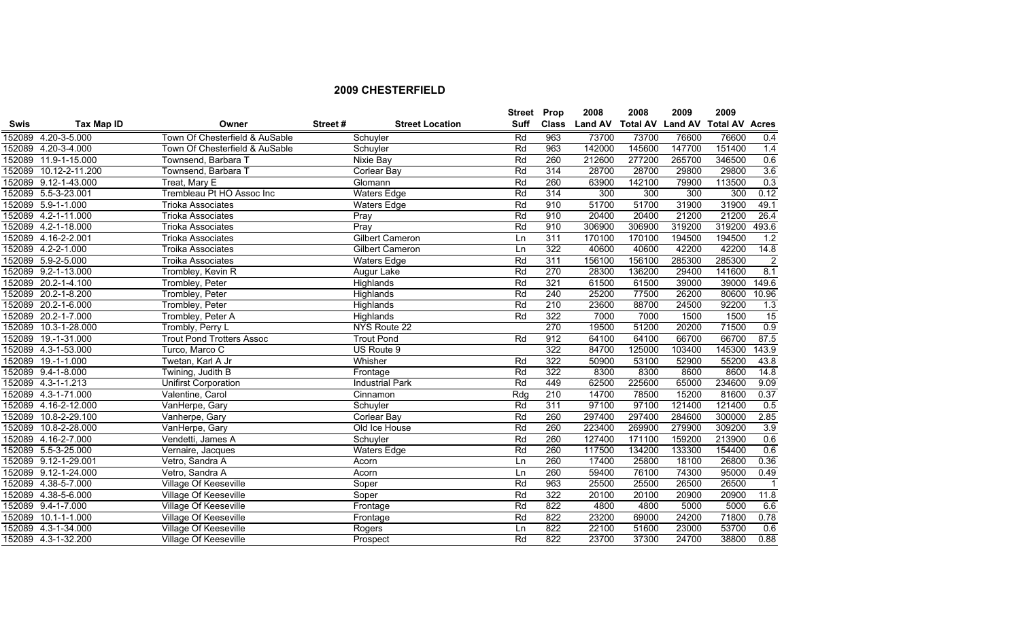|             |                      |                                  |         |                        | <b>Street</b> | Prop         | 2008           | 2008   | 2009   | 2009                            |                |
|-------------|----------------------|----------------------------------|---------|------------------------|---------------|--------------|----------------|--------|--------|---------------------------------|----------------|
| <b>Swis</b> | <b>Tax Map ID</b>    | Owner                            | Street# | <b>Street Location</b> | <b>Suff</b>   | <b>Class</b> | <b>Land AV</b> |        |        | Total AV Land AV Total AV Acres |                |
| 152089      | 4.20-3-5.000         | Town Of Chesterfield & AuSable   |         | Schuyler               | Rd            | 963          | 73700          | 73700  | 76600  | 76600                           | 0.4            |
|             | 152089 4.20-3-4.000  | Town Of Chesterfield & AuSable   |         | Schuyler               | Rd            | 963          | 142000         | 145600 | 147700 | 151400                          | 1.4            |
| 152089      | 11.9-1-15.000        | Townsend, Barbara T              |         | <b>Nixie Bay</b>       | Rd            | 260          | 212600         | 277200 | 265700 | 346500                          | 0.6            |
| 152089      | 10.12-2-11.200       | Townsend, Barbara T              |         | Corlear Bay            | Rd            | 314          | 28700          | 28700  | 29800  | 29800                           | 3.6            |
|             | 152089 9.12-1-43.000 | Treat, Mary E                    |         | Glomann                | Rd            | 260          | 63900          | 142100 | 79900  | 113500                          | 0.3            |
|             | 152089 5.5-3-23.001  | Trembleau Pt HO Assoc Inc        |         | <b>Waters Edge</b>     | Rd            | 314          | 300            | 300    | 300    | 300                             | 0.12           |
|             | 152089 5.9-1-1.000   | <b>Trioka Associates</b>         |         | <b>Waters Edge</b>     | Rd            | 910          | 51700          | 51700  | 31900  | 31900                           | 49.1           |
|             | 152089 4.2-1-11.000  | <b>Trioka Associates</b>         |         | Pray                   | Rd            | 910          | 20400          | 20400  | 21200  | 21200                           | 26.4           |
|             | 152089 4.2-1-18.000  | <b>Trioka Associates</b>         |         | Pray                   | Rd            | 910          | 306900         | 306900 | 319200 | 319200                          | 493.6          |
|             | 152089 4.16-2-2.001  | <b>Trioka Associates</b>         |         | <b>Gilbert Cameron</b> | Ln            | 311          | 170100         | 170100 | 194500 | 194500                          | 1.2            |
|             | 152089 4.2-2-1.000   | Troika Associates                |         | <b>Gilbert Cameron</b> | Ln            | 322          | 40600          | 40600  | 42200  | 42200                           | 14.8           |
|             | 152089 5.9-2-5.000   | Troika Associates                |         | <b>Waters Edge</b>     | Rd            | 311          | 156100         | 156100 | 285300 | 285300                          | $\overline{2}$ |
|             | 152089 9.2-1-13.000  | Trombley, Kevin R                |         | Augur Lake             | Rd            | 270          | 28300          | 136200 | 29400  | 141600                          | 8.1            |
|             | 152089 20.2-1-4.100  | Trombley, Peter                  |         | Highlands              | Rd            | 321          | 61500          | 61500  | 39000  | 39000                           | 149.6          |
|             | 152089 20.2-1-8.200  | Trombley, Peter                  |         | Highlands              | Rd            | 240          | 25200          | 77500  | 26200  | 80600                           | 10.96          |
|             | 152089 20.2-1-6.000  | Trombley, Peter                  |         | Highlands              | Rd            | 210          | 23600          | 88700  | 24500  | 92200                           | 1.3            |
|             | 152089 20.2-1-7.000  | Trombley, Peter A                |         | Highlands              | Rd            | 322          | 7000           | 7000   | 1500   | 1500                            | 15             |
|             | 152089 10.3-1-28.000 | Trombly, Perry L                 |         | NYS Route 22           |               | 270          | 19500          | 51200  | 20200  | 71500                           | 0.9            |
|             | 152089 19.-1-31.000  | <b>Trout Pond Trotters Assoc</b> |         | <b>Trout Pond</b>      | Rd            | 912          | 64100          | 64100  | 66700  | 66700                           | 87.5           |
|             | 152089 4.3-1-53.000  | Turco, Marco C                   |         | US Route 9             |               | 322          | 84700          | 125000 | 103400 | 145300                          | 143.9          |
|             | 152089 19.-1-1.000   | Twetan, Karl A Jr                |         | Whisher                | Rd            | 322          | 50900          | 53100  | 52900  | 55200                           | 43.8           |
|             | 152089 9.4-1-8.000   | Twining, Judith B                |         | Frontage               | Rd            | 322          | 8300           | 8300   | 8600   | 8600                            | 14.8           |
|             | 152089 4.3-1-1.213   | <b>Unifirst Corporation</b>      |         | <b>Industrial Park</b> | Rd            | 449          | 62500          | 225600 | 65000  | 234600                          | 9.09           |
|             | 152089 4.3-1-71.000  | Valentine, Carol                 |         | Cinnamon               | Rdg           | 210          | 14700          | 78500  | 15200  | 81600                           | 0.37           |
|             | 152089 4.16-2-12.000 | VanHerpe, Gary                   |         | Schuyler               | Rd            | 311          | 97100          | 97100  | 121400 | 121400                          | 0.5            |
| 152089      | 10.8-2-29.100        | Vanherpe, Gary                   |         | <b>Corlear Bay</b>     | Rd            | 260          | 297400         | 297400 | 284600 | 300000                          | 2.85           |
| 152089      | 10.8-2-28.000        | VanHerpe, Gary                   |         | Old Ice House          | Rd            | 260          | 223400         | 269900 | 279900 | 309200                          | 3.9            |
|             | 152089 4.16-2-7.000  | Vendetti, James A                |         | Schuyler               | Rd            | 260          | 127400         | 171100 | 159200 | 213900                          | 0.6            |
|             | 152089 5.5-3-25.000  | Vernaire, Jacques                |         | <b>Waters Edge</b>     | Rd            | 260          | 117500         | 134200 | 133300 | 154400                          | 0.6            |
|             | 152089 9.12-1-29.001 | Vetro, Sandra A                  |         | Acorn                  | Ln            | 260          | 17400          | 25800  | 18100  | 26800                           | 0.36           |
|             | 152089 9.12-1-24.000 | Vetro, Sandra A                  |         | Acorn                  | Ln            | 260          | 59400          | 76100  | 74300  | 95000                           | 0.49           |
|             | 152089 4.38-5-7.000  | Village Of Keeseville            |         | Soper                  | Rd            | 963          | 25500          | 25500  | 26500  | 26500                           | $\overline{1}$ |
|             | 152089 4.38-5-6.000  | <b>Village Of Keeseville</b>     |         | Soper                  | Rd            | 322          | 20100          | 20100  | 20900  | 20900                           | 11.8           |
|             | 152089 9.4-1-7.000   | Village Of Keeseville            |         | Frontage               | Rd            | 822          | 4800           | 4800   | 5000   | 5000                            | 6.6            |
|             | 152089 10.1-1-1.000  | <b>Village Of Keeseville</b>     |         | Frontage               | Rd            | 822          | 23200          | 69000  | 24200  | 71800                           | 0.78           |
|             | 152089 4.3-1-34.000  | Village Of Keeseville            |         | Rogers                 | Ln            | 822          | 22100          | 51600  | 23000  | 53700                           | 0.6            |
|             | 152089 4.3-1-32.200  | <b>Village Of Keeseville</b>     |         | Prospect               | Rd            | 822          | 23700          | 37300  | 24700  | 38800                           | 0.88           |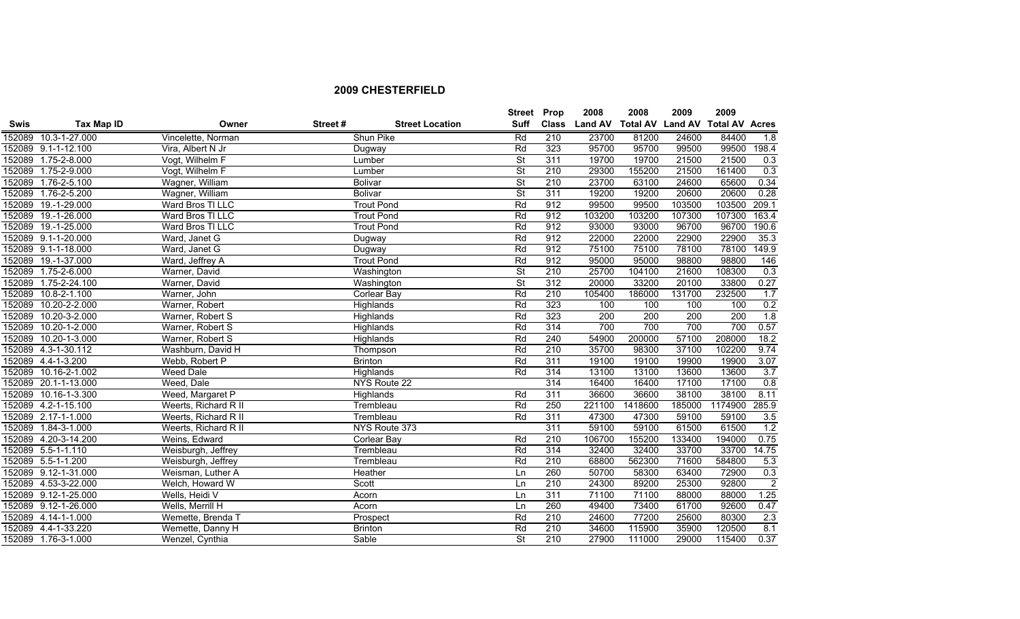|             |                      |                      |         |                        | <b>Street</b>            | Prop             | 2008           | 2008                    | 2009   | 2009                  |                  |
|-------------|----------------------|----------------------|---------|------------------------|--------------------------|------------------|----------------|-------------------------|--------|-----------------------|------------------|
| <b>Swis</b> | Tax Map ID           | Owner                | Street# | <b>Street Location</b> | <b>Suff</b>              | <b>Class</b>     | <b>Land AV</b> | <b>Total AV Land AV</b> |        | <b>Total AV Acres</b> |                  |
|             | 152089 10.3-1-27.000 | Vincelette, Norman   |         | Shun Pike              | Rd                       | 210              | 23700          | 81200                   | 24600  | 84400                 | 1.8              |
|             | 152089 9.1-1-12.100  | Vira, Albert N Jr    |         | Dugway                 | Rd                       | 323              | 95700          | 95700                   | 99500  | 99500                 | 198.4            |
|             | 152089 1.75-2-8.000  | Vogt, Wilhelm F      |         | Lumber                 | St                       | 311              | 19700          | 19700                   | 21500  | 21500                 | 0.3              |
|             | 152089 1.75-2-9.000  | Vogt, Wilhelm F      |         | Lumber                 | $\overline{\mathsf{St}}$ | 210              | 29300          | 155200                  | 21500  | 161400                | 0.3              |
|             | 152089 1.76-2-5.100  | Wagner, William      |         | <b>Bolivar</b>         | $\overline{\mathsf{St}}$ | 210              | 23700          | 63100                   | 24600  | 65600                 | 0.34             |
| 152089      | 1.76-2-5.200         | Wagner, William      |         | <b>Bolivar</b>         | $\overline{\mathsf{St}}$ | 311              | 19200          | 19200                   | 20600  | 20600                 | 0.28             |
|             | 152089 19.-1-29.000  | Ward Bros TI LLC     |         | <b>Trout Pond</b>      | Rd                       | 912              | 99500          | 99500                   | 103500 | 103500                | 209.1            |
| 152089      | 19.-1-26.000         | Ward Bros TI LLC     |         | <b>Trout Pond</b>      | Rd                       | 912              | 103200         | 103200                  | 107300 | 107300                | 163.4            |
| 152089      | 19.-1-25.000         | Ward Bros TI LLC     |         | <b>Trout Pond</b>      | Rd                       | 912              | 93000          | 93000                   | 96700  | 96700                 | 190.6            |
|             | 152089 9.1-1-20.000  | Ward, Janet G        |         | Dugway                 | Rd                       | 912              | 22000          | 22000                   | 22900  | 22900                 | 35.3             |
|             | 152089 9.1-1-18.000  | Ward, Janet G        |         | Dugway                 | Rd                       | 912              | 75100          | 75100                   | 78100  | 78100                 | 149.9            |
| 152089      | 19.-1-37.000         | Ward, Jeffrey A      |         | <b>Trout Pond</b>      | Rd                       | 912              | 95000          | 95000                   | 98800  | 98800                 | 146              |
| 152089      | $1.75 - 2 - 6.000$   | Warner, David        |         | Washington             | $\overline{\mathsf{St}}$ | 210              | 25700          | 104100                  | 21600  | 108300                | 0.3              |
| 152089      | 1.75-2-24.100        | Warner, David        |         | Washington             | $\overline{\mathsf{St}}$ | 312              | 20000          | 33200                   | 20100  | 33800                 | 0.27             |
| 152089      | $10.8 - 2 - 1.100$   | Warner, John         |         | Corlear Bay            | Rd                       | 210              | 105400         | 186000                  | 131700 | 232500                | 1.7              |
| 152089      | 10.20-2-2.000        | Warner, Robert       |         | Highlands              | Rd                       | 323              | 100            | 100                     | 100    | 100                   | 0.2              |
| 152089      | 10.20-3-2.000        | Warner, Robert S     |         | Highlands              | Rd                       | 323              | 200            | 200                     | 200    | 200                   | 1.8              |
| 152089      | 10.20-1-2.000        | Warner, Robert S     |         | Highlands              | Rd                       | 314              | 700            | 700                     | 700    | 700                   | 0.57             |
| 152089      | 10.20-1-3.000        | Warner, Robert S     |         | Highlands              | Rd                       | 240              | 54900          | 200000                  | 57100  | 208000                | 18.2             |
|             | 152089 4.3-1-30.112  | Washburn, David H    |         | Thompson               | Rd                       | 210              | 35700          | 98300                   | 37100  | 102200                | 9.74             |
|             | 152089 4.4-1-3.200   | Webb, Robert P       |         | <b>Brinton</b>         | Rd                       | 311              | 19100          | 19100                   | 19900  | 19900                 | 3.07             |
| 152089      | 10.16-2-1.002        | <b>Weed Dale</b>     |         | <b>Highlands</b>       | Rd                       | 314              | 13100          | 13100                   | 13600  | 13600                 | 3.7              |
| 152089      | 20.1-1-13.000        | Weed, Dale           |         | NYS Route 22           |                          | $\overline{314}$ | 16400          | 16400                   | 17100  | 17100                 | $\overline{0.8}$ |
|             | 152089 10.16-1-3.300 | Weed, Margaret P     |         | Highlands              | Rd                       | 311              | 36600          | 36600                   | 38100  | 38100                 | 8.11             |
|             | 152089 4.2-1-15.100  | Weerts, Richard R II |         | Trembleau              | Rd                       | 250              | 221100         | 1418600                 | 185000 | 1174900               | 285.9            |
|             | 152089 2.17-1-1.000  | Weerts, Richard R II |         | Trembleau              | Rd                       | 311              | 47300          | 47300                   | 59100  | 59100                 | 3.5              |
|             | 152089 1.84-3-1.000  | Weerts, Richard R II |         | NYS Route 373          |                          | 311              | 59100          | 59100                   | 61500  | 61500                 | 1.2              |
|             | 152089 4.20-3-14.200 | Weins, Edward        |         | <b>Corlear Bay</b>     | Rd                       | 210              | 106700         | 155200                  | 133400 | 194000                | 0.75             |
|             | 152089 5.5-1-1.110   | Weisburgh, Jeffrey   |         | Trembleau              | Rd                       | 314              | 32400          | 32400                   | 33700  | 33700                 | 14.75            |
|             | 152089 5.5-1-1.200   | Weisburgh, Jeffrey   |         | Trembleau              | Rd                       | 210              | 68800          | 562300                  | 71600  | 584800                | 5.3              |
|             | 152089 9.12-1-31.000 | Weisman, Luther A    |         | Heather                | Ln                       | 260              | 50700          | 58300                   | 63400  | 72900                 | 0.3              |
| 152089      | 4.53-3-22.000        | Welch, Howard W      |         | Scott                  | Ln                       | 210              | 24300          | 89200                   | 25300  | 92800                 | $\overline{2}$   |
|             | 152089 9.12-1-25.000 | Wells, Heidi V       |         | Acorn                  | Ln                       | 311              | 71100          | 71100                   | 88000  | 88000                 | 1.25             |
|             | 152089 9.12-1-26.000 | Wells, Merrill H     |         | Acorn                  | Ln                       | 260              | 49400          | 73400                   | 61700  | 92600                 | 0.47             |
|             | 152089 4.14-1-1.000  | Wemette, Brenda T    |         | Prospect               | Rd                       | 210              | 24600          | 77200                   | 25600  | 80300                 | 2.3              |
|             | 152089 4.4-1-33.220  | Wemette, Danny H     |         | <b>Brinton</b>         | Rd                       | 210              | 34600          | 115900                  | 35900  | 120500                | 8.1              |
|             | 152089 1.76-3-1.000  | Wenzel, Cynthia      |         | Sable                  | $\overline{\mathsf{St}}$ | 210              | 27900          | 111000                  | 29000  | 115400                | 0.37             |